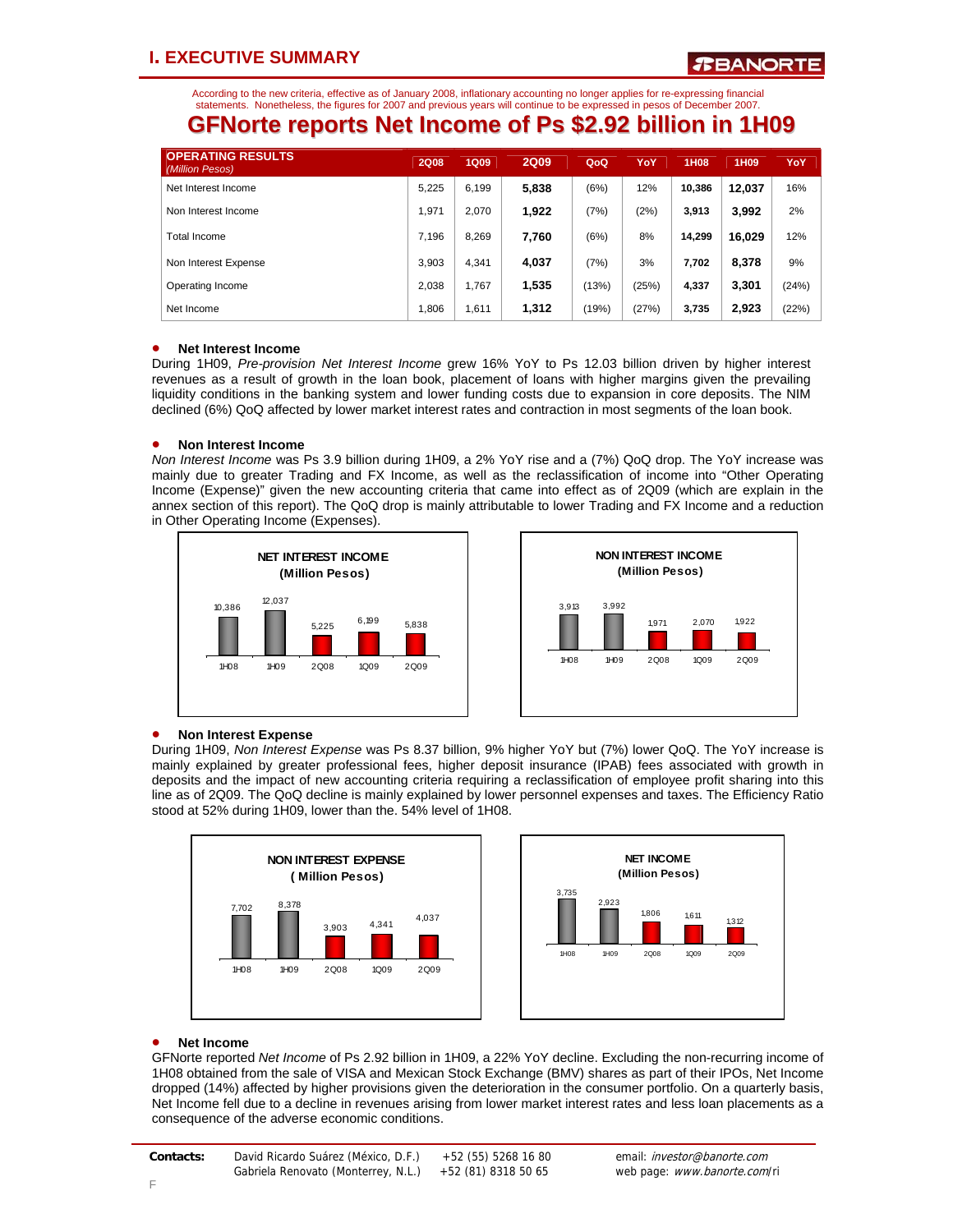According to the new criteria, effective as of January 2008, inflationary accounting no longer applies for re-expressing financial statements. Nonetheless, the figures for 2007 and previous years will continue to be expressed in pesos of December 2007.

### **GFNorte reports Net Income of Ps \$2.92 billion in 1H09**

| <b>OPERATING RESULTS</b><br>(Million Pesos) | <b>2Q08</b> | <b>1Q09</b> | <b>2Q09</b> | QoQ   | YoY   | 1H08   | 1H <sub>09</sub> | YoY   |
|---------------------------------------------|-------------|-------------|-------------|-------|-------|--------|------------------|-------|
| Net Interest Income                         | 5.225       | 6,199       | 5,838       | (6%)  | 12%   | 10.386 | 12,037           | 16%   |
| Non Interest Income                         | 1.971       | 2.070       | 1,922       | (7%)  | (2%)  | 3.913  | 3.992            | 2%    |
| <b>Total Income</b>                         | 7.196       | 8.269       | 7,760       | (6%)  | 8%    | 14,299 | 16,029           | 12%   |
| Non Interest Expense                        | 3.903       | 4.341       | 4,037       | (7%)  | 3%    | 7.702  | 8.378            | 9%    |
| Operating Income                            | 2.038       | 1.767       | 1,535       | (13%) | (25%) | 4,337  | 3,301            | (24%) |
| Net Income                                  | 1.806       | 1.611       | 1,312       | (19%) | (27%) | 3,735  | 2,923            | (22%) |

#### • **Net Interest Income**

During 1H09, *Pre-provision Net Interest Income* grew 16% YoY to Ps 12.03 billion driven by higher interest revenues as a result of growth in the loan book, placement of loans with higher margins given the prevailing liquidity conditions in the banking system and lower funding costs due to expansion in core deposits. The NIM declined (6%) QoQ affected by lower market interest rates and contraction in most segments of the loan book.

#### • **Non Interest Income**

*Non Interest Income* was Ps 3.9 billion during 1H09, a 2% YoY rise and a (7%) QoQ drop. The YoY increase was mainly due to greater Trading and FX Income, as well as the reclassification of income into "Other Operating Income (Expense)" given the new accounting criteria that came into effect as of 2Q09 (which are explain in the annex section of this report). The QoQ drop is mainly attributable to lower Trading and FX Income and a reduction in Other Operating Income (Expenses).





#### • **Non Interest Expense**

During 1H09, *Non Interest Expense* was Ps 8.37 billion, 9% higher YoY but (7%) lower QoQ. The YoY increase is mainly explained by greater professional fees, higher deposit insurance (IPAB) fees associated with growth in deposits and the impact of new accounting criteria requiring a reclassification of employee profit sharing into this line as of 2Q09. The QoQ decline is mainly explained by lower personnel expenses and taxes. The Efficiency Ratio stood at 52% during 1H09, lower than the. 54% level of 1H08.





#### • **Net Income**

GFNorte reported *Net Income* of Ps 2.92 billion in 1H09, a 22% YoY decline. Excluding the non-recurring income of 1H08 obtained from the sale of VISA and Mexican Stock Exchange (BMV) shares as part of their IPOs, Net Income dropped (14%) affected by higher provisions given the deterioration in the consumer portfolio. On a quarterly basis, Net Income fell due to a decline in revenues arising from lower market interest rates and less loan placements as a consequence of the adverse economic conditions.

| Contacts: | David Ricardo Suárez (México, D.F.) | +52 (55) 5268 16 80 | email: <i>investor@banorte.com</i> |
|-----------|-------------------------------------|---------------------|------------------------------------|
|           | Gabriela Renovato (Monterrey, N.L.) | +52 (81) 8318 50 65 | web page: www.banorte.com/ri       |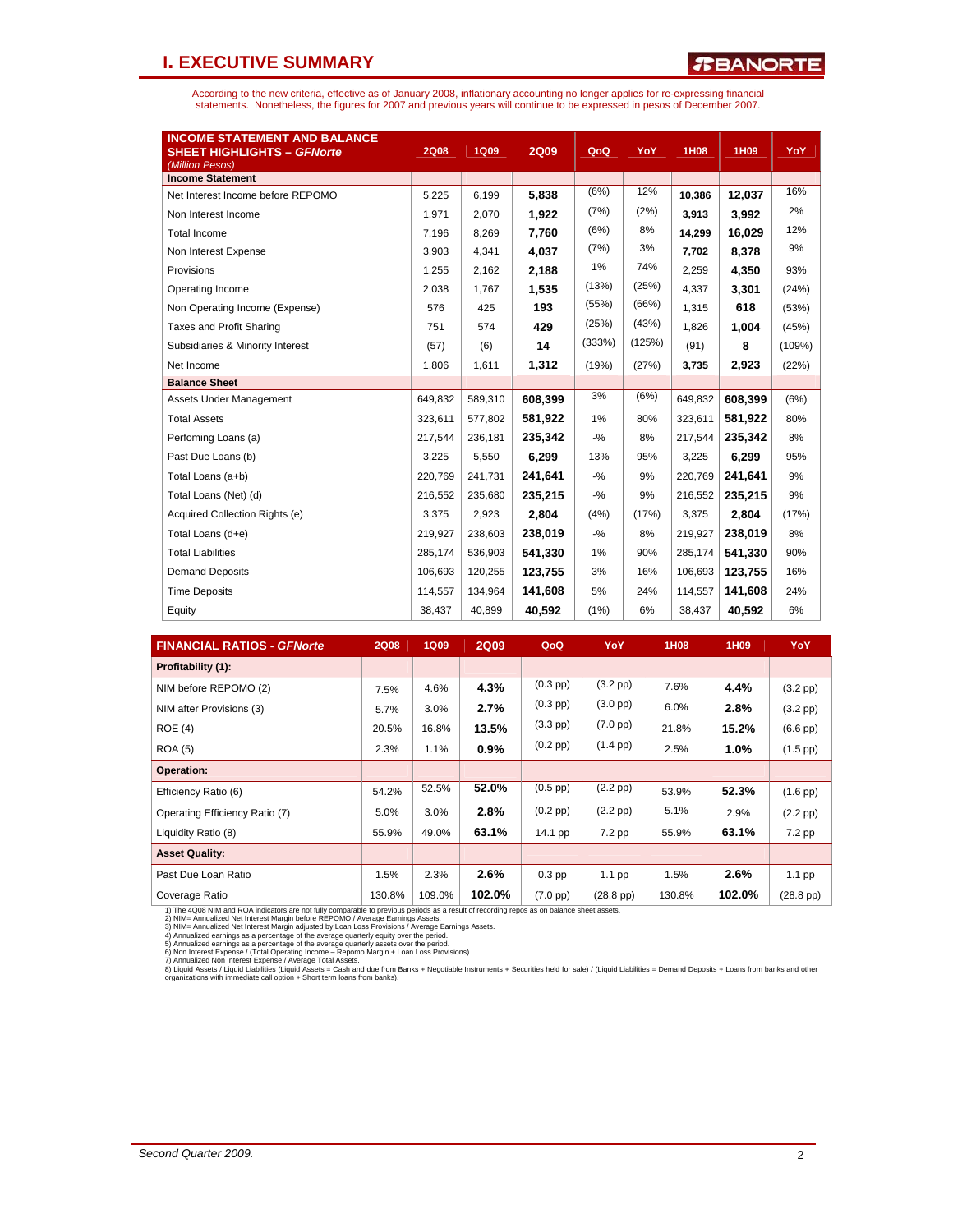### **I. EXECUTIVE SUMMARY**

According to the new criteria, effective as of January 2008, inflationary accounting no longer applies for re-expressing financial<br>statements. Nonetheless, the figures for 2007 and previous years will continue to be expres

| <b>INCOME STATEMENT AND BALANCE</b><br><b>SHEET HIGHLIGHTS - GFNorte</b><br>(Million Pesos) | <b>2Q08</b> | <b>1Q09</b> | <b>2Q09</b> | QoQ    | YoY    | <b>1H08</b> | 1H09    | YoY    |
|---------------------------------------------------------------------------------------------|-------------|-------------|-------------|--------|--------|-------------|---------|--------|
| <b>Income Statement</b>                                                                     |             |             |             |        |        |             |         |        |
| Net Interest Income before REPOMO                                                           | 5,225       | 6,199       | 5,838       | (6%)   | 12%    | 10,386      | 12,037  | 16%    |
| Non Interest Income                                                                         | 1.971       | 2.070       | 1.922       | (7%)   | (2%)   | 3.913       | 3.992   | 2%     |
| <b>Total Income</b>                                                                         | 7.196       | 8.269       | 7.760       | (6%)   | 8%     | 14.299      | 16.029  | 12%    |
| Non Interest Expense                                                                        | 3,903       | 4,341       | 4,037       | (7%)   | 3%     | 7,702       | 8,378   | 9%     |
| Provisions                                                                                  | 1,255       | 2,162       | 2,188       | 1%     | 74%    | 2,259       | 4.350   | 93%    |
| Operating Income                                                                            | 2,038       | 1,767       | 1.535       | (13%)  | (25%)  | 4,337       | 3.301   | (24%)  |
| Non Operating Income (Expense)                                                              | 576         | 425         | 193         | (55%)  | (66%)  | 1,315       | 618     | (53%)  |
| <b>Taxes and Profit Sharing</b>                                                             | 751         | 574         | 429         | (25%)  | (43%)  | 1.826       | 1.004   | (45%)  |
| Subsidiaries & Minority Interest                                                            | (57)        | (6)         | 14          | (333%) | (125%) | (91)        | 8       | (109%) |
| Net Income                                                                                  | 1,806       | 1,611       | 1,312       | (19%)  | (27%)  | 3,735       | 2,923   | (22%)  |
| <b>Balance Sheet</b>                                                                        |             |             |             |        |        |             |         |        |
| Assets Under Management                                                                     | 649,832     | 589,310     | 608.399     | 3%     | (6%)   | 649,832     | 608,399 | (6%)   |
| <b>Total Assets</b>                                                                         | 323,611     | 577,802     | 581,922     | 1%     | 80%    | 323,611     | 581,922 | 80%    |
| Perfoming Loans (a)                                                                         | 217.544     | 236,181     | 235,342     | $-9/6$ | 8%     | 217,544     | 235,342 | 8%     |
| Past Due Loans (b)                                                                          | 3,225       | 5,550       | 6,299       | 13%    | 95%    | 3,225       | 6,299   | 95%    |
| Total Loans (a+b)                                                                           | 220,769     | 241,731     | 241,641     | $-9/6$ | 9%     | 220,769     | 241,641 | 9%     |
| Total Loans (Net) (d)                                                                       | 216,552     | 235,680     | 235,215     | $-9/6$ | 9%     | 216,552     | 235,215 | 9%     |
| Acquired Collection Rights (e)                                                              | 3.375       | 2.923       | 2,804       | (4%)   | (17%)  | 3.375       | 2,804   | (17%)  |
| Total Loans (d+e)                                                                           | 219,927     | 238,603     | 238.019     | $-9/6$ | 8%     | 219,927     | 238.019 | 8%     |
| <b>Total Liabilities</b>                                                                    | 285.174     | 536.903     | 541,330     | 1%     | 90%    | 285.174     | 541.330 | 90%    |
| <b>Demand Deposits</b>                                                                      | 106,693     | 120,255     | 123,755     | 3%     | 16%    | 106,693     | 123,755 | 16%    |
| <b>Time Deposits</b>                                                                        | 114,557     | 134,964     | 141,608     | 5%     | 24%    | 114,557     | 141,608 | 24%    |
| Equity                                                                                      | 38,437      | 40,899      | 40.592      | (1%)   | 6%     | 38,437      | 40,592  | 6%     |

| <b>FINANCIAL RATIOS - GFNorte</b> | <b>2Q08</b> | <b>1Q09</b> | <b>2Q09</b> | QoQ                | YoY                | <b>1H08</b> | 1H09   | YoY                |
|-----------------------------------|-------------|-------------|-------------|--------------------|--------------------|-------------|--------|--------------------|
| Profitability (1):                |             |             |             |                    |                    |             |        |                    |
| NIM before REPOMO (2)             | 7.5%        | 4.6%        | 4.3%        | $(0.3$ pp $)$      | $(3.2$ pp $)$      | 7.6%        | 4.4%   | $(3.2$ pp $)$      |
| NIM after Provisions (3)          | 5.7%        | 3.0%        | 2.7%        | $(0.3 \text{ pp})$ | $(3.0 \text{ pp})$ | 6.0%        | 2.8%   | $(3.2$ pp $)$      |
| <b>ROE (4)</b>                    | 20.5%       | 16.8%       | 13.5%       | $(3.3 \text{ pp})$ | $(7.0 \text{ pp})$ | 21.8%       | 15.2%  | $(6.6$ pp $)$      |
| <b>ROA (5)</b>                    | 2.3%        | 1.1%        | 0.9%        | $(0.2$ pp $)$      | $(1.4 \text{ pp})$ | 2.5%        | 1.0%   | $(1.5$ pp $)$      |
| Operation:                        |             |             |             |                    |                    |             |        |                    |
| Efficiency Ratio (6)              | 54.2%       | 52.5%       | 52.0%       | $(0.5$ pp)         | $(2.2$ pp $)$      | 53.9%       | 52.3%  | $(1.6$ pp $)$      |
| Operating Efficiency Ratio (7)    | 5.0%        | 3.0%        | 2.8%        | $(0.2$ pp $)$      | $(2.2$ pp $)$      | 5.1%        | 2.9%   | $(2.2$ pp $)$      |
| Liquidity Ratio (8)               | 55.9%       | 49.0%       | 63.1%       | 14.1 pp            | $7.2$ pp           | 55.9%       | 63.1%  | 7.2 pp             |
| <b>Asset Quality:</b>             |             |             |             |                    |                    |             |        |                    |
| Past Due Loan Ratio               | 1.5%        | 2.3%        | 2.6%        | $0.3$ pp           | $1.1$ pp           | 1.5%        | 2.6%   | $1.1$ pp           |
| Coverage Ratio                    | 130.8%      | 109.0%      | 102.0%      | $(7.0 \text{ pp})$ | $(28.8~\text{pp})$ | 130.8%      | 102.0% | $(28.8~\text{pp})$ |

1) The 4Q08 NIM and ROA indicators are not fully comparable to previous periods as a result of recording repos as on balance sheet assets.<br>2) NIM= Annualized Net Interest Margin before REPOMO / Average Earnings Assets.<br>3)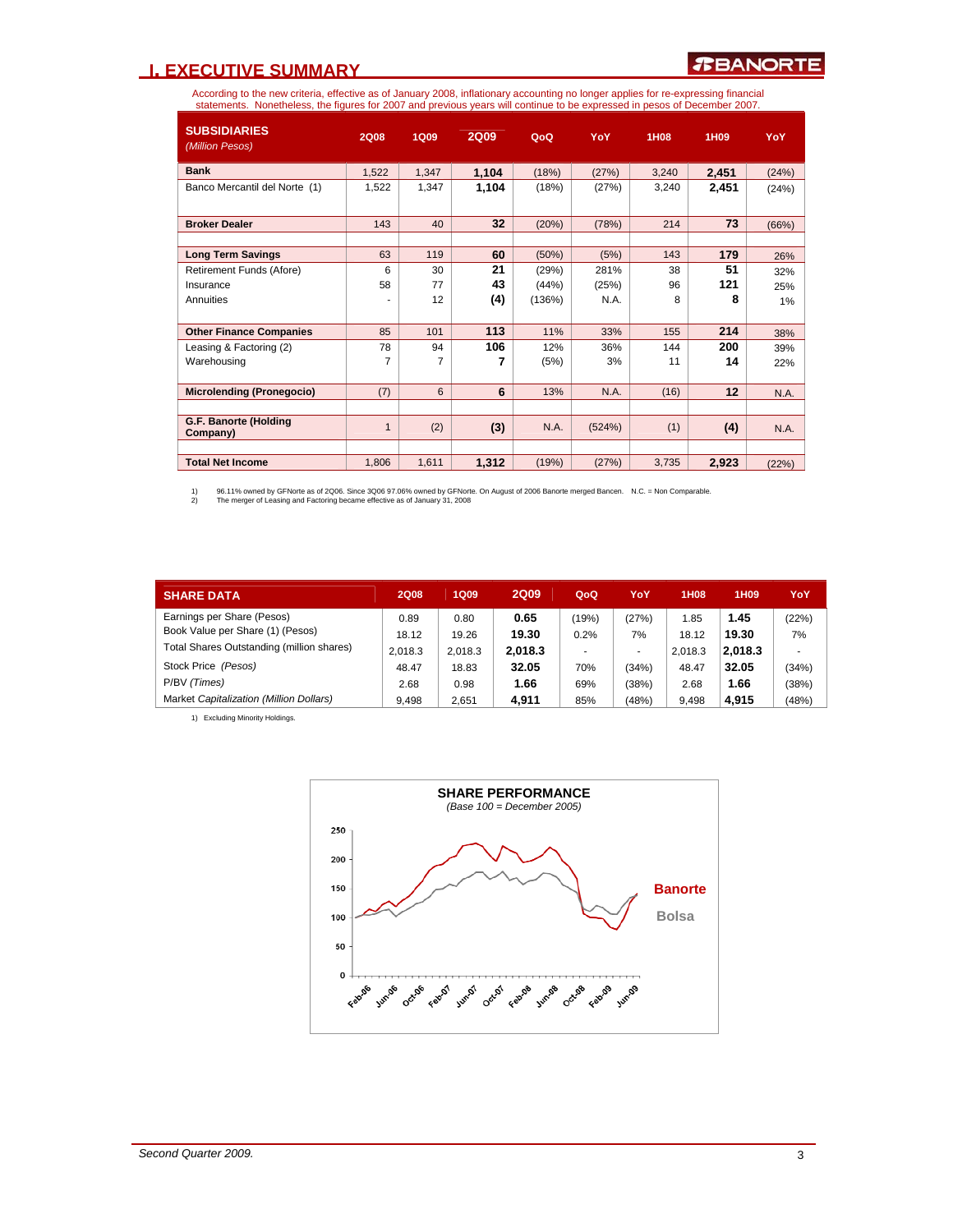### **I. EXECUTIVE SUMMARY**

According to the new criteria, effective as of January 2008, inflationary accounting no longer applies for re-expressing financial<br>statements. Nonetheless, the figures for 2007 and previous years will continue to be expres

| <b>SUBSIDIARIES</b><br>(Million Pesos) | <b>2Q08</b>  | <b>1Q09</b> | <b>2Q09</b> | QoQ    | YoY    | 1H08  | 1H <sub>09</sub> | YoY   |
|----------------------------------------|--------------|-------------|-------------|--------|--------|-------|------------------|-------|
| <b>Bank</b>                            |              |             |             |        |        |       |                  |       |
|                                        | 1,522        | 1,347       | 1,104       | (18%)  | (27%)  | 3,240 | 2,451            | (24%) |
| Banco Mercantil del Norte (1)          | 1,522        | 1.347       | 1,104       | (18%)  | (27%)  | 3,240 | 2,451            | (24%) |
| <b>Broker Dealer</b>                   | 143          | 40          | 32          | (20%)  | (78%)  | 214   | 73               | (66%) |
|                                        |              |             |             |        |        |       |                  |       |
| <b>Long Term Savings</b>               | 63           | 119         | 60          | (50%)  | (5%)   | 143   | 179              | 26%   |
| Retirement Funds (Afore)               | 6            | 30          | 21          | (29%)  | 281%   | 38    | 51               | 32%   |
| Insurance                              | 58           | 77          | 43          | (44%)  | (25%)  | 96    | 121              | 25%   |
| Annuities                              | ۰            | 12          | (4)         | (136%) | N.A.   | 8     | 8                | 1%    |
|                                        |              |             |             |        |        |       |                  |       |
| <b>Other Finance Companies</b>         | 85           | 101         | 113         | 11%    | 33%    | 155   | 214              | 38%   |
| Leasing & Factoring (2)                | 78           | 94          | 106         | 12%    | 36%    | 144   | 200              | 39%   |
| Warehousing                            | 7            | 7           | 7           | (5%)   | 3%     | 11    | 14               | 22%   |
|                                        |              |             |             |        |        |       |                  |       |
| <b>Microlending (Pronegocio)</b>       | (7)          | 6           | 6           | 13%    | N.A.   | (16)  | 12               | N.A.  |
|                                        |              |             |             |        |        |       |                  |       |
| G.F. Banorte (Holding<br>Company)      | $\mathbf{1}$ | (2)         | (3)         | N.A.   | (524%) | (1)   | (4)              | N.A.  |
|                                        |              |             |             |        |        |       |                  |       |
| <b>Total Net Income</b>                | 1.806        | 1,611       | 1,312       | (19%)  | (27%)  | 3.735 | 2,923            | (22%) |

1) 96.11% owned by GFNorte as of 2Q06. Since 3Q06 97.06% owned by GFNorte. On August of 2006 Banorte merged Bancen. N.C. = Non Comparable.<br>2) The merger of Leasing and Factoring became effective as of January 31, 2008

| <b>SHARE DATA</b>                         | <b>2Q08</b> | <b>1Q09</b> | <b>2Q09</b> | QoQ   | YoY   | <b>1H08</b> | 1H09    | YoY   |
|-------------------------------------------|-------------|-------------|-------------|-------|-------|-------------|---------|-------|
| Earnings per Share (Pesos)                | 0.89        | 0.80        | 0.65        | (19%) | (27%) | 1.85        | 1.45    | (22%) |
| Book Value per Share (1) (Pesos)          | 18.12       | 19.26       | 19.30       | 0.2%  | 7%    | 18.12       | 19.30   | 7%    |
| Total Shares Outstanding (million shares) | 2.018.3     | 2.018.3     | 2.018.3     |       |       | 2.018.3     | 2.018.3 |       |
| Stock Price (Pesos)                       | 48.47       | 18.83       | 32.05       | 70%   | (34%) | 48.47       | 32.05   | (34%) |
| P/BV (Times)                              | 2.68        | 0.98        | 1.66        | 69%   | (38%) | 2.68        | 1.66    | (38%) |
| Market Capitalization (Million Dollars)   | 9.498       | 2.651       | 4.911       | 85%   | (48%) | 9.498       | 4.915   | (48%) |

1) Excluding Minority Holdings.

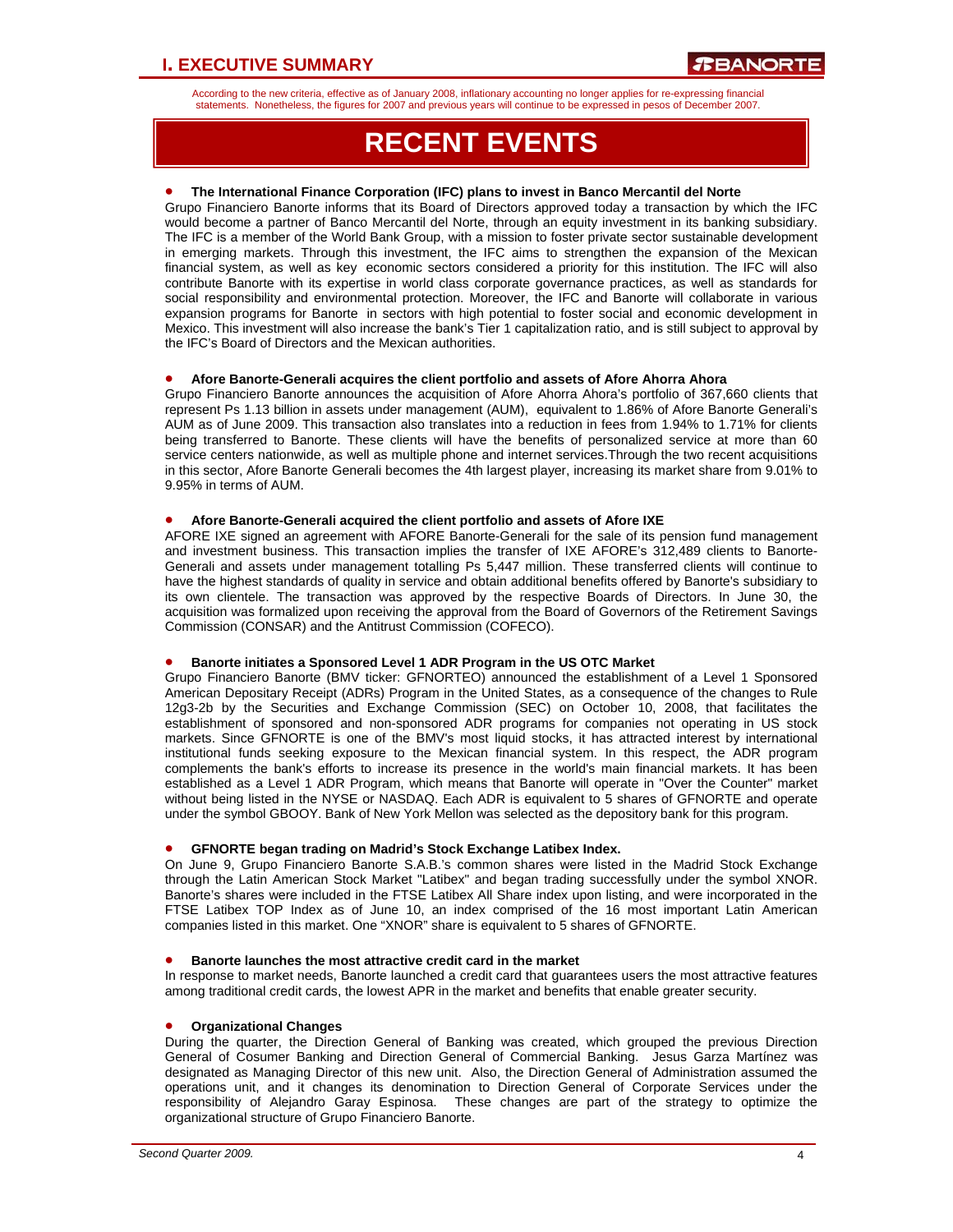According to the new criteria, effective as of January 2008, inflationary accounting no longer applies for re-expressing financial statements. Nonetheless, the figures for 2007 and previous years will continue to be expressed in pesos of December 2007.

# **RECENT EVENTS**

#### • **The International Finance Corporation (IFC) plans to invest in Banco Mercantil del Norte**

Grupo Financiero Banorte informs that its Board of Directors approved today a transaction by which the IFC would become a partner of Banco Mercantil del Norte, through an equity investment in its banking subsidiary. The IFC is a member of the World Bank Group, with a mission to foster private sector sustainable development in emerging markets. Through this investment, the IFC aims to strengthen the expansion of the Mexican financial system, as well as key economic sectors considered a priority for this institution. The IFC will also contribute Banorte with its expertise in world class corporate governance practices, as well as standards for social responsibility and environmental protection. Moreover, the IFC and Banorte will collaborate in various expansion programs for Banorte in sectors with high potential to foster social and economic development in Mexico. This investment will also increase the bank's Tier 1 capitalization ratio, and is still subject to approval by the IFC's Board of Directors and the Mexican authorities.

#### • **Afore Banorte-Generali acquires the client portfolio and assets of Afore Ahorra Ahora**

Grupo Financiero Banorte announces the acquisition of Afore Ahorra Ahora's portfolio of 367,660 clients that represent Ps 1.13 billion in assets under management (AUM), equivalent to 1.86% of Afore Banorte Generali's AUM as of June 2009. This transaction also translates into a reduction in fees from 1.94% to 1.71% for clients being transferred to Banorte. These clients will have the benefits of personalized service at more than 60 service centers nationwide, as well as multiple phone and internet services.Through the two recent acquisitions in this sector, Afore Banorte Generali becomes the 4th largest player, increasing its market share from 9.01% to 9.95% in terms of AUM.

#### • **Afore Banorte-Generali acquired the client portfolio and assets of Afore IXE**

AFORE IXE signed an agreement with AFORE Banorte-Generali for the sale of its pension fund management and investment business. This transaction implies the transfer of IXE AFORE's 312,489 clients to Banorte-Generali and assets under management totalling Ps 5,447 million. These transferred clients will continue to have the highest standards of quality in service and obtain additional benefits offered by Banorte's subsidiary to its own clientele. The transaction was approved by the respective Boards of Directors. In June 30, the acquisition was formalized upon receiving the approval from the Board of Governors of the Retirement Savings Commission (CONSAR) and the Antitrust Commission (COFECO).

#### • **Banorte initiates a Sponsored Level 1 ADR Program in the US OTC Market**

Grupo Financiero Banorte (BMV ticker: GFNORTEO) announced the establishment of a Level 1 Sponsored American Depositary Receipt (ADRs) Program in the United States, as a consequence of the changes to Rule 12g3-2b by the Securities and Exchange Commission (SEC) on October 10, 2008, that facilitates the establishment of sponsored and non-sponsored ADR programs for companies not operating in US stock markets. Since GFNORTE is one of the BMV's most liquid stocks, it has attracted interest by international institutional funds seeking exposure to the Mexican financial system. In this respect, the ADR program complements the bank's efforts to increase its presence in the world's main financial markets. It has been established as a Level 1 ADR Program, which means that Banorte will operate in "Over the Counter" market without being listed in the NYSE or NASDAQ. Each ADR is equivalent to 5 shares of GFNORTE and operate under the symbol GBOOY. Bank of New York Mellon was selected as the depository bank for this program.

#### • **GFNORTE began trading on Madrid's Stock Exchange Latibex Index.**

On June 9, Grupo Financiero Banorte S.A.B.'s common shares were listed in the Madrid Stock Exchange through the Latin American Stock Market "Latibex" and began trading successfully under the symbol XNOR. Banorte's shares were included in the FTSE Latibex All Share index upon listing, and were incorporated in the FTSE Latibex TOP Index as of June 10, an index comprised of the 16 most important Latin American companies listed in this market. One "XNOR" share is equivalent to 5 shares of GFNORTE.

#### • **Banorte launches the most attractive credit card in the market**

In response to market needs, Banorte launched a credit card that guarantees users the most attractive features among traditional credit cards, the lowest APR in the market and benefits that enable greater security.

#### • **Organizational Changes**

During the quarter, the Direction General of Banking was created, which grouped the previous Direction General of Cosumer Banking and Direction General of Commercial Banking. Jesus Garza Martínez was designated as Managing Director of this new unit. Also, the Direction General of Administration assumed the operations unit, and it changes its denomination to Direction General of Corporate Services under the responsibility of Alejandro Garay Espinosa. These changes are part of the strategy to optimize the organizational structure of Grupo Financiero Banorte.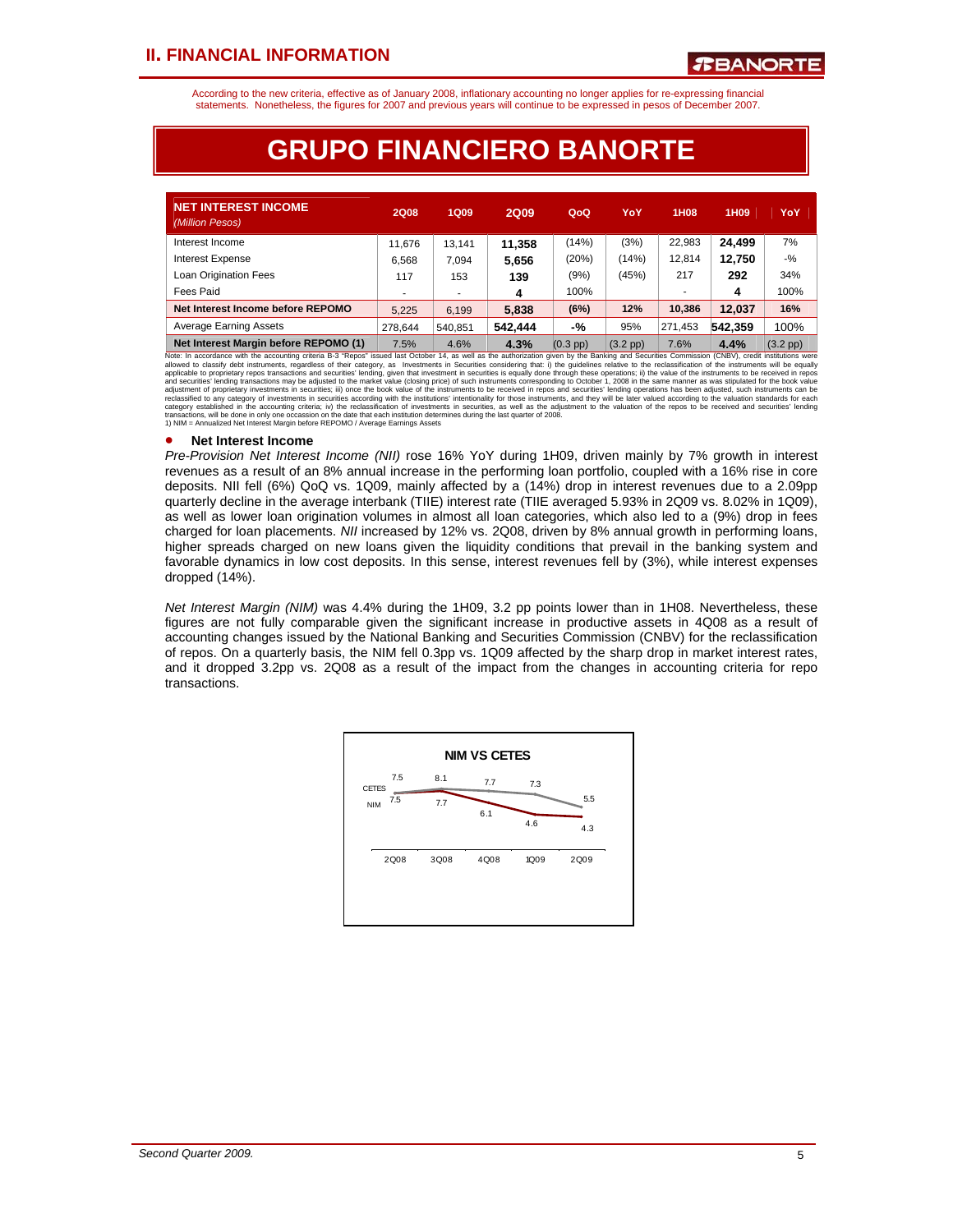According to the new criteria, effective as of January 2008, inflationary accounting no longer applies for re-expressing financial statements. Nonetheless, the figures for 2007 and previous years will continue to be expressed in pesos of December 2007.

# **GRUPO FINANCIERO BANORTE**

| <b>NET INTEREST INCOME</b><br>(Million Pesos) | <b>2Q08</b> | <b>1Q09</b>              | <b>2Q09</b> | QoQ        | YoY        | 1H <sub>0</sub> 8 | 1H <sub>09</sub> | YoY                |
|-----------------------------------------------|-------------|--------------------------|-------------|------------|------------|-------------------|------------------|--------------------|
| Interest Income                               | 11.676      | 13.141                   | 11.358      | (14%)      | (3%)       | 22.983            | 24.499           | 7%                 |
| <b>Interest Expense</b>                       | 6,568       | 7.094                    | 5,656       | (20%)      | (14%)      | 12.814            | 12,750           | $-$ %              |
| Loan Origination Fees                         | 117         | 153                      | 139         | (9%)       | (45%)      | 217               | 292              | 34%                |
| Fees Paid                                     |             | $\overline{\phantom{a}}$ | 4           | 100%       |            |                   | 4                | 100%               |
| Net Interest Income before REPOMO             | 5.225       | 6.199                    | 5.838       | (6%)       | 12%        | 10.386            | 12.037           | 16%                |
| <b>Average Earning Assets</b>                 | 278.644     | 540.851                  | 542.444     | -%         | 95%        | 271,453           | 542.359          | 100%               |
| Net Interest Margin before REPOMO (1)         | 7.5%        | 4.6%                     | 4.3%        | $(0.3$ pp) | $(3.2$ pp) | 7.6%              | 4.4%             | $(3.2 \text{ pp})$ |

**Net Interest Margin before REPOMO (1)** 7.5% 4.6% 8. 4.3% (0.3 pp) 7.6% 4.4% (3.2 pp) 7.6% 4.4% (3.2 pp) 1.6% 4.9% (3.2 pp) 1.6% 4.9% (3.2 pp) 1.6% 4.9% (3.2 pp) 1.6% and Notiver 14, as well as the automizion given in the

#### • **Net Interest Income**

*Pre-Provision Net Interest Income (NII)* rose 16% YoY during 1H09, driven mainly by 7% growth in interest revenues as a result of an 8% annual increase in the performing loan portfolio, coupled with a 16% rise in core deposits. NII fell (6%) QoQ vs. 1Q09, mainly affected by a (14%) drop in interest revenues due to a 2.09pp quarterly decline in the average interbank (TIIE) interest rate (TIIE averaged 5.93% in 2Q09 vs. 8.02% in 1Q09), as well as lower loan origination volumes in almost all loan categories, which also led to a (9%) drop in fees charged for loan placements. *NII* increased by 12% vs. 2Q08, driven by 8% annual growth in performing loans, higher spreads charged on new loans given the liquidity conditions that prevail in the banking system and favorable dynamics in low cost deposits. In this sense, interest revenues fell by (3%), while interest expenses dropped (14%).

*Net Interest Margin (NIM)* was 4.4% during the 1H09, 3.2 pp points lower than in 1H08. Nevertheless, these figures are not fully comparable given the significant increase in productive assets in 4Q08 as a result of accounting changes issued by the National Banking and Securities Commission (CNBV) for the reclassification of repos. On a quarterly basis, the NIM fell 0.3pp vs. 1Q09 affected by the sharp drop in market interest rates, and it dropped 3.2pp vs. 2Q08 as a result of the impact from the changes in accounting criteria for repo transactions.

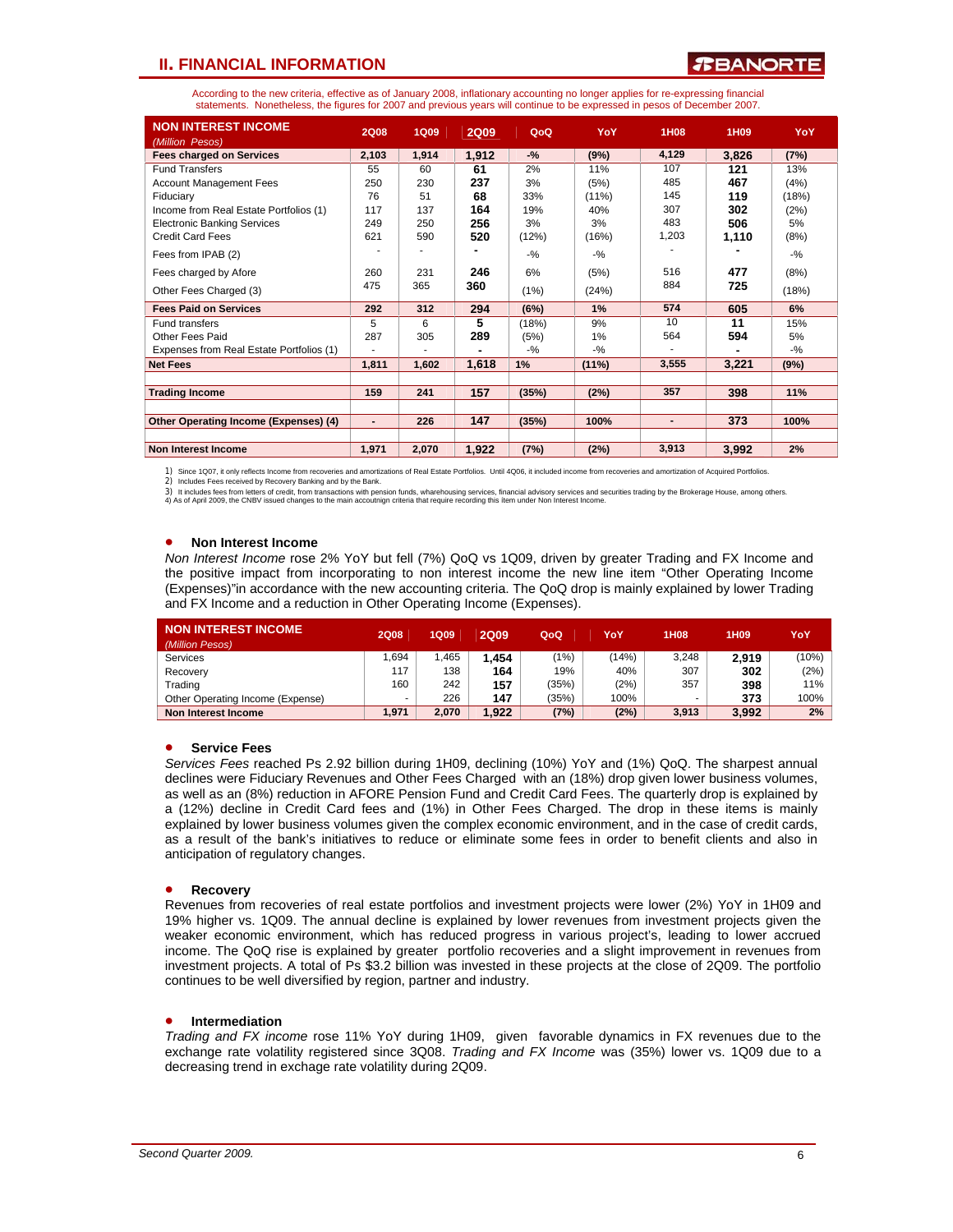### **PBANORT**

According to the new criteria, effective as of January 2008, inflationary accounting no longer applies for re-expressing financial statements. Nonetheless, the figures for 2007 and previous years will continue to be expressed in pesos of December 2007.

| <b>NON INTEREST INCOME</b>               | <b>2Q08</b>    | <b>1Q09</b> | <b>2Q09</b> | QoQ    | YoY      | 1H <sub>08</sub> | 1H09  | YoY    |
|------------------------------------------|----------------|-------------|-------------|--------|----------|------------------|-------|--------|
| (Million Pesos)                          |                |             |             |        |          |                  |       |        |
| <b>Fees charged on Services</b>          | 2,103          | 1,914       | 1,912       | $-$ %  | (9%)     | 4,129            | 3,826 | (7%)   |
| <b>Fund Transfers</b>                    | 55             | 60          | 61          | 2%     | 11%      | 107              | 121   | 13%    |
| <b>Account Management Fees</b>           | 250            | 230         | 237         | 3%     | (5%)     | 485              | 467   | (4%)   |
| Fiduciary                                | 76             | 51          | 68          | 33%    | $(11\%)$ | 145              | 119   | (18%)  |
| Income from Real Estate Portfolios (1)   | 117            | 137         | 164         | 19%    | 40%      | 307              | 302   | (2%)   |
| <b>Electronic Banking Services</b>       | 249            | 250         | 256         | 3%     | 3%       | 483              | 506   | 5%     |
| <b>Credit Card Fees</b>                  | 621            | 590         | 520         | (12%)  | (16%)    | 1,203            | 1,110 | (8%)   |
| Fees from IPAB (2)                       |                |             |             | $-9/6$ | $-9/6$   |                  |       | $-$ %  |
| Fees charged by Afore                    | 260            | 231         | 246         | 6%     | (5%)     | 516              | 477   | (8%)   |
| Other Fees Charged (3)                   | 475            | 365         | 360         | (1%)   | (24%)    | 884              | 725   | (18%)  |
| <b>Fees Paid on Services</b>             | 292            | 312         | 294         | (6%)   | 1%       | 574              | 605   | 6%     |
| Fund transfers                           | 5              | 6           | 5           | (18%)  | 9%       | 10               | 11    | 15%    |
| Other Fees Paid                          | 287            | 305         | 289         | (5%)   | 1%       | 564              | 594   | 5%     |
| Expenses from Real Estate Portfolios (1) |                |             |             | $-$ %  | $-9/6$   |                  |       | $-9/6$ |
| <b>Net Fees</b>                          | 1,811          | 1,602       | 1,618       | 1%     | $(11\%)$ | 3,555            | 3,221 | (9%)   |
|                                          |                |             |             |        |          |                  |       |        |
| <b>Trading Income</b>                    | 159            | 241         | 157         | (35%)  | (2%)     | 357              | 398   | 11%    |
|                                          |                |             |             |        |          |                  |       |        |
| Other Operating Income (Expenses) (4)    | $\blacksquare$ | 226         | 147         | (35%)  | 100%     | $\blacksquare$   | 373   | 100%   |
|                                          |                |             |             |        |          |                  |       |        |
| <b>Non Interest Income</b>               | 1,971          | 2,070       | 1,922       | (7%)   | (2%)     | 3.913            | 3,992 | 2%     |

1) Since 1Q07, it only reflects Income from recoveries and amortizations of Real Estate Portfolios. Until 4Q06, it included income from recoveries and amortization of Acquired Portfolios.

2) Includes Fees received by Recovery Banking and by the Bank.

3) It includes fees from letters of credit, from transactions with pension funds, wharehousing services, financial advisory services and securities trading by the Brokerage House, among others.<br>4) As of April 2009, the CNB

#### • **Non Interest Income**

*Non Interest Income* rose 2% YoY but fell (7%) QoQ vs 1Q09, driven by greater Trading and FX Income and the positive impact from incorporating to non interest income the new line item "Other Operating Income (Expenses)"in accordance with the new accounting criteria. The QoQ drop is mainly explained by lower Trading and FX Income and a reduction in Other Operating Income (Expenses).

| <b>NON INTEREST INCOME</b>       | <b>2Q08</b> | <b>1Q09</b> | <b>2Q09</b> | QoQ   | YoY   | 1H08  | 1H <sub>09</sub> | YoY   |
|----------------------------------|-------------|-------------|-------------|-------|-------|-------|------------------|-------|
| (Million Pesos)                  |             |             |             |       |       |       |                  |       |
| Services                         | .694        | .465        | .454        | (1%)  | (14%) | 3.248 | 2.919            | (10%) |
| Recovery                         | 117         | 138         | 164         | 19%   | 40%   | 307   | 302              | (2%)  |
| Trading                          | 160         | 242         | 157         | (35%) | (2%)  | 357   | 398              | 11%   |
| Other Operating Income (Expense) |             | 226         | 147         | (35%) | 100%  |       | 373              | 100%  |
| Non Interest Income              | 1.971       | 2.070       | .922        | (7%)  | (2%)  | 3,913 | 3.992            | 2%    |

#### • **Service Fees**

*Services Fees* reached Ps 2.92 billion during 1H09, declining (10%) YoY and (1%) QoQ. The sharpest annual declines were Fiduciary Revenues and Other Fees Charged with an (18%) drop given lower business volumes, as well as an (8%) reduction in AFORE Pension Fund and Credit Card Fees. The quarterly drop is explained by a (12%) decline in Credit Card fees and (1%) in Other Fees Charged. The drop in these items is mainly explained by lower business volumes given the complex economic environment, and in the case of credit cards, as a result of the bank's initiatives to reduce or eliminate some fees in order to benefit clients and also in anticipation of regulatory changes.

#### • **Recovery**

Revenues from recoveries of real estate portfolios and investment projects were lower (2%) YoY in 1H09 and 19% higher vs. 1Q09. The annual decline is explained by lower revenues from investment projects given the weaker economic environment, which has reduced progress in various project's, leading to lower accrued income. The QoQ rise is explained by greater portfolio recoveries and a slight improvement in revenues from investment projects. A total of Ps \$3.2 billion was invested in these projects at the close of 2Q09. The portfolio continues to be well diversified by region, partner and industry.

#### • **Intermediation**

*Trading and FX income* rose 11% YoY during 1H09, given favorable dynamics in FX revenues due to the exchange rate volatility registered since 3Q08. *Trading and FX Income* was (35%) lower vs. 1Q09 due to a decreasing trend in exchage rate volatility during 2Q09.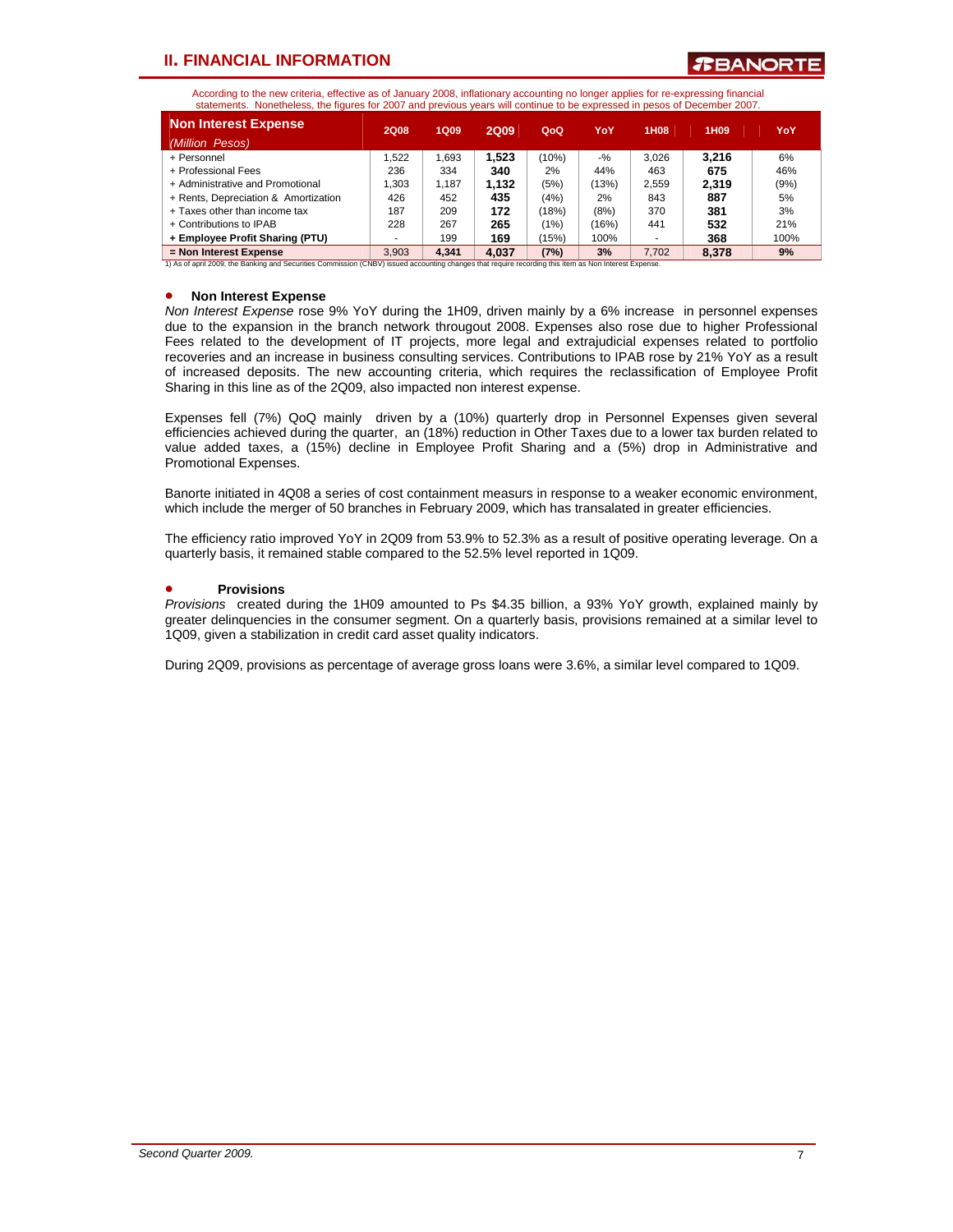**TBANORT** 

According to the new criteria, effective as of January 2008, inflationary accounting no longer applies for re-expressing financial statements. Nonetheless, the figures for 2007 and previous years will continue to be expressed in pesos of December 2007.

| <b>Non Interest Expense</b><br>(Million Pesos) | <b>2Q08</b> | 1Q09  | <b>2Q09</b> | QoQ   | YoY    | 1H08  | 1H <sub>09</sub> | YoY  |
|------------------------------------------------|-------------|-------|-------------|-------|--------|-------|------------------|------|
| + Personnel                                    | .522        | 1.693 | 1.523       | (10%) | $-9/2$ | 3.026 | 3.216            | 6%   |
| + Professional Fees                            | 236         | 334   | 340         | 2%    | 44%    | 463   | 675              | 46%  |
| + Administrative and Promotional               | 1.303       | 1.187 | 1.132       | (5%)  | (13%)  | 2.559 | 2.319            | (9%) |
| + Rents, Depreciation & Amortization           | 426         | 452   | 435         | (4%)  | 2%     | 843   | 887              | 5%   |
| + Taxes other than income tax                  | 187         | 209   | 172         | (18%) | (8%)   | 370   | 381              | 3%   |
| + Contributions to IPAB                        | 228         | 267   | 265         | (1%)  | (16%)  | 441   | 532              | 21%  |
| + Employee Profit Sharing (PTU)                |             | 199   | 169         | (15%) | 100%   |       | 368              | 100% |
| = Non Interest Expense                         | 3.903       | 4.341 | 4.037       | (7%)  | 3%     | 7.702 | 8.378            | 9%   |

1) As of april 2009, the Banking and Securities Commission (CNBV) issued accounting changes that require recording this ítem as Non Interest Expense.

#### • **Non Interest Expense**

*Non Interest Expense* rose 9% YoY during the 1H09, driven mainly by a 6% increase in personnel expenses due to the expansion in the branch network througout 2008. Expenses also rose due to higher Professional Fees related to the development of IT projects, more legal and extrajudicial expenses related to portfolio recoveries and an increase in business consulting services. Contributions to IPAB rose by 21% YoY as a result of increased deposits. The new accounting criteria, which requires the reclassification of Employee Profit Sharing in this line as of the 2Q09, also impacted non interest expense.

Expenses fell (7%) QoQ mainly driven by a (10%) quarterly drop in Personnel Expenses given several efficiencies achieved during the quarter, an (18%) reduction in Other Taxes due to a lower tax burden related to value added taxes, a (15%) decline in Employee Profit Sharing and a (5%) drop in Administrative and Promotional Expenses.

Banorte initiated in 4Q08 a series of cost containment measurs in response to a weaker economic environment, which include the merger of 50 branches in February 2009, which has transalated in greater efficiencies.

The efficiency ratio improved YoY in 2Q09 from 53.9% to 52.3% as a result of positive operating leverage. On a quarterly basis, it remained stable compared to the 52.5% level reported in 1Q09.

#### • **Provisions**

*Provisions* created during the 1H09 amounted to Ps \$4.35 billion, a 93% YoY growth, explained mainly by greater delinquencies in the consumer segment. On a quarterly basis, provisions remained at a similar level to 1Q09, given a stabilization in credit card asset quality indicators.

During 2Q09, provisions as percentage of average gross loans were 3.6%, a similar level compared to 1Q09.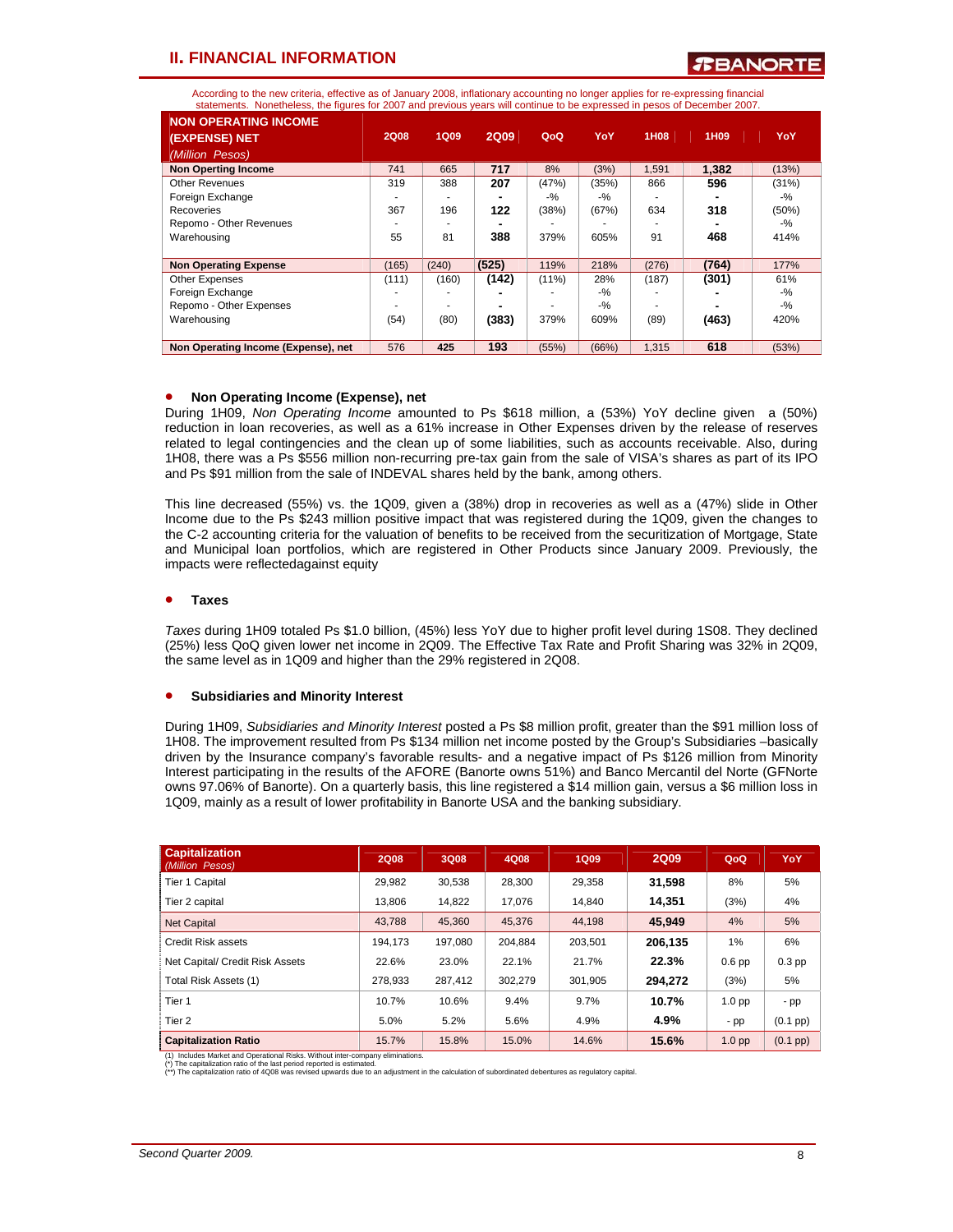According to the new criteria, effective as of January 2008, inflationary accounting no longer applies for re-expressing financial statements. Nonetheless, the figures for 2007 and previous years will continue to be expressed in pesos of December 2007.

| <b>NON OPERATING INCOME</b>         |             |             |             |          |       |       |                  |        |
|-------------------------------------|-------------|-------------|-------------|----------|-------|-------|------------------|--------|
| (EXPENSE) NET                       | <b>2Q08</b> | <b>1Q09</b> | <b>2Q09</b> | QoQ      | YoY   | 1H08  | 1H <sub>09</sub> | YoY    |
| (Million Pesos)                     |             |             |             |          |       |       |                  |        |
| <b>Non Operting Income</b>          | 741         | 665         | 717         | 8%       | (3%)  | 1,591 | 1.382            | (13%)  |
| <b>Other Revenues</b>               | 319         | 388         | 207         | (47%)    | (35%) | 866   | 596              | (31%)  |
| Foreign Exchange                    |             |             |             | $-9/6$   | $-$ % |       |                  | $-$ %  |
| Recoveries                          | 367         | 196         | 122         | (38%)    | (67%) | 634   | 318              | (50%)  |
| Repomo - Other Revenues             |             |             |             |          |       |       |                  | $-$ %  |
| Warehousing                         | 55          | 81          | 388         | 379%     | 605%  | 91    | 468              | 414%   |
| <b>Non Operating Expense</b>        | (165)       | (240)       | (525)       | 119%     | 218%  | (276) | (764)            | 177%   |
| <b>Other Expenses</b>               | (111)       | (160)       | (142)       | $(11\%)$ | 28%   | (187) | (301)            | 61%    |
| Foreign Exchange                    |             |             |             |          | $-$ % |       |                  | $-9/2$ |
| Repomo - Other Expenses             |             |             |             |          | $-$ % |       |                  | $-$ %  |
| Warehousing                         | (54)        | (80)        | (383)       | 379%     | 609%  | (89)  | (463)            | 420%   |
| Non Operating Income (Expense), net | 576         | 425         | 193         | (55%)    | (66%) | 1,315 | 618              | (53%)  |

#### • **Non Operating Income (Expense), net**

During 1H09, *Non Operating Income* amounted to Ps \$618 million, a (53%) YoY decline given a (50%) reduction in loan recoveries, as well as a 61% increase in Other Expenses driven by the release of reserves related to legal contingencies and the clean up of some liabilities, such as accounts receivable. Also, during 1H08, there was a Ps \$556 million non-recurring pre-tax gain from the sale of VISA's shares as part of its IPO and Ps \$91 million from the sale of INDEVAL shares held by the bank, among others.

This line decreased (55%) vs. the 1Q09, given a (38%) drop in recoveries as well as a (47%) slide in Other Income due to the Ps \$243 million positive impact that was registered during the 1Q09, given the changes to the C-2 accounting criteria for the valuation of benefits to be received from the securitization of Mortgage, State and Municipal loan portfolios, which are registered in Other Products since January 2009. Previously, the impacts were reflectedagainst equity

#### • **Taxes**

*Taxes* during 1H09 totaled Ps \$1.0 billion, (45%) less YoY due to higher profit level during 1S08. They declined (25%) less QoQ given lower net income in 2Q09. The Effective Tax Rate and Profit Sharing was 32% in 2Q09, the same level as in 1Q09 and higher than the 29% registered in 2Q08.

#### • **Subsidiaries and Minority Interest**

During 1H09, *Subsidiaries and Minority Interest* posted a Ps \$8 million profit, greater than the \$91 million loss of 1H08. The improvement resulted from Ps \$134 million net income posted by the Group's Subsidiaries –basically driven by the Insurance company's favorable results- and a negative impact of Ps \$126 million from Minority Interest participating in the results of the AFORE (Banorte owns 51%) and Banco Mercantil del Norte (GFNorte owns 97.06% of Banorte). On a quarterly basis, this line registered a \$14 million gain, versus a \$6 million loss in 1Q09, mainly as a result of lower profitability in Banorte USA and the banking subsidiary.

| <b>Capitalization</b><br>(Million Pesos) | <b>2Q08</b> | 3Q08    | 4Q08    | <b>1Q09</b> | <b>2Q09</b> | QoQ               | YoY                |
|------------------------------------------|-------------|---------|---------|-------------|-------------|-------------------|--------------------|
| <b>Tier 1 Capital</b>                    | 29.982      | 30,538  | 28,300  | 29,358      | 31,598      | 8%                | 5%                 |
| Tier 2 capital                           | 13,806      | 14,822  | 17.076  | 14,840      | 14.351      | (3%)              | 4%                 |
| <b>Net Capital</b>                       | 43.788      | 45.360  | 45.376  | 44.198      | 45.949      | 4%                | 5%                 |
| Credit Risk assets                       | 194.173     | 197.080 | 204.884 | 203.501     | 206.135     | 1%                | 6%                 |
| Net Capital/ Credit Risk Assets          | 22.6%       | 23.0%   | 22.1%   | 21.7%       | 22.3%       | 0.6 <sub>pp</sub> | $0.3$ pp           |
| Total Risk Assets (1)                    | 278.933     | 287.412 | 302.279 | 301,905     | 294,272     | (3%)              | 5%                 |
| Tier 1                                   | 10.7%       | 10.6%   | 9.4%    | 9.7%        | 10.7%       | 1.0 <sub>pp</sub> | - pp               |
| Tier <sub>2</sub>                        | 5.0%        | 5.2%    | 5.6%    | 4.9%        | 4.9%        | - pp              | $(0.1~{\rm pp})$   |
| <b>Capitalization Ratio</b>              | 15.7%       | 15.8%   | 15.0%   | 14.6%       | 15.6%       | 1.0 <sub>pp</sub> | $(0.1 \text{ pp})$ |

(1) Includes Market and Operational Risks. Without inter-company eliminations. (\*) The capitalization ratio of the last period reported is estimated.

(\*\*) The capitalization ratio of 4Q08 was revised upwards due to an adjustment in the calculation of subordinated debentures as regulatory capital.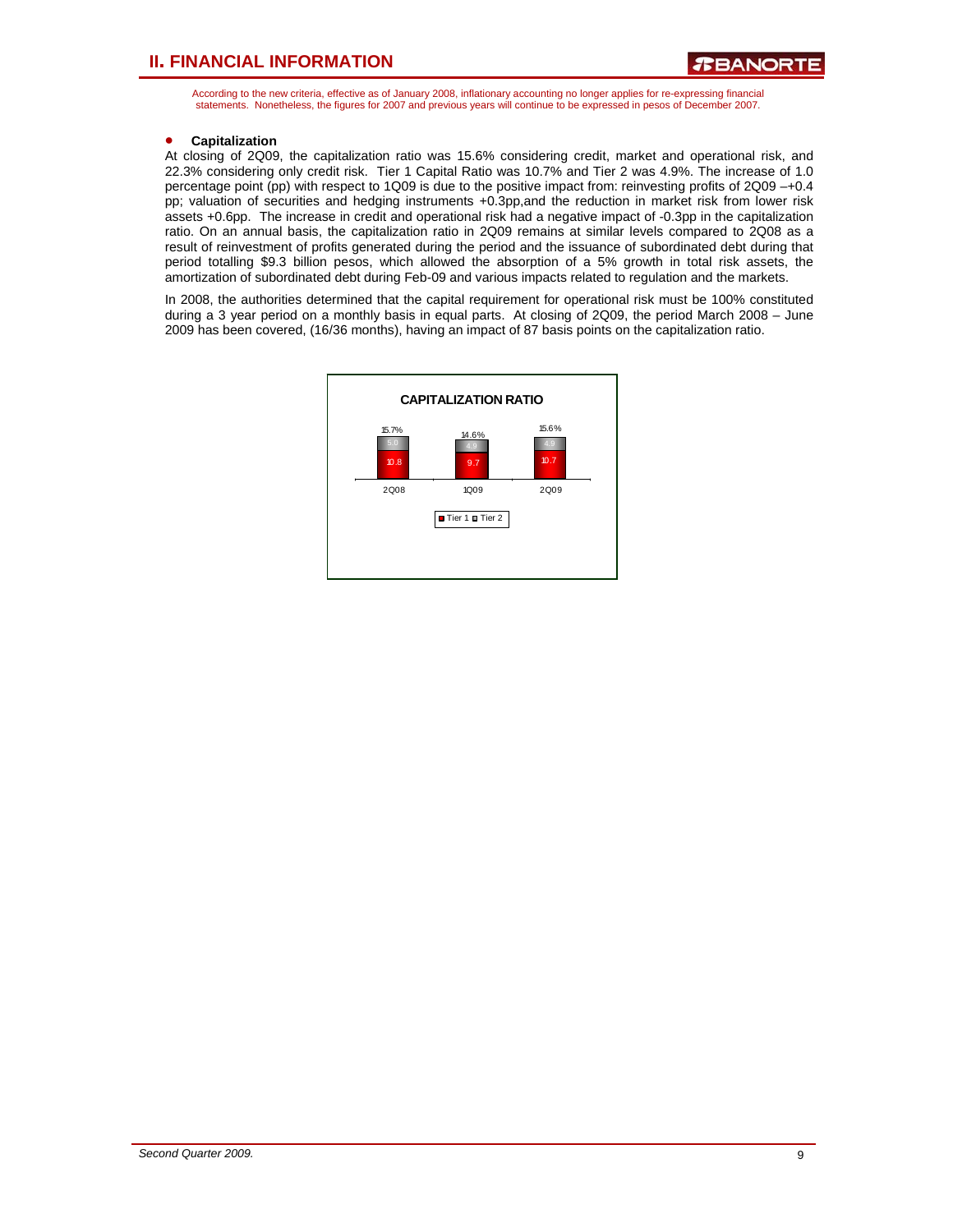According to the new criteria, effective as of January 2008, inflationary accounting no longer applies for re-expressing financial statements. Nonetheless, the figures for 2007 and previous years will continue to be expressed in pesos of December 2007.

#### • **Capitalization**

At closing of 2Q09, the capitalization ratio was 15.6% considering credit, market and operational risk, and 22.3% considering only credit risk. Tier 1 Capital Ratio was 10.7% and Tier 2 was 4.9%. The increase of 1.0 percentage point (pp) with respect to 1Q09 is due to the positive impact from: reinvesting profits of 2Q09 –+0.4 pp; valuation of securities and hedging instruments +0.3pp,and the reduction in market risk from lower risk assets +0.6pp. The increase in credit and operational risk had a negative impact of -0.3pp in the capitalization ratio. On an annual basis, the capitalization ratio in 2Q09 remains at similar levels compared to 2Q08 as a result of reinvestment of profits generated during the period and the issuance of subordinated debt during that period totalling \$9.3 billion pesos, which allowed the absorption of a 5% growth in total risk assets, the amortization of subordinated debt during Feb-09 and various impacts related to regulation and the markets.

In 2008, the authorities determined that the capital requirement for operational risk must be 100% constituted during a 3 year period on a monthly basis in equal parts. At closing of 2Q09, the period March 2008 – June 2009 has been covered, (16/36 months), having an impact of 87 basis points on the capitalization ratio.

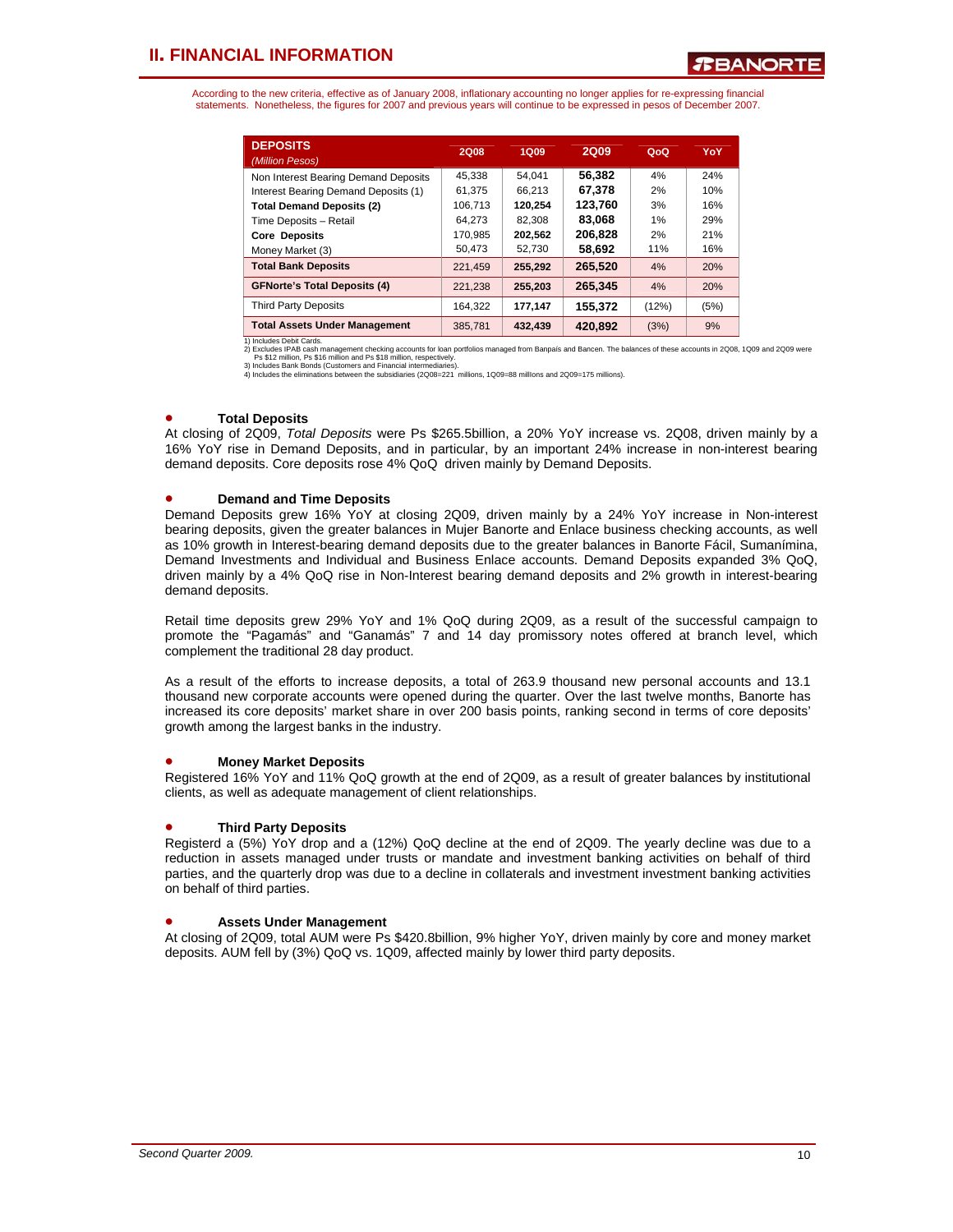According to the new criteria, effective as of January 2008, inflationary accounting no longer applies for re-expressing financial statements. Nonetheless, the figures for 2007 and previous years will continue to be expressed in pesos of December 2007.

| <b>DEPOSITS</b><br>(Million Pesos)   | 2Q08    | 1Q09    | <b>2Q09</b> | QoQ   | YoY  |
|--------------------------------------|---------|---------|-------------|-------|------|
| Non Interest Bearing Demand Deposits | 45.338  | 54.041  | 56.382      | 4%    | 24%  |
| Interest Bearing Demand Deposits (1) | 61.375  | 66.213  | 67.378      | 2%    | 10%  |
| <b>Total Demand Deposits (2)</b>     | 106.713 | 120.254 | 123.760     | 3%    | 16%  |
| Time Deposits - Retail               | 64.273  | 82.308  | 83,068      | 1%    | 29%  |
| <b>Core Deposits</b>                 | 170.985 | 202.562 | 206.828     | 2%    | 21%  |
| Money Market (3)                     | 50,473  | 52.730  | 58.692      | 11%   | 16%  |
| <b>Total Bank Deposits</b>           | 221.459 | 255,292 | 265,520     | 4%    | 20%  |
| <b>GFNorte's Total Deposits (4)</b>  | 221.238 | 255.203 | 265.345     | 4%    | 20%  |
| <b>Third Party Deposits</b>          | 164.322 | 177.147 | 155.372     | (12%) | (5%) |
| <b>Total Assets Under Management</b> | 385.781 | 432.439 | 420.892     | (3%)  | 9%   |

1) Includes Debit Cards.<br>2) Excludes IPAB cash management checking accounts for Ioan portfolios managed from Banpaís and Bancen. The balances of these accounts in 2Q08, 1Q09 and 2Q09 were<br>Ps \$12 million, Ps \$16 million and

#### • **Total Deposits**

At closing of 2Q09, *Total Deposits* were Ps \$265.5billion, a 20% YoY increase vs. 2Q08, driven mainly by a 16% YoY rise in Demand Deposits, and in particular, by an important 24% increase in non-interest bearing demand deposits. Core deposits rose 4% QoQ driven mainly by Demand Deposits.

#### • **Demand and Time Deposits**

Demand Deposits grew 16% YoY at closing 2Q09, driven mainly by a 24% YoY increase in Non-interest bearing deposits, given the greater balances in Mujer Banorte and Enlace business checking accounts, as well as 10% growth in Interest-bearing demand deposits due to the greater balances in Banorte Fácil, Sumanímina, Demand Investments and Individual and Business Enlace accounts. Demand Deposits expanded 3% QoQ, driven mainly by a 4% QoQ rise in Non-Interest bearing demand deposits and 2% growth in interest-bearing demand deposits.

Retail time deposits grew 29% YoY and 1% QoQ during 2Q09, as a result of the successful campaign to promote the "Pagamás" and "Ganamás" 7 and 14 day promissory notes offered at branch level, which complement the traditional 28 day product.

As a result of the efforts to increase deposits, a total of 263.9 thousand new personal accounts and 13.1 thousand new corporate accounts were opened during the quarter. Over the last twelve months, Banorte has increased its core deposits' market share in over 200 basis points, ranking second in terms of core deposits' growth among the largest banks in the industry.

#### • **Money Market Deposits**

Registered 16% YoY and 11% QoQ growth at the end of 2Q09, as a result of greater balances by institutional clients, as well as adequate management of client relationships.

#### • **Third Party Deposits**

Registerd a (5%) YoY drop and a (12%) QoQ decline at the end of 2Q09. The yearly decline was due to a reduction in assets managed under trusts or mandate and investment banking activities on behalf of third parties, and the quarterly drop was due to a decline in collaterals and investment investment banking activities on behalf of third parties.

#### • **Assets Under Management**

At closing of 2Q09, total AUM were Ps \$420.8billion, 9% higher YoY, driven mainly by core and money market deposits. AUM fell by (3%) QoQ vs. 1Q09, affected mainly by lower third party deposits.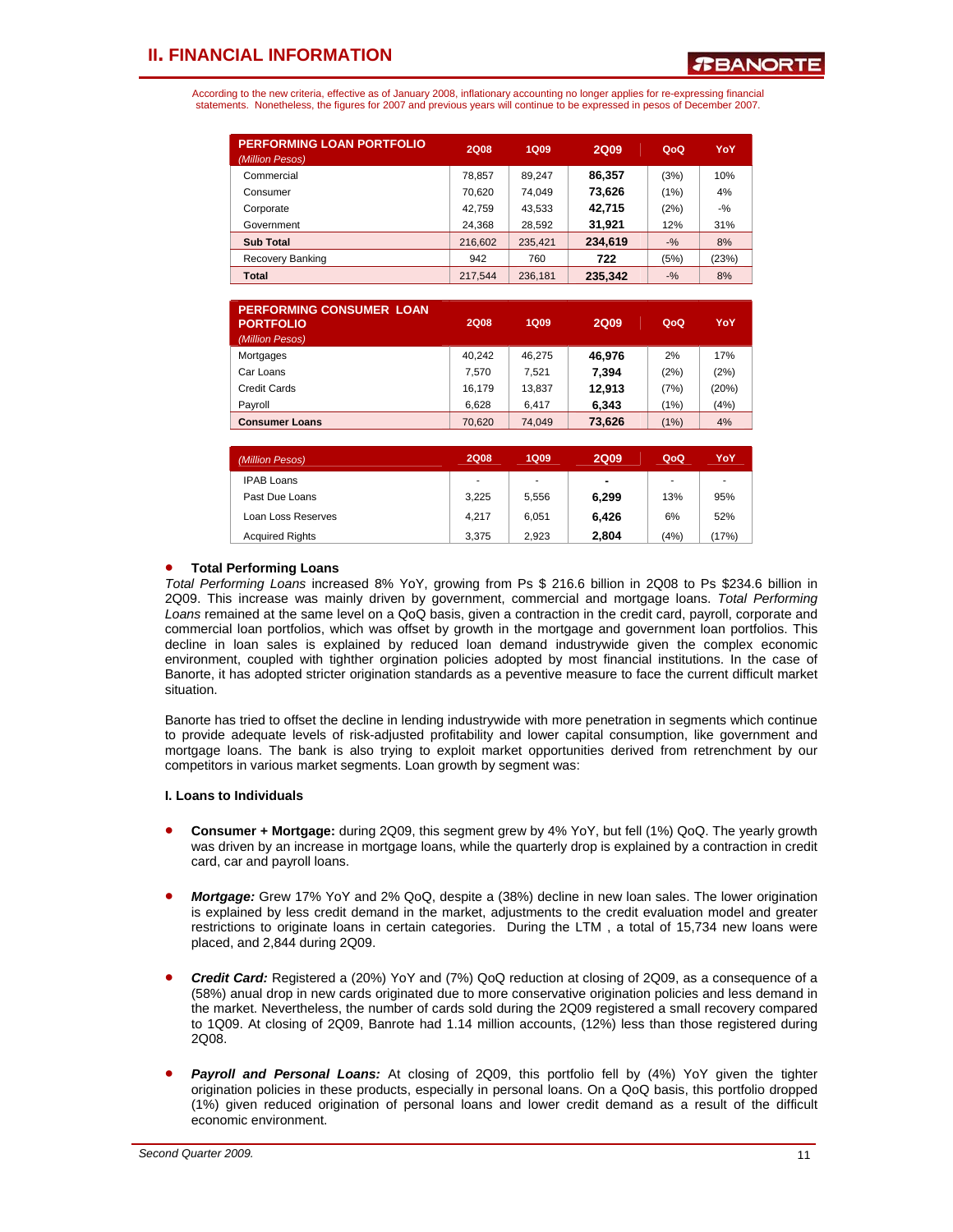According to the new criteria, effective as of January 2008, inflationary accounting no longer applies for re-expressing financial statements. Nonetheless, the figures for 2007 and previous years will continue to be expressed in pesos of December 2007.

| <b>PERFORMING LOAN PORTFOLIO</b><br>(Million Pesos) | <b>2Q08</b> | <b>1Q09</b> | <b>2Q09</b> | QoQ    | YoY    |
|-----------------------------------------------------|-------------|-------------|-------------|--------|--------|
| Commercial                                          | 78,857      | 89.247      | 86.357      | (3%)   | 10%    |
| Consumer                                            | 70.620      | 74.049      | 73,626      | (1%)   | 4%     |
| Corporate                                           | 42.759      | 43.533      | 42,715      | (2%)   | $-9/2$ |
| Government                                          | 24.368      | 28.592      | 31,921      | 12%    | 31%    |
| <b>Sub Total</b>                                    | 216,602     | 235.421     | 234,619     | $-9/6$ | 8%     |
| Recovery Banking                                    | 942         | 760         | 722         | (5%)   | (23%)  |
| Total                                               | 217.544     | 236,181     | 235.342     | $-9/6$ | 8%     |

| <b>PERFORMING CONSUMER LOAN</b><br><b>PORTFOLIO</b><br>(Million Pesos) | <b>2Q08</b> | <b>1Q09</b> | <b>2Q09</b> | QoQ  | YoY   |
|------------------------------------------------------------------------|-------------|-------------|-------------|------|-------|
| Mortgages                                                              | 40.242      | 46.275      | 46.976      | 2%   | 17%   |
| Car Loans                                                              | 7.570       | 7.521       | 7,394       | (2%) | (2%)  |
| Credit Cards                                                           | 16.179      | 13.837      | 12,913      | (7%) | (20%) |
| Payroll                                                                | 6,628       | 6.417       | 6,343       | (1%) | (4% ) |
| <b>Consumer Loans</b>                                                  | 70,620      | 74,049      | 73,626      | (1%) | 4%    |
|                                                                        |             |             |             |      |       |

| (Million Pesos)        | <b>2Q08</b> | <b>1Q09</b> | 2Q09           | QoQ  | YoY   |
|------------------------|-------------|-------------|----------------|------|-------|
| <b>IPAB Loans</b>      | ٠           | ٠           | $\blacksquare$ | ٠    |       |
| Past Due Loans         | 3.225       | 5.556       | 6.299          | 13%  | 95%   |
| Loan Loss Reserves     | 4.217       | 6.051       | 6.426          | 6%   | 52%   |
| <b>Acquired Rights</b> | 3.375       | 2.923       | 2.804          | (4%) | (17%) |

#### • **Total Performing Loans**

*Total Performing Loans* increased 8% YoY, growing from Ps \$ 216.6 billion in 2Q08 to Ps \$234.6 billion in 2Q09. This increase was mainly driven by government, commercial and mortgage loans. *Total Performing Loans* remained at the same level on a QoQ basis, given a contraction in the credit card, payroll, corporate and commercial loan portfolios, which was offset by growth in the mortgage and government loan portfolios. This decline in loan sales is explained by reduced loan demand industrywide given the complex economic environment, coupled with tighther orgination policies adopted by most financial institutions. In the case of Banorte, it has adopted stricter origination standards as a peventive measure to face the current difficult market situation.

Banorte has tried to offset the decline in lending industrywide with more penetration in segments which continue to provide adequate levels of risk-adjusted profitability and lower capital consumption, like government and mortgage loans. The bank is also trying to exploit market opportunities derived from retrenchment by our competitors in various market segments. Loan growth by segment was:

#### **I. Loans to Individuals**

- **Consumer + Mortgage:** during 2Q09, this segment grew by 4% YoY, but fell (1%) QoQ. The yearly growth was driven by an increase in mortgage loans, while the quarterly drop is explained by a contraction in credit card, car and payroll loans.
- *Mortgage:* Grew 17% YoY and 2% QoQ, despite a (38%) decline in new loan sales. The lower origination is explained by less credit demand in the market, adjustments to the credit evaluation model and greater restrictions to originate loans in certain categories. During the LTM , a total of 15,734 new loans were placed, and 2,844 during 2Q09.
- *Credit Card:* Registered a (20%) YoY and (7%) QoQ reduction at closing of 2Q09, as a consequence of a (58%) anual drop in new cards originated due to more conservative origination policies and less demand in the market. Nevertheless, the number of cards sold during the 2Q09 registered a small recovery compared to 1Q09. At closing of 2Q09, Banrote had 1.14 million accounts, (12%) less than those registered during 2Q08.
- **Payroll and Personal Loans:** At closing of 2Q09, this portfolio fell by (4%) YoY given the tighter origination policies in these products, especially in personal loans. On a QoQ basis, this portfolio dropped (1%) given reduced origination of personal loans and lower credit demand as a result of the difficult economic environment.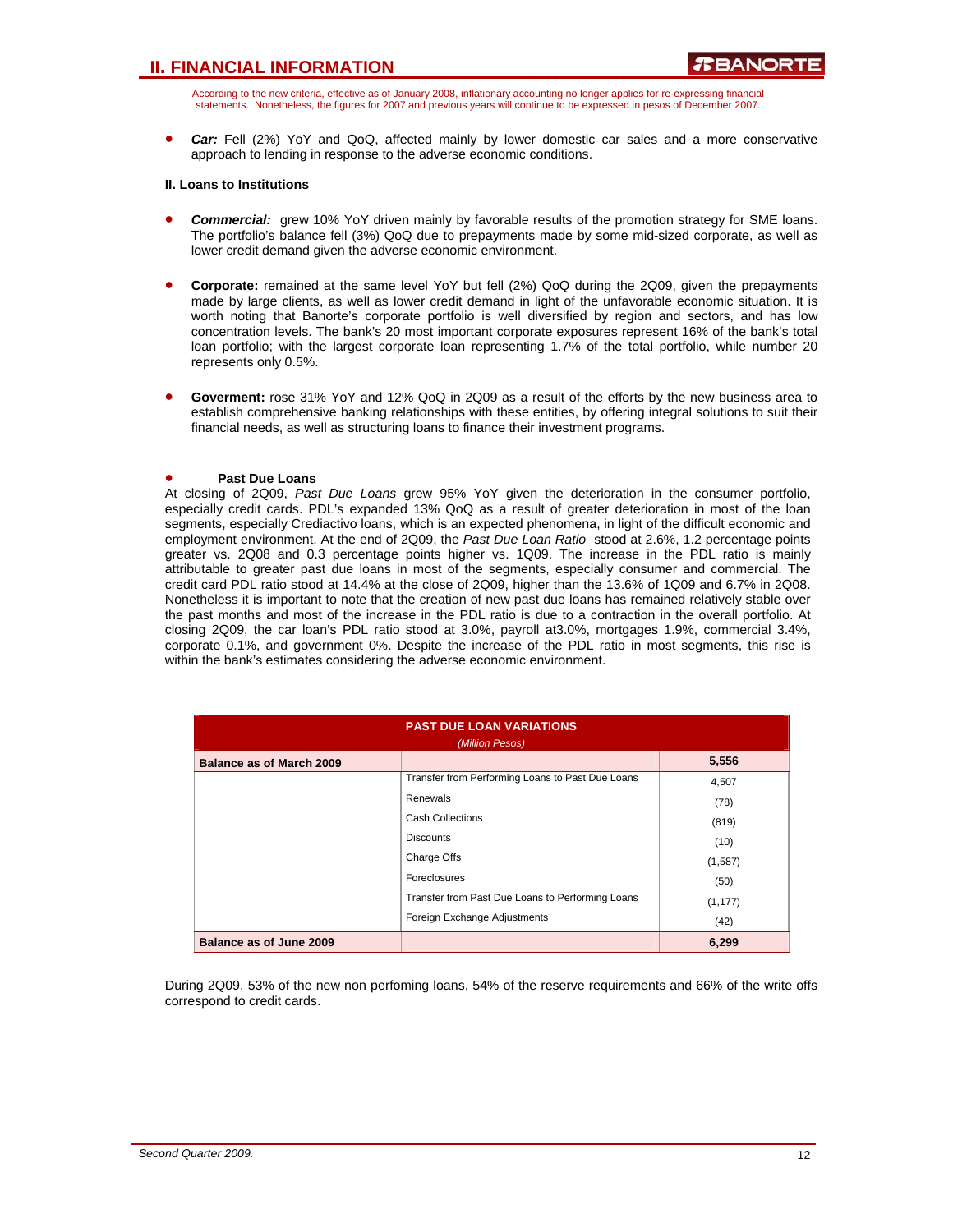According to the new criteria, effective as of January 2008, inflationary accounting no longer applies for re-expressing financial statements. Nonetheless, the figures for 2007 and previous years will continue to be expressed in pesos of December 2007.

• *Car:* Fell (2%) YoY and QoQ, affected mainly by lower domestic car sales and a more conservative approach to lending in response to the adverse economic conditions.

#### **II. Loans to Institutions**

- *Commercial:* grew 10% YoY driven mainly by favorable results of the promotion strategy for SME loans. The portfolio's balance fell (3%) QoQ due to prepayments made by some mid-sized corporate, as well as lower credit demand given the adverse economic environment.
- **Corporate:** remained at the same level YoY but fell (2%) QoQ during the 2Q09, given the prepayments made by large clients, as well as lower credit demand in light of the unfavorable economic situation. It is worth noting that Banorte's corporate portfolio is well diversified by region and sectors, and has low concentration levels. The bank's 20 most important corporate exposures represent 16% of the bank's total loan portfolio; with the largest corporate loan representing 1.7% of the total portfolio, while number 20 represents only 0.5%.
- **Goverment:** rose 31% YoY and 12% QoQ in 2Q09 as a result of the efforts by the new business area to establish comprehensive banking relationships with these entities, by offering integral solutions to suit their financial needs, as well as structuring loans to finance their investment programs.

#### • **Past Due Loans**

At closing of 2Q09, *Past Due Loans* grew 95% YoY given the deterioration in the consumer portfolio, especially credit cards. PDL's expanded 13% QoQ as a result of greater deterioration in most of the loan segments, especially Crediactivo loans, which is an expected phenomena, in light of the difficult economic and employment environment. At the end of 2Q09, the *Past Due Loan Ratio* stood at 2.6%, 1.2 percentage points greater vs. 2Q08 and 0.3 percentage points higher vs. 1Q09. The increase in the PDL ratio is mainly attributable to greater past due loans in most of the segments, especially consumer and commercial. The credit card PDL ratio stood at 14.4% at the close of 2Q09, higher than the 13.6% of 1Q09 and 6.7% in 2Q08. Nonetheless it is important to note that the creation of new past due loans has remained relatively stable over the past months and most of the increase in the PDL ratio is due to a contraction in the overall portfolio. At closing 2Q09, the car loan's PDL ratio stood at 3.0%, payroll at3.0%, mortgages 1.9%, commercial 3.4%, corporate 0.1%, and government 0%. Despite the increase of the PDL ratio in most segments, this rise is within the bank's estimates considering the adverse economic environment.

|                                 | <b>PAST DUE LOAN VARIATIONS</b><br>(Million Pesos) |          |  |  |  |  |  |  |
|---------------------------------|----------------------------------------------------|----------|--|--|--|--|--|--|
| <b>Balance as of March 2009</b> |                                                    | 5,556    |  |  |  |  |  |  |
|                                 | Transfer from Performing Loans to Past Due Loans   | 4,507    |  |  |  |  |  |  |
|                                 | Renewals                                           | (78)     |  |  |  |  |  |  |
|                                 | <b>Cash Collections</b>                            | (819)    |  |  |  |  |  |  |
|                                 | <b>Discounts</b>                                   | (10)     |  |  |  |  |  |  |
|                                 | Charge Offs                                        | (1,587)  |  |  |  |  |  |  |
|                                 | <b>Foreclosures</b>                                | (50)     |  |  |  |  |  |  |
|                                 | Transfer from Past Due Loans to Performing Loans   | (1, 177) |  |  |  |  |  |  |
|                                 | Foreign Exchange Adjustments                       | (42)     |  |  |  |  |  |  |
| Balance as of June 2009         |                                                    | 6,299    |  |  |  |  |  |  |

During 2Q09, 53% of the new non perfoming loans, 54% of the reserve requirements and 66% of the write offs correspond to credit cards.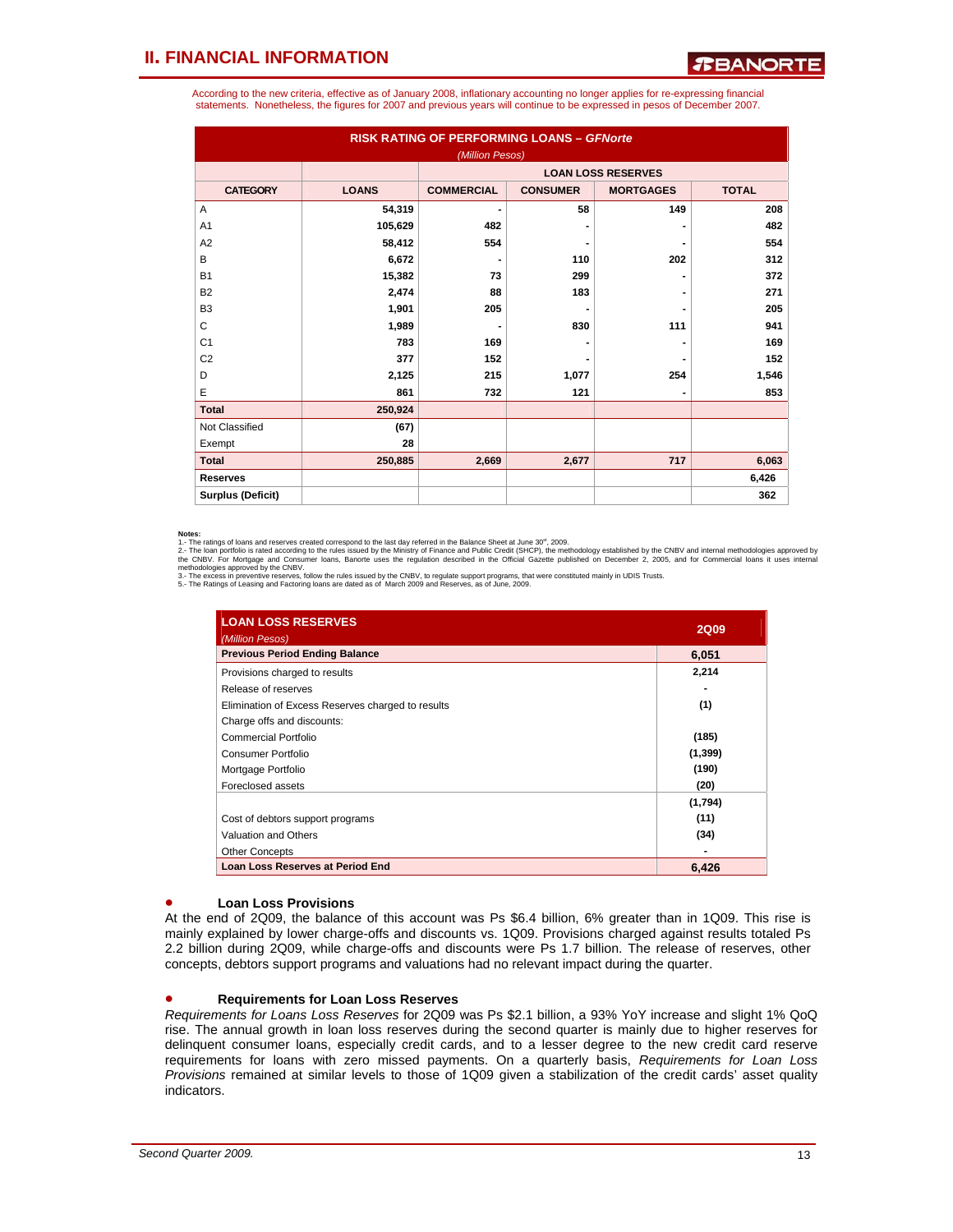According to the new criteria, effective as of January 2008, inflationary accounting no longer applies for re-expressing financial statements. Nonetheless, the figures for 2007 and previous years will continue to be expressed in pesos of December 2007.

| <b>RISK RATING OF PERFORMING LOANS - GFNorte</b><br>(Million Pesos) |              |                   |                 |                           |              |  |  |  |  |
|---------------------------------------------------------------------|--------------|-------------------|-----------------|---------------------------|--------------|--|--|--|--|
|                                                                     |              |                   |                 | <b>LOAN LOSS RESERVES</b> |              |  |  |  |  |
| <b>CATEGORY</b>                                                     | <b>LOANS</b> | <b>COMMERCIAL</b> | <b>CONSUMER</b> | <b>MORTGAGES</b>          | <b>TOTAL</b> |  |  |  |  |
| A                                                                   | 54,319       | $\blacksquare$    | 58              | 149                       | 208          |  |  |  |  |
| A <sub>1</sub>                                                      | 105,629      | 482               |                 |                           | 482          |  |  |  |  |
| A2                                                                  | 58,412       | 554               |                 |                           | 554          |  |  |  |  |
| B                                                                   | 6,672        | $\blacksquare$    | 110             | 202                       | 312          |  |  |  |  |
| <b>B1</b>                                                           | 15,382       | 73                | 299             |                           | 372          |  |  |  |  |
| <b>B2</b>                                                           | 2,474        | 88                | 183             |                           | 271          |  |  |  |  |
| B <sub>3</sub>                                                      | 1,901        | 205               |                 |                           | 205          |  |  |  |  |
| C                                                                   | 1,989        | $\blacksquare$    | 830             | 111                       | 941          |  |  |  |  |
| C <sub>1</sub>                                                      | 783          | 169               |                 |                           | 169          |  |  |  |  |
| C <sub>2</sub>                                                      | 377          | 152               |                 |                           | 152          |  |  |  |  |
| D                                                                   | 2,125        | 215               | 1,077           | 254                       | 1,546        |  |  |  |  |
| E                                                                   | 861          | 732               | 121             |                           | 853          |  |  |  |  |
| <b>Total</b>                                                        | 250,924      |                   |                 |                           |              |  |  |  |  |
| Not Classified                                                      | (67)         |                   |                 |                           |              |  |  |  |  |
| Exempt                                                              | 28           |                   |                 |                           |              |  |  |  |  |
| <b>Total</b>                                                        | 250,885      | 2,669             | 2,677           | 717                       | 6,063        |  |  |  |  |
| <b>Reserves</b>                                                     |              |                   |                 |                           | 6,426        |  |  |  |  |
| <b>Surplus (Deficit)</b>                                            |              |                   |                 |                           | 362          |  |  |  |  |

**Notes:**<br>1. The ratings of loans and reserves created correspond to the last day referred in the Balance Sheet at June 30<sup>e</sup>, 2009.<br>2.- The ratings of loans and reserves created correspond to the last day referred in the B

| <b>LOAN LOSS RESERVES</b><br>(Million Pesos)      | <b>2Q09</b> |
|---------------------------------------------------|-------------|
| <b>Previous Period Ending Balance</b>             | 6,051       |
| Provisions charged to results                     | 2,214       |
| Release of reserves                               |             |
| Elimination of Excess Reserves charged to results | (1)         |
| Charge offs and discounts:                        |             |
| Commercial Portfolio                              | (185)       |
| Consumer Portfolio                                | (1, 399)    |
| Mortgage Portfolio                                | (190)       |
| Foreclosed assets                                 | (20)        |
|                                                   | (1,794)     |
| Cost of debtors support programs                  | (11)        |
| Valuation and Others                              | (34)        |
| <b>Other Concepts</b>                             |             |
| <b>Loan Loss Reserves at Period End</b>           | 6,426       |

#### • **Loan Loss Provisions**

At the end of 2Q09, the balance of this account was Ps \$6.4 billion, 6% greater than in 1Q09. This rise is mainly explained by lower charge-offs and discounts vs. 1Q09. Provisions charged against results totaled Ps 2.2 billion during 2Q09, while charge-offs and discounts were Ps 1.7 billion. The release of reserves, other concepts, debtors support programs and valuations had no relevant impact during the quarter.

#### • **Requirements for Loan Loss Reserves**

*Requirements for Loans Loss Reserves* for 2Q09 was Ps \$2.1 billion, a 93% YoY increase and slight 1% QoQ rise. The annual growth in loan loss reserves during the second quarter is mainly due to higher reserves for delinquent consumer loans, especially credit cards, and to a lesser degree to the new credit card reserve requirements for loans with zero missed payments. On a quarterly basis, *Requirements for Loan Loss Provisions* remained at similar levels to those of 1Q09 given a stabilization of the credit cards' asset quality indicators.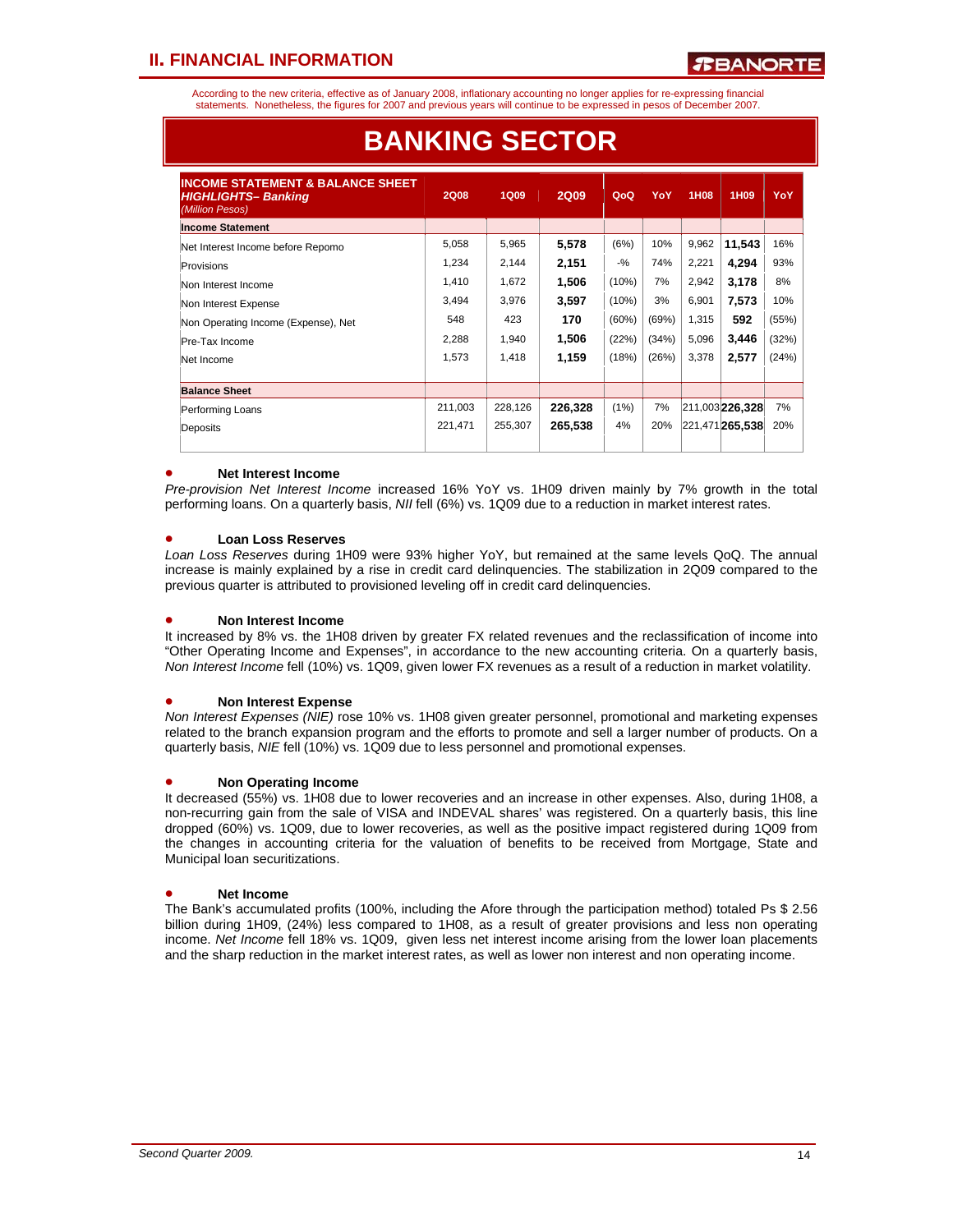According to the new criteria, effective as of January 2008, inflationary accounting no longer applies for re-expressing financial statements. Nonetheless, the figures for 2007 and previous years will continue to be expressed in pesos of December 2007.

| <b>INCOME STATEMENT &amp; BALANCE SHEET</b><br><b>HIGHLIGHTS-Banking</b><br>(Million Pesos) | <b>2Q08</b> | <b>1Q09</b> | <b>2Q09</b> | QoQ      | YoY   | 1H08  | 1H <sub>09</sub> | YoY   |
|---------------------------------------------------------------------------------------------|-------------|-------------|-------------|----------|-------|-------|------------------|-------|
| <b>Income Statement</b>                                                                     |             |             |             |          |       |       |                  |       |
| Net Interest Income before Repomo                                                           | 5,058       | 5,965       | 5,578       | (6%)     | 10%   | 9,962 | 11.543           | 16%   |
| Provisions                                                                                  | 1,234       | 2,144       | 2,151       | $-$ %    | 74%   | 2,221 | 4,294            | 93%   |
| Non Interest Income                                                                         | 1,410       | 1,672       | 1.506       | (10%)    | 7%    | 2,942 | 3,178            | 8%    |
| Non Interest Expense                                                                        | 3,494       | 3,976       | 3,597       | $(10\%)$ | 3%    | 6.901 | 7,573            | 10%   |
| Non Operating Income (Expense), Net                                                         | 548         | 423         | 170         | (60%)    | (69%) | 1,315 | 592              | (55%) |
| Pre-Tax Income                                                                              | 2,288       | 1,940       | 1,506       | (22%)    | (34%) | 5,096 | 3,446            | (32%) |
| Net Income                                                                                  | 1,573       | 1,418       | 1,159       | (18%)    | (26%) | 3,378 | 2,577            | (24%) |
| <b>Balance Sheet</b>                                                                        |             |             |             |          |       |       |                  |       |
| Performing Loans                                                                            | 211,003     | 228,126     | 226,328     | (1%)     | 7%    |       | 211,003 226,328  | 7%    |
| Deposits                                                                                    | 221,471     | 255.307     | 265,538     | 4%       | 20%   |       | 221,471 265,538  | 20%   |

# **BANKING SECTOR**

#### • **Net Interest Income**

*Pre-provision Net Interest Income* increased 16% YoY vs. 1H09 driven mainly by 7% growth in the total performing loans. On a quarterly basis, *NII* fell (6%) vs. 1Q09 due to a reduction in market interest rates.

#### • **Loan Loss Reserves**

*Loan Loss Reserves* during 1H09 were 93% higher YoY, but remained at the same levels QoQ. The annual increase is mainly explained by a rise in credit card delinquencies. The stabilization in 2Q09 compared to the previous quarter is attributed to provisioned leveling off in credit card delinquencies.

#### • **Non Interest Income**

It increased by 8% vs. the 1H08 driven by greater FX related revenues and the reclassification of income into "Other Operating Income and Expenses", in accordance to the new accounting criteria. On a quarterly basis, *Non Interest Income* fell (10%) vs. 1Q09, given lower FX revenues as a result of a reduction in market volatility.

#### • **Non Interest Expense**

*Non Interest Expenses (NIE)* rose 10% vs. 1H08 given greater personnel, promotional and marketing expenses related to the branch expansion program and the efforts to promote and sell a larger number of products. On a quarterly basis, *NIE* fell (10%) vs. 1Q09 due to less personnel and promotional expenses.

#### • **Non Operating Income**

It decreased (55%) vs. 1H08 due to lower recoveries and an increase in other expenses. Also, during 1H08, a non-recurring gain from the sale of VISA and INDEVAL shares' was registered. On a quarterly basis, this line dropped (60%) vs. 1Q09, due to lower recoveries, as well as the positive impact registered during 1Q09 from the changes in accounting criteria for the valuation of benefits to be received from Mortgage, State and Municipal loan securitizations.

#### • **Net Income**

The Bank's accumulated profits (100%, including the Afore through the participation method) totaled Ps \$ 2.56 billion during 1H09, (24%) less compared to 1H08, as a result of greater provisions and less non operating income. *Net Income* fell 18% vs. 1Q09, given less net interest income arising from the lower loan placements and the sharp reduction in the market interest rates, as well as lower non interest and non operating income.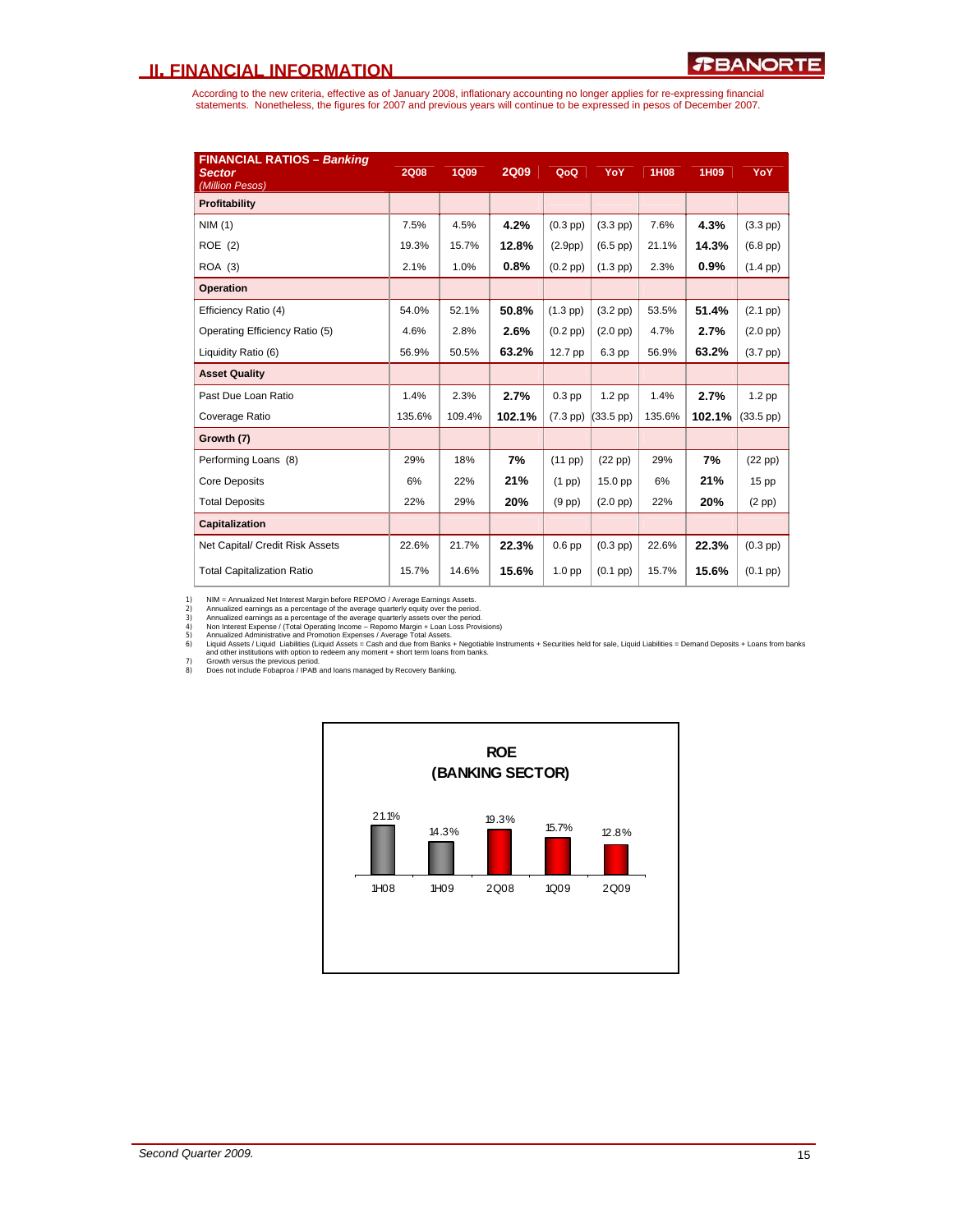According to the new criteria, effective as of January 2008, inflationary accounting no longer applies for re-expressing financial<br>statements. Nonetheless, the figures for 2007 and previous years will continue to be expres

| <b>FINANCIAL RATIOS - Banking</b><br><b>Sector</b><br>(Million Pesos) | <b>2Q08</b> | <b>1Q09</b> | <b>2Q09</b> | QoQ           | YoY           | <b>1H08</b> | 1H09   | YoY           |
|-----------------------------------------------------------------------|-------------|-------------|-------------|---------------|---------------|-------------|--------|---------------|
| Profitability                                                         |             |             |             |               |               |             |        |               |
| NIM(1)                                                                | 7.5%        | 4.5%        | 4.2%        | $(0.3$ pp $)$ | $(3.3$ pp)    | 7.6%        | 4.3%   | $(3.3$ pp $)$ |
| ROE (2)                                                               | 19.3%       | 15.7%       | 12.8%       | (2.9pp)       | $(6.5$ pp $)$ | 21.1%       | 14.3%  | $(6.8$ pp $)$ |
| <b>ROA</b> (3)                                                        | 2.1%        | 1.0%        | 0.8%        | $(0.2$ pp $)$ | $(1.3$ pp)    | 2.3%        | 0.9%   | $(1.4$ pp $)$ |
| <b>Operation</b>                                                      |             |             |             |               |               |             |        |               |
| Efficiency Ratio (4)                                                  | 54.0%       | 52.1%       | 50.8%       | $(1.3$ pp)    | $(3.2$ pp $)$ | 53.5%       | 51.4%  | $(2.1$ pp $)$ |
| Operating Efficiency Ratio (5)                                        | 4.6%        | 2.8%        | 2.6%        | $(0.2$ pp $)$ | $(2.0$ pp $)$ | 4.7%        | 2.7%   | $(2.0$ pp $)$ |
| Liquidity Ratio (6)                                                   | 56.9%       | 50.5%       | 63.2%       | 12.7 pp       | 6.3 pp        | 56.9%       | 63.2%  | $(3.7$ pp $)$ |
| <b>Asset Quality</b>                                                  |             |             |             |               |               |             |        |               |
| Past Due Loan Ratio                                                   | 1.4%        | 2.3%        | 2.7%        | $0.3$ pp      | $1.2$ pp      | 1.4%        | 2.7%   | $1.2$ pp      |
| Coverage Ratio                                                        | 135.6%      | 109.4%      | 102.1%      | $(7.3$ pp $)$ | (33.5~pp)     | 135.6%      | 102.1% | (33.5~pp)     |
| Growth (7)                                                            |             |             |             |               |               |             |        |               |
| Performing Loans (8)                                                  | 29%         | 18%         | 7%          | (11 pp)       | $(22$ pp $)$  | 29%         | 7%     | $(22$ pp $)$  |
| <b>Core Deposits</b>                                                  | 6%          | 22%         | 21%         | $(1$ pp $)$   | 15.0 pp       | 6%          | 21%    | 15 pp         |
| <b>Total Deposits</b>                                                 | 22%         | 29%         | 20%         | $(9$ pp $)$   | $(2.0$ pp $)$ | 22%         | 20%    | $(2$ pp $)$   |
| Capitalization                                                        |             |             |             |               |               |             |        |               |
| Net Capital/ Credit Risk Assets                                       | 22.6%       | 21.7%       | 22.3%       | $0.6$ pp      | $(0.3$ pp $)$ | 22.6%       | 22.3%  | $(0.3$ pp $)$ |
| <b>Total Capitalization Ratio</b>                                     | 15.7%       | 14.6%       | 15.6%       | 1.0 pp        | $(0.1$ pp $)$ | 15.7%       | 15.6%  | $(0.1$ pp $)$ |

1) NIM = Annualized aernings as a percentage of the average quarterly equity over the period.<br>2) Annualized earnings as a percentage of the average quarterly equity over the period.<br>3) Annualized earnings as a percentage o

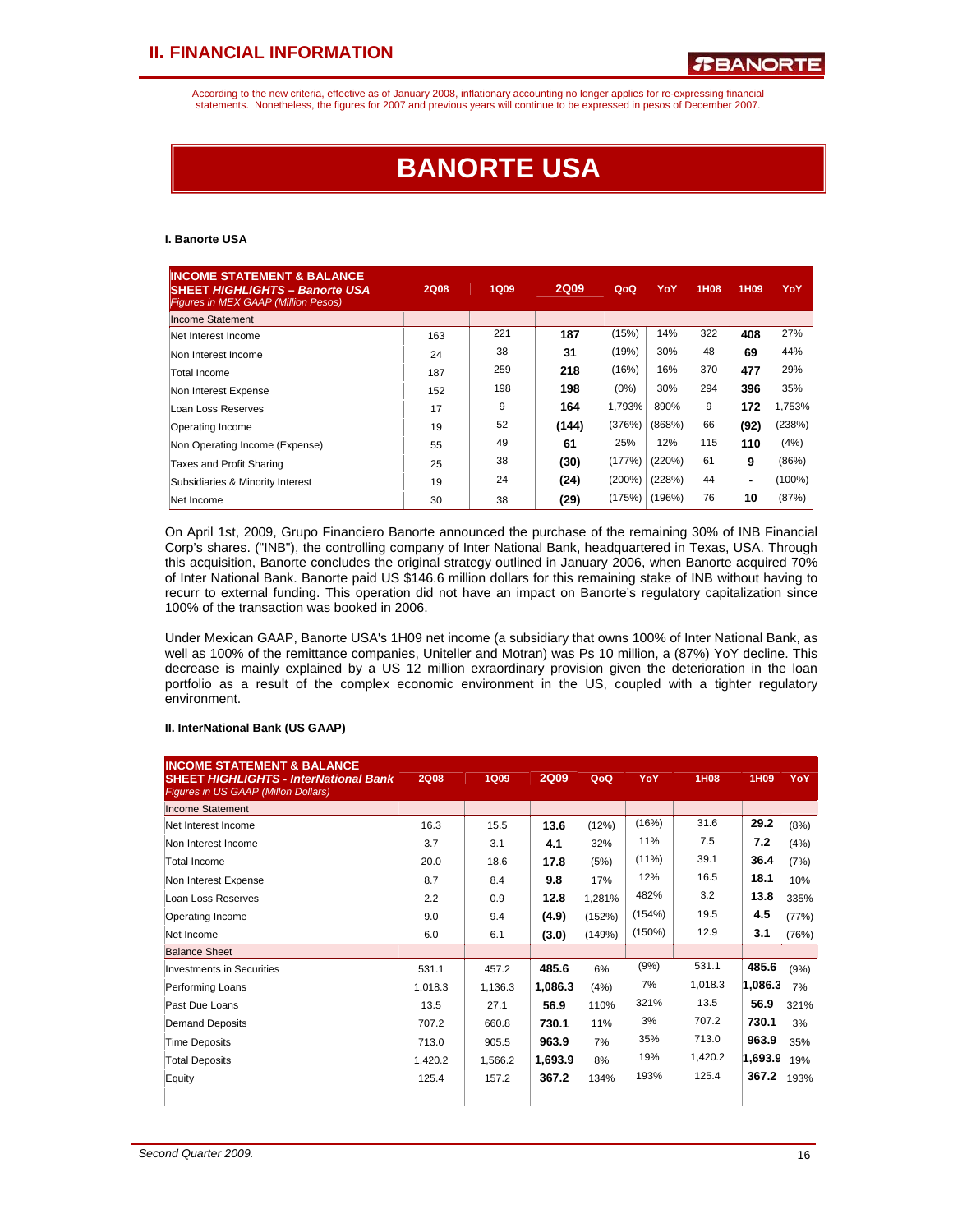According to the new criteria, effective as of January 2008, inflationary accounting no longer applies for re-expressing financial statements. Nonetheless, the figures for 2007 and previous years will continue to be expressed in pesos of December 2007.

# **BANORTE USA**

#### **I. Banorte USA**

| <b>INCOME STATEMENT &amp; BALANCE</b><br><b>SHEET HIGHLIGHTS - Banorte USA</b><br><b>Figures in MEX GAAP (Million Pesos)</b> | <b>2Q08</b> | <b>1Q09</b> | <b>2Q09</b> | QoQ       | YoY    | 1H08 | 1H <sub>09</sub> | YoY       |
|------------------------------------------------------------------------------------------------------------------------------|-------------|-------------|-------------|-----------|--------|------|------------------|-----------|
| <b>Income Statement</b>                                                                                                      |             |             |             |           |        |      |                  |           |
| Net Interest Income                                                                                                          | 163         | 221         | 187         | (15%)     | 14%    | 322  | 408              | 27%       |
| Non Interest Income                                                                                                          | 24          | 38          | 31          | (19%)     | 30%    | 48   | 69               | 44%       |
| Total Income                                                                                                                 | 187         | 259         | 218         | (16%)     | 16%    | 370  | 477              | 29%       |
| Non Interest Expense                                                                                                         | 152         | 198         | 198         | $(0\%)$   | 30%    | 294  | 396              | 35%       |
| Loan Loss Reserves                                                                                                           | 17          | 9           | 164         | 1,793%    | 890%   | 9    | 172              | 1.753%    |
| Operating Income                                                                                                             | 19          | 52          | (144)       | (376%)    | (868%) | 66   | (92)             | (238%)    |
| Non Operating Income (Expense)                                                                                               | 55          | 49          | 61          | 25%       | 12%    | 115  | 110              | (4%)      |
| Taxes and Profit Sharing                                                                                                     | 25          | 38          | (30)        | (177%)    | (220%) | 61   | 9                | (86%)     |
| Subsidiaries & Minority Interest                                                                                             | 19          | 24          | (24)        | $(200\%)$ | (228%) | 44   | ۰                | $(100\%)$ |
| Net Income                                                                                                                   | 30          | 38          | (29)        | (175%)    | (196%) | 76   | 10               | (87%)     |

On April 1st, 2009, Grupo Financiero Banorte announced the purchase of the remaining 30% of INB Financial Corp's shares. ("INB"), the controlling company of Inter National Bank, headquartered in Texas, USA. Through this acquisition, Banorte concludes the original strategy outlined in January 2006, when Banorte acquired 70% of Inter National Bank. Banorte paid US \$146.6 million dollars for this remaining stake of INB without having to recurr to external funding. This operation did not have an impact on Banorte's regulatory capitalization since 100% of the transaction was booked in 2006.

Under Mexican GAAP, Banorte USA's 1H09 net income (a subsidiary that owns 100% of Inter National Bank, as well as 100% of the remittance companies, Uniteller and Motran) was Ps 10 million, a (87%) YoY decline. This decrease is mainly explained by a US 12 million exraordinary provision given the deterioration in the loan portfolio as a result of the complex economic environment in the US, coupled with a tighter regulatory environment.

#### **II. InterNational Bank (US GAAP)**

| <b>INCOME STATEMENT &amp; BALANCE</b><br><b>SHEET HIGHLIGHTS - InterNational Bank</b><br>Figures in US GAAP (Millon Dollars) | <b>2Q08</b> | <b>1Q09</b> | <b>2Q09</b> | QoQ    | YoY      | <b>1H08</b> | 1H09    | YoY   |
|------------------------------------------------------------------------------------------------------------------------------|-------------|-------------|-------------|--------|----------|-------------|---------|-------|
| Income Statement                                                                                                             |             |             |             |        |          |             |         |       |
| Net Interest Income                                                                                                          | 16.3        | 15.5        | 13.6        | (12%)  | (16%)    | 31.6        | 29.2    | (8%)  |
| Non Interest Income                                                                                                          | 3.7         | 3.1         | 4.1         | 32%    | 11%      | 7.5         | 7.2     | (4%)  |
| Total Income                                                                                                                 | 20.0        | 18.6        | 17.8        | (5%)   | $(11\%)$ | 39.1        | 36.4    | (7%)  |
| Non Interest Expense                                                                                                         | 8.7         | 8.4         | 9.8         | 17%    | 12%      | 16.5        | 18.1    | 10%   |
| Loan Loss Reserves                                                                                                           | 2.2         | 0.9         | 12.8        | 1,281% | 482%     | 3.2         | 13.8    | 335%  |
| Operating Income                                                                                                             | 9.0         | 9.4         | (4.9)       | (152%) | (154%)   | 19.5        | 4.5     | (77%) |
| Net Income                                                                                                                   | 6.0         | 6.1         | (3.0)       | (149%) | (150%)   | 12.9        | 3.1     | (76%) |
| <b>Balance Sheet</b>                                                                                                         |             |             |             |        |          |             |         |       |
| Investments in Securities                                                                                                    | 531.1       | 457.2       | 485.6       | 6%     | (9%)     | 531.1       | 485.6   | (9%)  |
| Performing Loans                                                                                                             | 1,018.3     | 1.136.3     | 1,086.3     | (4%)   | 7%       | 1,018.3     | 1,086.3 | 7%    |
| Past Due Loans                                                                                                               | 13.5        | 27.1        | 56.9        | 110%   | 321%     | 13.5        | 56.9    | 321%  |
| Demand Deposits                                                                                                              | 707.2       | 660.8       | 730.1       | 11%    | 3%       | 707.2       | 730.1   | 3%    |
| <b>Time Deposits</b>                                                                                                         | 713.0       | 905.5       | 963.9       | 7%     | 35%      | 713.0       | 963.9   | 35%   |
| <b>Total Deposits</b>                                                                                                        | 1,420.2     | 1.566.2     | 1,693.9     | 8%     | 19%      | 1,420.2     | 1,693.9 | 19%   |
| Equity                                                                                                                       | 125.4       | 157.2       | 367.2       | 134%   | 193%     | 125.4       | 367.2   | 193%  |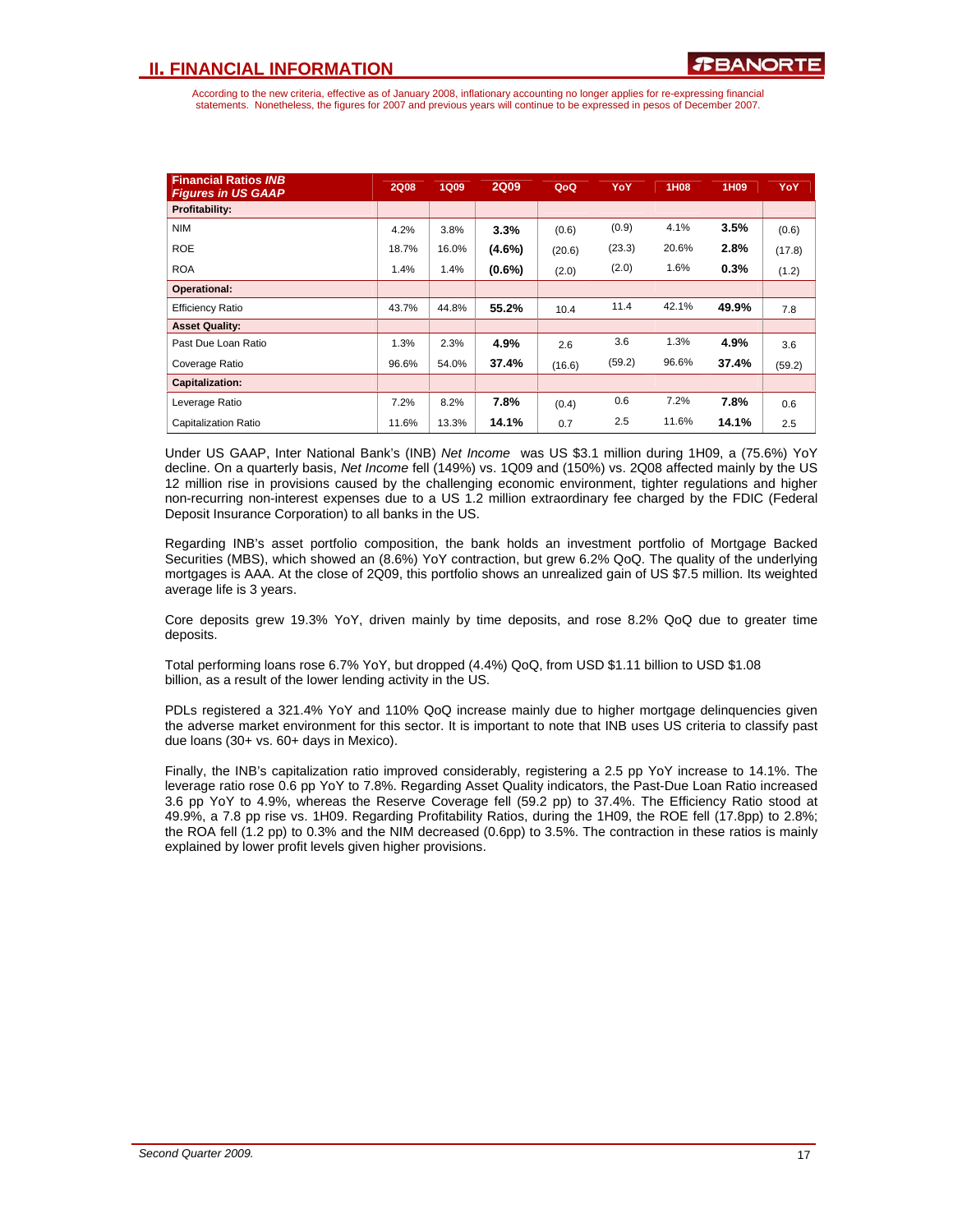According to the new criteria, effective as of January 2008, inflationary accounting no longer applies for re-expressing financial statements. Nonetheless, the figures for 2007 and previous years will continue to be expressed in pesos of December 2007.

| <b>Financial Ratios INB</b><br><b>Figures in US GAAP</b> | <b>2Q08</b> | <b>1Q09</b> | <b>2Q09</b> | QoQ    | YoY    | 1H08  | 1H09  | YoY    |
|----------------------------------------------------------|-------------|-------------|-------------|--------|--------|-------|-------|--------|
| Profitability:                                           |             |             |             |        |        |       |       |        |
| <b>NIM</b>                                               | 4.2%        | 3.8%        | 3.3%        | (0.6)  | (0.9)  | 4.1%  | 3.5%  | (0.6)  |
| <b>ROE</b>                                               | 18.7%       | 16.0%       | $(4.6\%)$   | (20.6) | (23.3) | 20.6% | 2.8%  | (17.8) |
| <b>ROA</b>                                               | 1.4%        | 1.4%        | $(0.6\%)$   | (2.0)  | (2.0)  | 1.6%  | 0.3%  | (1.2)  |
| Operational:                                             |             |             |             |        |        |       |       |        |
| <b>Efficiency Ratio</b>                                  | 43.7%       | 44.8%       | 55.2%       | 10.4   | 11.4   | 42.1% | 49.9% | 7.8    |
| <b>Asset Quality:</b>                                    |             |             |             |        |        |       |       |        |
| Past Due Loan Ratio                                      | 1.3%        | 2.3%        | 4.9%        | 2.6    | 3.6    | 1.3%  | 4.9%  | 3.6    |
| Coverage Ratio                                           | 96.6%       | 54.0%       | 37.4%       | (16.6) | (59.2) | 96.6% | 37.4% | (59.2) |
| <b>Capitalization:</b>                                   |             |             |             |        |        |       |       |        |
| Leverage Ratio                                           | 7.2%        | 8.2%        | 7.8%        | (0.4)  | 0.6    | 7.2%  | 7.8%  | 0.6    |
| Capitalization Ratio                                     | 11.6%       | 13.3%       | 14.1%       | 0.7    | 2.5    | 11.6% | 14.1% | 2.5    |

Under US GAAP, Inter National Bank's (INB) *Net Income* was US \$3.1 million during 1H09, a (75.6%) YoY decline. On a quarterly basis, *Net Income* fell (149%) vs. 1Q09 and (150%) vs. 2Q08 affected mainly by the US 12 million rise in provisions caused by the challenging economic environment, tighter regulations and higher non-recurring non-interest expenses due to a US 1.2 million extraordinary fee charged by the FDIC (Federal Deposit Insurance Corporation) to all banks in the US.

Regarding INB's asset portfolio composition, the bank holds an investment portfolio of Mortgage Backed Securities (MBS), which showed an (8.6%) YoY contraction, but grew 6.2% QoQ. The quality of the underlying mortgages is AAA. At the close of 2Q09, this portfolio shows an unrealized gain of US \$7.5 million. Its weighted average life is 3 years.

Core deposits grew 19.3% YoY, driven mainly by time deposits, and rose 8.2% QoQ due to greater time deposits.

Total performing loans rose 6.7% YoY, but dropped (4.4%) QoQ, from USD \$1.11 billion to USD \$1.08 billion, as a result of the lower lending activity in the US.

PDLs registered a 321.4% YoY and 110% QoQ increase mainly due to higher mortgage delinquencies given the adverse market environment for this sector. It is important to note that INB uses US criteria to classify past due loans (30+ vs. 60+ days in Mexico).

Finally, the INB's capitalization ratio improved considerably, registering a 2.5 pp YoY increase to 14.1%. The leverage ratio rose 0.6 pp YoY to 7.8%. Regarding Asset Quality indicators, the Past-Due Loan Ratio increased 3.6 pp YoY to 4.9%, whereas the Reserve Coverage fell (59.2 pp) to 37.4%. The Efficiency Ratio stood at 49.9%, a 7.8 pp rise vs. 1H09. Regarding Profitability Ratios, during the 1H09, the ROE fell (17.8pp) to 2.8%; the ROA fell (1.2 pp) to 0.3% and the NIM decreased (0.6pp) to 3.5%. The contraction in these ratios is mainly explained by lower profit levels given higher provisions.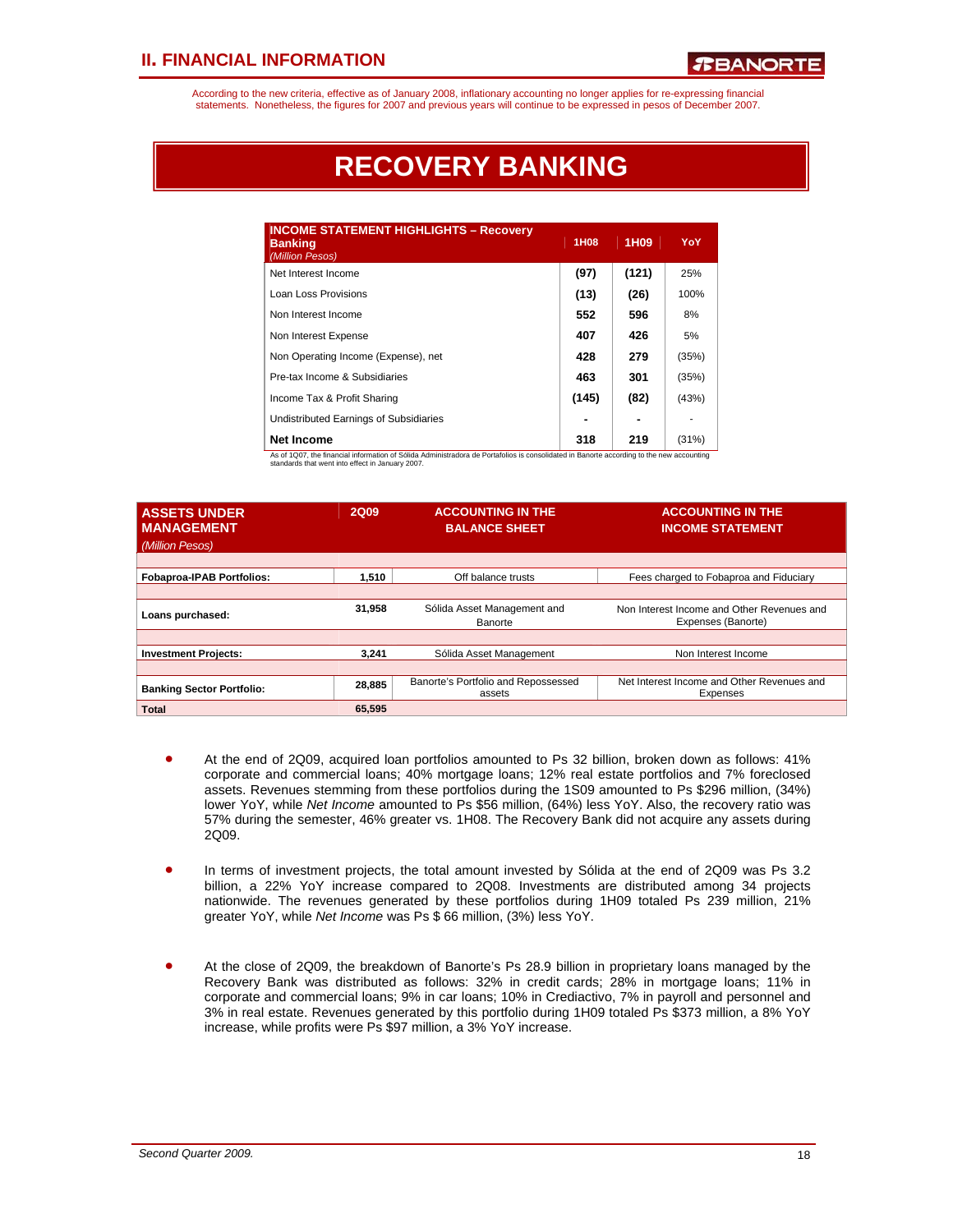According to the new criteria, effective as of January 2008, inflationary accounting no longer applies for re-expressing financial statements. Nonetheless, the figures for 2007 and previous years will continue to be expressed in pesos of December 2007.

# **RECOVERY BANKING**

| <b>INCOME STATEMENT HIGHLIGHTS - Recovery</b><br><b>Banking</b><br>(Million Pesos) | 1H08  | 1H <sub>09</sub> | YoY   |
|------------------------------------------------------------------------------------|-------|------------------|-------|
| Net Interest Income                                                                | (97)  | (121)            | 25%   |
| Loan Loss Provisions                                                               | (13)  | (26)             | 100%  |
| Non Interest Income                                                                | 552   | 596              | 8%    |
| Non Interest Expense                                                               | 407   | 426              | 5%    |
| Non Operating Income (Expense), net                                                | 428   | 279              | (35%) |
| Pre-tax Income & Subsidiaries                                                      | 463   | 301              | (35%) |
| Income Tax & Profit Sharing                                                        | (145) | (82)             | (43%) |
| Undistributed Earnings of Subsidiaries                                             |       |                  |       |
| <b>Net Income</b>                                                                  | 318   | 219              | (31%) |

| <b>ASSETS UNDER</b><br><b>MANAGEMENT</b><br>(Million Pesos) | <b>2Q09</b> | <b>ACCOUNTING IN THE</b><br><b>BALANCE SHEET</b> | <b>ACCOUNTING IN THE</b><br><b>INCOME STATEMENT</b>              |
|-------------------------------------------------------------|-------------|--------------------------------------------------|------------------------------------------------------------------|
| <b>Fobaproa-IPAB Portfolios:</b>                            | 1,510       | Off balance trusts                               | Fees charged to Fobaproa and Fiduciary                           |
|                                                             |             |                                                  |                                                                  |
| Loans purchased:                                            | 31.958      | Sólida Asset Management and<br>Banorte           | Non Interest Income and Other Revenues and<br>Expenses (Banorte) |
|                                                             |             |                                                  |                                                                  |
| <b>Investment Projects:</b>                                 | 3.241       | Sólida Asset Management                          | Non Interest Income                                              |
|                                                             |             |                                                  |                                                                  |
| <b>Banking Sector Portfolio:</b>                            | 28,885      | Banorte's Portfolio and Repossessed<br>assets    | Net Interest Income and Other Revenues and<br>Expenses           |
| Total                                                       | 65.595      |                                                  |                                                                  |

- At the end of 2Q09, acquired loan portfolios amounted to Ps 32 billion, broken down as follows: 41% corporate and commercial loans; 40% mortgage loans; 12% real estate portfolios and 7% foreclosed assets. Revenues stemming from these portfolios during the 1S09 amounted to Ps \$296 million, (34%) lower YoY, while *Net Income* amounted to Ps \$56 million, (64%) less YoY. Also, the recovery ratio was 57% during the semester, 46% greater vs. 1H08. The Recovery Bank did not acquire any assets during 2Q09.
- In terms of investment projects, the total amount invested by Sólida at the end of 2Q09 was Ps 3.2 billion, a 22% YoY increase compared to 2Q08. Investments are distributed among 34 projects nationwide. The revenues generated by these portfolios during 1H09 totaled Ps 239 million, 21% greater YoY, while *Net Income* was Ps \$ 66 million, (3%) less YoY.
- At the close of 2Q09, the breakdown of Banorte's Ps 28.9 billion in proprietary loans managed by the Recovery Bank was distributed as follows: 32% in credit cards; 28% in mortgage loans; 11% in corporate and commercial loans; 9% in car loans; 10% in Crediactivo, 7% in payroll and personnel and 3% in real estate. Revenues generated by this portfolio during 1H09 totaled Ps \$373 million, a 8% YoY increase, while profits were Ps \$97 million, a 3% YoY increase.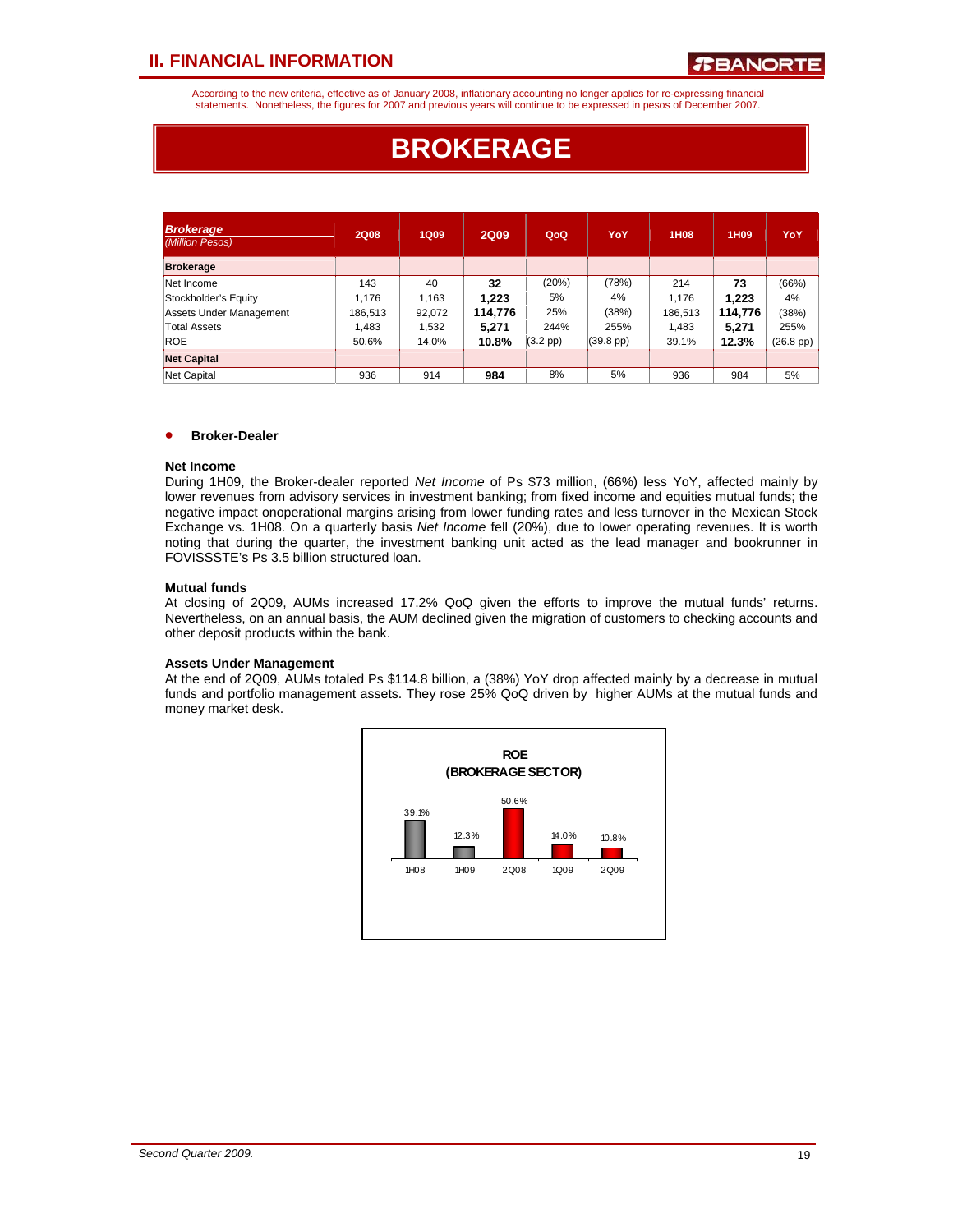According to the new criteria, effective as of January 2008, inflationary accounting no longer applies for re-expressing financial statements. Nonetheless, the figures for 2007 and previous years will continue to be expressed in pesos of December 2007.

# **BROKERAGE**

| <b>Brokerage</b><br>(Million Pesos) | <b>2Q08</b> | 1Q09   | <b>2Q09</b> | QoQ               | YoY                 | 1H08    | 1H <sub>09</sub> | YoY                |
|-------------------------------------|-------------|--------|-------------|-------------------|---------------------|---------|------------------|--------------------|
| <b>Brokerage</b>                    |             |        |             |                   |                     |         |                  |                    |
| Net Income                          | 143         | 40     | 32          | (20%)             | (78%)               | 214     | 73               | (66%)              |
| Stockholder's Equity                | 1.176       | 1.163  | 1.223       | 5%                | 4%                  | 1.176   | 1.223            | 4%                 |
| Assets Under Management             | 186,513     | 92,072 | 114.776     | 25%               | (38%)               | 186.513 | 114.776          | (38%)              |
| Total Assets                        | 1.483       | 1.532  | 5.271       | 244%              | 255%                | 1,483   | 5,271            | 255%               |
| <b>ROE</b>                          | 50.6%       | 14.0%  | 10.8%       | $(3.2~\text{pp})$ | $(39.8 \text{ pp})$ | 39.1%   | 12.3%            | $(26.8~\text{pp})$ |
| <b>Net Capital</b>                  |             |        |             |                   |                     |         |                  |                    |
| Net Capital                         | 936         | 914    | 984         | 8%                | 5%                  | 936     | 984              | 5%                 |

#### • **Broker-Dealer**

#### **Net Income**

During 1H09, the Broker-dealer reported *Net Income* of Ps \$73 million, (66%) less YoY, affected mainly by lower revenues from advisory services in investment banking; from fixed income and equities mutual funds; the negative impact onoperational margins arising from lower funding rates and less turnover in the Mexican Stock Exchange vs. 1H08. On a quarterly basis *Net Income* fell (20%), due to lower operating revenues. It is worth noting that during the quarter, the investment banking unit acted as the lead manager and bookrunner in FOVISSSTE's Ps 3.5 billion structured loan.

#### **Mutual funds**

At closing of 2Q09, AUMs increased 17.2% QoQ given the efforts to improve the mutual funds' returns. Nevertheless, on an annual basis, the AUM declined given the migration of customers to checking accounts and other deposit products within the bank.

#### **Assets Under Management**

At the end of 2Q09, AUMs totaled Ps \$114.8 billion, a (38%) YoY drop affected mainly by a decrease in mutual funds and portfolio management assets. They rose 25% QoQ driven by higher AUMs at the mutual funds and money market desk.

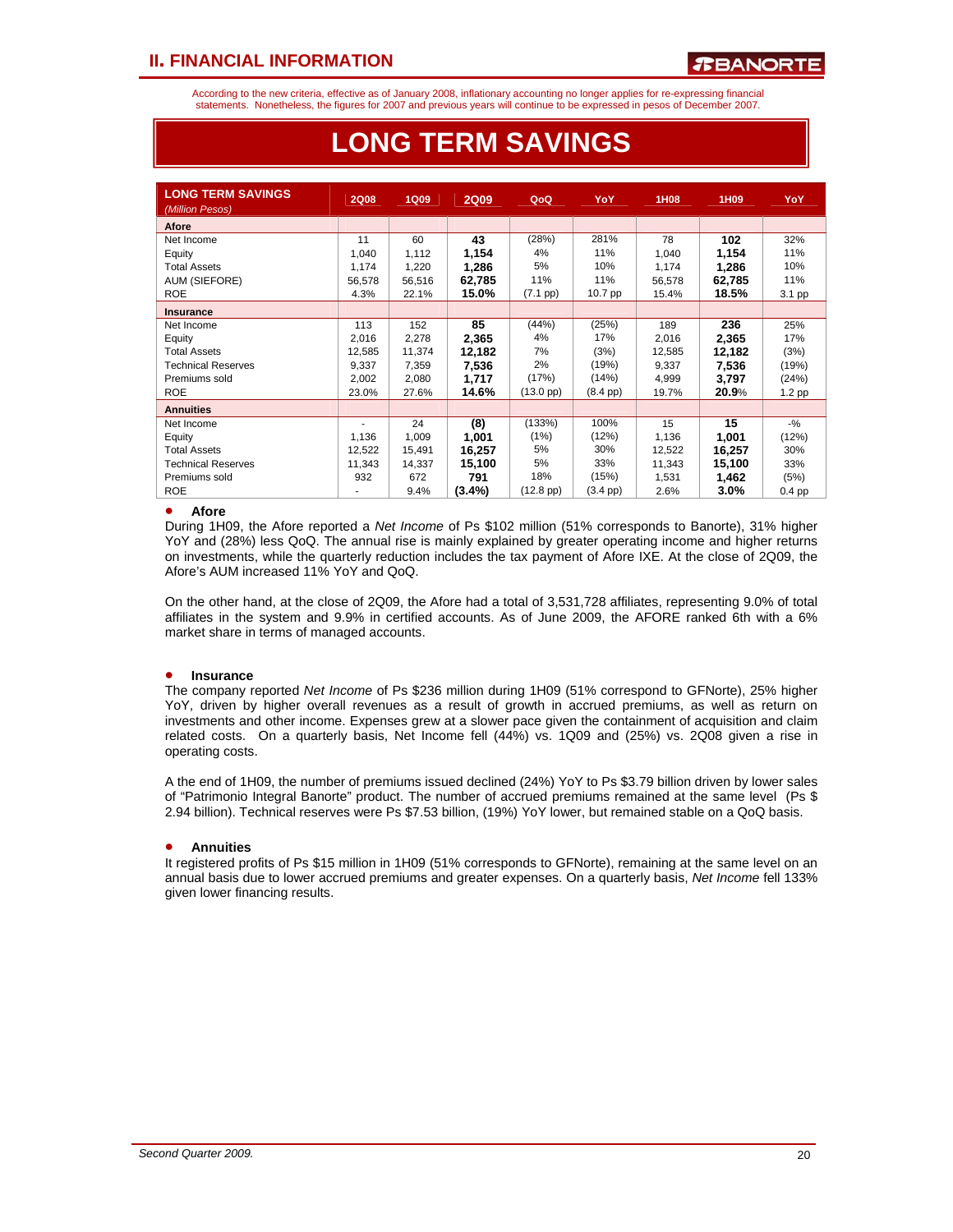According to the new criteria, effective as of January 2008, inflationary accounting no longer applies for re-expressing financial statements. Nonetheless, the figures for 2007 and previous years will continue to be expressed in pesos of December 2007.

| <b>LONG TERM SAVINGS</b><br>(Million Pesos) | <b>2Q08</b> | <b>1Q09</b> | <b>2Q09</b> | QoQ                | <b>YoY</b>         | 1H08   | 1H09   | <b>YoY</b> |
|---------------------------------------------|-------------|-------------|-------------|--------------------|--------------------|--------|--------|------------|
| Afore                                       |             |             |             |                    |                    |        |        |            |
| Net Income                                  | 11          | 60          | 43          | (28%)              | 281%               | 78     | 102    | 32%        |
| Equity                                      | 1,040       | 1,112       | 1,154       | 4%                 | 11%                | 1,040  | 1,154  | 11%        |
| <b>Total Assets</b>                         | 1,174       | 1,220       | 1,286       | 5%                 | 10%                | 1,174  | 1,286  | 10%        |
| AUM (SIEFORE)                               | 56,578      | 56,516      | 62,785      | 11%                | 11%                | 56,578 | 62,785 | 11%        |
| <b>ROE</b>                                  | 4.3%        | 22.1%       | 15.0%       | (7.1~pp)           | 10.7 pp            | 15.4%  | 18.5%  | 3.1 pp     |
| <b>Insurance</b>                            |             |             |             |                    |                    |        |        |            |
| Net Income                                  | 113         | 152         | 85          | (44%)              | (25%)              | 189    | 236    | 25%        |
| Equity                                      | 2,016       | 2,278       | 2,365       | 4%                 | 17%                | 2.016  | 2,365  | 17%        |
| <b>Total Assets</b>                         | 12,585      | 11,374      | 12,182      | 7%                 | (3%)               | 12,585 | 12,182 | (3%)       |
| <b>Technical Reserves</b>                   | 9,337       | 7,359       | 7.536       | 2%                 | (19%)              | 9,337  | 7.536  | (19%)      |
| Premiums sold                               | 2,002       | 2,080       | 1,717       | (17%)              | (14%)              | 4,999  | 3,797  | (24%)      |
| <b>ROE</b>                                  | 23.0%       | 27.6%       | 14.6%       | $(13.0~\text{pp})$ | $(8.4 \text{ pp})$ | 19.7%  | 20.9%  | 1.2 pp     |
| <b>Annuities</b>                            |             |             |             |                    |                    |        |        |            |
| Net Income                                  | ٠           | 24          | (8)         | (133%)             | 100%               | 15     | 15     | $-9/6$     |
| Equity                                      | 1,136       | 1,009       | 1,001       | (1%)               | (12%)              | 1,136  | 1,001  | (12%)      |
| <b>Total Assets</b>                         | 12,522      | 15,491      | 16,257      | 5%                 | 30%                | 12,522 | 16,257 | 30%        |
| <b>Technical Reserves</b>                   | 11,343      | 14,337      | 15,100      | 5%                 | 33%                | 11,343 | 15,100 | 33%        |
| Premiums sold                               | 932         | 672         | 791         | 18%                | (15%)              | 1,531  | 1,462  | (5%)       |
| <b>ROE</b>                                  |             | 9.4%        | $(3.4\%)$   | $(12.8~\text{pp})$ | $(3.4 \text{ pp})$ | 2.6%   | 3.0%   | $0.4$ pp   |

# **LONG TERM SAVINGS**

#### • **Afore**

During 1H09, the Afore reported a *Net Income* of Ps \$102 million (51% corresponds to Banorte), 31% higher YoY and (28%) less QoQ. The annual rise is mainly explained by greater operating income and higher returns on investments, while the quarterly reduction includes the tax payment of Afore IXE. At the close of 2Q09, the Afore's AUM increased 11% YoY and QoQ.

On the other hand, at the close of 2Q09, the Afore had a total of 3,531,728 affiliates, representing 9.0% of total affiliates in the system and 9.9% in certified accounts. As of June 2009, the AFORE ranked 6th with a 6% market share in terms of managed accounts.

#### • **Insurance**

The company reported *Net Income* of Ps \$236 million during 1H09 (51% correspond to GFNorte), 25% higher YoY, driven by higher overall revenues as a result of growth in accrued premiums, as well as return on investments and other income. Expenses grew at a slower pace given the containment of acquisition and claim related costs. On a quarterly basis, Net Income fell (44%) vs. 1Q09 and (25%) vs. 2Q08 given a rise in operating costs.

A the end of 1H09, the number of premiums issued declined (24%) YoY to Ps \$3.79 billion driven by lower sales of "Patrimonio Integral Banorte" product. The number of accrued premiums remained at the same level (Ps \$ 2.94 billion). Technical reserves were Ps \$7.53 billion, (19%) YoY lower, but remained stable on a QoQ basis.

#### • **Annuities**

It registered profits of Ps \$15 million in 1H09 (51% corresponds to GFNorte), remaining at the same level on an annual basis due to lower accrued premiums and greater expenses. On a quarterly basis, *Net Income* fell 133% given lower financing results.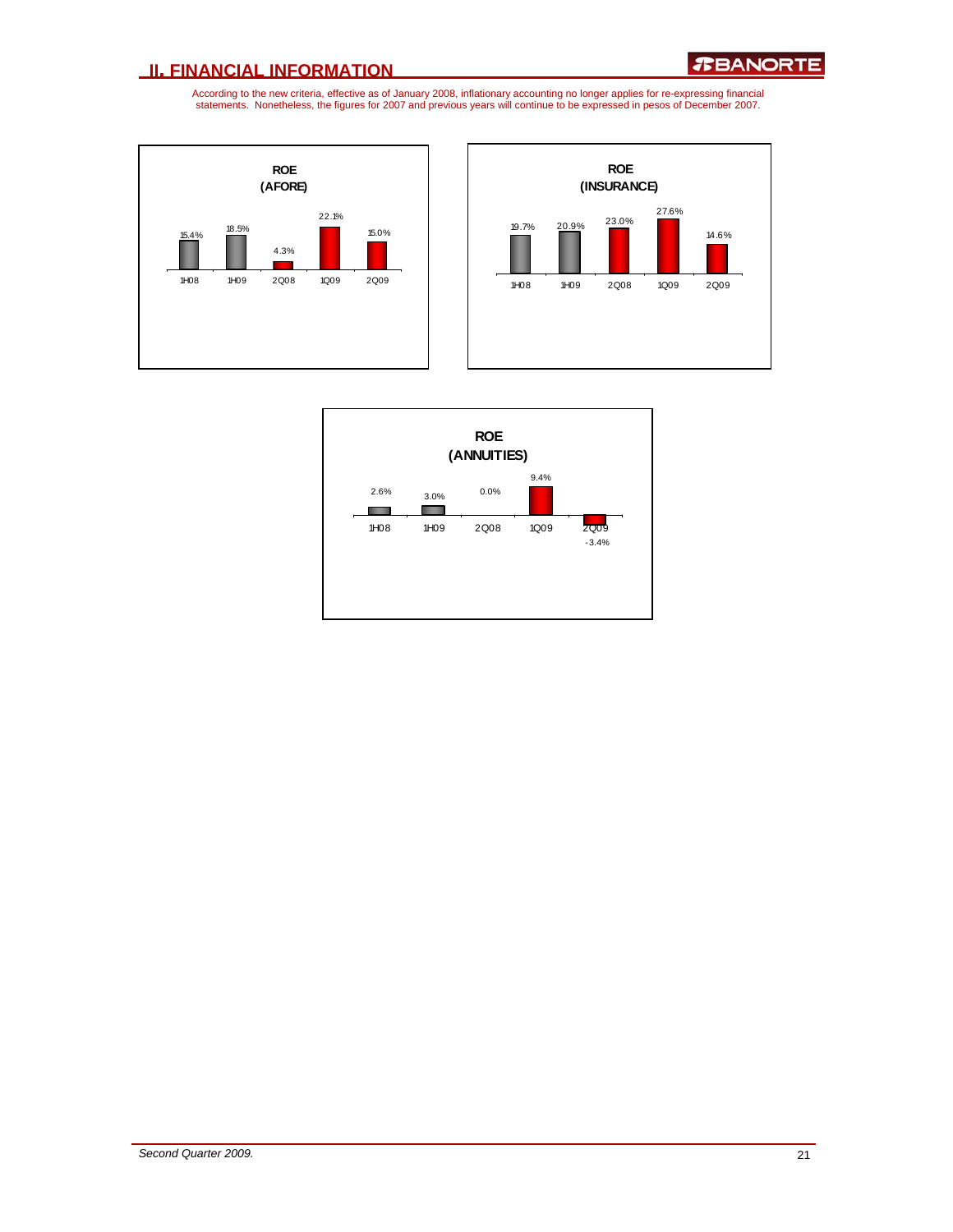



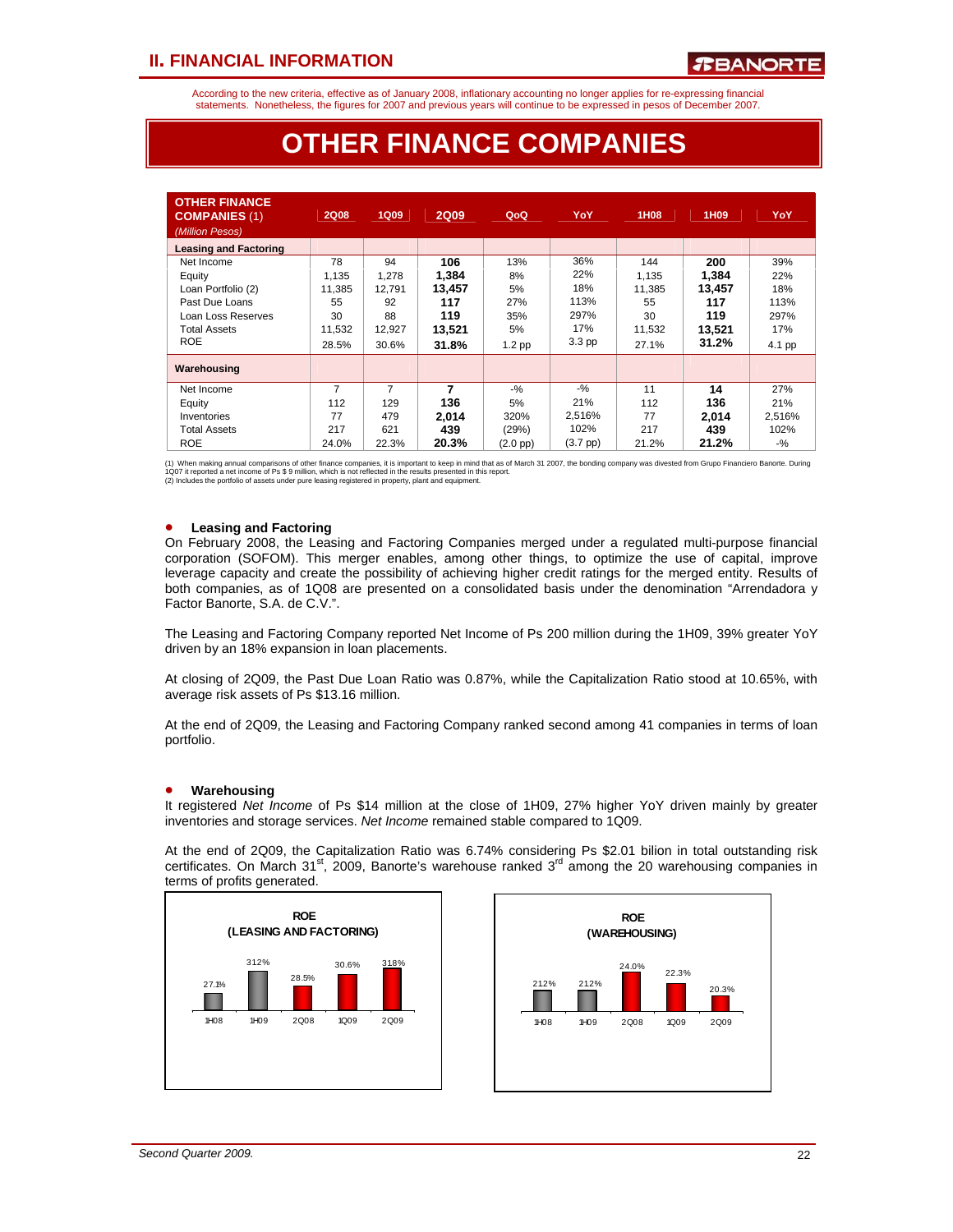According to the new criteria, effective as of January 2008, inflationary accounting no longer applies for re-expressing financial statements. Nonetheless, the figures for 2007 and previous years will continue to be expressed in pesos of December 2007.

# **OTHER FINANCE COMPANIES**

| <b>OTHER FINANCE</b><br><b>COMPANIES (1)</b><br>(Million Pesos) | 2Q08           | <b>1Q09</b>    | <b>2Q09</b> | QoQ           | YoY               | 1H <sub>08</sub> | 1H <sub>09</sub> | YoY    |
|-----------------------------------------------------------------|----------------|----------------|-------------|---------------|-------------------|------------------|------------------|--------|
| <b>Leasing and Factoring</b>                                    |                |                |             |               |                   |                  |                  |        |
| Net Income                                                      | 78             | 94             | 106         | 13%           | 36%               | 144              | 200              | 39%    |
| Equity                                                          | 1.135          | 1.278          | 1.384       | 8%            | 22%               | 1.135            | 1.384            | 22%    |
| Loan Portfolio (2)                                              | 11,385         | 12,791         | 13.457      | 5%            | 18%               | 11,385           | 13,457           | 18%    |
| Past Due Loans                                                  | 55             | 92             | 117         | 27%           | 113%              | 55               | 117              | 113%   |
| Loan Loss Reserves                                              | 30             | 88             | 119         | 35%           | 297%              | 30               | 119              | 297%   |
| <b>Total Assets</b>                                             | 11,532         | 12,927         | 13,521      | 5%            | 17%               | 11,532           | 13,521           | 17%    |
| <b>ROE</b>                                                      | 28.5%          | 30.6%          | 31.8%       | $1.2$ pp      | 3.3 <sub>pp</sub> | 27.1%            | 31.2%            | 4.1 pp |
| Warehousing                                                     |                |                |             |               |                   |                  |                  |        |
| Net Income                                                      | $\overline{7}$ | $\overline{7}$ | 7           | $-9/6$        | $-9/6$            | 11               | 14               | 27%    |
| Equity                                                          | 112            | 129            | 136         | 5%            | 21%               | 112              | 136              | 21%    |
| Inventories                                                     | 77             | 479            | 2.014       | 320%          | 2,516%            | 77               | 2.014            | 2,516% |
| <b>Total Assets</b>                                             | 217            | 621            | 439         | (29%)         | 102%              | 217              | 439              | 102%   |
| <b>ROE</b>                                                      | 24.0%          | 22.3%          | 20.3%       | $(2.0$ pp $)$ | $(3.7~\text{pp})$ | 21.2%            | 21.2%            | $-$ %  |

(1) When making annual comparisons of other finance companies, it is important to keep in mind that as of March 31 2007, the bonding company was divested from Grupo Financiero Banorte. During<br>1Q07 it reported a net income

#### • **Leasing and Factoring**

On February 2008, the Leasing and Factoring Companies merged under a regulated multi-purpose financial corporation (SOFOM). This merger enables, among other things, to optimize the use of capital, improve leverage capacity and create the possibility of achieving higher credit ratings for the merged entity. Results of both companies, as of 1Q08 are presented on a consolidated basis under the denomination "Arrendadora y Factor Banorte, S.A. de C.V.".

The Leasing and Factoring Company reported Net Income of Ps 200 million during the 1H09, 39% greater YoY driven by an 18% expansion in loan placements.

At closing of 2Q09, the Past Due Loan Ratio was 0.87%, while the Capitalization Ratio stood at 10.65%, with average risk assets of Ps \$13.16 million.

At the end of 2Q09, the Leasing and Factoring Company ranked second among 41 companies in terms of loan portfolio.

#### • **Warehousing**

It registered *Net Income* of Ps \$14 million at the close of 1H09, 27% higher YoY driven mainly by greater inventories and storage services. *Net Income* remained stable compared to 1Q09.

At the end of 2Q09, the Capitalization Ratio was 6.74% considering Ps \$2.01 bilion in total outstanding risk certificates. On March  $31^{st}$ , 2009, Banorte's warehouse ranked  $3^{rd}$  among the 20 warehousing companies in terms of profits generated.



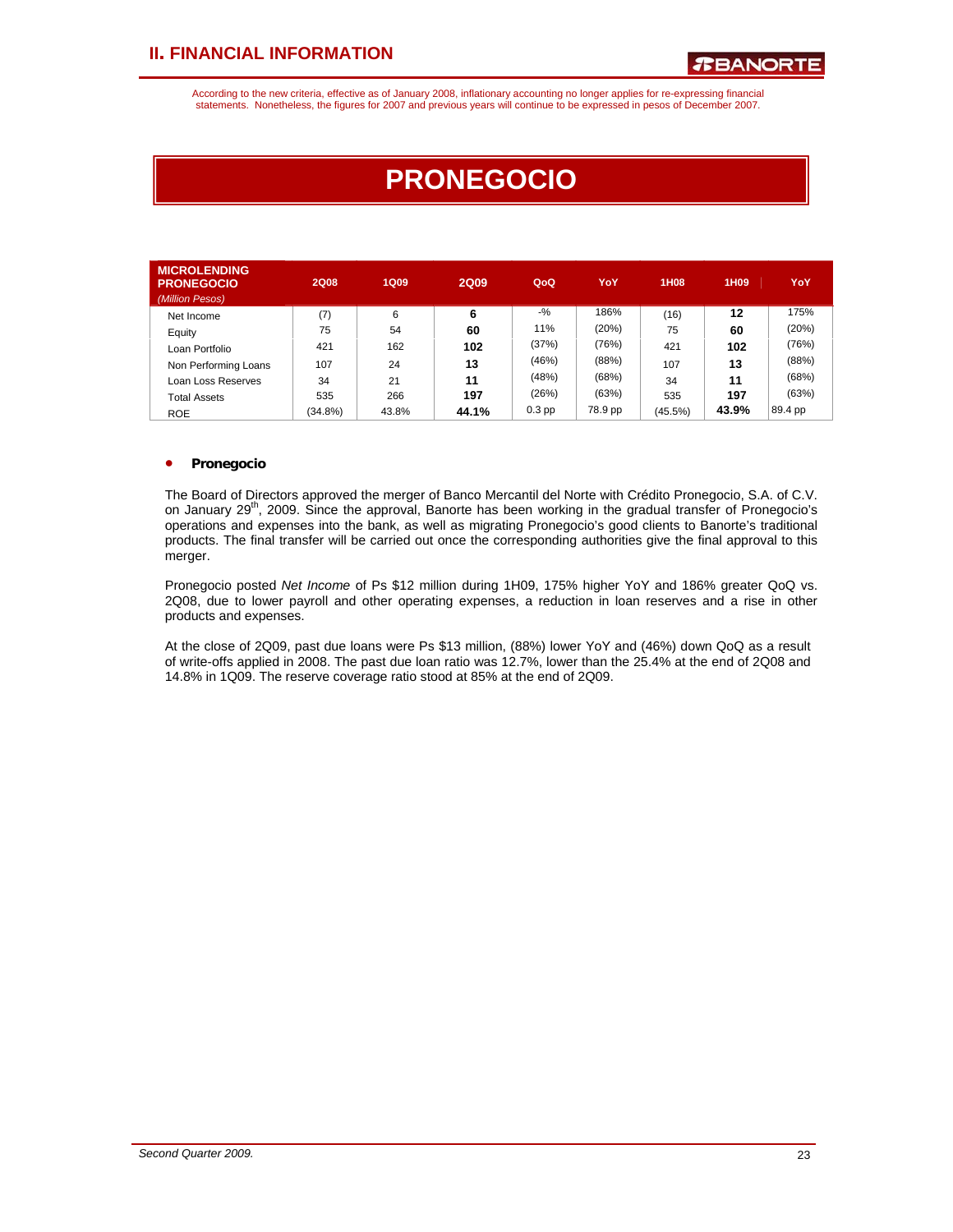According to the new criteria, effective as of January 2008, inflationary accounting no longer applies for re-expressing financial statements. Nonetheless, the figures for 2007 and previous years will continue to be expressed in pesos of December 2007.

# **PRONEGOCIO**

| <b>MICROLENDING</b><br><b>PRONEGOCIO</b><br>(Million Pesos) | <b>2Q08</b> | <b>1Q09</b> | <b>2Q09</b> | QoQ      | YoY     | <b>1H08</b> | 1H <sub>09</sub> | YoY     |
|-------------------------------------------------------------|-------------|-------------|-------------|----------|---------|-------------|------------------|---------|
| Net Income                                                  | (7)         | 6           | 6           | $-9/2$   | 186%    | (16)        | 12               | 175%    |
| Equity                                                      | 75          | 54          | 60          | 11%      | (20%)   | 75          | 60               | (20%)   |
| Loan Portfolio                                              | 421         | 162         | 102         | (37%)    | (76%)   | 421         | 102              | (76%)   |
| Non Performing Loans                                        | 107         | 24          | 13          | (46%)    | (88%)   | 107         | 13               | (88%)   |
| Loan Loss Reserves                                          | 34          | 21          | 11          | (48%)    | (68%)   | 34          | 11               | (68%)   |
| <b>Total Assets</b>                                         | 535         | 266         | 197         | (26%)    | (63%)   | 535         | 197              | (63%)   |
| <b>ROE</b>                                                  | (34.8%)     | 43.8%       | 44.1%       | $0.3$ pp | 78.9 pp | (45.5%)     | 43.9%            | 89.4 pp |

#### • **Pronegocio**

The Board of Directors approved the merger of Banco Mercantil del Norte with Crédito Pronegocio, S.A. of C.V. on January  $29<sup>th</sup>$ , 2009. Since the approval, Banorte has been working in the gradual transfer of Pronegocio's operations and expenses into the bank, as well as migrating Pronegocio's good clients to Banorte's traditional products. The final transfer will be carried out once the corresponding authorities give the final approval to this merger.

Pronegocio posted *Net Income* of Ps \$12 million during 1H09, 175% higher YoY and 186% greater QoQ vs. 2Q08, due to lower payroll and other operating expenses, a reduction in loan reserves and a rise in other products and expenses.

At the close of 2Q09, past due loans were Ps \$13 million, (88%) lower YoY and (46%) down QoQ as a result of write-offs applied in 2008. The past due loan ratio was 12.7%, lower than the 25.4% at the end of 2Q08 and 14.8% in 1Q09. The reserve coverage ratio stood at 85% at the end of 2Q09.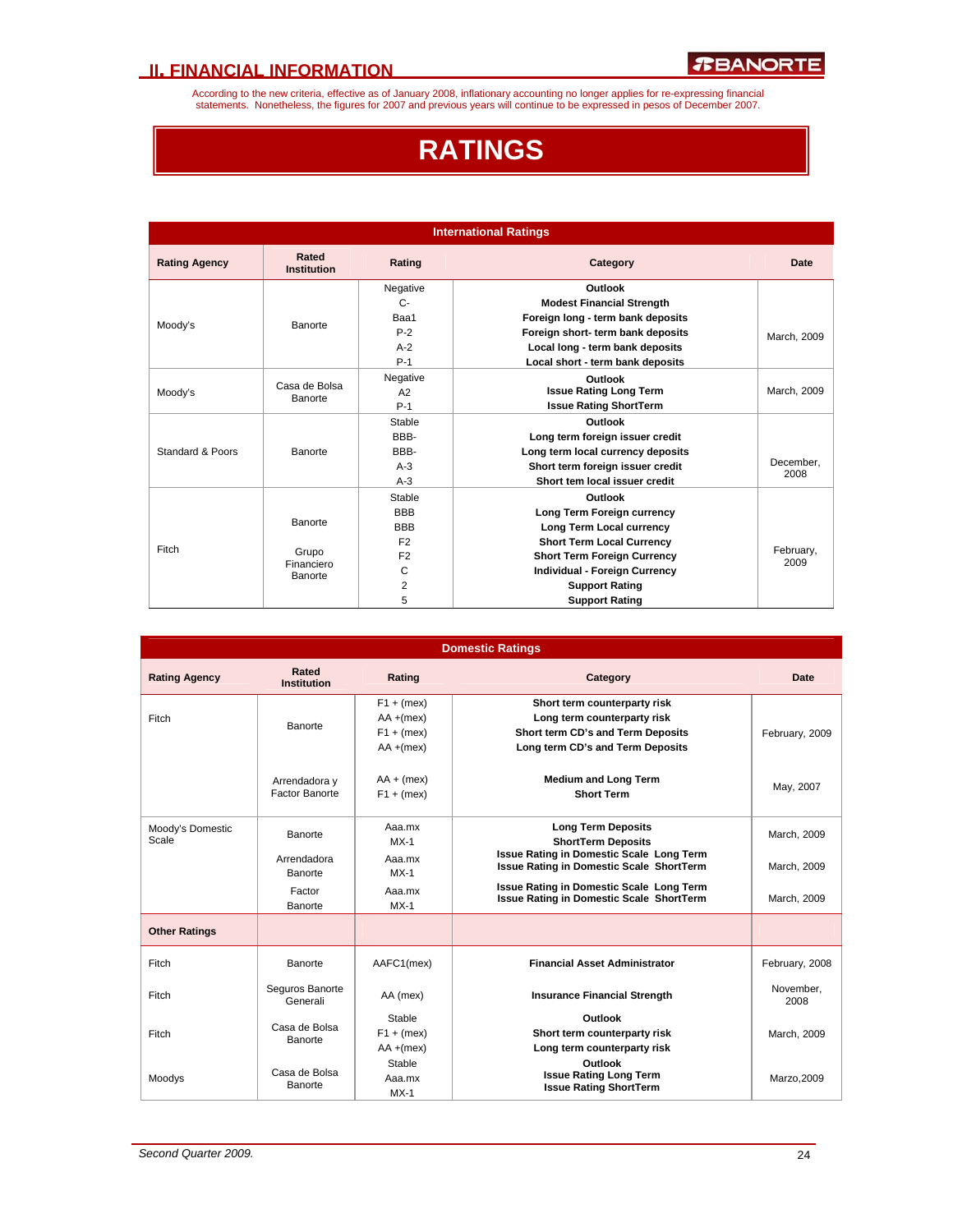According to the new criteria, effective as of January 2008, inflationary accounting no longer applies for re-expressing financial<br>statements. Nonetheless, the figures for 2007 and previous years will continue to be expres

# **RATINGS**

| <b>International Ratings</b>        |                             |                               |                                      |                   |
|-------------------------------------|-----------------------------|-------------------------------|--------------------------------------|-------------------|
| <b>Rating Agency</b>                | Rated<br><b>Institution</b> | Rating                        | Category                             | Date              |
|                                     |                             | Negative                      | Outlook                              |                   |
|                                     |                             | $C -$                         | <b>Modest Financial Strength</b>     |                   |
| Moody's                             | Banorte                     | Baa1                          | Foreign long - term bank deposits    |                   |
|                                     |                             | $P-2$                         | Foreign short- term bank deposits    | March, 2009       |
|                                     |                             | $A-2$                         | Local long - term bank deposits      |                   |
|                                     |                             | $P-1$                         | Local short - term bank deposits     |                   |
| Casa de Bolsa<br>Moody's<br>Banorte |                             | Negative                      | Outlook                              |                   |
|                                     | A2                          | <b>Issue Rating Long Term</b> | March, 2009                          |                   |
|                                     |                             | $P-1$                         | <b>Issue Rating ShortTerm</b>        |                   |
|                                     |                             | Stable                        | Outlook                              |                   |
|                                     |                             | RRR-                          | Long term foreign issuer credit      |                   |
| Standard & Poors                    | Banorte                     | BBB-                          | Long term local currency deposits    |                   |
|                                     |                             | $A-3$                         | Short term foreign issuer credit     | December.         |
|                                     |                             | $A-3$                         | Short tem local issuer credit        | 2008              |
|                                     |                             | Stable                        | Outlook                              |                   |
|                                     |                             | <b>BBB</b>                    | Long Term Foreign currency           |                   |
|                                     | Banorte                     | <b>BBB</b>                    | Long Term Local currency             |                   |
|                                     |                             | F <sub>2</sub>                | <b>Short Term Local Currency</b>     |                   |
| Fitch                               | Grupo                       | F <sub>2</sub>                | <b>Short Term Foreign Currency</b>   | February,<br>2009 |
|                                     | Financiero<br>Banorte       | C                             | <b>Individual - Foreign Currency</b> |                   |
|                                     |                             | 2                             | <b>Support Rating</b>                |                   |
|                                     |                             | 5                             | <b>Support Rating</b>                |                   |

| <b>Domestic Ratings</b>   |                                        |                                                              |                                                                                                                                                       |                            |
|---------------------------|----------------------------------------|--------------------------------------------------------------|-------------------------------------------------------------------------------------------------------------------------------------------------------|----------------------------|
| <b>Rating Agency</b>      | Rated<br><b>Institution</b>            | Rating                                                       | Category                                                                                                                                              | Date                       |
| Fitch                     | Banorte                                | $F1 + (mex)$<br>$AA + (mex)$<br>$F1 + (mex)$<br>$AA + (mex)$ | Short term counterparty risk<br>Long term counterparty risk<br>Short term CD's and Term Deposits<br>Long term CD's and Term Deposits                  | February, 2009             |
|                           | Arrendadora y<br><b>Factor Banorte</b> | $AA + (mex)$<br>$F1 + (mex)$                                 | <b>Medium and Long Term</b><br><b>Short Term</b>                                                                                                      | May, 2007                  |
| Moody's Domestic<br>Scale | Banorte<br>Arrendadora<br>Banorte      | Aaa.mx<br>$MX-1$<br>Aaa.mx<br>$MX-1$                         | <b>Long Term Deposits</b><br><b>ShortTerm Deposits</b><br>Issue Rating in Domestic Scale Long Term<br><b>Issue Rating in Domestic Scale ShortTerm</b> | March, 2009<br>March, 2009 |
|                           | Factor<br>Banorte                      | Aaa.mx<br>$MX-1$                                             | Issue Rating in Domestic Scale Long Term<br><b>Issue Rating in Domestic Scale ShortTerm</b>                                                           | March, 2009                |
| <b>Other Ratings</b>      |                                        |                                                              |                                                                                                                                                       |                            |
| Fitch                     | Banorte                                | AAFC1(mex)                                                   | <b>Financial Asset Administrator</b>                                                                                                                  | February, 2008             |
| Fitch                     | Seguros Banorte<br>Generali            | AA (mex)                                                     | <b>Insurance Financial Strength</b>                                                                                                                   | November.<br>2008          |
| Fitch                     | Casa de Bolsa<br>Banorte               | Stable<br>$F1 + (mex)$<br>$AA + (mex)$                       | Outlook<br>Short term counterparty risk<br>Long term counterparty risk                                                                                | March, 2009                |
| Moodys                    | Casa de Bolsa<br>Banorte               | Stable<br>Aaa.mx<br>$MX-1$                                   | Outlook<br><b>Issue Rating Long Term</b><br><b>Issue Rating ShortTerm</b>                                                                             | Marzo, 2009                |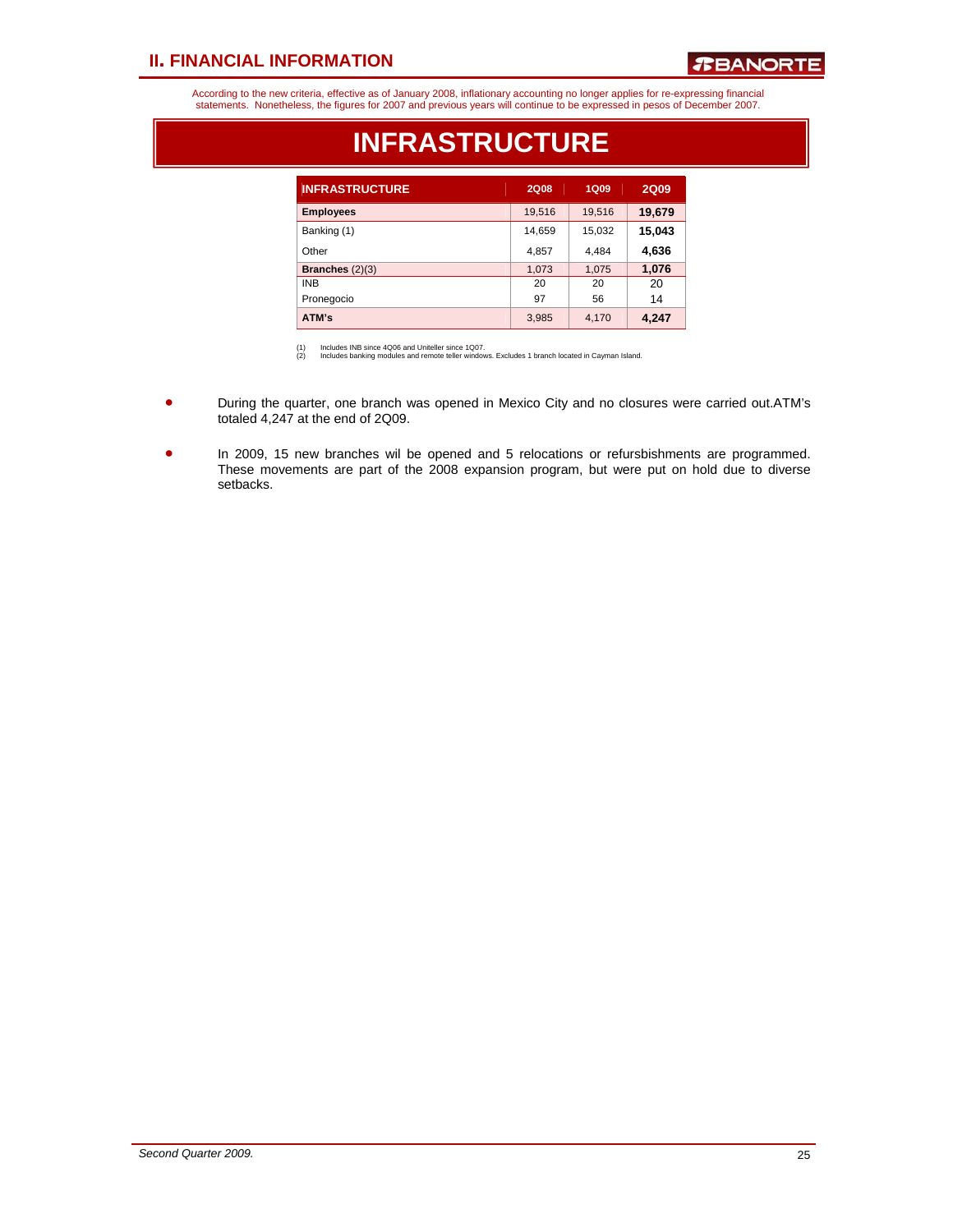### *R***BANORTE**

According to the new criteria, effective as of January 2008, inflationary accounting no longer applies for re-expressing financial<br>statements. Nonetheless, the figures for 2007 and previous years will continue to be expres

| <b>INFRASTRUCTURE</b> | <b>2Q08</b> | 1Q09   | <b>2Q09</b> |
|-----------------------|-------------|--------|-------------|
| <b>Employees</b>      | 19,516      | 19,516 | 19,679      |
| Banking (1)           | 14,659      | 15,032 | 15,043      |
| Other                 | 4,857       | 4,484  | 4,636       |
| Branches $(2)(3)$     | 1,073       | 1,075  | 1,076       |
| <b>INB</b>            | 20          | 20     | 20          |
| Pronegocio            | 97          | 56     | 14          |
| ATM's                 | 3,985       | 4,170  | 4,247       |

### **INFRASTRUCTURE**

(1) Includes INB since 4Q06 and Uniteller since 1Q07. (2) Includes banking modules and remote teller windows. Excludes 1 branch located in Cayman Island.

- During the quarter, one branch was opened in Mexico City and no closures were carried out.ATM's totaled 4,247 at the end of 2Q09.
- In 2009, 15 new branches wil be opened and 5 relocations or refursbishments are programmed. These movements are part of the 2008 expansion program, but were put on hold due to diverse setbacks.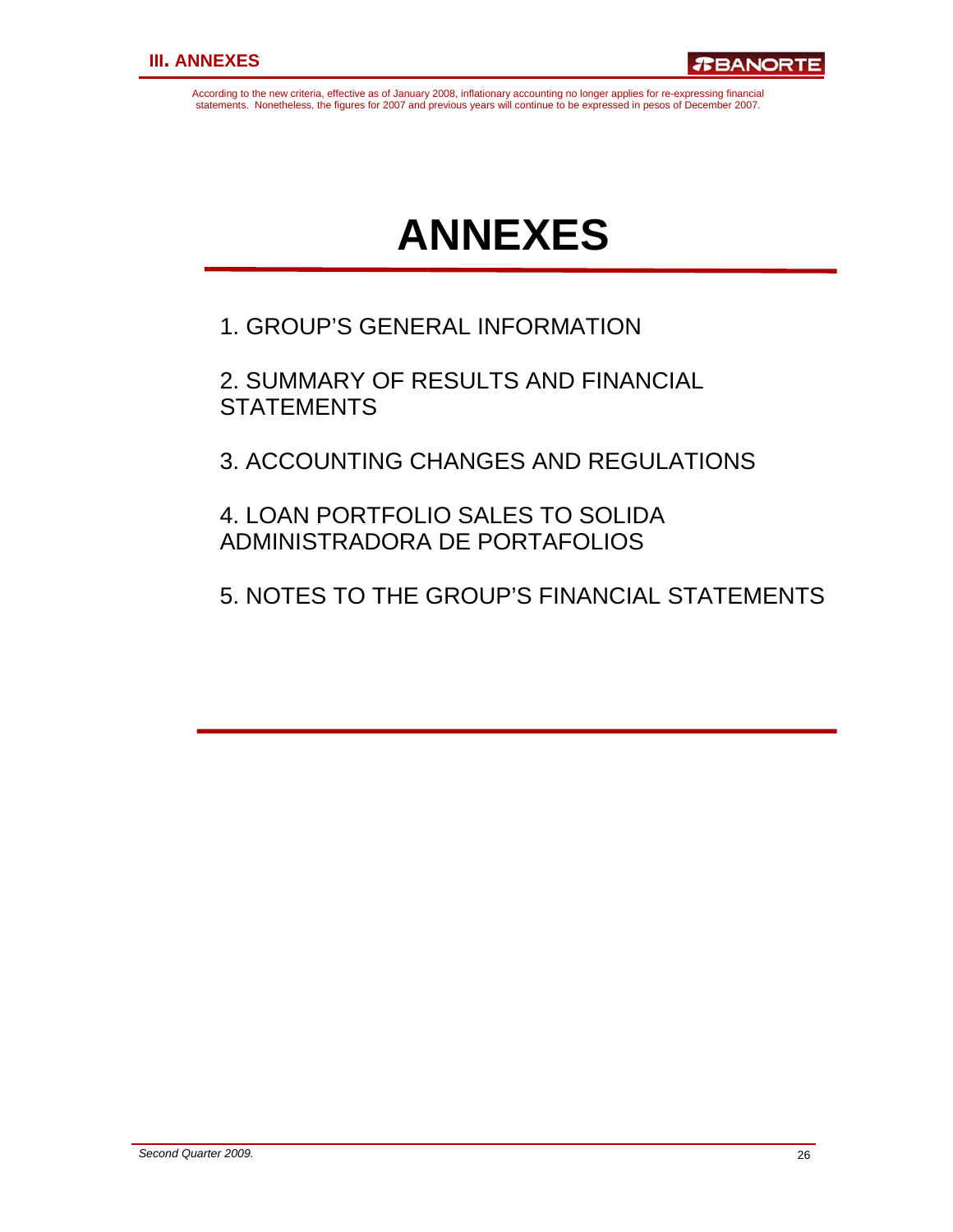According to the new criteria, effective as of January 2008, inflationary accounting no longer applies for re-expressing financial statements. Nonetheless, the figures for 2007 and previous years will continue to be expressed in pesos of December 2007.

# **ANNEXES**

1. GROUP'S GENERAL INFORMATION

2. SUMMARY OF RESULTS AND FINANCIAL **STATEMENTS** 

3. ACCOUNTING CHANGES AND REGULATIONS

4. LOAN PORTFOLIO SALES TO SOLIDA ADMINISTRADORA DE PORTAFOLIOS

5. NOTES TO THE GROUP'S FINANCIAL STATEMENTS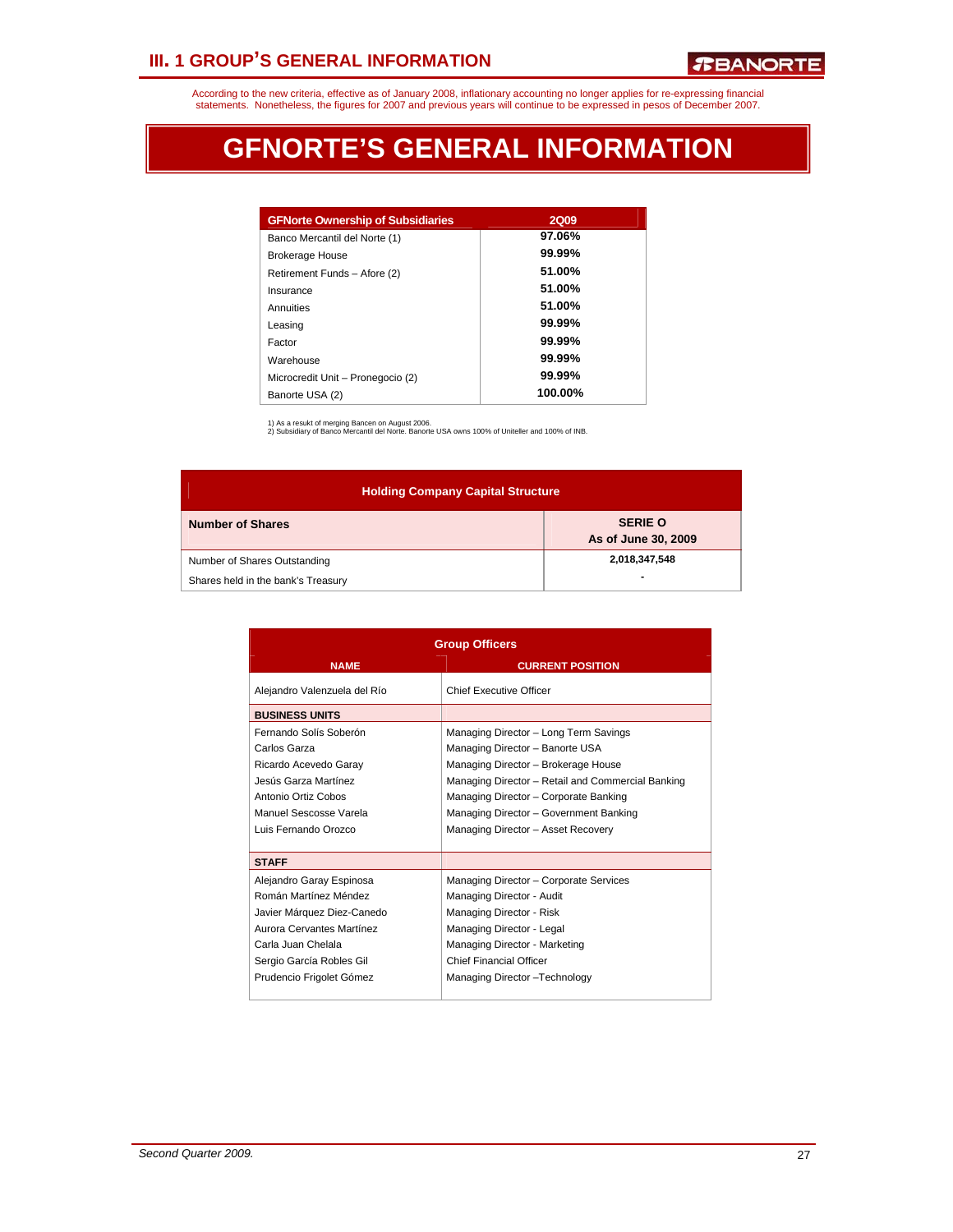# **III. 1 GROUP'S GENERAL INFORMATION**

According to the new criteria, effective as of January 2008, inflationary accounting no longer applies for re-expressing financial<br>statements. Nonetheless, the figures for 2007 and previous years will continue to be expres

# **GFNORTE'S GENERAL INFORMATION**

| <b>GFNorte Ownership of Subsidiaries</b> | <b>2Q09</b> |
|------------------------------------------|-------------|
| Banco Mercantil del Norte (1)            | 97.06%      |
| <b>Brokerage House</b>                   | 99.99%      |
| Retirement Funds - Afore (2)             | 51.00%      |
| Insurance                                | 51.00%      |
| Annuities                                | 51.00%      |
| Leasing                                  | $99.99\%$   |
| Factor                                   | $99.99\%$   |
| Warehouse                                | 99.99%      |
| Microcredit Unit - Pronegocio (2)        | $99.99\%$   |
| Banorte USA (2)                          | 100.00%     |

1) As a resukt of merging Bancen on August 2006. 2) Subsidiary of Banco Mercantil del Norte. Banorte USA owns 100% of Uniteller and 100% of INB.

| <b>Holding Company Capital Structure</b> |                                       |  |  |  |  |
|------------------------------------------|---------------------------------------|--|--|--|--|
| <b>Number of Shares</b>                  | <b>SERIE O</b><br>As of June 30, 2009 |  |  |  |  |
| Number of Shares Outstanding             | 2,018,347,548                         |  |  |  |  |
| Shares held in the bank's Treasury       |                                       |  |  |  |  |

| <b>Group Officers</b>                                                                                                                                                                      |                                                                                                                                                                                                                                                                                               |  |  |  |
|--------------------------------------------------------------------------------------------------------------------------------------------------------------------------------------------|-----------------------------------------------------------------------------------------------------------------------------------------------------------------------------------------------------------------------------------------------------------------------------------------------|--|--|--|
| <b>NAME</b>                                                                                                                                                                                | <b>CURRENT POSITION</b>                                                                                                                                                                                                                                                                       |  |  |  |
| Alejandro Valenzuela del Río                                                                                                                                                               | Chief Executive Officer                                                                                                                                                                                                                                                                       |  |  |  |
| <b>BUSINESS UNITS</b>                                                                                                                                                                      |                                                                                                                                                                                                                                                                                               |  |  |  |
| Fernando Solís Soberón<br>Carlos Garza<br>Ricardo Acevedo Garay<br>Jesús Garza Martínez<br>Antonio Ortiz Cobos<br>Manuel Sescosse Varela<br>Luis Fernando Orozco                           | Managing Director - Long Term Savings<br>Managing Director - Banorte USA<br>Managing Director - Brokerage House<br>Managing Director - Retail and Commercial Banking<br>Managing Director - Corporate Banking<br>Managing Director - Government Banking<br>Managing Director - Asset Recovery |  |  |  |
| <b>STAFF</b>                                                                                                                                                                               |                                                                                                                                                                                                                                                                                               |  |  |  |
| Alejandro Garay Espinosa<br>Román Martínez Méndez<br>Javier Márquez Diez-Canedo<br>Aurora Cervantes Martínez<br>Carla Juan Chelala<br>Sergio García Robles Gil<br>Prudencio Frigolet Gómez | Managing Director - Corporate Services<br>Managing Director - Audit<br>Managing Director - Risk<br>Managing Director - Legal<br>Managing Director - Marketing<br><b>Chief Financial Officer</b><br>Managing Director-Technology                                                               |  |  |  |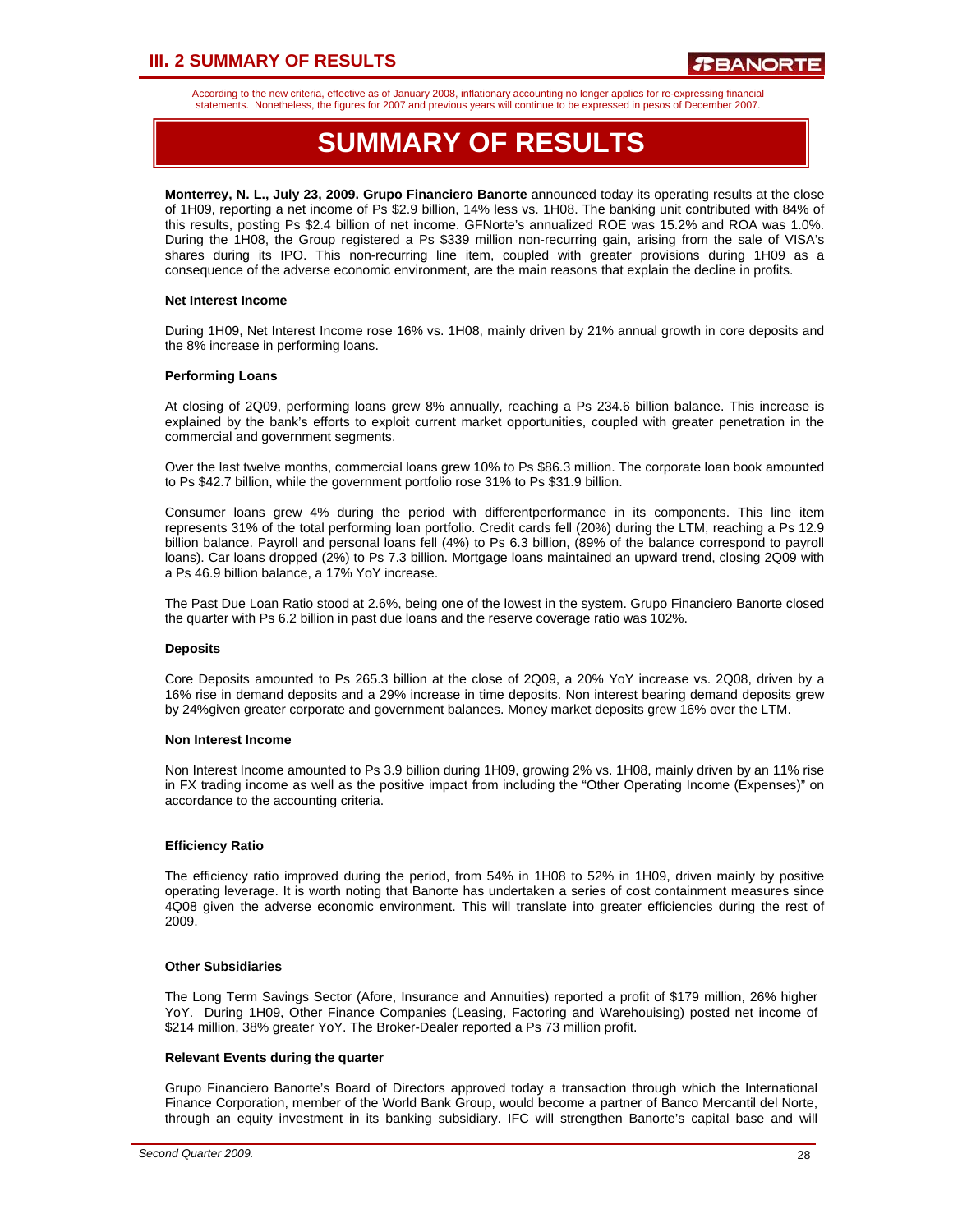# **III. 2 SUMMARY OF RESULTS**

According to the new criteria, effective as of January 2008, inflationary accounting no longer applies for re-expressing financial statements. Nonetheless, the figures for 2007 and previous years will continue to be expressed in pesos of December 2007.

# **SUMMARY OF RESULTS**

**Monterrey, N. L., July 23, 2009. Grupo Financiero Banorte** announced today its operating results at the close of 1H09, reporting a net income of Ps \$2.9 billion, 14% less vs. 1H08. The banking unit contributed with 84% of this results, posting Ps \$2.4 billion of net income. GFNorte's annualized ROE was 15.2% and ROA was 1.0%. During the 1H08, the Group registered a Ps \$339 million non-recurring gain, arising from the sale of VISA's shares during its IPO. This non-recurring line item, coupled with greater provisions during 1H09 as a consequence of the adverse economic environment, are the main reasons that explain the decline in profits.

#### **Net Interest Income**

During 1H09, Net Interest Income rose 16% vs. 1H08, mainly driven by 21% annual growth in core deposits and the 8% increase in performing loans.

#### **Performing Loans**

At closing of 2Q09, performing loans grew 8% annually, reaching a Ps 234.6 billion balance. This increase is explained by the bank's efforts to exploit current market opportunities, coupled with greater penetration in the commercial and government segments.

Over the last twelve months, commercial loans grew 10% to Ps \$86.3 million. The corporate loan book amounted to Ps \$42.7 billion, while the government portfolio rose 31% to Ps \$31.9 billion.

Consumer loans grew 4% during the period with differentperformance in its components. This line item represents 31% of the total performing loan portfolio. Credit cards fell (20%) during the LTM, reaching a Ps 12.9 billion balance. Payroll and personal loans fell (4%) to Ps 6.3 billion, (89% of the balance correspond to payroll loans). Car loans dropped (2%) to Ps 7.3 billion. Mortgage loans maintained an upward trend, closing 2Q09 with a Ps 46.9 billion balance, a 17% YoY increase.

The Past Due Loan Ratio stood at 2.6%, being one of the lowest in the system. Grupo Financiero Banorte closed the quarter with Ps 6.2 billion in past due loans and the reserve coverage ratio was 102%.

#### **Deposits**

Core Deposits amounted to Ps 265.3 billion at the close of 2Q09, a 20% YoY increase vs. 2Q08, driven by a 16% rise in demand deposits and a 29% increase in time deposits. Non interest bearing demand deposits grew by 24%given greater corporate and government balances. Money market deposits grew 16% over the LTM.

#### **Non Interest Income**

Non Interest Income amounted to Ps 3.9 billion during 1H09, growing 2% vs. 1H08, mainly driven by an 11% rise in FX trading income as well as the positive impact from including the "Other Operating Income (Expenses)" on accordance to the accounting criteria.

#### **Efficiency Ratio**

The efficiency ratio improved during the period, from 54% in 1H08 to 52% in 1H09, driven mainly by positive operating leverage. It is worth noting that Banorte has undertaken a series of cost containment measures since 4Q08 given the adverse economic environment. This will translate into greater efficiencies during the rest of 2009.

#### **Other Subsidiaries**

The Long Term Savings Sector (Afore, Insurance and Annuities) reported a profit of \$179 million, 26% higher YoY. During 1H09, Other Finance Companies (Leasing, Factoring and Warehouising) posted net income of \$214 million, 38% greater YoY. The Broker-Dealer reported a Ps 73 million profit.

#### **Relevant Events during the quarter**

Grupo Financiero Banorte's Board of Directors approved today a transaction through which the International Finance Corporation, member of the World Bank Group, would become a partner of Banco Mercantil del Norte, through an equity investment in its banking subsidiary. IFC will strengthen Banorte's capital base and will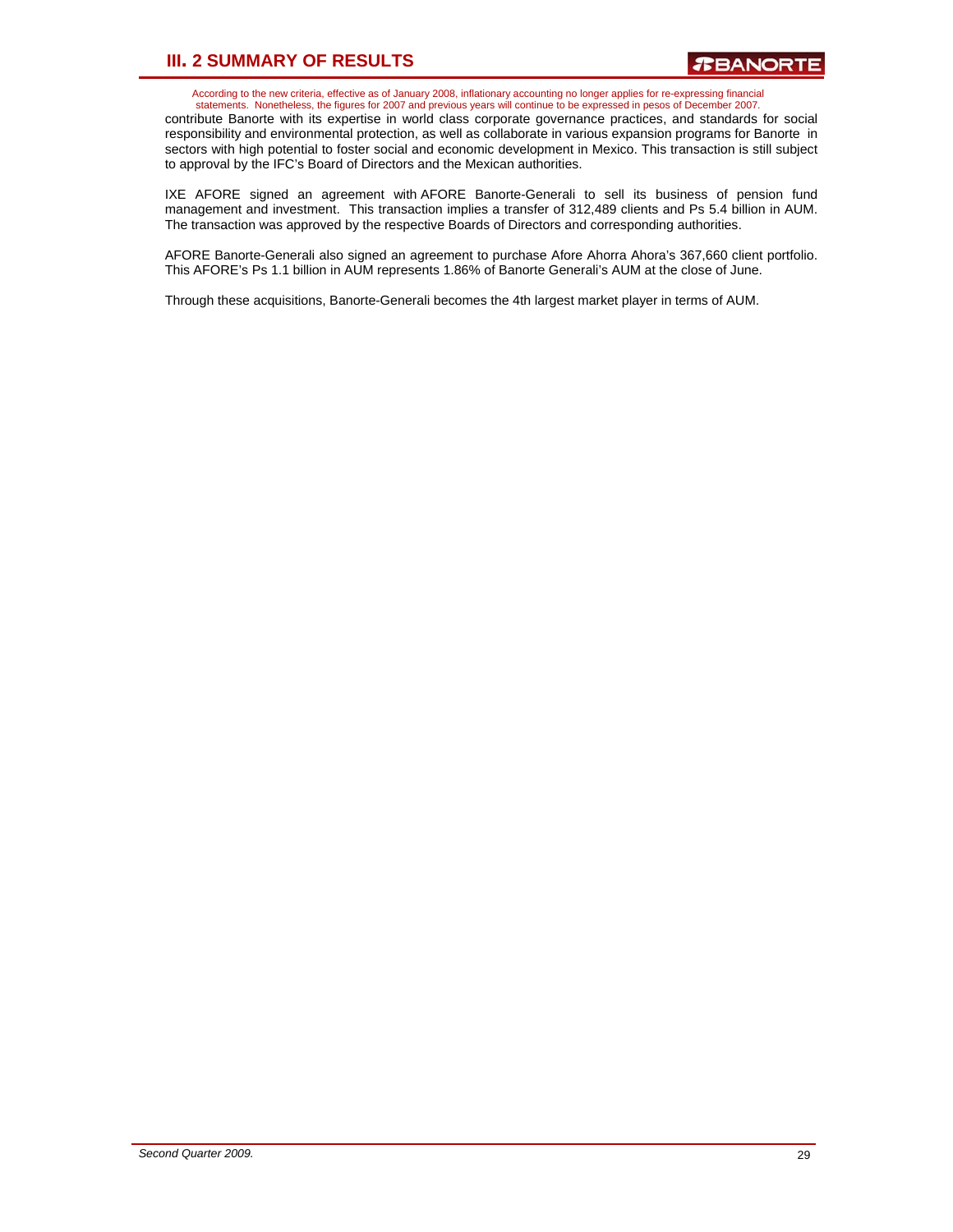# **III. 2 SUMMARY OF RESULTS**

According to the new criteria, effective as of January 2008, inflationary accounting no longer applies for re-expressing financial statements. Nonetheless, the figures for 2007 and previous years will continue to be expressed in pesos of December 2007.

contribute Banorte with its expertise in world class corporate governance practices, and standards for social responsibility and environmental protection, as well as collaborate in various expansion programs for Banorte in sectors with high potential to foster social and economic development in Mexico. This transaction is still subject to approval by the IFC's Board of Directors and the Mexican authorities.

IXE AFORE signed an agreement with AFORE Banorte-Generali to sell its business of pension fund management and investment. This transaction implies a transfer of 312,489 clients and Ps 5.4 billion in AUM. The transaction was approved by the respective Boards of Directors and corresponding authorities.

AFORE Banorte-Generali also signed an agreement to purchase Afore Ahorra Ahora's 367,660 client portfolio. This AFORE's Ps 1.1 billion in AUM represents 1.86% of Banorte Generali's AUM at the close of June.

Through these acquisitions, Banorte-Generali becomes the 4th largest market player in terms of AUM.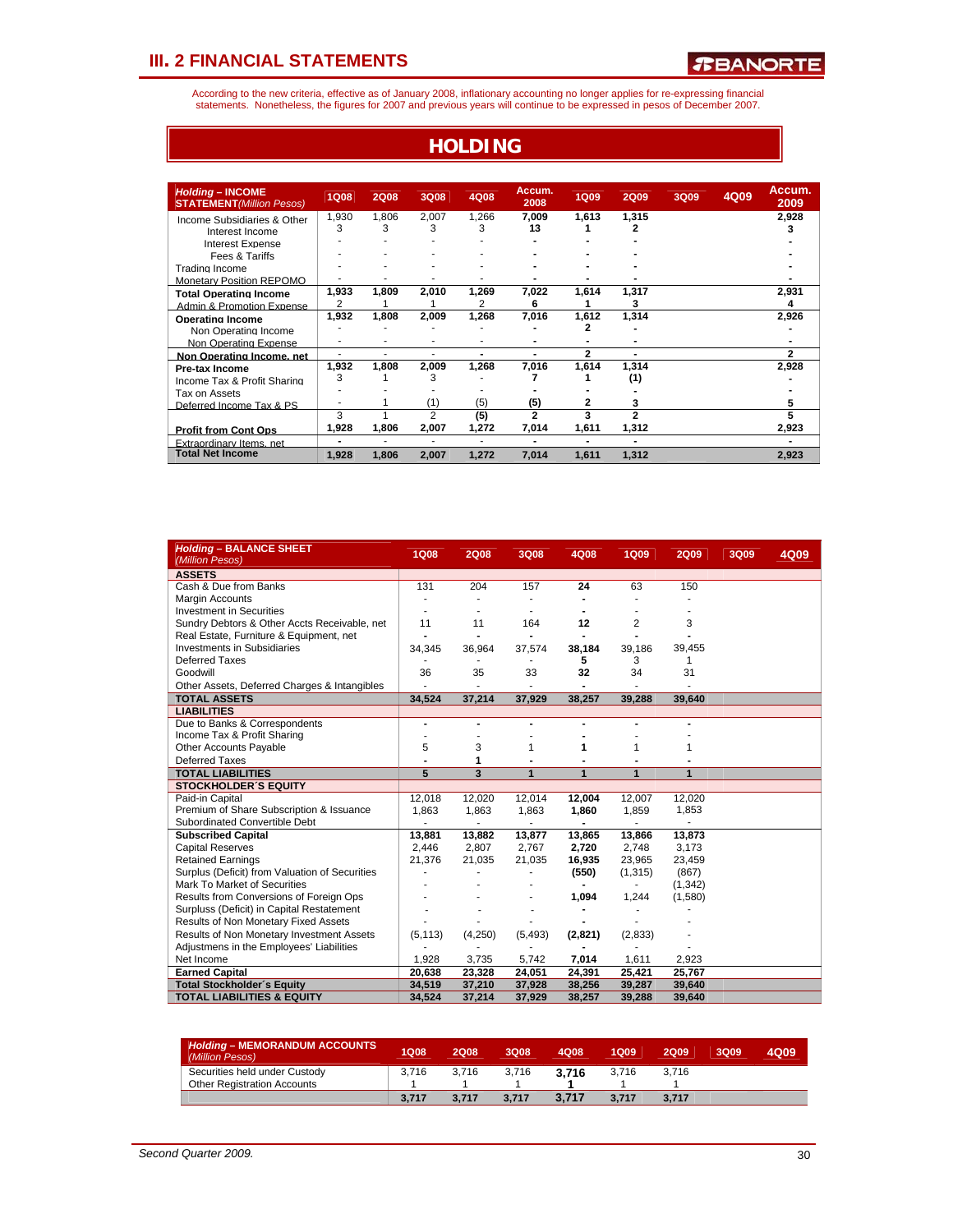According to the new criteria, effective as of January 2008, inflationary accounting no longer applies for re-expressing financial<br>statements. Nonetheless, the figures for 2007 and previous years will continue to be expres

**HOLDING**

| <b>Holding - INCOME</b><br><b>STATEMENT</b> (Million Pesos) | <b>1Q08</b>    | <b>2Q08</b> | 3Q08           | 4Q08       | Accum.<br>2008 | <b>1Q09</b>    | <b>2Q09</b>              | 3Q09 | 4Q09 | Accum.<br>2009 |
|-------------------------------------------------------------|----------------|-------------|----------------|------------|----------------|----------------|--------------------------|------|------|----------------|
| Income Subsidiaries & Other<br>Interest Income              | 1,930<br>3     | 1,806<br>3  | 2,007<br>3     | 1,266<br>3 | 7,009<br>13    | 1,613          | 1,315<br>2               |      |      | 2,928          |
| <b>Interest Expense</b>                                     |                |             |                |            |                |                |                          |      |      |                |
| Fees & Tariffs<br>Trading Income                            |                |             |                |            |                |                |                          |      |      |                |
| <b>Monetary Position REPOMO</b>                             |                |             |                |            |                |                |                          |      |      |                |
| <b>Total Operating Income</b><br>Admin & Promotion Expense  | 1,933<br>2     | 1,809       | 2,010          | 1.269      | 7,022<br>6     | 1.614          | 1.317<br>3               |      |      | 2,931<br>4     |
| <b>Operating Income</b>                                     | 1,932          | 1,808       | 2,009          | 1.268      | 7,016          | 1.612          | 1,314                    |      |      | 2,926          |
| Non Operating Income                                        |                |             | ۰              |            |                | 2              | ۰                        |      |      |                |
| Non Operating Expense                                       | ٠              | ٠           | ٠              | ۰          | ۰              | 2              | ۰                        |      |      | $\overline{2}$ |
| Non Operating Income, net<br>Pre-tax Income                 | 1,932          | 1,808       | 2,009          | 1,268      | 7,016          | 1,614          | 1,314                    |      |      | 2,928          |
| Income Tax & Profit Sharing                                 | 3              |             | 3              |            |                |                | (1)                      |      |      |                |
| Tax on Assets                                               |                |             |                |            |                |                |                          |      |      |                |
| Deferred Income Tax & PS                                    |                |             | (1)            | (5)        | (5)            | 2              | 3                        |      |      |                |
|                                                             | 3              |             | $\overline{2}$ | (5)        | $\mathbf{2}$   | 3              | $\overline{a}$           |      |      |                |
| <b>Profit from Cont Ops</b>                                 | 1,928          | 1,806       | 2,007          | 1,272      | 7,014          | 1,611          | 1,312                    |      |      | 2,923          |
| Extraordinary Items net                                     | $\blacksquare$ | ۰           | ۰              | ۰          | -              | $\blacksquare$ | $\overline{\phantom{0}}$ |      |      |                |
| <b>Total Net Income</b>                                     | 1,928          | 1,806       | 2,007          | 1,272      | 7,014          | 1,611          | 1,312                    |      |      | 2,923          |

| <b>Holding - BALANCE SHEET</b><br>(Million Pesos) | <b>1Q08</b>              | <b>2Q08</b>   | 3Q08                     | 4Q08           | 1Q09                     | <b>2Q09</b> | 3Q09 | 4Q09 |
|---------------------------------------------------|--------------------------|---------------|--------------------------|----------------|--------------------------|-------------|------|------|
| <b>ASSETS</b>                                     |                          |               |                          |                |                          |             |      |      |
| Cash & Due from Banks                             | 131                      | 204           | 157                      | 24             | 63                       | 150         |      |      |
| <b>Margin Accounts</b>                            | $\overline{\phantom{a}}$ |               |                          |                |                          |             |      |      |
| <b>Investment in Securities</b>                   | ٠                        |               | ٠                        |                |                          |             |      |      |
| Sundry Debtors & Other Accts Receivable, net      | 11                       | 11            | 164                      | 12             | 2                        | 3           |      |      |
| Real Estate, Furniture & Equipment, net           | $\overline{a}$           |               |                          |                |                          |             |      |      |
| <b>Investments in Subsidiaries</b>                | 34,345                   | 36,964        | 37,574                   | 38,184         | 39,186                   | 39,455      |      |      |
| <b>Deferred Taxes</b>                             |                          |               |                          | 5              | 3                        | 1           |      |      |
| Goodwill                                          | 36                       | 35            | 33                       | 32             | 34                       | 31          |      |      |
| Other Assets, Deferred Charges & Intangibles      |                          |               |                          |                |                          |             |      |      |
| <b>TOTAL ASSETS</b>                               | 34,524                   | 37,214        | 37,929                   | 38,257         | 39,288                   | 39,640      |      |      |
| <b>LIABILITIES</b>                                |                          |               |                          |                |                          |             |      |      |
| Due to Banks & Correspondents                     |                          |               |                          |                |                          |             |      |      |
| Income Tax & Profit Sharing                       |                          |               |                          |                |                          |             |      |      |
| Other Accounts Payable                            | 5                        | 3             | 1                        | 1              | 1                        | 1           |      |      |
| <b>Deferred Taxes</b>                             |                          | 1             |                          |                |                          |             |      |      |
| <b>TOTAL LIABILITIES</b>                          | $\overline{5}$           | 3             | 1                        | $\mathbf{1}$   | $\overline{1}$           | 1           |      |      |
| <b>STOCKHOLDER'S EQUITY</b>                       |                          |               |                          |                |                          |             |      |      |
| Paid-in Capital                                   | 12,018                   | 12,020        | 12,014                   | 12,004         | 12,007                   | 12.020      |      |      |
| Premium of Share Subscription & Issuance          | 1.863                    | 1,863         | 1,863                    | 1,860          | 1,859                    | 1,853       |      |      |
| Subordinated Convertible Debt                     |                          | $\frac{1}{2}$ | $\overline{\phantom{a}}$ | $\blacksquare$ | $\overline{\phantom{a}}$ |             |      |      |
| <b>Subscribed Capital</b>                         | 13,881                   | 13,882        | 13,877                   | 13,865         | 13,866                   | 13,873      |      |      |
| <b>Capital Reserves</b>                           | 2,446                    | 2,807         | 2,767                    | 2,720          | 2,748                    | 3,173       |      |      |
| <b>Retained Earnings</b>                          | 21,376                   | 21,035        | 21,035                   | 16,935         | 23,965                   | 23,459      |      |      |
| Surplus (Deficit) from Valuation of Securities    |                          |               |                          | (550)          | (1, 315)                 | (867)       |      |      |
| Mark To Market of Securities                      |                          |               |                          |                |                          | (1, 342)    |      |      |
| Results from Conversions of Foreign Ops           |                          |               |                          | 1,094          | 1,244                    | (1,580)     |      |      |
| Surpluss (Deficit) in Capital Restatement         |                          |               |                          |                |                          |             |      |      |
| Results of Non Monetary Fixed Assets              |                          |               |                          |                |                          |             |      |      |
| Results of Non Monetary Investment Assets         | (5, 113)                 | (4,250)       | (5, 493)                 | (2,821)        | (2,833)                  |             |      |      |
| Adjustmens in the Employees' Liabilities          |                          |               |                          |                |                          |             |      |      |
| Net Income                                        | 1,928                    | 3,735         | 5,742                    | 7,014          | 1,611                    | 2,923       |      |      |
| <b>Earned Capital</b>                             | 20,638                   | 23,328        | 24,051                   | 24,391         | 25,421                   | 25,767      |      |      |
| <b>Total Stockholder's Equity</b>                 | 34,519                   | 37,210        | 37,928                   | 38,256         | 39,287                   | 39,640      |      |      |
| <b>TOTAL LIABILITIES &amp; EQUITY</b>             | 34,524                   | 37,214        | 37,929                   | 38,257         | 39,288                   | 39,640      |      |      |

| <b>Holding – MEMORANDUM ACCOUNTS</b><br>(Million Pesos) | 1Q08  | 2008  | 3Q08  | 4Q08  | 1Q09  | 2Q09  | 3Q09 | 4Q09 |
|---------------------------------------------------------|-------|-------|-------|-------|-------|-------|------|------|
| Securities held under Custody                           | 3.716 | 3.716 | 3.716 | 3.716 | 3.716 | 3.716 |      |      |
| <b>Other Registration Accounts</b>                      |       |       |       |       |       |       |      |      |
|                                                         | 3.717 | 3.717 | 3.717 | 3.717 | 3.717 | 3.717 |      |      |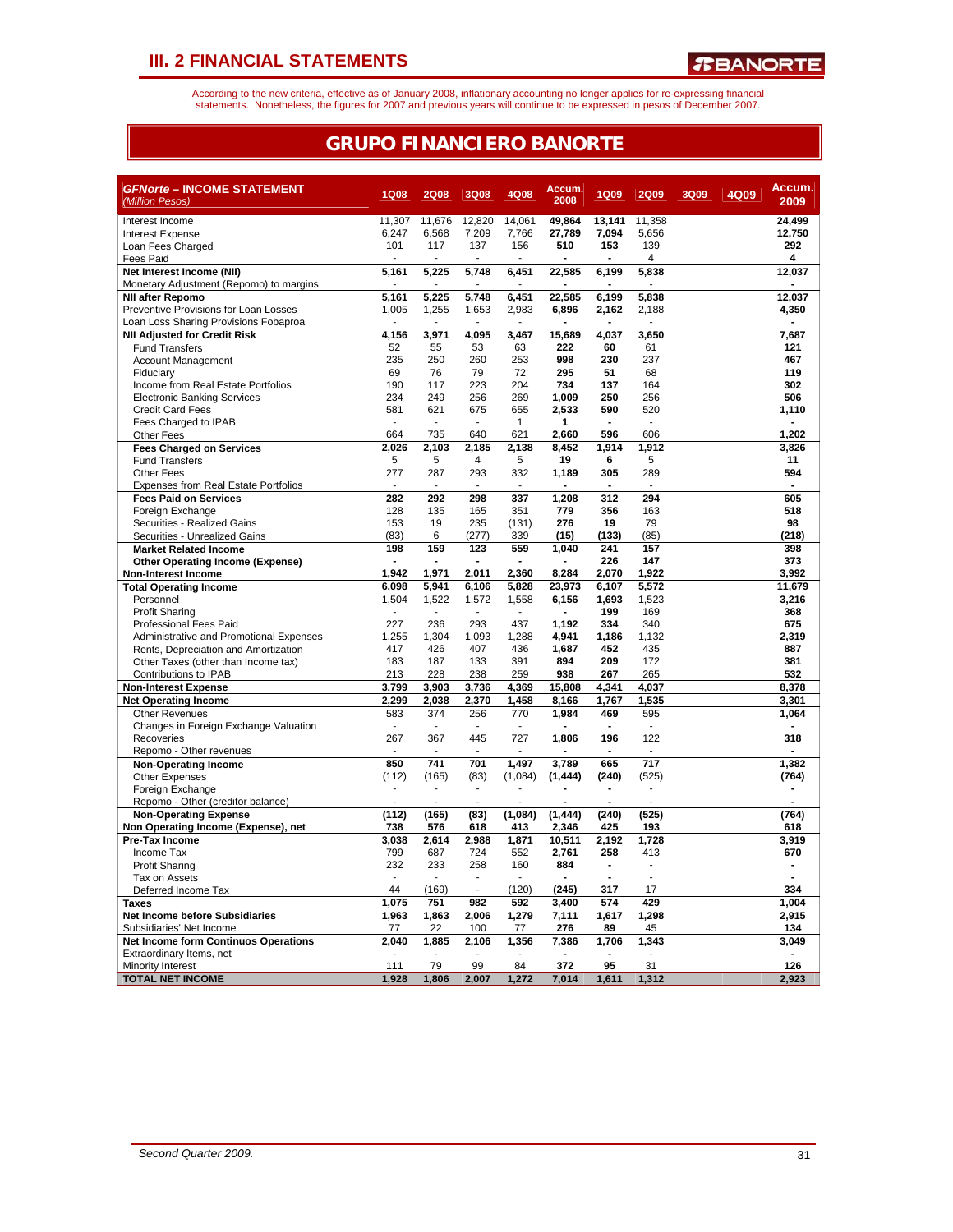According to the new criteria, effective as of January 2008, inflationary accounting no longer applies for re-expressing financial<br>statements. Nonetheless, the figures for 2007 and previous years will continue to be expres

### **GRUPO FINANCIERO BANORTE**

| <b>GFNorte - INCOME STATEMENT</b>                                       | 1Q08           | <b>2Q08</b>             | 3Q08           | 4Q08           | Accum.<br>2008  | <b>1Q09</b>             | <b>2Q09</b>              | 3Q09 | 4Q09 | Accum.          |
|-------------------------------------------------------------------------|----------------|-------------------------|----------------|----------------|-----------------|-------------------------|--------------------------|------|------|-----------------|
| (Million Pesos)                                                         |                |                         |                |                |                 |                         |                          |      |      | 2009            |
| Interest Income                                                         | 11,307         | 11,676                  | 12,820         | 14.061         | 49,864          | 13.141                  | 11,358                   |      |      | 24,499          |
| <b>Interest Expense</b>                                                 | 6,247          | 6.568                   | 7.209          | 7.766          | 27,789          | 7.094                   | 5.656                    |      |      | 12.750          |
| Loan Fees Charged                                                       | 101            | 117                     | 137            | 156            | 510             | 153                     | 139                      |      |      | 292             |
| Fees Paid                                                               |                |                         |                |                |                 |                         | 4                        |      |      | 4               |
| Net Interest Income (NII)                                               | 5,161          | 5,225<br>$\blacksquare$ | 5,748          | 6,451          | 22,585          | 6,199<br>$\blacksquare$ | 5,838                    |      |      | 12,037          |
| Monetary Adjustment (Repomo) to margins<br><b>NII after Repomo</b>      | 5,161          | 5,225                   | 5,748          | 6,451          | 22,585          | 6,199                   | 5,838                    |      |      | 12,037          |
| Preventive Provisions for Loan Losses                                   | 1,005          | 1,255                   | 1,653          | 2,983          | 6,896           | 2,162                   | 2,188                    |      |      | 4,350           |
| Loan Loss Sharing Provisions Fobaproa                                   | $\overline{a}$ |                         |                | ÷.             |                 | $\blacksquare$          |                          |      |      |                 |
| <b>NII Adjusted for Credit Risk</b>                                     | 4,156          | 3,971                   | 4,095          | 3,467          | 15,689          | 4,037                   | 3,650                    |      |      | 7,687           |
| <b>Fund Transfers</b>                                                   | 52             | 55                      | 53             | 63             | 222             | 60                      | 61                       |      |      | 121             |
| <b>Account Management</b>                                               | 235            | 250                     | 260            | 253            | 998             | 230                     | 237                      |      |      | 467             |
| Fiduciary                                                               | 69             | 76                      | 79             | 72             | 295             | 51                      | 68                       |      |      | 119             |
| Income from Real Estate Portfolios                                      | 190            | 117                     | 223            | 204            | 734             | 137                     | 164                      |      |      | 302             |
| <b>Electronic Banking Services</b>                                      | 234            | 249                     | 256            | 269            | 1,009           | 250                     | 256                      |      |      | 506             |
| <b>Credit Card Fees</b>                                                 | 581            | 621                     | 675            | 655            | 2,533           | 590                     | 520                      |      |      | 1,110           |
| Fees Charged to IPAB                                                    | $\blacksquare$ |                         | $\overline{a}$ | $\mathbf{1}$   | 1               | $\blacksquare$          | $\overline{\phantom{a}}$ |      |      |                 |
| <b>Other Fees</b>                                                       | 664            | 735                     | 640            | 621            | 2,660           | 596                     | 606                      |      |      | 1,202           |
| <b>Fees Charged on Services</b>                                         | 2,026          | 2,103                   | 2,185          | 2,138          | 8,452           | 1,914                   | 1,912                    |      |      | 3,826           |
| <b>Fund Transfers</b>                                                   | 5              | 5                       | 4              | 5              | 19              | 6                       | 5                        |      |      | 11              |
| <b>Other Fees</b>                                                       | 277            | 287                     | 293            | 332            | 1.189           | 305                     | 289                      |      |      | 594             |
| <b>Expenses from Real Estate Portfolios</b>                             | $\overline{a}$ |                         |                | $\overline{a}$ | $\blacksquare$  | $\blacksquare$          |                          |      |      |                 |
| <b>Fees Paid on Services</b>                                            | 282            | 292                     | 298            | 337            | 1,208           | 312                     | 294                      |      |      | 605             |
| Foreign Exchange                                                        | 128            | 135                     | 165            | 351            | 779             | 356                     | 163                      |      |      | 518             |
| Securities - Realized Gains                                             | 153            | 19                      | 235            | (131)          | 276             | 19                      | 79                       |      |      | 98              |
| Securities - Unrealized Gains                                           | (83)           | 6                       | (277)          | 339            | (15)            | (133)                   | (85)                     |      |      | (218)           |
| <b>Market Related Income</b>                                            | 198            | 159                     | 123            | 559            | 1.040           | 241                     | 157                      |      |      | 398             |
| <b>Other Operating Income (Expense)</b>                                 | $\blacksquare$ |                         | 2.011          |                |                 | 226                     | 147<br>1.922             |      |      | 373             |
| Non-Interest Income                                                     | 1,942<br>6,098 | 1,971<br>5,941          | 6,106          | 2,360<br>5,828 | 8,284<br>23,973 | 2,070<br>6,107          | 5,572                    |      |      | 3,992<br>11,679 |
| <b>Total Operating Income</b><br>Personnel                              | 1,504          | 1,522                   | 1,572          | 1,558          | 6,156           | 1,693                   | 1,523                    |      |      | 3,216           |
| <b>Profit Sharing</b>                                                   |                |                         |                |                |                 | 199                     | 169                      |      |      | 368             |
| <b>Professional Fees Paid</b>                                           | 227            | 236                     | 293            | 437            | 1,192           | 334                     | 340                      |      |      | 675             |
| Administrative and Promotional Expenses                                 | 1,255          | 1,304                   | 1.093          | 1,288          | 4,941           | 1,186                   | 1,132                    |      |      | 2,319           |
| Rents, Depreciation and Amortization                                    | 417            | 426                     | 407            | 436            | 1,687           | 452                     | 435                      |      |      | 887             |
| Other Taxes (other than Income tax)                                     | 183            | 187                     | 133            | 391            | 894             | 209                     | 172                      |      |      | 381             |
| Contributions to IPAB                                                   | 213            | 228                     | 238            | 259            | 938             | 267                     | 265                      |      |      | 532             |
| <b>Non-Interest Expense</b>                                             | 3.799          | 3.903                   | 3,736          | 4,369          | 15.808          | 4,341                   | 4,037                    |      |      | 8.378           |
| <b>Net Operating Income</b>                                             | 2,299          | 2.038                   | 2,370          | 1,458          | 8,166           | 1,767                   | 1,535                    |      |      | 3,301           |
| <b>Other Revenues</b>                                                   | 583            | 374                     | 256            | 770            | 1,984           | 469                     | 595                      |      |      | 1,064           |
| Changes in Foreign Exchange Valuation                                   | $\sim$         |                         |                |                |                 |                         | $\sim$                   |      |      |                 |
| Recoveries                                                              | 267            | 367                     | 445            | 727            | 1,806           | 196                     | 122                      |      |      | 318             |
| Repomo - Other revenues                                                 |                |                         |                |                |                 | $\blacksquare$          |                          |      |      |                 |
| <b>Non-Operating Income</b>                                             | 850            | 741                     | 701            | 1.497          | 3.789           | 665                     | 717                      |      |      | 1.382           |
| <b>Other Expenses</b>                                                   | (112)          | (165)                   | (83)           | (1,084)        | (1, 444)        | (240)                   | (525)                    |      |      | (764)           |
| Foreign Exchange                                                        | ÷,             |                         | ÷,             |                |                 | $\blacksquare$          | $\overline{\phantom{a}}$ |      |      |                 |
| Repomo - Other (creditor balance)                                       | L.             | ÷.                      | $\overline{a}$ |                |                 | ÷.                      | $\overline{a}$           |      |      |                 |
| <b>Non-Operating Expense</b>                                            | (112)          | (165)                   | (83)           | (1,084)        | (1, 444)        | (240)                   | (525)                    |      |      | (764)           |
| Non Operating Income (Expense), net                                     | 738            | 576                     | 618            | 413            | 2,346           | 425                     | 193                      |      |      | 618             |
| Pre-Tax Income                                                          | 3,038          | 2.614                   | 2.988          | 1,871          | 10,511          | 2,192                   | 1.728                    |      |      | 3,919           |
| Income Tax                                                              | 799            | 687                     | 724            | 552            | 2.761           | 258                     | 413                      |      |      | 670             |
| <b>Profit Sharing</b>                                                   | 232            | 233                     | 258            | 160            | 884             | $\blacksquare$          | $\blacksquare$           |      |      |                 |
| Tax on Assets                                                           | $\blacksquare$ |                         |                |                |                 | ÷.                      | $\overline{a}$           |      |      |                 |
| Deferred Income Tax                                                     | 44             | (169)                   |                | (120)          | (245)           | 317                     | 17                       |      |      | 334             |
| <b>Taxes</b>                                                            | 1,075          | 751                     | 982            | 592            | 3,400           | 574                     | 429                      |      |      | 1,004           |
| <b>Net Income before Subsidiaries</b>                                   | 1,963          | 1,863                   | 2,006          | 1,279          | 7,111           | 1,617                   | 1,298                    |      |      | 2,915           |
| Subsidiaries' Net Income                                                | 77             | 22                      | 100            | 77             | 276             | 89                      | 45                       |      |      | 134             |
| <b>Net Income form Continuos Operations</b><br>Extraordinary Items, net | 2,040          | 1,885                   | 2,106          | 1,356          | 7,386           | 1,706                   | 1,343<br>L.              |      |      | 3,049           |
| Minority Interest                                                       | 111            | 79                      | 99             | 84             | 372             | 95                      | 31                       |      |      | 126             |
| <b>TOTAL NET INCOME</b>                                                 | 1.928          | 1.806                   | 2.007          | 1.272          | 7,014           | 1.611                   | 1.312                    |      |      | 2.923           |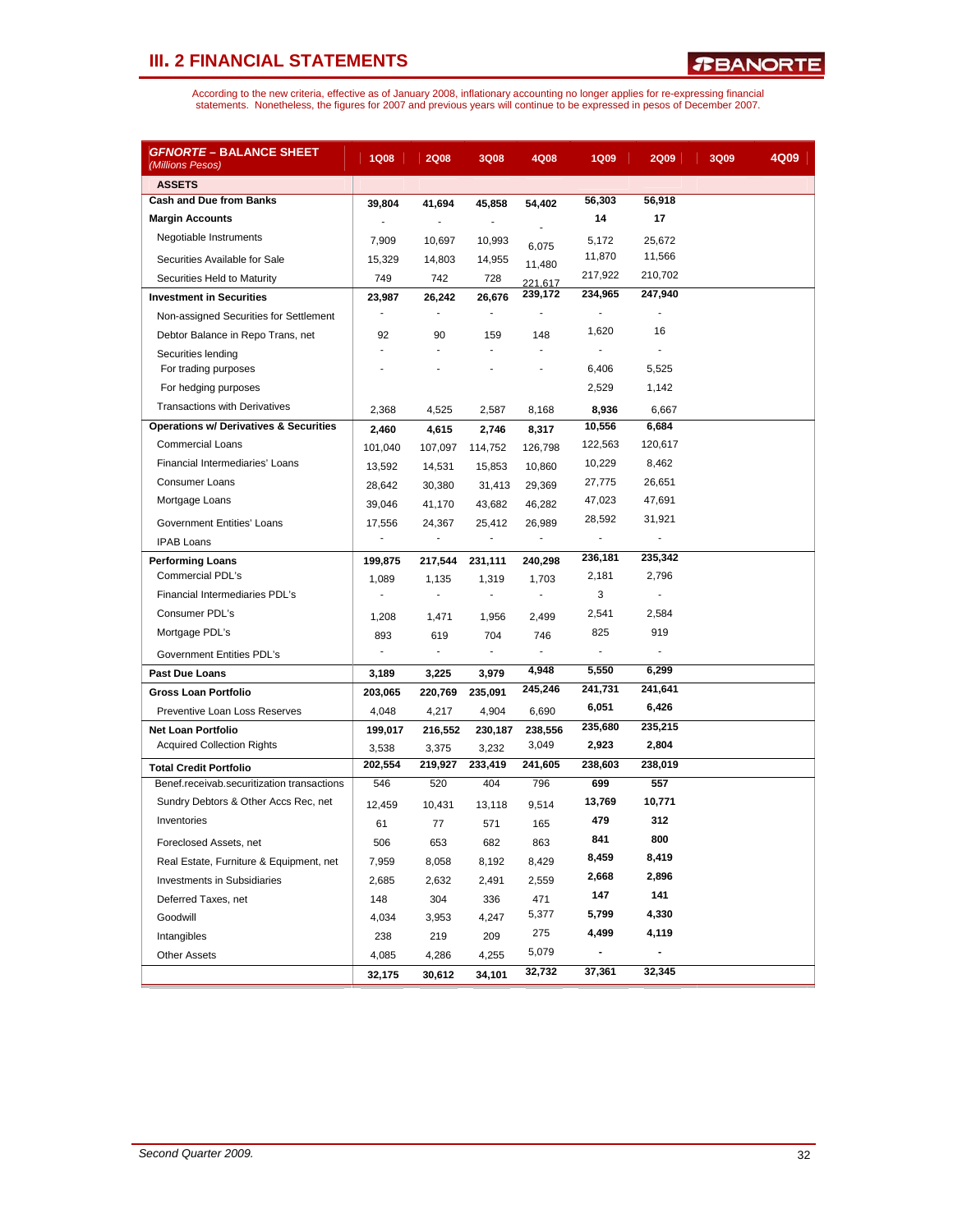| <u> <i>GFNORTE</i> – BALANCE SHEET</u><br>(Millions Pesos) | <b>1Q08</b> | <b>2Q08</b>              | 3Q08           | 4Q08    | <b>1Q09</b>              | <b>2Q09</b>    | 3Q09 | 4Q09 |
|------------------------------------------------------------|-------------|--------------------------|----------------|---------|--------------------------|----------------|------|------|
| <b>ASSETS</b>                                              |             |                          |                |         |                          |                |      |      |
| <b>Cash and Due from Banks</b>                             | 39,804      | 41,694                   | 45,858         | 54,402  | 56,303                   | 56,918         |      |      |
| <b>Margin Accounts</b>                                     | ÷,          |                          | $\blacksquare$ |         | 14                       | 17             |      |      |
| Negotiable Instruments                                     | 7,909       | 10,697                   | 10,993         | 6,075   | 5,172                    | 25,672         |      |      |
| Securities Available for Sale                              | 15,329      | 14,803                   | 14,955         | 11,480  | 11,870                   | 11,566         |      |      |
| Securities Held to Maturity                                | 749         | 742                      | 728            | 221,617 | 217,922                  | 210,702        |      |      |
| <b>Investment in Securities</b>                            | 23,987      | 26,242                   | 26,676         | 239,172 | 234,965                  | 247,940        |      |      |
| Non-assigned Securities for Settlement                     |             | ÷,                       | $\blacksquare$ |         | $\overline{\phantom{a}}$ |                |      |      |
| Debtor Balance in Repo Trans, net                          | 92          | 90                       | 159            | 148     | 1,620                    | 16             |      |      |
| Securities lending                                         | L,          | ÷.                       | ä,             | ä,      | ÷.                       |                |      |      |
| For trading purposes                                       |             |                          |                |         | 6,406                    | 5,525          |      |      |
| For hedging purposes                                       |             |                          |                |         | 2,529                    | 1,142          |      |      |
| <b>Transactions with Derivatives</b>                       | 2,368       | 4,525                    | 2,587          | 8,168   | 8,936                    | 6,667          |      |      |
| <b>Operations w/ Derivatives &amp; Securities</b>          | 2,460       | 4,615                    | 2,746          | 8,317   | 10,556                   | 6,684          |      |      |
| <b>Commercial Loans</b>                                    | 101,040     | 107,097                  | 114,752        | 126,798 | 122,563                  | 120,617        |      |      |
| Financial Intermediaries' Loans                            | 13,592      | 14,531                   | 15,853         | 10,860  | 10,229                   | 8,462          |      |      |
| <b>Consumer Loans</b>                                      | 28,642      | 30,380                   | 31,413         | 29,369  | 27,775                   | 26,651         |      |      |
| Mortgage Loans                                             | 39,046      | 41,170                   | 43,682         | 46,282  | 47,023                   | 47,691         |      |      |
| Government Entities' Loans                                 | 17,556      | 24,367                   | 25,412         | 26,989  | 28,592                   | 31,921         |      |      |
| <b>IPAB Loans</b>                                          | ÷           | ÷.                       | ÷              | ٠       | $\overline{\phantom{a}}$ | $\overline{a}$ |      |      |
| <b>Performing Loans</b>                                    | 199,875     | 217,544                  | 231,111        | 240,298 | 236,181                  | 235,342        |      |      |
| <b>Commercial PDL's</b>                                    | 1,089       | 1,135                    | 1,319          | 1,703   | 2,181                    | 2,796          |      |      |
| Financial Intermediaries PDL's                             | -           | ÷,                       | ÷,             | ٠       | 3                        | ÷,             |      |      |
| Consumer PDL's                                             | 1,208       | 1,471                    | 1,956          | 2,499   | 2,541                    | 2,584          |      |      |
| Mortgage PDL's                                             | 893         | 619                      | 704            | 746     | 825                      | 919            |      |      |
| Government Entities PDL's                                  | ÷           | $\overline{\phantom{a}}$ | $\blacksquare$ | ٠       | ÷.                       |                |      |      |
| <b>Past Due Loans</b>                                      | 3,189       | 3,225                    | 3,979          | 4,948   | 5,550                    | 6,299          |      |      |
| Gross Loan Portfolio                                       | 203,065     | 220,769                  | 235,091        | 245,246 | 241,731                  | 241,641        |      |      |
| Preventive Loan Loss Reserves                              | 4,048       | 4,217                    | 4,904          | 6,690   | 6,051                    | 6,426          |      |      |
| <b>Net Loan Portfolio</b>                                  | 199,017     | 216,552                  | 230,187        | 238,556 | 235,680                  | 235,215        |      |      |
| <b>Acquired Collection Rights</b>                          | 3,538       | 3,375                    | 3,232          | 3,049   | 2,923                    | 2,804          |      |      |
| <b>Total Credit Portfolio</b>                              | 202,554     | 219,927                  | 233,419        | 241,605 | 238,603                  | 238,019        |      |      |
| Benef.receivab.securitization transactions                 | 546         | 520                      | 404            | 796     | 699                      | 557            |      |      |
| Sundry Debtors & Other Accs Rec, net                       | 12,459      | 10,431                   | 13.118         | 9,514   | 13,769                   | 10,771         |      |      |
| Inventories                                                | 61          | 77                       | 571            | 165     | 479                      | 312            |      |      |
| Foreclosed Assets, net                                     | 506         | 653                      | 682            | 863     | 841                      | 800            |      |      |
| Real Estate, Furniture & Equipment, net                    | 7,959       | 8,058                    | 8,192          | 8,429   | 8,459                    | 8,419          |      |      |
| Investments in Subsidiaries                                | 2,685       | 2,632                    | 2,491          | 2,559   | 2,668                    | 2,896          |      |      |
| Deferred Taxes, net                                        | 148         | 304                      | 336            | 471     | 147                      | 141            |      |      |
| Goodwill                                                   | 4,034       | 3,953                    | 4,247          | 5,377   | 5,799                    | 4,330          |      |      |
| Intangibles                                                | 238         | 219                      | 209            | 275     | 4,499                    | 4,119          |      |      |
| <b>Other Assets</b>                                        | 4,085       | 4,286                    | 4,255          | 5,079   | $\overline{\phantom{0}}$ |                |      |      |
|                                                            | 32,175      | 30,612                   | 34,101         | 32,732  | 37,361                   | 32,345         |      |      |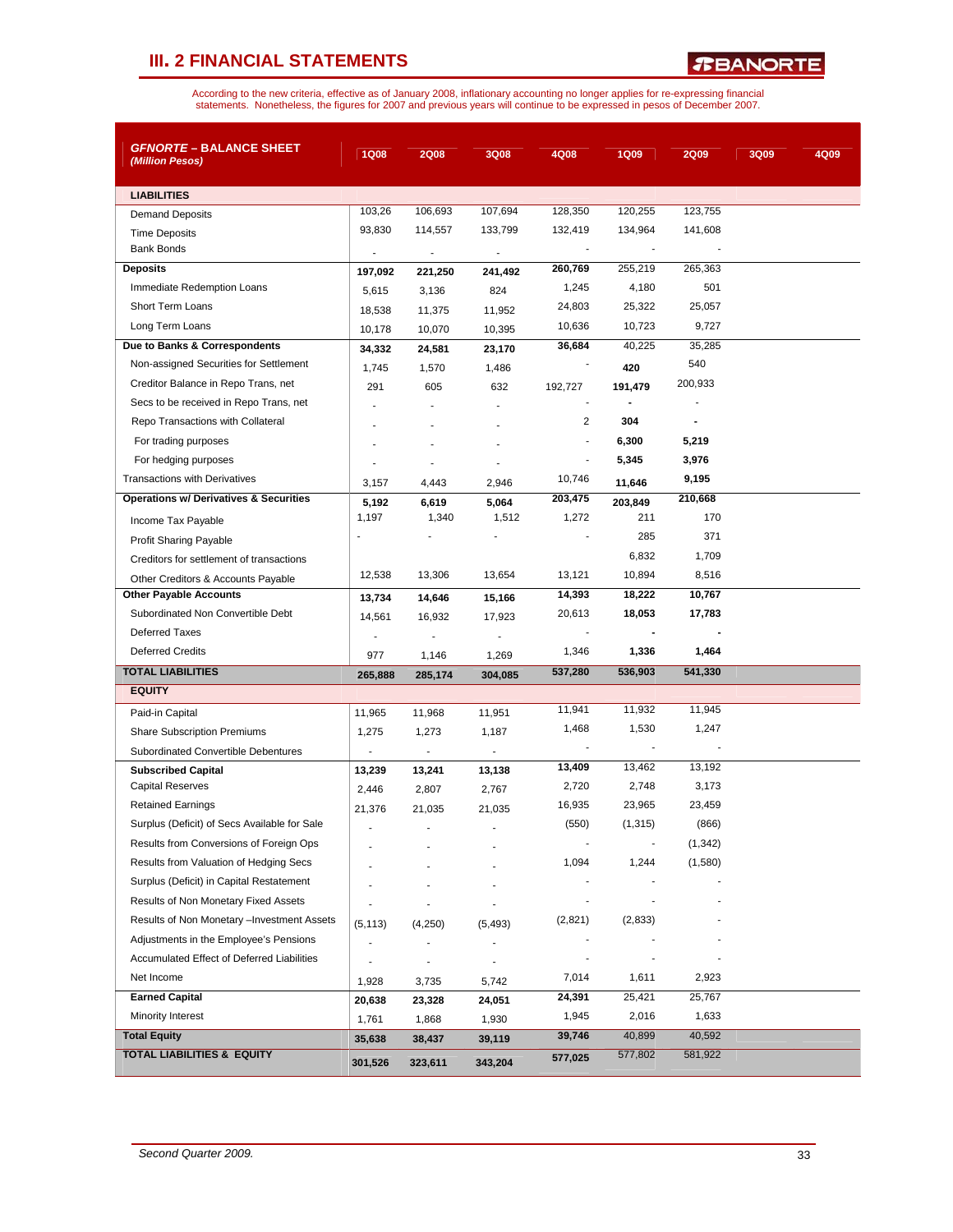*R***BANORTE** 

| <b><i>GFNORTE</i> – BALANCE SHEET</b><br>(Million Pesos) | <b>1Q08</b>              | <b>2Q08</b>              | 3Q08                     | 4Q08                     | <b>1Q09</b> | <b>2Q09</b> | 3Q09 | 4Q09 |
|----------------------------------------------------------|--------------------------|--------------------------|--------------------------|--------------------------|-------------|-------------|------|------|
| <b>LIABILITIES</b>                                       |                          |                          |                          |                          |             |             |      |      |
| <b>Demand Deposits</b>                                   | 103,26                   | 106,693                  | 107,694                  | 128,350                  | 120,255     | 123,755     |      |      |
| <b>Time Deposits</b>                                     | 93,830                   | 114,557                  | 133,799                  | 132,419                  | 134,964     | 141,608     |      |      |
| <b>Bank Bonds</b>                                        | $\overline{\phantom{a}}$ | $\overline{\phantom{a}}$ | $\overline{\phantom{a}}$ |                          |             |             |      |      |
| <b>Deposits</b>                                          | 197,092                  | 221,250                  | 241,492                  | 260,769                  | 255,219     | 265,363     |      |      |
| Immediate Redemption Loans                               | 5,615                    | 3,136                    | 824                      | 1,245                    | 4,180       | 501         |      |      |
| <b>Short Term Loans</b>                                  | 18,538                   | 11,375                   | 11,952                   | 24,803                   | 25,322      | 25,057      |      |      |
| Long Term Loans                                          | 10,178                   | 10,070                   | 10,395                   | 10,636                   | 10,723      | 9,727       |      |      |
| Due to Banks & Correspondents                            | 34,332                   | 24,581                   | 23,170                   | 36,684                   | 40,225      | 35,285      |      |      |
| Non-assigned Securities for Settlement                   | 1,745                    | 1,570                    | 1,486                    |                          | 420         | 540         |      |      |
| Creditor Balance in Repo Trans, net                      | 291                      | 605                      | 632                      | 192,727                  | 191,479     | 200,933     |      |      |
| Secs to be received in Repo Trans, net                   |                          |                          |                          |                          |             |             |      |      |
| Repo Transactions with Collateral                        |                          |                          |                          | 2                        | 304         |             |      |      |
| For trading purposes                                     |                          |                          |                          | $\blacksquare$           | 6,300       | 5,219       |      |      |
| For hedging purposes                                     |                          |                          |                          | $\blacksquare$           | 5,345       | 3,976       |      |      |
| <b>Transactions with Derivatives</b>                     | 3,157                    | 4,443                    | 2,946                    | 10,746                   | 11,646      | 9,195       |      |      |
| <b>Operations w/ Derivatives &amp; Securities</b>        | 5,192                    | 6,619                    | 5,064                    | 203,475                  | 203,849     | 210,668     |      |      |
| Income Tax Payable                                       | 1,197                    | 1,340                    | 1,512                    | 1,272                    | 211         | 170         |      |      |
| <b>Profit Sharing Payable</b>                            | J.                       |                          |                          |                          | 285         | 371         |      |      |
| Creditors for settlement of transactions                 |                          |                          |                          |                          | 6,832       | 1,709       |      |      |
| Other Creditors & Accounts Payable                       | 12,538                   | 13,306                   | 13,654                   | 13,121                   | 10,894      | 8,516       |      |      |
| <b>Other Payable Accounts</b>                            | 13,734                   | 14,646                   | 15,166                   | 14,393                   | 18,222      | 10,767      |      |      |
| Subordinated Non Convertible Debt                        | 14,561                   | 16,932                   | 17,923                   | 20,613                   | 18,053      | 17,783      |      |      |
| <b>Deferred Taxes</b>                                    |                          |                          | $\overline{\phantom{a}}$ | $\blacksquare$           |             |             |      |      |
| <b>Deferred Credits</b>                                  | 977                      | 1,146                    | 1,269                    | 1,346                    | 1,336       | 1,464       |      |      |
| <b>TOTAL LIABILITIES</b>                                 | 265,888                  | 285,174                  | 304,085                  | 537,280                  | 536,903     | 541,330     |      |      |
| <b>EQUITY</b>                                            |                          |                          |                          |                          |             |             |      |      |
| Paid-in Capital                                          | 11,965                   | 11,968                   | 11,951                   | 11,941                   | 11,932      | 11,945      |      |      |
| <b>Share Subscription Premiums</b>                       | 1,275                    | 1,273                    | 1,187                    | 1,468                    | 1,530       | 1,247       |      |      |
| Subordinated Convertible Debentures                      | $\blacksquare$           | $\overline{\phantom{a}}$ | $\blacksquare$           | $\overline{\phantom{a}}$ |             |             |      |      |
| <b>Subscribed Capital</b>                                | 13,239                   | 13,241                   | 13,138                   | 13,409                   | 13,462      | 13,192      |      |      |
| <b>Capital Reserves</b>                                  | 2,446                    | 2,807                    | 2,767                    | 2,720                    | 2,748       | 3,173       |      |      |
| <b>Retained Earnings</b>                                 | 21,376                   | 21,035                   | 21,035                   | 16,935                   | 23,965      | 23,459      |      |      |
| Surplus (Deficit) of Secs Available for Sale             |                          |                          |                          | (550)                    | (1, 315)    | (866)       |      |      |
| Results from Conversions of Foreign Ops                  |                          |                          |                          |                          |             | (1, 342)    |      |      |
| Results from Valuation of Hedging Secs                   |                          |                          |                          | 1,094                    | 1,244       | (1,580)     |      |      |
| Surplus (Deficit) in Capital Restatement                 |                          |                          |                          |                          |             |             |      |      |
| Results of Non Monetary Fixed Assets                     |                          |                          |                          |                          |             |             |      |      |
| Results of Non Monetary -Investment Assets               | (5, 113)                 | (4,250)                  | (5, 493)                 | (2,821)                  | (2,833)     |             |      |      |
| Adjustments in the Employee's Pensions                   |                          |                          |                          |                          |             |             |      |      |
| Accumulated Effect of Deferred Liabilities               |                          |                          |                          |                          |             |             |      |      |
| Net Income                                               | 1,928                    | 3,735                    | 5,742                    | 7,014                    | 1,611       | 2,923       |      |      |
| <b>Earned Capital</b>                                    | 20,638                   | 23,328                   | 24,051                   | 24,391                   | 25,421      | 25,767      |      |      |
| Minority Interest                                        | 1,761                    | 1,868                    | 1,930                    | 1,945                    | 2,016       | 1,633       |      |      |
| <b>Total Equity</b>                                      | 35,638                   | 38,437                   | 39,119                   | 39,746                   | 40,899      | 40,592      |      |      |
| <b>TOTAL LIABILITIES &amp; EQUITY</b>                    | 301,526                  | 323,611                  | 343,204                  | 577,025                  | 577,802     | 581,922     |      |      |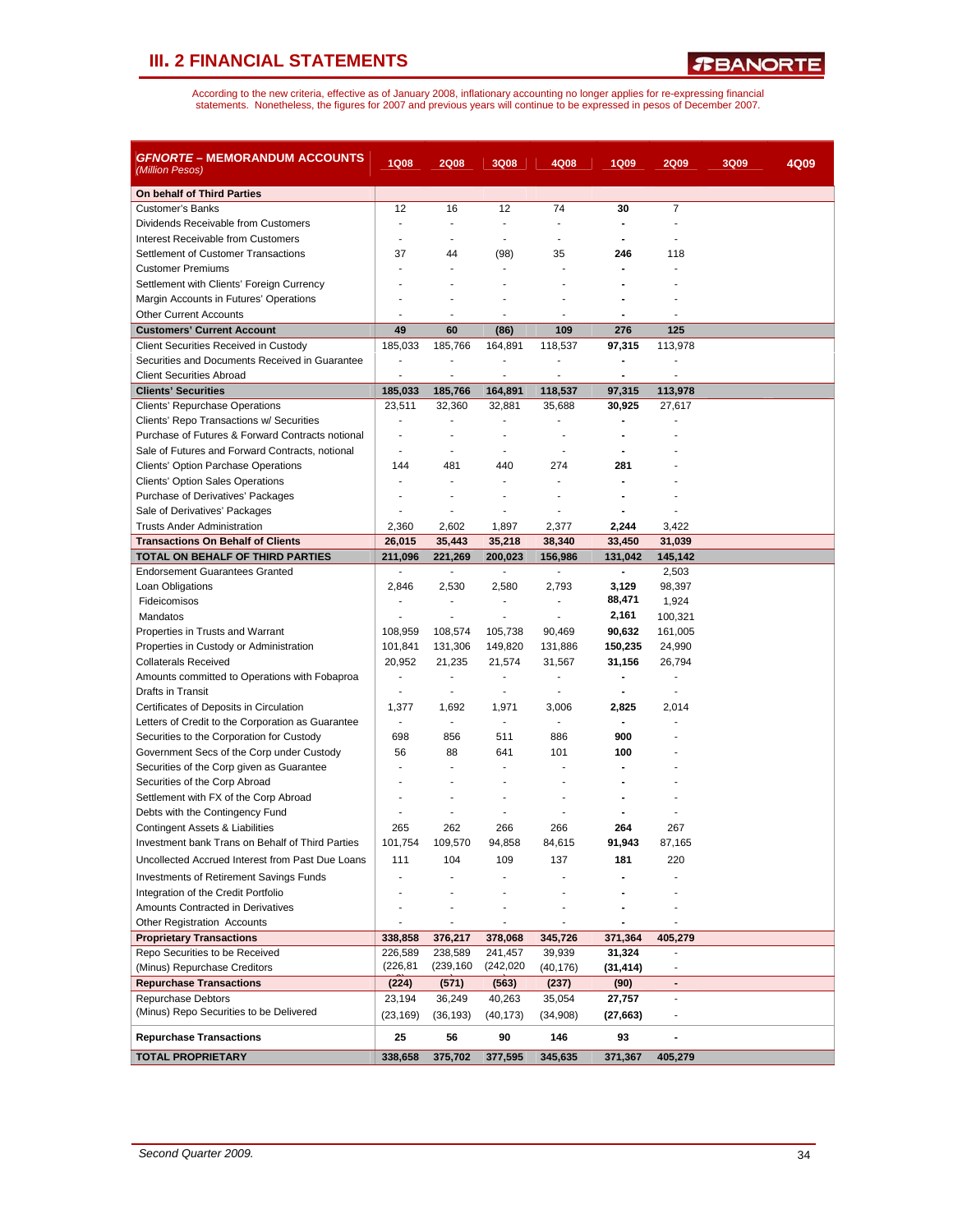| <i>GFNORTE</i> – MEMORANDUM ACCOUNTS<br>(Million Pesos) | <b>1Q08</b>              | <b>2Q08</b>              | 3Q08                     | 4Q08                         | 1Q09                         | <b>2Q09</b>    | 3Q09 | 4Q09 |
|---------------------------------------------------------|--------------------------|--------------------------|--------------------------|------------------------------|------------------------------|----------------|------|------|
| On behalf of Third Parties                              |                          |                          |                          |                              |                              |                |      |      |
| <b>Customer's Banks</b>                                 | 12                       | 16                       | 12                       | 74                           | 30                           | $\overline{7}$ |      |      |
| Dividends Receivable from Customers                     | ٠                        | $\blacksquare$           | $\blacksquare$           | ٠                            | $\blacksquare$               |                |      |      |
| Interest Receivable from Customers                      |                          |                          |                          | ÷,                           |                              |                |      |      |
| Settlement of Customer Transactions                     | 37                       | 44                       | (98)                     | 35                           | 246                          | 118            |      |      |
| <b>Customer Premiums</b>                                |                          | ÷                        |                          |                              | ÷.                           |                |      |      |
| Settlement with Clients' Foreign Currency               |                          |                          |                          |                              |                              |                |      |      |
| Margin Accounts in Futures' Operations                  |                          |                          |                          |                              |                              |                |      |      |
| <b>Other Current Accounts</b>                           |                          | ä,                       | $\blacksquare$           | ٠                            |                              |                |      |      |
| <b>Customers' Current Account</b>                       | 49                       | 60                       | (86)                     | 109                          | 276                          | 125            |      |      |
| Client Securities Received in Custody                   | 185,033                  | 185,766                  | 164,891                  | 118,537                      | 97,315                       | 113,978        |      |      |
| Securities and Documents Received in Guarantee          | $\overline{a}$           | $\overline{\phantom{a}}$ |                          | $\qquad \qquad \blacksquare$ | $\qquad \qquad \blacksquare$ |                |      |      |
| <b>Client Securities Abroad</b>                         | $\overline{a}$           | ÷,                       | $\blacksquare$           | $\blacksquare$               | $\blacksquare$               |                |      |      |
| <b>Clients' Securities</b>                              | 185,033                  | 185,766                  | 164,891                  | 118,537                      | 97,315                       | 113,978        |      |      |
| Clients' Repurchase Operations                          | 23,511                   | 32,360                   | 32,881                   | 35,688                       | 30,925                       | 27,617         |      |      |
| Clients' Repo Transactions w/ Securities                | $\overline{a}$           | ÷                        | ÷.                       | $\overline{a}$               |                              |                |      |      |
| Purchase of Futures & Forward Contracts notional        | ÷,                       | ä,                       |                          |                              |                              |                |      |      |
| Sale of Futures and Forward Contracts, notional         | $\blacksquare$           | $\overline{a}$           | $\blacksquare$           | $\overline{a}$               | ٠                            |                |      |      |
| <b>Clients' Option Parchase Operations</b>              | 144                      | 481                      | 440                      | 274                          | 281                          |                |      |      |
| <b>Clients' Option Sales Operations</b>                 |                          | $\overline{a}$           | $\blacksquare$           | $\overline{a}$               | ÷.                           |                |      |      |
| Purchase of Derivatives' Packages                       |                          |                          |                          |                              |                              |                |      |      |
| Sale of Derivatives' Packages                           | ٠                        | ×.                       |                          | ÷                            |                              |                |      |      |
| <b>Trusts Ander Administration</b>                      | 2,360                    | 2,602                    | 1,897                    | 2,377                        | 2,244                        | 3,422          |      |      |
| <b>Transactions On Behalf of Clients</b>                | 26,015                   | 35,443                   | 35,218                   | 38,340                       | 33,450                       | 31,039         |      |      |
| TOTAL ON BEHALF OF THIRD PARTIES                        | 211,096                  | 221,269                  | 200,023                  | 156,986                      | 131,042                      | 145,142        |      |      |
| <b>Endorsement Guarantees Granted</b>                   | $\overline{\phantom{a}}$ | $\blacksquare$           | $\sim$                   | $\blacksquare$               | $\blacksquare$               | 2,503          |      |      |
| Loan Obligations                                        | 2,846                    | 2,530                    | 2,580                    | 2,793                        | 3,129                        | 98,397         |      |      |
| Fideicomisos                                            | $\frac{1}{2}$            | $\overline{\phantom{a}}$ | $\overline{\phantom{a}}$ | $\overline{a}$               | 88,471                       | 1,924          |      |      |
| Mandatos                                                | ÷.                       | ÷                        | $\overline{a}$           | $\blacksquare$               | 2,161                        | 100,321        |      |      |
| Properties in Trusts and Warrant                        | 108,959                  | 108,574                  | 105,738                  | 90,469                       | 90,632                       | 161,005        |      |      |
| Properties in Custody or Administration                 | 101,841                  | 131,306                  | 149,820                  | 131,886                      | 150,235                      | 24,990         |      |      |
| <b>Collaterals Received</b>                             | 20,952                   | 21,235                   | 21,574                   | 31,567                       | 31,156                       | 26,794         |      |      |
| Amounts committed to Operations with Fobaproa           | ÷.                       | $\blacksquare$           | $\blacksquare$           | $\blacksquare$               | $\blacksquare$               | $\blacksquare$ |      |      |
| Drafts in Transit                                       |                          | ÷,                       |                          | ÷,                           |                              |                |      |      |
| Certificates of Deposits in Circulation                 | 1,377                    | 1,692                    | 1,971                    | 3,006                        | 2,825                        | 2,014          |      |      |
| Letters of Credit to the Corporation as Guarantee       | $\overline{\phantom{a}}$ | $\blacksquare$           | $\blacksquare$           | $\blacksquare$               | $\blacksquare$               |                |      |      |
| Securities to the Corporation for Custody               | 698                      | 856                      | 511                      | 886                          | 900                          |                |      |      |
| Government Secs of the Corp under Custody               | 56                       | 88                       | 641                      | 101                          | 100                          |                |      |      |
| Securities of the Corp given as Guarantee               |                          | ٠                        |                          |                              |                              |                |      |      |
| Securities of the Corp Abroad                           |                          |                          |                          |                              |                              |                |      |      |
| Settlement with FX of the Corp Abroad                   |                          |                          |                          |                              |                              |                |      |      |
| Debts with the Contingency Fund                         |                          |                          |                          |                              |                              |                |      |      |
| <b>Contingent Assets &amp; Liabilities</b>              | 265                      | 262                      | 266                      | 266                          | 264                          | 267            |      |      |
| Investment bank Trans on Behalf of Third Parties        | 101,754                  | 109,570                  | 94,858                   | 84,615                       | 91,943                       | 87,165         |      |      |
| Uncollected Accrued Interest from Past Due Loans        | 111                      | 104                      | 109                      | 137                          | 181                          | 220            |      |      |
| <b>Investments of Retirement Savings Funds</b>          |                          |                          |                          |                              |                              |                |      |      |
| Integration of the Credit Portfolio                     |                          |                          |                          |                              |                              |                |      |      |
| Amounts Contracted in Derivatives                       |                          |                          |                          |                              |                              |                |      |      |
| <b>Other Registration Accounts</b>                      |                          | $\overline{\phantom{a}}$ | $\overline{\phantom{a}}$ |                              | $\overline{\phantom{a}}$     |                |      |      |
| <b>Proprietary Transactions</b>                         | 338,858                  | 376,217                  | 378,068                  | 345,726                      | 371,364                      | 405,279        |      |      |
| Repo Securities to be Received                          | 226,589                  | 238,589                  | 241,457                  | 39,939                       | 31,324                       |                |      |      |
| (Minus) Repurchase Creditors                            | (226, 81)                | (239, 160)               | (242, 020)               | (40, 176)                    | (31,414)                     |                |      |      |
| <b>Repurchase Transactions</b>                          | (224)                    | (571)                    | (563)                    | (237)                        | (90)                         | $\blacksquare$ |      |      |
| Repurchase Debtors                                      | 23,194                   | 36,249                   | 40,263                   | 35,054                       | 27,757                       |                |      |      |
| (Minus) Repo Securities to be Delivered                 | (23, 169)                | (36, 193)                | (40, 173)                | (34,908)                     | (27, 663)                    |                |      |      |
| <b>Repurchase Transactions</b>                          | 25                       | 56                       | 90                       | 146                          | 93                           |                |      |      |
| <b>TOTAL PROPRIETARY</b>                                | 338,658                  | 375,702                  | 377,595                  | 345,635                      | 371,367                      | 405,279        |      |      |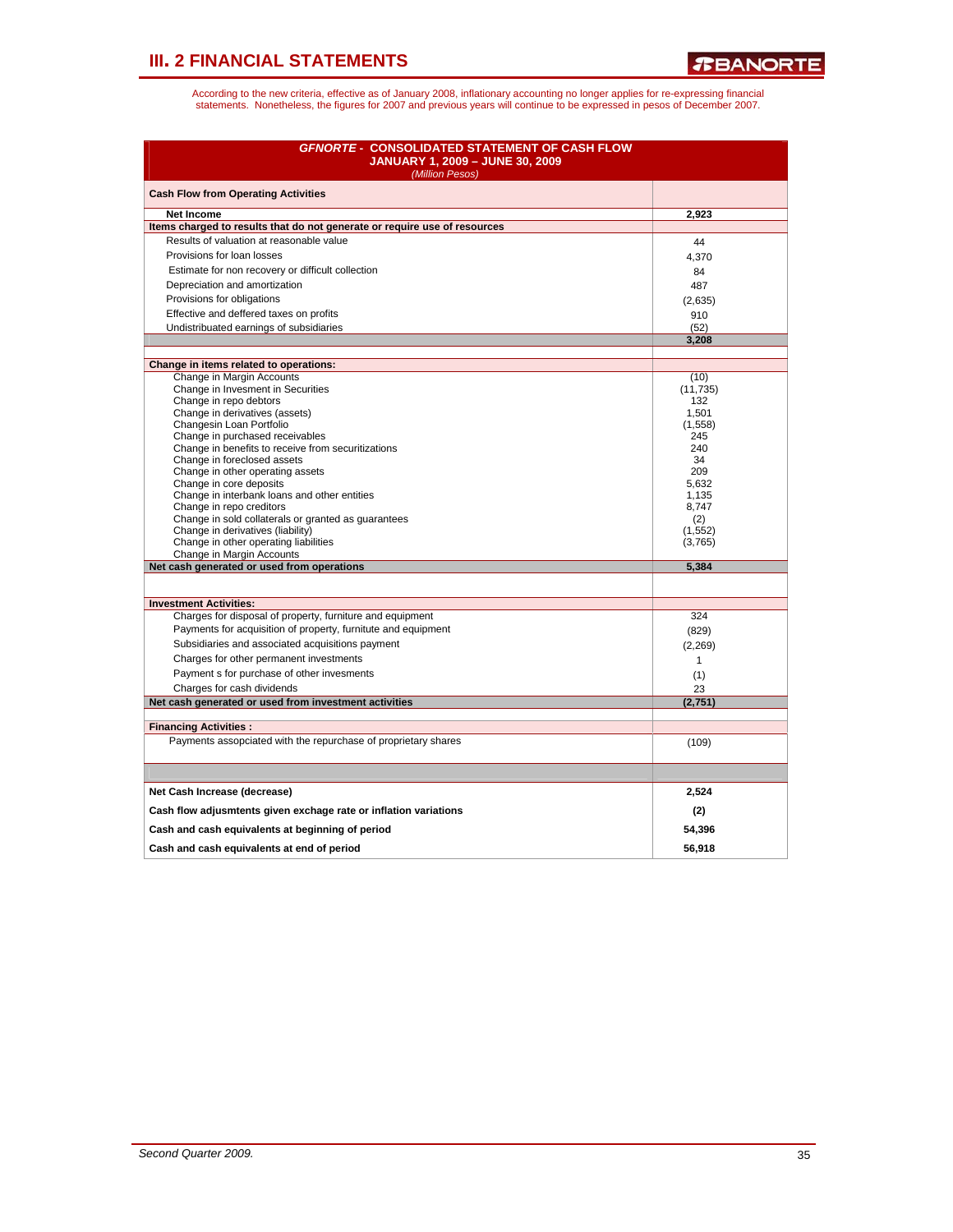| <b>GFNORTE - CONSOLIDATED STATEMENT OF CASH FLOW</b><br><b>JANUARY 1, 2009 - JUNE 30, 2009</b><br>(Million Pesos) |                |
|-------------------------------------------------------------------------------------------------------------------|----------------|
| <b>Cash Flow from Operating Activities</b>                                                                        |                |
| <b>Net Income</b>                                                                                                 | 2,923          |
| Items charged to results that do not generate or require use of resources                                         |                |
| Results of valuation at reasonable value                                                                          | 44             |
| Provisions for loan losses                                                                                        | 4,370          |
| Estimate for non recovery or difficult collection                                                                 | 84             |
| Depreciation and amortization                                                                                     | 487            |
| Provisions for obligations                                                                                        | (2,635)        |
| Effective and deffered taxes on profits                                                                           | 910            |
| Undistribuated earnings of subsidiaries                                                                           | (52)           |
|                                                                                                                   | 3,208          |
|                                                                                                                   |                |
| Change in items related to operations:<br>Change in Margin Accounts                                               | (10)           |
| Change in Invesment in Securities                                                                                 | (11, 735)      |
| Change in repo debtors                                                                                            | 132            |
| Change in derivatives (assets)                                                                                    | 1.501          |
| Changesin Loan Portfolio                                                                                          | (1, 558)       |
| Change in purchased receivables                                                                                   | 245            |
| Change in benefits to receive from securitizations                                                                | 240            |
| Change in foreclosed assets                                                                                       | 34             |
| Change in other operating assets                                                                                  | 209            |
| Change in core deposits                                                                                           | 5,632          |
| Change in interbank loans and other entities<br>Change in repo creditors                                          | 1,135<br>8,747 |
| Change in sold collaterals or granted as guarantees                                                               | (2)            |
| Change in derivatives (liability)                                                                                 | (1, 552)       |
| Change in other operating liabilities                                                                             | (3,765)        |
| Change in Margin Accounts                                                                                         |                |
| Net cash generated or used from operations                                                                        | 5,384          |
|                                                                                                                   |                |
| <b>Investment Activities:</b>                                                                                     |                |
| Charges for disposal of property, furniture and equipment                                                         | 324            |
| Payments for acquisition of property, furnitute and equipment                                                     | (829)          |
| Subsidiaries and associated acquisitions payment                                                                  | (2, 269)       |
| Charges for other permanent investments                                                                           | $\mathbf{1}$   |
| Payment s for purchase of other invesments                                                                        | (1)            |
| Charges for cash dividends                                                                                        | 23             |
| Net cash generated or used from investment activities                                                             | (2,751)        |
|                                                                                                                   |                |
| <b>Financing Activities:</b>                                                                                      |                |
| Payments assopciated with the repurchase of proprietary shares                                                    | (109)          |
|                                                                                                                   |                |
| Net Cash Increase (decrease)                                                                                      | 2,524          |
| Cash flow adjusmtents given exchage rate or inflation variations                                                  | (2)            |
| Cash and cash equivalents at beginning of period                                                                  | 54,396         |
| Cash and cash equivalents at end of period                                                                        | 56.918         |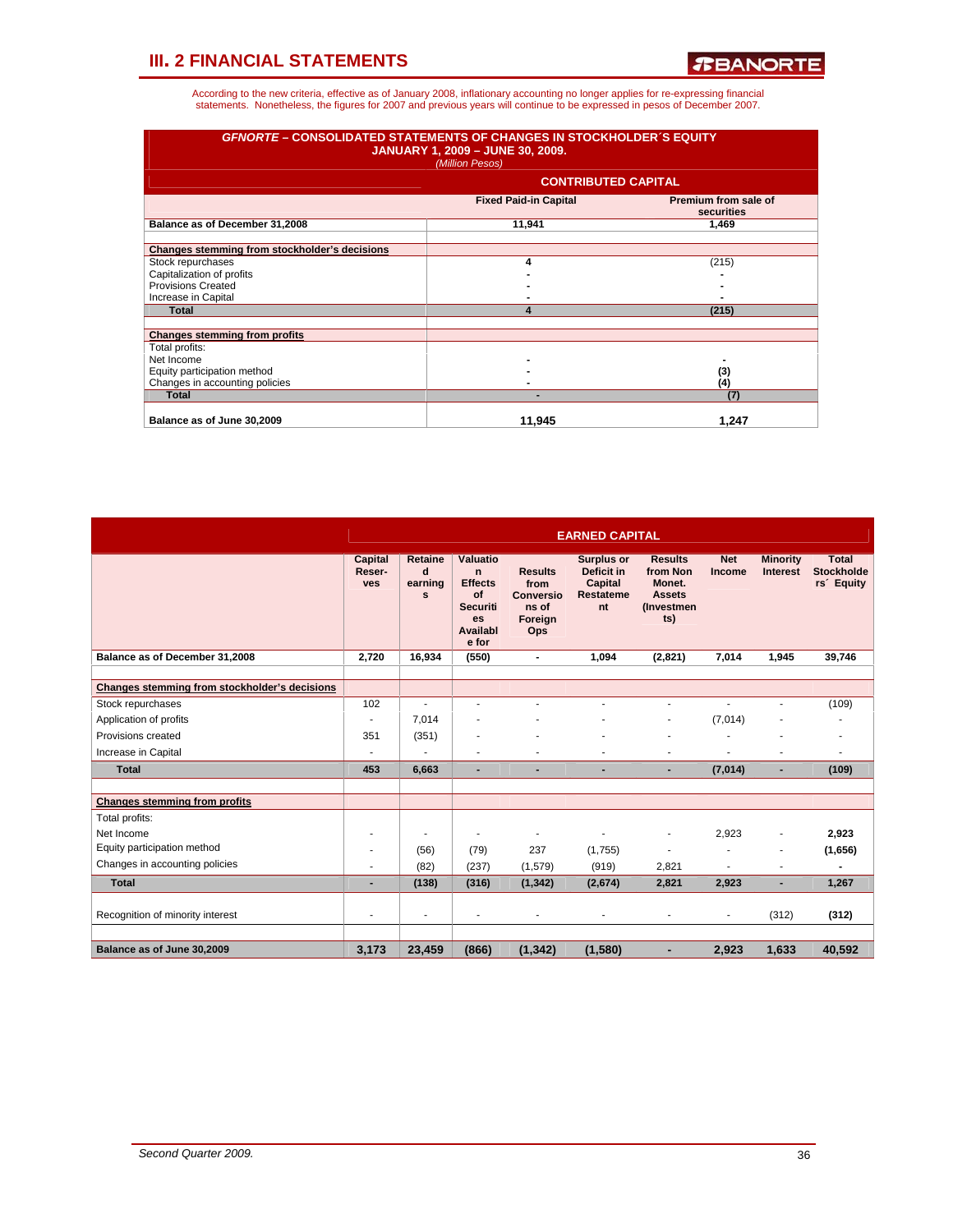| <b>GFNORTE - CONSOLIDATED STATEMENTS OF CHANGES IN STOCKHOLDER'S EQUITY</b> | <b>JANUARY 1, 2009 - JUNE 30, 2009.</b><br>(Million Pesos) |                                    |
|-----------------------------------------------------------------------------|------------------------------------------------------------|------------------------------------|
|                                                                             | <b>CONTRIBUTED CAPITAL</b>                                 |                                    |
|                                                                             | <b>Fixed Paid-in Capital</b>                               | Premium from sale of<br>securities |
| Balance as of December 31,2008                                              | 11,941                                                     | 1,469                              |
| Changes stemming from stockholder's decisions                               |                                                            |                                    |
| Stock repurchases                                                           | 4                                                          | (215)                              |
| Capitalization of profits                                                   |                                                            |                                    |
| Provisions Created                                                          |                                                            |                                    |
| Increase in Capital                                                         |                                                            |                                    |
| Total                                                                       | $\boldsymbol{\Lambda}$                                     | (215)                              |
| <b>Changes stemming from profits</b>                                        |                                                            |                                    |
| Total profits:                                                              |                                                            |                                    |
| Net Income                                                                  |                                                            |                                    |
| Equity participation method                                                 |                                                            | (3)                                |
| Changes in accounting policies                                              |                                                            | (4)                                |
| <b>Total</b>                                                                |                                                            | (7)                                |
| Balance as of June 30,2009                                                  | 11,945                                                     | 1,247                              |

|                                               | <b>EARNED CAPITAL</b>           |                                         |                                                                                                             |                                                                       |                                                                             |                                                                                    |                      |                                    |                                                             |  |
|-----------------------------------------------|---------------------------------|-----------------------------------------|-------------------------------------------------------------------------------------------------------------|-----------------------------------------------------------------------|-----------------------------------------------------------------------------|------------------------------------------------------------------------------------|----------------------|------------------------------------|-------------------------------------------------------------|--|
|                                               | Capital<br>Reser-<br><b>ves</b> | Retaine<br>$\mathbf{d}$<br>earning<br>s | <b>Valuatio</b><br>$\mathbf n$<br><b>Effects</b><br>of<br><b>Securiti</b><br><b>es</b><br>Availabl<br>e for | <b>Results</b><br>from<br><b>Conversio</b><br>ns of<br>Foreign<br>Ops | <b>Surplus or</b><br>Deficit in<br><b>Capital</b><br><b>Restateme</b><br>nt | <b>Results</b><br>from Non<br>Monet.<br><b>Assets</b><br><i>(Investmen)</i><br>ts) | <b>Net</b><br>Income | <b>Minority</b><br><b>Interest</b> | <b>Total</b><br><b>Stockholde</b><br>rs <sup>2</sup> Equity |  |
| Balance as of December 31,2008                | 2.720                           | 16.934                                  | (550)                                                                                                       | $\blacksquare$                                                        | 1.094                                                                       | (2,821)                                                                            | 7.014                | 1.945                              | 39.746                                                      |  |
| Changes stemming from stockholder's decisions |                                 |                                         |                                                                                                             |                                                                       |                                                                             |                                                                                    |                      |                                    |                                                             |  |
| Stock repurchases                             | 102                             | ÷                                       | ÷                                                                                                           |                                                                       | ä,                                                                          | $\blacksquare$                                                                     | $\overline{a}$       |                                    | (109)                                                       |  |
| Application of profits                        |                                 | 7,014                                   |                                                                                                             |                                                                       |                                                                             | ٠                                                                                  | (7,014)              |                                    |                                                             |  |
| Provisions created                            | 351                             | (351)                                   |                                                                                                             |                                                                       |                                                                             |                                                                                    |                      |                                    |                                                             |  |
| Increase in Capital                           |                                 | ٠                                       | ٠                                                                                                           | ٠                                                                     |                                                                             | $\blacksquare$                                                                     |                      |                                    |                                                             |  |
| <b>Total</b>                                  | 453                             | 6.663                                   | ٠                                                                                                           | $\overline{\phantom{a}}$                                              | ٠                                                                           | ۰                                                                                  | (7,014)              |                                    | (109)                                                       |  |
|                                               |                                 |                                         |                                                                                                             |                                                                       |                                                                             |                                                                                    |                      |                                    |                                                             |  |
| <b>Changes stemming from profits</b>          |                                 |                                         |                                                                                                             |                                                                       |                                                                             |                                                                                    |                      |                                    |                                                             |  |
| Total profits:                                |                                 |                                         |                                                                                                             |                                                                       |                                                                             |                                                                                    |                      |                                    |                                                             |  |
| Net Income                                    |                                 |                                         | ٠                                                                                                           | $\overline{\phantom{a}}$                                              | ٠                                                                           | ٠                                                                                  | 2,923                |                                    | 2,923                                                       |  |
| Equity participation method                   |                                 | (56)                                    | (79)                                                                                                        | 237                                                                   | (1,755)                                                                     | $\blacksquare$                                                                     |                      |                                    | (1,656)                                                     |  |
| Changes in accounting policies                |                                 | (82)                                    | (237)                                                                                                       | (1,579)                                                               | (919)                                                                       | 2,821                                                                              |                      |                                    |                                                             |  |
| <b>Total</b>                                  |                                 | (138)                                   | (316)                                                                                                       | (1, 342)                                                              | (2,674)                                                                     | 2.821                                                                              | 2,923                |                                    | 1,267                                                       |  |
| Recognition of minority interest              |                                 | ٠                                       | ٠                                                                                                           |                                                                       |                                                                             | ٠                                                                                  |                      | (312)                              | (312)                                                       |  |
|                                               |                                 |                                         |                                                                                                             |                                                                       |                                                                             |                                                                                    |                      |                                    |                                                             |  |
| Balance as of June 30,2009                    | 3,173                           | 23,459                                  | (866)                                                                                                       | (1, 342)                                                              | (1,580)                                                                     |                                                                                    | 2,923                | 1,633                              | 40,592                                                      |  |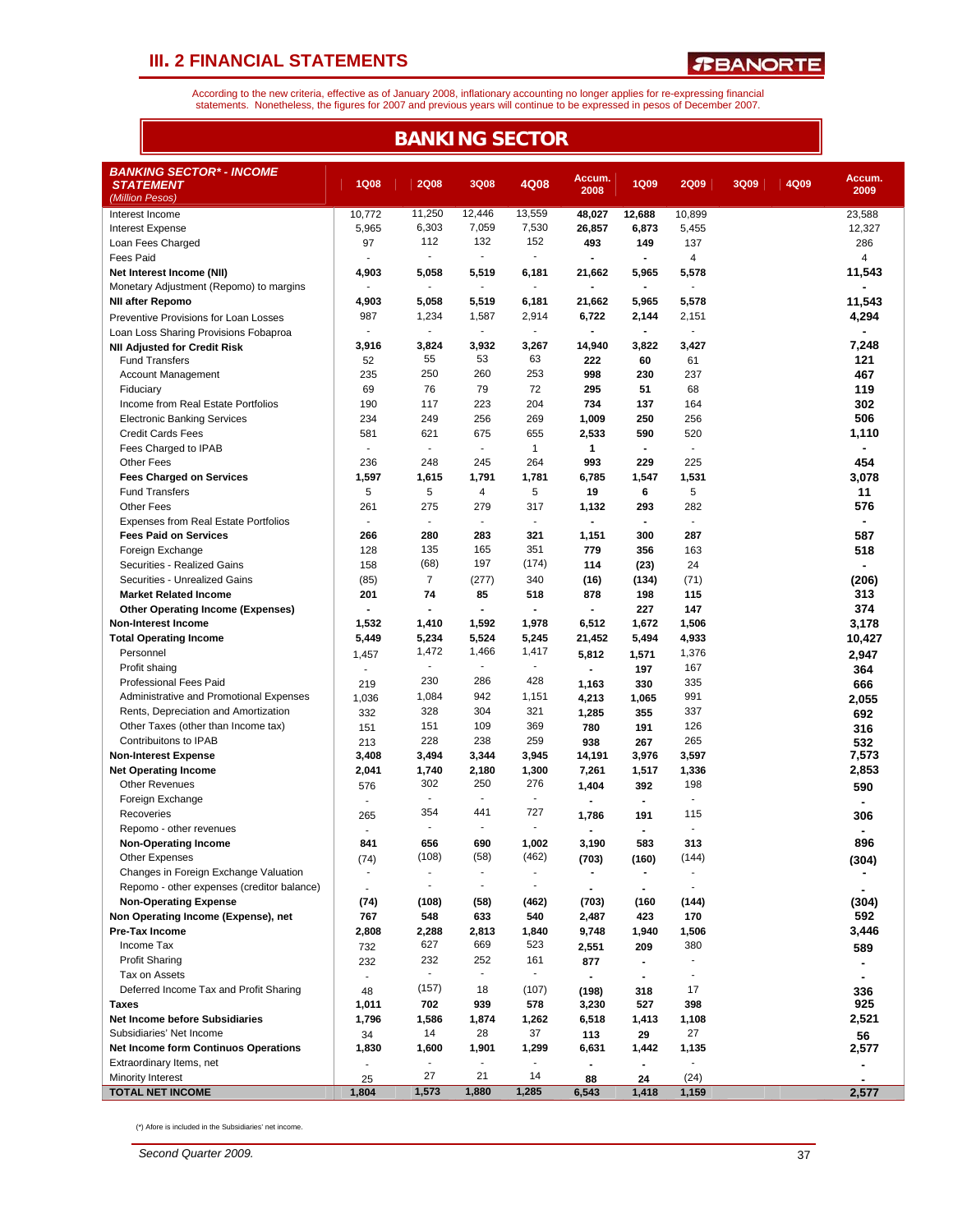*R***BANORTE** 

According to the new criteria, effective as of January 2008, inflationary accounting no longer applies for re-expressing financial<br>statements. Nonetheless, the figures for 2007 and previous years will continue to be expres

| <b>BANKING SECTOR</b>                                                  |                          |                          |                |                          |                          |                                 |                          |      |      |                |  |
|------------------------------------------------------------------------|--------------------------|--------------------------|----------------|--------------------------|--------------------------|---------------------------------|--------------------------|------|------|----------------|--|
| <b>BANKING SECTOR* - INCOME</b><br><b>STATEMENT</b><br>(Million Pesos) | <b>1Q08</b>              | <b>2Q08</b>              | 3Q08           | 4Q08                     | Accum.<br>2008           | <b>1Q09</b>                     | <b>2Q09</b>              | 3Q09 | 4Q09 | Accum.<br>2009 |  |
| Interest Income                                                        | 10.772                   | 11,250                   | 12,446         | 13,559                   | 48,027                   | 12,688                          | 10,899                   |      |      | 23,588         |  |
| <b>Interest Expense</b>                                                | 5,965                    | 6,303                    | 7,059          | 7,530                    | 26,857                   | 6,873                           | 5,455                    |      |      | 12,327         |  |
| Loan Fees Charged                                                      | 97                       | 112                      | 132            | 152                      | 493                      | 149                             | 137                      |      |      | 286            |  |
| <b>Fees Paid</b>                                                       |                          | ä,                       | $\mathbf{r}$   | ä,                       |                          | $\blacksquare$                  | $\overline{4}$           |      |      | $\overline{4}$ |  |
| Net Interest Income (NII)                                              | 4,903                    | 5,058                    | 5,519          | 6,181                    | 21,662                   | 5,965                           | 5,578                    |      |      | 11,543         |  |
| Monetary Adjustment (Repomo) to margins                                | $\blacksquare$           | $\sim$                   | $\sim$         | ٠                        | $\blacksquare$           | $\blacksquare$                  | $\mathbf{r}$             |      |      |                |  |
| <b>NII after Repomo</b>                                                | 4,903                    | 5,058                    | 5,519          | 6,181                    | 21,662                   | 5,965                           | 5,578                    |      |      | 11,543         |  |
| Preventive Provisions for Loan Losses                                  | 987                      | 1,234                    | 1,587          | 2,914                    | 6,722                    | 2,144                           | 2,151                    |      |      | 4,294          |  |
| Loan Loss Sharing Provisions Fobaproa                                  | ÷                        |                          | ÷.             | ä,                       |                          | $\overline{\phantom{a}}$        | $\mathbf{r}$             |      |      |                |  |
| <b>NII Adjusted for Credit Risk</b>                                    | 3,916                    | 3,824<br>55              | 3,932<br>53    | 3,267<br>63              | 14,940                   | 3,822                           | 3,427                    |      |      | 7,248          |  |
| <b>Fund Transfers</b>                                                  | 52                       | 250                      | 260            | 253                      | 222<br>998               | 60<br>230                       | 61                       |      |      | 121            |  |
| Account Management<br>Fiduciary                                        | 235<br>69                | 76                       | 79             | 72                       | 295                      | 51                              | 237<br>68                |      |      | 467<br>119     |  |
| Income from Real Estate Portfolios                                     | 190                      | 117                      | 223            | 204                      | 734                      | 137                             | 164                      |      |      | 302            |  |
| <b>Electronic Banking Services</b>                                     | 234                      | 249                      | 256            | 269                      | 1,009                    | 250                             | 256                      |      |      | 506            |  |
| <b>Credit Cards Fees</b>                                               | 581                      | 621                      | 675            | 655                      | 2,533                    | 590                             | 520                      |      |      | 1,110          |  |
| Fees Charged to IPAB                                                   | $\mathbf{r}$             | $\sim$                   | $\blacksquare$ | $\mathbf{1}$             | 1                        | $\blacksquare$                  | $\mathbf{r}$             |      |      | $\blacksquare$ |  |
| <b>Other Fees</b>                                                      | 236                      | 248                      | 245            | 264                      | 993                      | 229                             | 225                      |      |      | 454            |  |
| <b>Fees Charged on Services</b>                                        | 1,597                    | 1,615                    | 1,791          | 1,781                    | 6,785                    | 1,547                           | 1,531                    |      |      | 3,078          |  |
| <b>Fund Transfers</b>                                                  | 5                        | 5                        | 4              | 5                        | 19                       | 6                               | 5                        |      |      | 11             |  |
| Other Fees                                                             | 261                      | 275                      | 279            | 317                      | 1,132                    | 293                             | 282                      |      |      | 576            |  |
| <b>Expenses from Real Estate Portfolios</b>                            | $\overline{\phantom{a}}$ | $\blacksquare$           | $\blacksquare$ | $\overline{\phantom{a}}$ | $\blacksquare$           | $\blacksquare$                  | $\overline{\phantom{a}}$ |      |      | ٠              |  |
| <b>Fees Paid on Services</b>                                           | 266                      | 280                      | 283            | 321                      | 1,151                    | 300                             | 287                      |      |      | 587            |  |
| Foreign Exchange                                                       | 128                      | 135                      | 165            | 351                      | 779                      | 356                             | 163                      |      |      | 518            |  |
| Securities - Realized Gains                                            | 158                      | (68)                     | 197            | (174)                    | 114                      | (23)                            | 24                       |      |      | $\blacksquare$ |  |
| Securities - Unrealized Gains                                          | (85)                     | $\overline{7}$           | (277)          | 340                      | (16)                     | (134)                           | (71)                     |      |      | (206)          |  |
| <b>Market Related Income</b>                                           | 201                      | 74                       | 85             | 518                      | 878                      | 198                             | 115                      |      |      | 313            |  |
| <b>Other Operating Income (Expenses)</b>                               | $\blacksquare$           | $\blacksquare$           | $\blacksquare$ | $\blacksquare$           | $\blacksquare$           | 227                             | 147                      |      |      | 374            |  |
| <b>Non-Interest Income</b>                                             | 1,532                    | 1,410                    | 1,592          | 1,978                    | 6,512                    | 1,672                           | 1,506                    |      |      | 3,178          |  |
| <b>Total Operating Income</b>                                          | 5,449                    | 5,234                    | 5,524          | 5,245                    | 21,452                   | 5,494                           | 4,933                    |      |      | 10,427         |  |
| Personnel                                                              | 1,457                    | 1,472                    | 1,466          | 1,417                    | 5,812                    | 1,571                           | 1,376                    |      |      | 2,947          |  |
| Profit shaing                                                          | ä,                       | $\overline{\phantom{a}}$ | $\blacksquare$ | $\overline{a}$           | $\blacksquare$           | 197                             | 167                      |      |      | 364            |  |
| <b>Professional Fees Paid</b>                                          | 219                      | 230                      | 286            | 428                      | 1,163                    | 330                             | 335                      |      |      | 666            |  |
| Administrative and Promotional Expenses                                | 1,036                    | 1,084                    | 942            | 1,151                    | 4,213                    | 1,065                           | 991                      |      |      | 2,055          |  |
| Rents, Depreciation and Amortization                                   | 332                      | 328                      | 304            | 321                      | 1,285                    | 355                             | 337                      |      |      | 692            |  |
| Other Taxes (other than Income tax)                                    | 151                      | 151                      | 109            | 369                      | 780                      | 191                             | 126                      |      |      | 316            |  |
| Contribuitons to IPAB                                                  | 213                      | 228                      | 238            | 259                      | 938                      | 267                             | 265                      |      |      | 532            |  |
| <b>Non-Interest Expense</b><br><b>Net Operating Income</b>             | 3,408<br>2,041           | 3,494<br>1,740           | 3,344<br>2,180 | 3,945<br>1,300           | 14,191<br>7,261          | 3,976<br>1,517                  | 3,597<br>1,336           |      |      | 7,573          |  |
| <b>Other Revenues</b>                                                  |                          | 302                      | 250            | 276                      |                          |                                 | 198                      |      |      | 2,853          |  |
| Foreign Exchange                                                       | 576                      |                          | ÷              | $\overline{a}$           | 1,404<br>$\blacksquare$  | 392<br>$\overline{\phantom{a}}$ | ÷,                       |      |      | 590            |  |
| Recoveries                                                             | 265                      | 354                      | 441            | 727                      | 1,786                    | 191                             | 115                      |      |      |                |  |
| Repomo - other revenues                                                |                          |                          |                |                          | $\blacksquare$           |                                 |                          |      |      | 306            |  |
| <b>Non-Operating Income</b>                                            | 841                      | 656                      | 690            | 1,002                    | 3,190                    | 583                             | 313                      |      |      | 896            |  |
| Other Expenses                                                         | (74)                     | (108)                    | (58)           | (462)                    | (703)                    | (160)                           | (144)                    |      |      | (304)          |  |
| Changes in Foreign Exchange Valuation                                  | $\overline{\phantom{a}}$ | $\overline{\phantom{a}}$ | $\blacksquare$ | $\overline{\phantom{a}}$ |                          |                                 | $\overline{\phantom{a}}$ |      |      |                |  |
| Repomo - other expenses (creditor balance)                             | $\sim$                   | $\blacksquare$           | $\blacksquare$ | $\frac{1}{2}$            | $\overline{\phantom{a}}$ | $\blacksquare$                  | $\overline{a}$           |      |      | $\blacksquare$ |  |
| <b>Non-Operating Expense</b>                                           | (74)                     | (108)                    | (58)           | (462)                    | (703)                    | (160                            | (144)                    |      |      | (304)          |  |
| Non Operating Income (Expense), net                                    | 767                      | 548                      | 633            | 540                      | 2,487                    | 423                             | 170                      |      |      | 592            |  |
| Pre-Tax Income                                                         | 2,808                    | 2,288                    | 2,813          | 1,840                    | 9,748                    | 1,940                           | 1,506                    |      |      | 3,446          |  |
| Income Tax                                                             | 732                      | 627                      | 669            | 523                      | 2,551                    | 209                             | 380                      |      |      | 589            |  |
| <b>Profit Sharing</b>                                                  | 232                      | 232                      | 252            | 161                      | 877                      | $\blacksquare$                  | $\overline{a}$           |      |      | ٠              |  |
| Tax on Assets                                                          |                          | $\overline{\phantom{0}}$ | $\blacksquare$ | $\frac{1}{2}$            |                          |                                 | $\overline{\phantom{a}}$ |      |      |                |  |
| Deferred Income Tax and Profit Sharing                                 | 48                       | (157)                    | 18             | (107)                    | (198)                    | 318                             | 17                       |      |      | 336            |  |
| Taxes                                                                  | 1,011                    | 702                      | 939            | 578                      | 3,230                    | 527                             | 398                      |      |      | 925            |  |
| <b>Net Income before Subsidiaries</b>                                  | 1,796                    | 1,586                    | 1,874          | 1,262                    | 6,518                    | 1,413                           | 1,108                    |      |      | 2,521          |  |
| Subsidiaries' Net Income                                               | 34                       | 14                       | 28             | 37                       | 113                      | 29                              | 27                       |      |      | 56             |  |
| <b>Net Income form Continuos Operations</b>                            | 1,830                    | 1,600                    | 1,901          | 1,299                    | 6,631                    | 1,442                           | 1,135                    |      |      | 2,577          |  |
| Extraordinary Items, net                                               |                          |                          |                |                          |                          |                                 | $\overline{\phantom{a}}$ |      |      |                |  |
| <b>Minority Interest</b>                                               | 25                       | 27                       | 21             | 14                       | 88                       | 24                              | (24)                     |      |      |                |  |
| <b>TOTAL NET INCOME</b>                                                | 1,804                    | 1,573                    | 1,880          | 1,285                    | 6,543                    | 1,418                           | 1,159                    |      |      | 2,577          |  |

(\*) Afore is included in the Subsidiaries' net income.

*Second Quarter 2009.* 37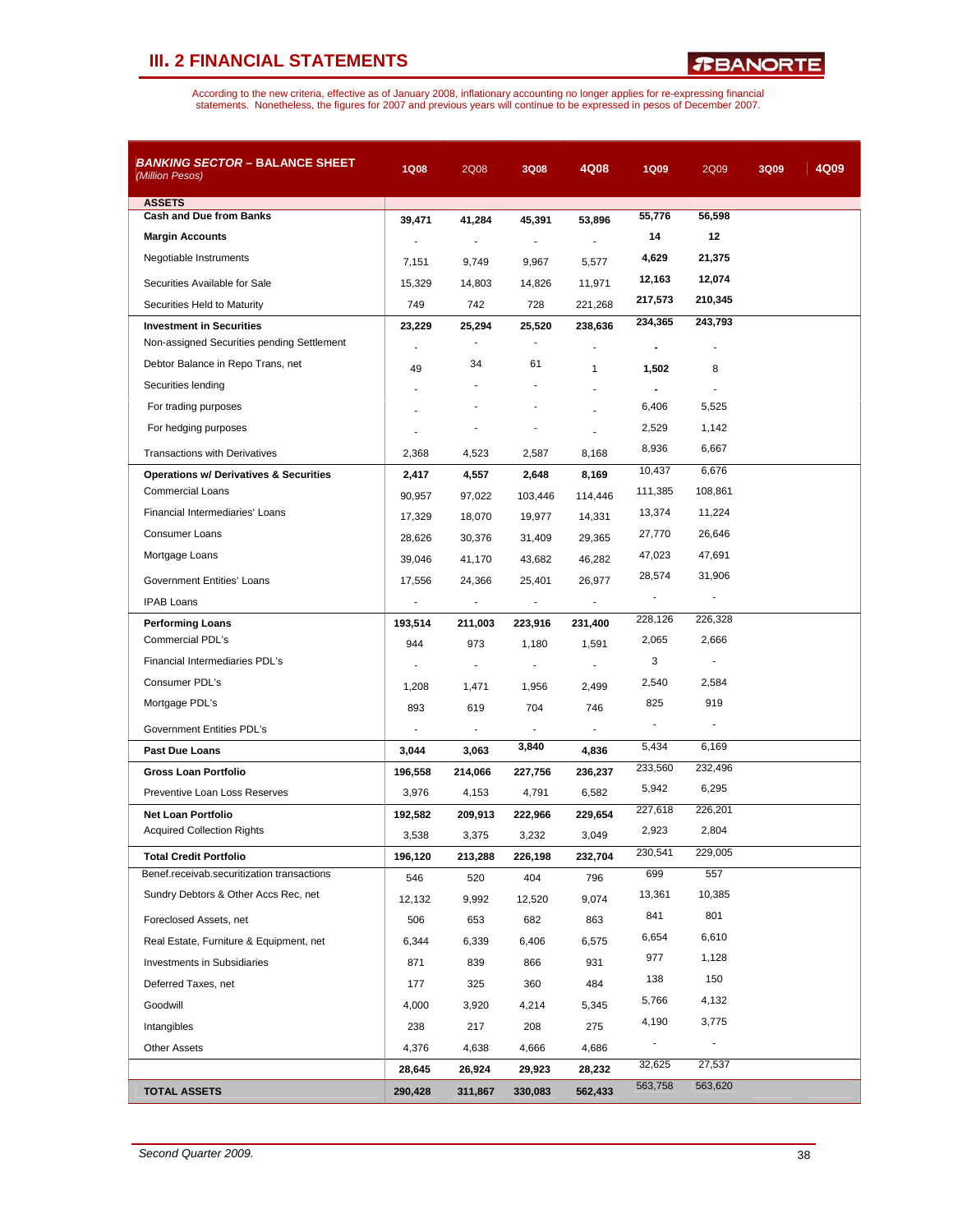*R***BANORTE** 

| <b>BANKING SECTOR - BALANCE SHEET</b><br>(Million Pesos) | <b>1Q08</b>              | 2Q08                     | 3Q08           | 4Q08                     | <b>1Q09</b>    | 2Q09           | 3Q09 | 4Q09 |
|----------------------------------------------------------|--------------------------|--------------------------|----------------|--------------------------|----------------|----------------|------|------|
| <b>ASSETS</b>                                            |                          |                          |                |                          |                |                |      |      |
| <b>Cash and Due from Banks</b>                           | 39.471                   | 41,284                   | 45,391         | 53,896                   | 55,776         | 56,598         |      |      |
| <b>Margin Accounts</b>                                   | $\blacksquare$           | $\blacksquare$           | $\blacksquare$ | $\overline{a}$           | 14             | 12             |      |      |
| Negotiable Instruments                                   | 7,151                    | 9,749                    | 9,967          | 5,577                    | 4,629          | 21,375         |      |      |
| Securities Available for Sale                            | 15,329                   | 14,803                   | 14,826         | 11,971                   | 12,163         | 12,074         |      |      |
| Securities Held to Maturity                              | 749                      | 742                      | 728            | 221,268                  | 217,573        | 210,345        |      |      |
| <b>Investment in Securities</b>                          | 23,229                   | 25,294                   | 25,520         | 238,636                  | 234,365        | 243,793        |      |      |
| Non-assigned Securities pending Settlement               |                          | $\overline{\phantom{a}}$ |                |                          | $\blacksquare$ |                |      |      |
| Debtor Balance in Repo Trans, net                        | 49                       | 34                       | 61             | $\mathbf{1}$             | 1,502          | 8              |      |      |
| Securities lending                                       |                          |                          |                |                          |                |                |      |      |
| For trading purposes                                     |                          |                          |                |                          | 6,406          | 5,525          |      |      |
| For hedging purposes                                     |                          |                          |                |                          | 2,529          | 1,142          |      |      |
| <b>Transactions with Derivatives</b>                     | 2,368                    | 4,523                    | 2,587          | 8,168                    | 8,936          | 6,667          |      |      |
| <b>Operations w/ Derivatives &amp; Securities</b>        | 2,417                    | 4,557                    | 2,648          | 8,169                    | 10,437         | 6,676          |      |      |
| <b>Commercial Loans</b>                                  | 90,957                   | 97,022                   | 103,446        | 114,446                  | 111,385        | 108,861        |      |      |
| Financial Intermediaries' Loans                          | 17,329                   | 18,070                   | 19,977         | 14,331                   | 13,374         | 11,224         |      |      |
| <b>Consumer Loans</b>                                    | 28,626                   | 30,376                   | 31,409         | 29,365                   | 27,770         | 26,646         |      |      |
| Mortgage Loans                                           | 39,046                   | 41,170                   | 43,682         | 46,282                   | 47,023         | 47,691         |      |      |
|                                                          |                          |                          |                |                          | 28,574         | 31,906         |      |      |
| Government Entities' Loans                               | 17,556<br>÷,             | 24,366                   | 25,401<br>÷,   | 26,977                   |                |                |      |      |
| <b>IPAB Loans</b>                                        |                          | $\overline{\phantom{a}}$ |                | $\overline{\phantom{a}}$ | 228,126        | 226,328        |      |      |
| <b>Performing Loans</b><br>Commercial PDL's              | 193,514                  | 211,003                  | 223,916        | 231,400                  | 2,065          | 2,666          |      |      |
| Financial Intermediaries PDL's                           | 944                      | 973                      | 1,180          | 1,591                    | 3              |                |      |      |
| Consumer PDL's                                           | $\overline{\phantom{a}}$ | $\blacksquare$           | ÷              |                          | 2,540          | 2,584          |      |      |
| Mortgage PDL's                                           | 1,208                    | 1,471                    | 1,956          | 2,499                    | 825            | 919            |      |      |
|                                                          | 893                      | 619                      | 704            | 746                      |                |                |      |      |
| Government Entities PDL's                                | $\overline{a}$           |                          |                |                          |                |                |      |      |
| Past Due Loans                                           | 3,044                    | 3,063                    | 3,840          | 4,836                    | 5,434          | 6,169          |      |      |
| Gross Loan Portfolio                                     | 196,558                  | 214,066                  | 227,756        | 236,237                  | 233,560        | 232,496        |      |      |
| Preventive Loan Loss Reserves                            | 3,976                    | 4,153                    | 4,791          | 6,582                    | 5,942          | 6,295          |      |      |
| <b>Net Loan Portfolio</b>                                | 192,582                  | 209,913                  | 222,966        | 229,654                  | 227,618        | 226,201        |      |      |
| <b>Acquired Collection Rights</b>                        | 3,538                    | 3,375                    | 3,232          | 3,049                    | 2,923          | 2,804          |      |      |
| <b>Total Credit Portfolio</b>                            | 196,120                  | 213,288                  | 226,198        | 232,704                  | 230,541        | 229,005        |      |      |
| Benef.receivab.securitization transactions               | 546                      | 520                      | 404            | 796                      | 699            | 557            |      |      |
| Sundry Debtors & Other Accs Rec, net                     | 12,132                   | 9,992                    | 12,520         | 9,074                    | 13,361         | 10,385         |      |      |
| Foreclosed Assets, net                                   | 506                      | 653                      | 682            | 863                      | 841            | 801            |      |      |
| Real Estate, Furniture & Equipment, net                  | 6,344                    | 6,339                    | 6,406          | 6,575                    | 6,654          | 6,610          |      |      |
| <b>Investments in Subsidiaries</b>                       | 871                      | 839                      | 866            | 931                      | 977            | 1,128          |      |      |
| Deferred Taxes, net                                      | 177                      | 325                      | 360            | 484                      | 138            | 150            |      |      |
| Goodwill                                                 | 4,000                    | 3,920                    | 4,214          | 5,345                    | 5,766          | 4,132          |      |      |
| Intangibles                                              | 238                      | 217                      | 208            | 275                      | 4,190          | 3,775          |      |      |
| <b>Other Assets</b>                                      | 4,376                    | 4,638                    | 4,666          | 4,686                    |                | $\blacksquare$ |      |      |
|                                                          | 28,645                   | 26,924                   | 29,923         | 28,232                   | 32,625         | 27,537         |      |      |
| <b>TOTAL ASSETS</b>                                      | 290,428                  | 311,867                  | 330,083        | 562,433                  | 563,758        | 563,620        |      |      |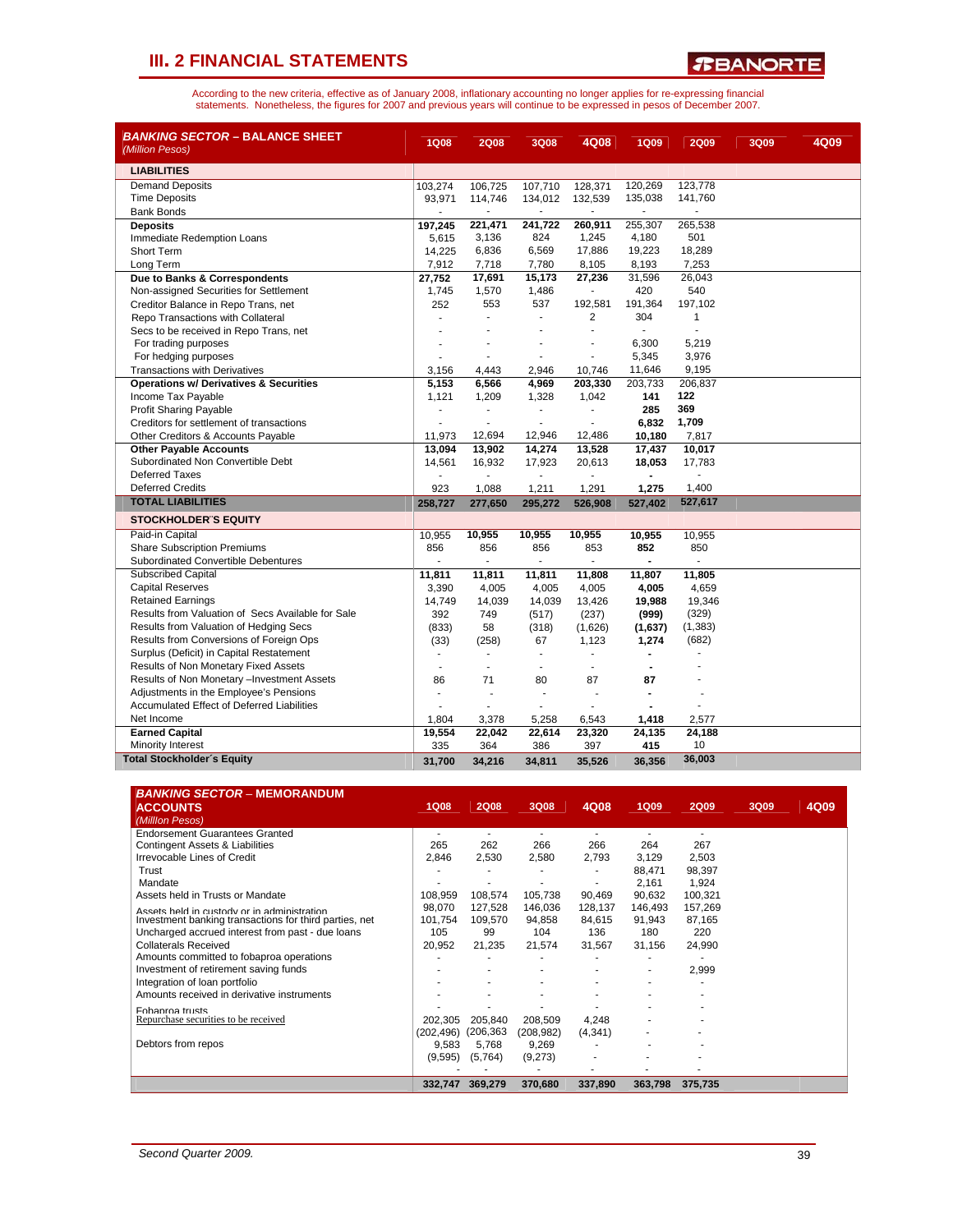

| <b>BANKING SECTOR – BALANCE SHEET</b><br>(Million Pesos) | <b>1Q08</b>    | <b>2Q08</b>    | 3Q08                     | 4Q08           | <b>1Q09</b>    | <b>2Q09</b>    | 3Q09 | 4Q09 |
|----------------------------------------------------------|----------------|----------------|--------------------------|----------------|----------------|----------------|------|------|
| <b>LIABILITIES</b>                                       |                |                |                          |                |                |                |      |      |
| <b>Demand Deposits</b>                                   | 103,274        | 106,725        | 107,710                  | 128,371        | 120,269        | 123,778        |      |      |
| <b>Time Deposits</b>                                     | 93,971         | 114,746        | 134,012                  | 132,539        | 135,038        | 141,760        |      |      |
| <b>Bank Bonds</b>                                        |                |                |                          |                |                |                |      |      |
| <b>Deposits</b>                                          | 197,245        | 221,471        | 241,722                  | 260,911        | 255,307        | 265,538        |      |      |
| Immediate Redemption Loans                               | 5,615          | 3,136          | 824                      | 1,245          | 4,180          | 501            |      |      |
| Short Term                                               | 14,225         | 6,836          | 6,569                    | 17,886         | 19,223         | 18,289         |      |      |
| Long Term                                                | 7,912          | 7,718          | 7,780                    | 8,105          | 8,193          | 7,253          |      |      |
| Due to Banks & Correspondents                            | 27,752         | 17,691         | 15,173                   | 27,236         | 31,596         | 26,043         |      |      |
| Non-assigned Securities for Settlement                   | 1,745          | 1,570          | 1,486                    |                | 420            | 540            |      |      |
| Creditor Balance in Repo Trans, net                      | 252            | 553            | 537                      | 192,581        | 191,364        | 197,102        |      |      |
| Repo Transactions with Collateral                        | ٠              |                | $\blacksquare$           | $\overline{2}$ | 304            | $\mathbf{1}$   |      |      |
| Secs to be received in Repo Trans, net                   |                |                |                          |                | $\mathbf{r}$   | ä,             |      |      |
| For trading purposes                                     |                |                |                          |                | 6,300          | 5,219          |      |      |
| For hedging purposes                                     |                |                | ٠                        |                | 5,345          | 3,976          |      |      |
| <b>Transactions with Derivatives</b>                     | 3,156          | 4,443          | 2,946                    | 10,746         | 11,646         | 9,195          |      |      |
| <b>Operations w/ Derivatives &amp; Securities</b>        | 5,153          | 6,566          | 4,969                    | 203,330        | 203,733        | 206.837        |      |      |
| Income Tax Payable                                       | 1,121          | 1,209          | 1,328                    | 1,042          | 141            | 122            |      |      |
| <b>Profit Sharing Payable</b>                            | ٠              | $\overline{a}$ | $\blacksquare$           |                | 285            | 369            |      |      |
| Creditors for settlement of transactions                 |                | $\blacksquare$ | $\blacksquare$           |                | 6,832          | 1,709          |      |      |
| Other Creditors & Accounts Payable                       | 11,973         | 12,694         | 12,946                   | 12,486         | 10,180         | 7,817          |      |      |
| <b>Other Payable Accounts</b>                            | 13,094         | 13,902         | 14,274                   | 13,528         | 17,437         | 10,017         |      |      |
| Subordinated Non Convertible Debt<br>Deferred Taxes      | 14,561         | 16,932         | 17,923                   | 20,613         | 18,053         | 17,783         |      |      |
|                                                          |                |                |                          |                |                |                |      |      |
| <b>Deferred Credits</b>                                  | 923            | 1,088          | 1,211                    | 1,291          | 1,275          | 1,400          |      |      |
| <b>TOTAL LIABILITIES</b>                                 | 258,727        | 277,650        | 295,272                  | 526,908        | 527,402        | 527,617        |      |      |
| <b>STOCKHOLDER'S EQUITY</b>                              |                |                |                          |                |                |                |      |      |
| Paid-in Capital                                          | 10,955         | 10,955         | 10,955                   | 10,955         | 10,955         | 10,955         |      |      |
| <b>Share Subscription Premiums</b>                       | 856            | 856            | 856                      | 853            | 852            | 850            |      |      |
| Subordinated Convertible Debentures                      | $\sim$         | $\blacksquare$ | $\blacksquare$           | ÷.             | $\overline{a}$ | $\blacksquare$ |      |      |
| <b>Subscribed Capital</b>                                | 11,811         | 11,811         | 11,811                   | 11,808         | 11,807         | 11,805         |      |      |
| <b>Capital Reserves</b>                                  | 3,390          | 4,005          | 4,005                    | 4,005          | 4,005          | 4,659          |      |      |
| <b>Retained Earnings</b>                                 | 14,749         | 14,039         | 14,039                   | 13,426         | 19,988         | 19,346         |      |      |
| Results from Valuation of Secs Available for Sale        | 392            | 749            | (517)                    | (237)          | (999)          | (329)          |      |      |
| Results from Valuation of Hedging Secs                   | (833)          | 58             | (318)                    | (1,626)        | (1,637)        | (1, 383)       |      |      |
| Results from Conversions of Foreign Ops                  | (33)           | (258)          | 67                       | 1,123          | 1,274          | (682)          |      |      |
| Surplus (Deficit) in Capital Restatement                 | ٠              | $\overline{a}$ | ÷                        |                |                |                |      |      |
| Results of Non Monetary Fixed Assets                     | ÷              | ÷              | ٠                        | ÷              |                |                |      |      |
| Results of Non Monetary - Investment Assets              | 86             | 71             | 80                       | 87             | 87             |                |      |      |
| Adjustments in the Employee's Pensions                   | $\overline{a}$ |                | $\overline{\phantom{a}}$ |                |                |                |      |      |
| <b>Accumulated Effect of Deferred Liabilities</b>        | ٠              | $\overline{a}$ | ÷.                       |                |                |                |      |      |
| Net Income                                               | 1,804          | 3,378          | 5,258                    | 6,543          | 1,418          | 2,577          |      |      |
| <b>Earned Capital</b>                                    | 19,554         | 22,042         | 22,614                   | 23,320         | 24,135         | 24,188         |      |      |
| Minority Interest                                        | 335            | 364            | 386                      | 397            | 415            | 10             |      |      |
| <b>Total Stockholder's Equity</b>                        | 31,700         | 34,216         | 34,811                   | 35,526         | 36,356         | 36,003         |      |      |

| <b>BANKING SECTOR - MEMORANDUM</b>                     |                          |             |            |          |             |             |      |      |  |
|--------------------------------------------------------|--------------------------|-------------|------------|----------|-------------|-------------|------|------|--|
| <b>ACCOUNTS</b>                                        | <b>1Q08</b>              | <b>2Q08</b> | 3Q08       | 4Q08     | <b>1Q09</b> | <b>2Q09</b> | 3Q09 | 4Q09 |  |
| (Milllon Pesos)                                        |                          |             |            |          |             |             |      |      |  |
| <b>Endorsement Guarantees Granted</b>                  | $\overline{\phantom{a}}$ |             |            |          |             | ۰           |      |      |  |
| <b>Contingent Assets &amp; Liabilities</b>             | 265                      | 262         | 266        | 266      | 264         | 267         |      |      |  |
| Irrevocable Lines of Credit                            | 2,846                    | 2,530       | 2,580      | 2,793    | 3,129       | 2,503       |      |      |  |
| Trust                                                  |                          |             |            |          | 88,471      | 98,397      |      |      |  |
| Mandate                                                |                          |             |            |          | 2.161       | 1,924       |      |      |  |
| Assets held in Trusts or Mandate                       | 108.959                  | 108.574     | 105,738    | 90,469   | 90,632      | 100,321     |      |      |  |
| Assets held in custody or in administration            | 98,070                   | 127,528     | 146,036    | 128,137  | 146,493     | 157,269     |      |      |  |
| Investment banking transactions for third parties, net | 101.754                  | 109,570     | 94,858     | 84,615   | 91,943      | 87,165      |      |      |  |
| Uncharged accrued interest from past - due loans       | 105                      | 99          | 104        | 136      | 180         | 220         |      |      |  |
| Collaterals Received                                   | 20,952                   | 21,235      | 21,574     | 31,567   | 31,156      | 24,990      |      |      |  |
| Amounts committed to fobaproa operations               |                          |             |            |          |             |             |      |      |  |
| Investment of retirement saving funds                  |                          |             |            |          |             | 2,999       |      |      |  |
| Integration of loan portfolio                          |                          |             |            |          |             |             |      |      |  |
| Amounts received in derivative instruments             |                          |             |            |          |             |             |      |      |  |
| Fobaproa trusts                                        |                          |             |            |          |             |             |      |      |  |
| Repurchase securities to be received                   | 202.305                  | 205,840     | 208,509    | 4,248    |             |             |      |      |  |
|                                                        | (202, 496)               | (206, 363)  | (208, 982) | (4, 341) |             |             |      |      |  |
| Debtors from repos                                     | 9,583                    | 5,768       | 9,269      |          |             |             |      |      |  |
|                                                        | (9,595)                  | (5,764)     | (9,273)    | ٠        |             |             |      |      |  |
|                                                        |                          |             |            |          |             |             |      |      |  |
|                                                        | 332,747                  | 369,279     | 370,680    | 337,890  | 363,798     | 375,735     |      |      |  |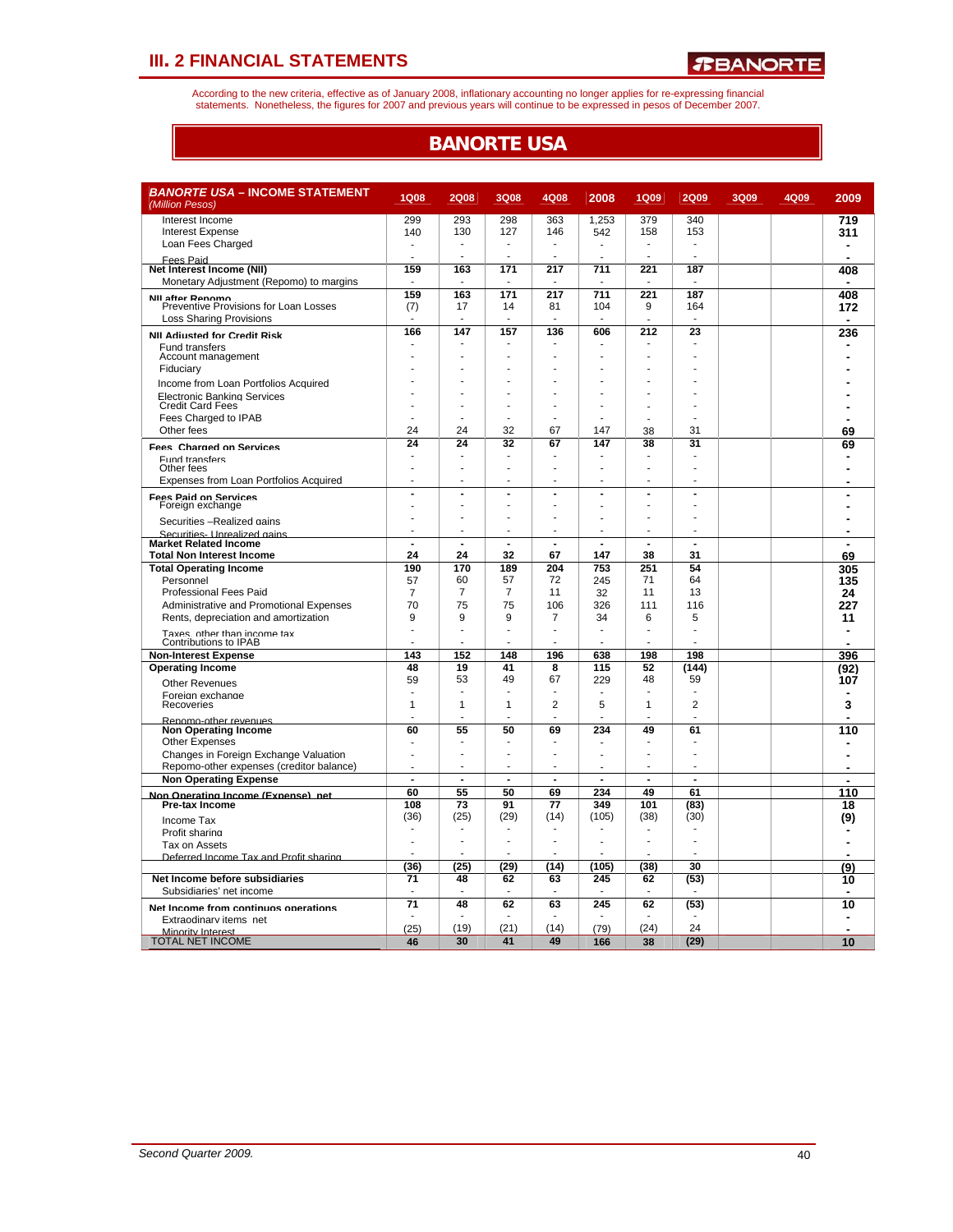According to the new criteria, effective as of January 2008, inflationary accounting no longer applies for re-expressing financial<br>statements. Nonetheless, the figures for 2007 and previous years will continue to be expres

# **BANORTE USA**

| <b>BANORTE USA - INCOME STATEMENT</b><br>(Million Pesos) | <b>1Q08</b>    | <b>2Q08</b>    | 3Q08                     | 4Q08           | 2008                     | <b>1Q09</b> | <b>2Q09</b>              | 3Q09 | 4Q09 | 2009           |
|----------------------------------------------------------|----------------|----------------|--------------------------|----------------|--------------------------|-------------|--------------------------|------|------|----------------|
| Interest Income                                          | 299            | 293            | 298                      | 363            | 1,253                    | 379         | 340                      |      |      | 719            |
| <b>Interest Expense</b>                                  | 140            | 130            | 127                      | 146            | 542                      | 158         | 153                      |      |      | 311            |
| Loan Fees Charged                                        |                |                |                          |                |                          |             |                          |      |      | ٠              |
| Fees Paid                                                |                |                | ÷                        |                | ÷.                       |             |                          |      |      |                |
| Net Interest Income (NII)                                | 159            | 163            | 171                      | 217            | 711                      | 221         | 187                      |      |      | 408            |
| Monetary Adjustment (Repomo) to margins                  |                |                |                          |                |                          |             |                          |      |      |                |
| NII after Renomo                                         | 159            | 163            | 171                      | 217            | 711                      | 221         | 187                      |      |      | 408            |
| Preventive Provisions for Loan Losses                    | (7)            | 17             | 14                       | 81             | 104                      | 9           | 164                      |      |      | 172            |
| <b>Loss Sharing Provisions</b>                           | ÷              | ٠              | ÷                        |                | ÷                        |             | ÷                        |      |      |                |
| <b>NII Adjusted for Credit Risk</b>                      | 166            | 147            | 157                      | 136            | 606                      | 212         | 23                       |      |      | 236            |
| Fund transfers                                           |                |                |                          |                |                          |             |                          |      |      |                |
| Account management                                       |                |                |                          |                |                          |             |                          |      |      |                |
| Fiduciary                                                |                |                |                          |                |                          |             |                          |      |      |                |
| Income from Loan Portfolios Acquired                     |                |                |                          |                |                          |             |                          |      |      |                |
| <b>Electronic Banking Services</b>                       |                |                |                          |                |                          |             |                          |      |      |                |
| <b>Credit Card Fees</b>                                  |                |                |                          |                |                          |             |                          |      |      |                |
| Fees Charged to IPAB                                     |                |                |                          |                |                          |             |                          |      |      |                |
| Other fees                                               | 24             | 24             | 32                       | 67             | 147                      | 38          | 31                       |      |      | 69             |
| <b>Fees Charged on Services</b>                          | 24             | 24             | 32                       | 67             | 147                      | 38          | 31                       |      |      | 69             |
| <b>Fund transfers</b>                                    | ÷              | ٠              |                          |                |                          |             |                          |      |      |                |
| Other fees                                               |                |                |                          |                |                          |             |                          |      |      |                |
| Expenses from Loan Portfolios Acquired                   |                |                |                          |                |                          |             |                          |      |      |                |
| <b>Fees Paid on Services</b>                             | $\overline{a}$ | $\blacksquare$ | Ĭ.                       | $\overline{a}$ | Ĭ.                       | Ĭ.          | $\overline{a}$           |      |      |                |
| Foreign exchange                                         |                |                | ÷.                       |                | ÷.                       |             |                          |      |      |                |
| Securities -Realized gains                               |                | ä,             |                          |                |                          |             |                          |      |      |                |
| Securities- Unrealized gains                             |                | $\blacksquare$ |                          |                | $\overline{\phantom{a}}$ |             |                          |      |      |                |
| <b>Market Related Income</b>                             | J.             |                |                          | ÷.             |                          |             |                          |      |      |                |
| <b>Total Non Interest Income</b>                         | 24             | 24             | 32                       | 67             | 147                      | 38          | 31                       |      |      | 69             |
| <b>Total Operating Income</b>                            | 190            | 170            | 189                      | 204            | 753                      | 251         | 54                       |      |      | 305            |
| Personnel                                                | 57             | 60             | 57                       | 72             | 245                      | 71          | 64                       |      |      | 135            |
| <b>Professional Fees Paid</b>                            | $\overline{7}$ | $\overline{7}$ | 7                        | 11             | 32                       | 11          | 13                       |      |      | 24             |
| Administrative and Promotional Expenses                  | 70             | 75             | 75                       | 106            | 326                      | 111         | 116                      |      |      | 227            |
| Rents, depreciation and amortization                     | 9              | 9              | 9                        | $\overline{7}$ | 34                       | 6           | 5                        |      |      | 11             |
| Taxes. other than income tax                             | ÷.             | ÷              | ÷                        |                | ÷<br>÷                   |             | ÷.                       |      |      |                |
| Contributions to IPAB                                    |                |                |                          |                |                          |             |                          |      |      |                |
| <b>Non-Interest Expense</b>                              | 143<br>48      | 152            | 148<br>41                | 196<br>8       | 638<br>115               | 198         | 198                      |      |      | 396            |
| <b>Operating Income</b>                                  | 59             | 19<br>53       | 49                       | 67             | 229                      | 52<br>48    | (144)<br>59              |      |      | (92)           |
| Other Revenues                                           |                |                | ÷.                       |                |                          |             |                          |      |      | 107            |
| Foreign exchange<br>Recoveries                           | 1              | 1              | $\mathbf{1}$             | 2              | 5                        | 1           | $\overline{2}$           |      |      | 3              |
|                                                          |                |                |                          |                | ÷.                       |             |                          |      |      | ä,             |
| Renomo-other revenues<br><b>Non Operating Income</b>     | 60             | 55             | 50                       | 69             | 234                      | 49          | 61                       |      |      | 110            |
| <b>Other Expenses</b>                                    | ٠              |                |                          |                |                          |             |                          |      |      | ٠              |
| Changes in Foreign Exchange Valuation                    |                | L,             | J.                       |                |                          |             | J.                       |      |      |                |
| Repomo-other expenses (creditor balance)                 |                | ÷              |                          |                |                          |             |                          |      |      |                |
| <b>Non Operating Expense</b>                             | $\blacksquare$ | $\blacksquare$ | $\overline{\phantom{a}}$ | $\blacksquare$ | $\blacksquare$           | ÷,          | $\blacksquare$           |      |      | ä,             |
| Non Onerating Income (Exnense) net                       | 60             | 55             | 50                       | 69             | 234                      | 49          | 61                       |      |      | 110            |
| <b>Pre-tax Income</b>                                    | 108            | 73             | 91                       | 77             | 349                      | 101         | (83)                     |      |      | 18             |
| Income Tax                                               | (36)           | (25)           | (29)                     | (14)           | (105)                    | (38)        | (30)                     |      |      | (9)            |
| Profit sharing                                           |                |                |                          |                |                          |             | ÷.                       |      |      |                |
| Tax on Assets                                            |                |                | $\overline{\phantom{a}}$ |                | ÷.                       |             | $\overline{\phantom{a}}$ |      |      |                |
| Deferred Income Tax and Profit sharing                   |                |                |                          |                |                          |             |                          |      |      |                |
|                                                          | (36)           | (25)           | (29)                     | (14)           | (105)                    | (38)        | 30                       |      |      | (9)            |
| Net Income before subsidiaries                           | 71             | 48             | 62                       | 63             | 245                      | 62          | (53)                     |      |      | 10             |
| Subsidiaries' net income                                 |                |                |                          |                |                          |             |                          |      |      | $\blacksquare$ |
| Net Income from continuos operations                     | 71             | 48             | 62                       | 63             | 245                      | 62          | (53)                     |      |      | 10             |
| Extraodinary items net                                   |                |                |                          |                |                          |             |                          |      |      |                |
| Minority Interest                                        | (25)           | (19)           | (21)                     | (14)           | (79)                     | (24)        | 24                       |      |      | ÷              |
| TOTAL NET INCOME                                         | 46             | 30             | 41                       | 49             | 166                      | 38          | (29)                     |      |      | 10             |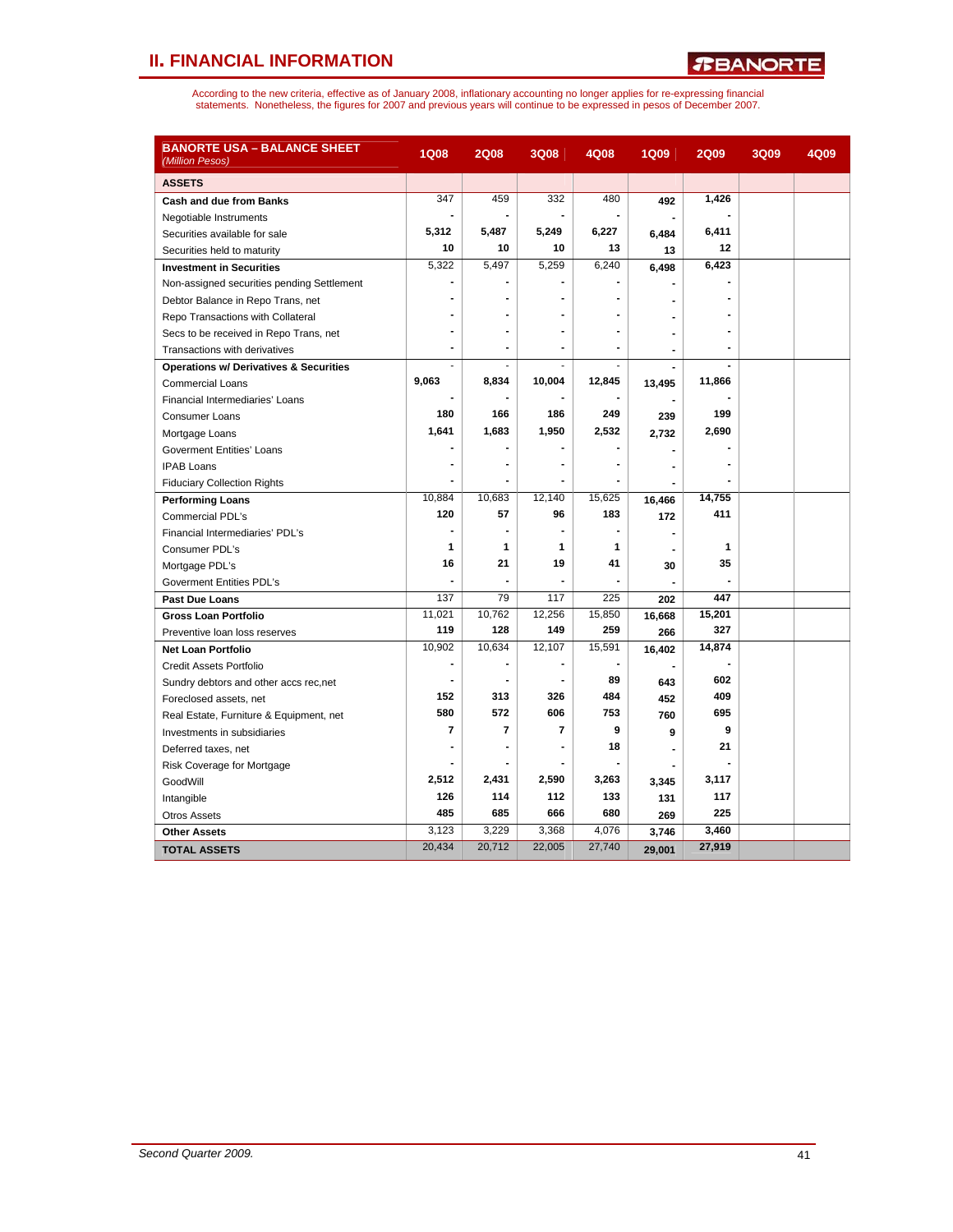# **II. FINANCIAL INFORMATION**

*R***BANORTE** 

| <b>BANORTE USA – BALANCE SHEET</b><br>(Million Pesos) | <b>1Q08</b>              | <b>2Q08</b>    | <b>3Q08</b>    | 4Q08   | <b>1Q09</b>    | <b>2Q09</b> | 3Q09 | 4Q09 |
|-------------------------------------------------------|--------------------------|----------------|----------------|--------|----------------|-------------|------|------|
| <b>ASSETS</b>                                         |                          |                |                |        |                |             |      |      |
| Cash and due from Banks                               | 347                      | 459            | 332            | 480    | 492            | 1,426       |      |      |
| Negotiable Instruments                                | $\blacksquare$           |                |                |        |                |             |      |      |
| Securities available for sale                         | 5,312                    | 5,487          | 5,249          | 6,227  | 6,484          | 6,411       |      |      |
| Securities held to maturity                           | 10                       | 10             | 10             | 13     | 13             | 12          |      |      |
| <b>Investment in Securities</b>                       | 5,322                    | 5,497          | 5,259          | 6,240  | 6,498          | 6,423       |      |      |
| Non-assigned securities pending Settlement            | $\blacksquare$           |                |                |        |                |             |      |      |
| Debtor Balance in Repo Trans, net                     | $\overline{a}$           |                |                |        |                |             |      |      |
| Repo Transactions with Collateral                     |                          |                |                |        |                |             |      |      |
| Secs to be received in Repo Trans, net                |                          |                |                |        |                |             |      |      |
| Transactions with derivatives                         | $\overline{\phantom{a}}$ | $\blacksquare$ |                |        | $\blacksquare$ |             |      |      |
| <b>Operations w/ Derivatives &amp; Securities</b>     | ÷,                       |                |                |        |                |             |      |      |
| <b>Commercial Loans</b>                               | 9,063                    | 8,834          | 10,004         | 12,845 | 13,495         | 11,866      |      |      |
| Financial Intermediaries' Loans                       |                          |                |                |        |                |             |      |      |
| Consumer Loans                                        | 180                      | 166            | 186            | 249    | 239            | 199         |      |      |
| Mortgage Loans                                        | 1,641                    | 1,683          | 1,950          | 2,532  | 2,732          | 2,690       |      |      |
| <b>Goverment Entities' Loans</b>                      | $\blacksquare$           |                |                |        |                |             |      |      |
| <b>IPAB Loans</b>                                     |                          |                |                |        |                |             |      |      |
| <b>Fiduciary Collection Rights</b>                    |                          | ÷,             |                |        | $\blacksquare$ |             |      |      |
| <b>Performing Loans</b>                               | 10,884                   | 10,683         | 12,140         | 15,625 | 16,466         | 14,755      |      |      |
| Commercial PDL's                                      | 120                      | 57             | 96             | 183    | 172            | 411         |      |      |
| Financial Intermediaries' PDL's                       | $\blacksquare$           | $\blacksquare$ |                |        |                |             |      |      |
| Consumer PDL's                                        | 1                        | 1              | 1              | 1      |                | 1           |      |      |
| Mortgage PDL's                                        | 16                       | 21             | 19             | 41     | 30             | 35          |      |      |
| Goverment Entities PDL's                              |                          |                |                |        |                |             |      |      |
| <b>Past Due Loans</b>                                 | 137                      | 79             | 117            | 225    | 202            | 447         |      |      |
| <b>Gross Loan Portfolio</b>                           | 11,021                   | 10,762         | 12,256         | 15,850 | 16,668         | 15,201      |      |      |
| Preventive loan loss reserves                         | 119                      | 128            | 149            | 259    | 266            | 327         |      |      |
| Net Loan Portfolio                                    | 10,902                   | 10,634         | 12,107         | 15,591 | 16,402         | 14,874      |      |      |
| Credit Assets Portfolio                               | $\blacksquare$           |                |                |        |                |             |      |      |
| Sundry debtors and other accs rec, net                | $\blacksquare$           | $\blacksquare$ |                | 89     | 643            | 602         |      |      |
| Foreclosed assets, net                                | 152                      | 313            | 326            | 484    | 452            | 409         |      |      |
| Real Estate, Furniture & Equipment, net               | 580                      | 572            | 606            | 753    | 760            | 695         |      |      |
| Investments in subsidiaries                           | $\overline{7}$           | $\overline{7}$ | $\overline{7}$ | 9      | 9              | 9           |      |      |
| Deferred taxes, net                                   |                          |                |                | 18     |                | 21          |      |      |
| Risk Coverage for Mortgage                            |                          |                |                |        |                |             |      |      |
| GoodWill                                              | 2,512                    | 2,431          | 2,590          | 3,263  | 3,345          | 3,117       |      |      |
| Intangible                                            | 126                      | 114            | 112            | 133    | 131            | 117         |      |      |
| <b>Otros Assets</b>                                   | 485                      | 685            | 666            | 680    | 269            | 225         |      |      |
| <b>Other Assets</b>                                   | 3,123                    | 3,229          | 3,368          | 4,076  | 3,746          | 3,460       |      |      |
| <b>TOTAL ASSETS</b>                                   | 20,434                   | 20,712         | 22,005         | 27,740 | 29,001         | 27,919      |      |      |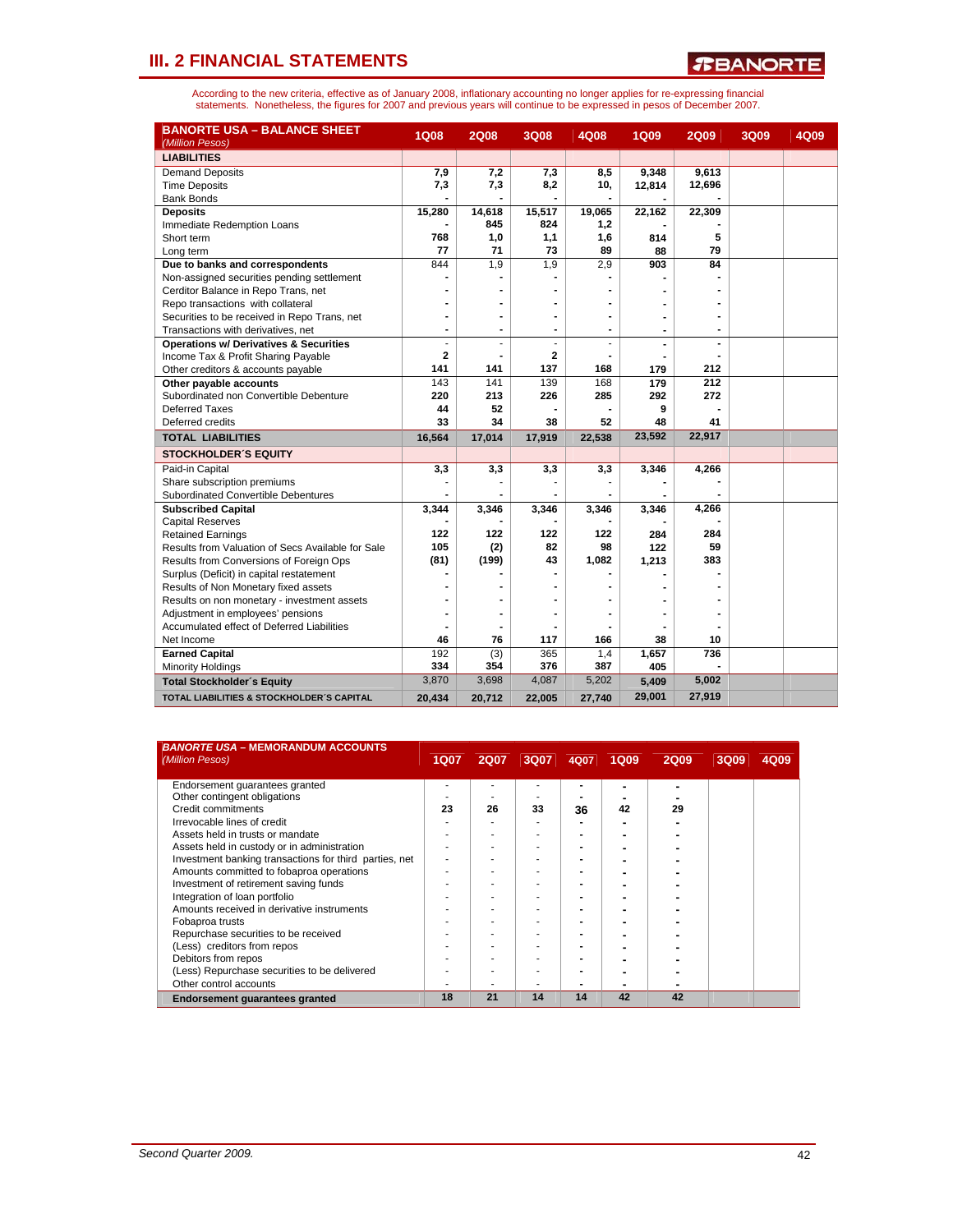*R***BANORTE** 

| <b>BANORTE USA - BALANCE SHEET</b><br>(Million Pesos) | <b>1Q08</b>    | <b>2Q08</b>    | <b>3Q08</b>    | 4Q08           | <b>1Q09</b>    | <b>2Q09</b>    | 3Q09 | 4Q09 |
|-------------------------------------------------------|----------------|----------------|----------------|----------------|----------------|----------------|------|------|
| <b>LIABILITIES</b>                                    |                |                |                |                |                |                |      |      |
| <b>Demand Deposits</b>                                | 7,9            | 7,2            | 7,3            | 8,5            | 9,348          | 9.613          |      |      |
| <b>Time Deposits</b>                                  | 7,3            | 7,3            | 8,2            | 10,            | 12,814         | 12,696         |      |      |
| <b>Bank Bonds</b>                                     |                |                |                |                |                |                |      |      |
| <b>Deposits</b>                                       | 15,280         | 14,618         | 15,517         | 19,065         | 22,162         | 22,309         |      |      |
| Immediate Redemption Loans                            |                | 845            | 824            | 1,2            |                |                |      |      |
| Short term                                            | 768            | 1,0            | 1,1            | 1,6            | 814            | 5              |      |      |
| Long term                                             | 77             | 71             | 73             | 89             | 88             | 79             |      |      |
| Due to banks and correspondents                       | 844            | 1,9            | 1,9            | 2,9            | 903            | 84             |      |      |
| Non-assigned securities pending settlement            |                |                |                |                |                |                |      |      |
| Cerditor Balance in Repo Trans, net                   |                |                |                |                |                |                |      |      |
| Repo transactions with collateral                     |                |                | $\blacksquare$ | $\blacksquare$ |                |                |      |      |
| Securities to be received in Repo Trans, net          | $\blacksquare$ | $\blacksquare$ | $\blacksquare$ | $\blacksquare$ |                | $\blacksquare$ |      |      |
| Transactions with derivatives, net                    | $\blacksquare$ | $\blacksquare$ | $\blacksquare$ | $\blacksquare$ | $\overline{a}$ | $\blacksquare$ |      |      |
| <b>Operations w/ Derivatives &amp; Securities</b>     | ÷              |                |                |                |                |                |      |      |
| Income Tax & Profit Sharing Payable                   | $\overline{2}$ |                | 2              |                |                |                |      |      |
| Other creditors & accounts payable                    | 141            | 141            | 137            | 168            | 179            | 212            |      |      |
| Other payable accounts                                | 143            | 141            | 139            | 168            | 179            | 212            |      |      |
| Subordinated non Convertible Debenture                | 220            | 213            | 226            | 285            | 292            | 272            |      |      |
| Deferred Taxes                                        | 44             | 52             |                |                | 9              |                |      |      |
| Deferred credits                                      | 33             | 34             | 38             | 52             | 48             | 41             |      |      |
| <b>TOTAL LIABILITIES</b>                              | 16,564         | 17,014         | 17,919         | 22,538         | 23,592         | 22,917         |      |      |
| <b>STOCKHOLDER'S EQUITY</b>                           |                |                |                |                |                |                |      |      |
| Paid-in Capital                                       | 3,3            | 3,3            | 3,3            | 3,3            | 3,346          | 4,266          |      |      |
| Share subscription premiums                           |                |                |                |                |                |                |      |      |
| Subordinated Convertible Debentures                   |                |                |                |                |                |                |      |      |
| <b>Subscribed Capital</b>                             | 3,344          | 3,346          | 3,346          | 3,346          | 3,346          | 4,266          |      |      |
| <b>Capital Reserves</b>                               |                |                |                |                |                |                |      |      |
| <b>Retained Earnings</b>                              | 122            | 122            | 122            | 122            | 284            | 284            |      |      |
| Results from Valuation of Secs Available for Sale     | 105            | (2)            | 82             | 98             | 122            | 59             |      |      |
| Results from Conversions of Foreign Ops               | (81)           | (199)          | 43             | 1,082          | 1,213          | 383            |      |      |
| Surplus (Deficit) in capital restatement              |                |                |                |                |                |                |      |      |
| Results of Non Monetary fixed assets                  |                |                |                |                |                |                |      |      |
| Results on non monetary - investment assets           |                |                |                |                |                |                |      |      |
| Adjustment in employees' pensions                     |                |                |                |                |                |                |      |      |
| Accumulated effect of Deferred Liabilities            |                |                |                |                |                |                |      |      |
| Net Income                                            | 46             | 76             | 117            | 166            | 38             | 10             |      |      |
| <b>Earned Capital</b>                                 | 192            | (3)            | 365            | 1,4            | 1,657          | 736            |      |      |
| <b>Minority Holdings</b>                              | 334            | 354            | 376            | 387            | 405            |                |      |      |
| <b>Total Stockholder's Equity</b>                     | 3,870          | 3,698          | 4,087          | 5,202          | 5,409          | 5,002          |      |      |
| <b>TOTAL LIABILITIES &amp; STOCKHOLDER'S CAPITAL</b>  | 20,434         | 20,712         | 22,005         | 27,740         | 29,001         | 27,919         |      |      |

| <b>BANORTE USA - MEMORANDUM ACCOUNTS</b><br>(Million Pesos) | <b>1Q07</b> | <b>2Q07</b> | 3Q07 | 4Q07 | <b>1Q09</b> | <b>2Q09</b> | 3Q09 | 4Q09 |
|-------------------------------------------------------------|-------------|-------------|------|------|-------------|-------------|------|------|
|                                                             |             |             |      |      |             |             |      |      |
| Endorsement quarantees granted                              |             |             |      |      |             |             |      |      |
| Other contingent obligations                                |             |             |      |      |             |             |      |      |
| Credit commitments                                          | 23          | 26          | 33   | 36   | 42          | 29          |      |      |
| Irrevocable lines of credit                                 |             |             |      |      |             |             |      |      |
| Assets held in trusts or mandate                            |             |             |      | ٠    |             |             |      |      |
| Assets held in custody or in administration                 |             |             |      |      |             |             |      |      |
| Investment banking transactions for third parties, net      |             |             |      |      |             |             |      |      |
| Amounts committed to fobaproa operations                    |             |             |      |      |             |             |      |      |
| Investment of retirement saving funds                       |             |             |      |      |             |             |      |      |
| Integration of loan portfolio                               |             |             |      |      |             |             |      |      |
| Amounts received in derivative instruments                  |             |             |      |      |             |             |      |      |
| Fobaproa trusts                                             |             |             |      |      |             |             |      |      |
| Repurchase securities to be received                        |             |             |      |      |             |             |      |      |
| (Less) creditors from repos                                 |             |             |      |      |             |             |      |      |
| Debitors from repos                                         |             |             |      |      |             |             |      |      |
| (Less) Repurchase securities to be delivered                |             |             |      |      |             |             |      |      |
| Other control accounts                                      |             |             |      |      |             |             |      |      |
| <b>Endorsement quarantees granted</b>                       | 18          | 21          | 14   | 14   | 42          | 42          |      |      |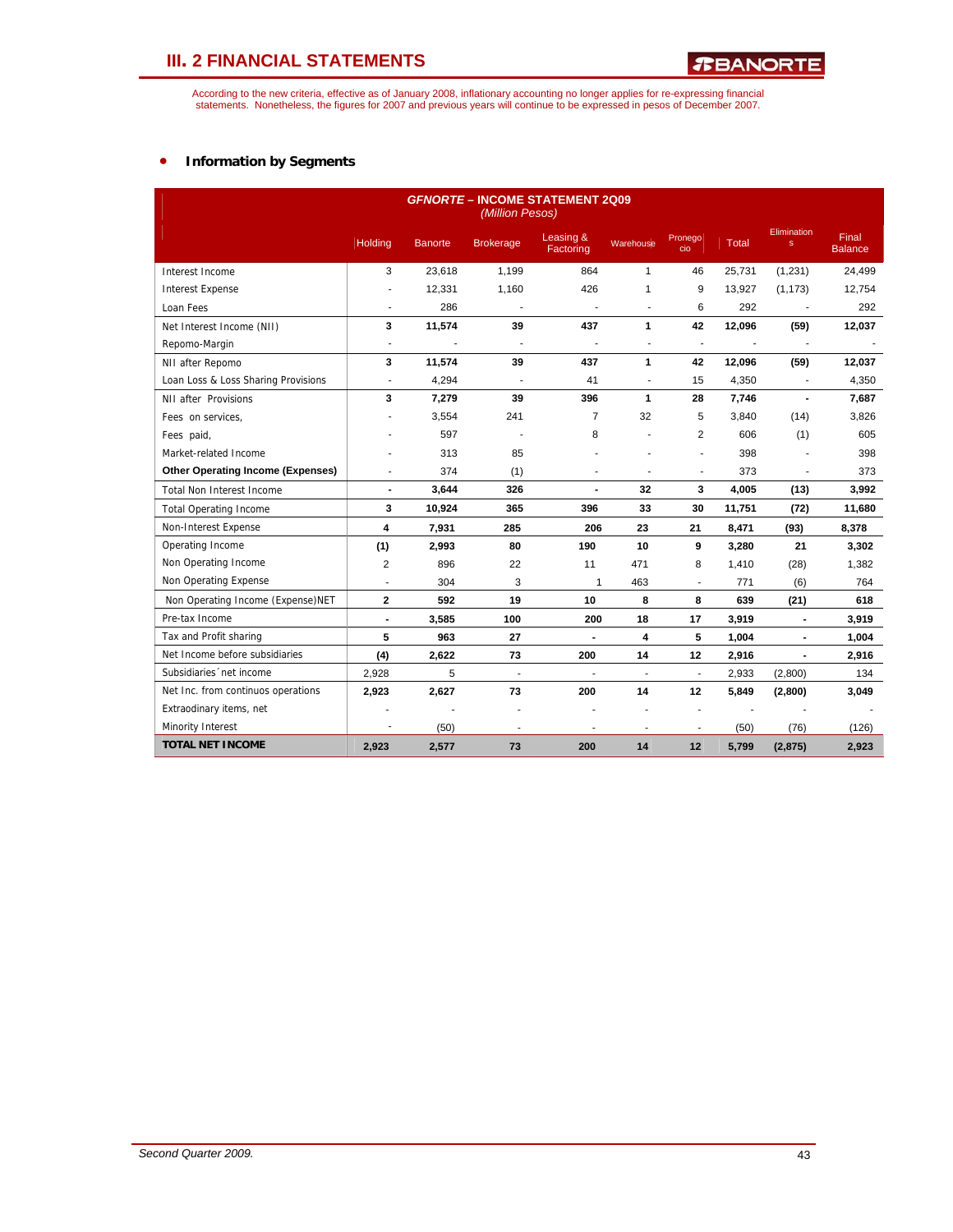According to the new criteria, effective as of January 2008, inflationary accounting no longer applies for re-expressing financial<br>statements. Nonetheless, the figures for 2007 and previous years will continue to be expres

## • **Information by Segments**

| <b>GFNORTE - INCOME STATEMENT 2Q09</b><br>(Million Pesos) |                          |                |                          |                        |                          |                          |              |                             |                         |  |  |  |
|-----------------------------------------------------------|--------------------------|----------------|--------------------------|------------------------|--------------------------|--------------------------|--------------|-----------------------------|-------------------------|--|--|--|
|                                                           | <b>Holding</b>           | <b>Banorte</b> | <b>Brokerage</b>         | Leasing &<br>Factoring | Warehouse                | Pronego<br>cio           | <b>Total</b> | Elimination<br>$\mathbf{s}$ | Final<br><b>Balance</b> |  |  |  |
| Interest Income                                           | 3                        | 23,618         | 1,199                    | 864                    | $\mathbf{1}$             | 46                       | 25,731       | (1, 231)                    | 24,499                  |  |  |  |
| <b>Interest Expense</b>                                   |                          | 12,331         | 1,160                    | 426                    | 1                        | 9                        | 13,927       | (1, 173)                    | 12,754                  |  |  |  |
| Loan Fees                                                 | ä,                       | 286            |                          |                        | L.                       | 6                        | 292          | $\sim$                      | 292                     |  |  |  |
| Net Interest Income (NII)                                 | 3                        | 11,574         | 39                       | 437                    | 1                        | 42                       | 12,096       | (59)                        | 12,037                  |  |  |  |
| Repomo-Margin                                             | ÷.                       |                |                          |                        | ÷                        | $\overline{a}$           |              | ÷.                          |                         |  |  |  |
| NII after Repomo                                          | 3                        | 11,574         | 39                       | 437                    | 1                        | 42                       | 12,096       | (59)                        | 12,037                  |  |  |  |
| Loan Loss & Loss Sharing Provisions                       | ÷.                       | 4,294          |                          | 41                     | ä,                       | 15                       | 4,350        | $\sim$                      | 4,350                   |  |  |  |
| NII after Provisions                                      | 3                        | 7,279          | 39                       | 396                    | 1                        | 28                       | 7,746        | $\blacksquare$              | 7,687                   |  |  |  |
| Fees on services.                                         |                          | 3,554          | 241                      | $\overline{7}$         | 32                       | 5                        | 3,840        | (14)                        | 3,826                   |  |  |  |
| Fees paid,                                                |                          | 597            | $\overline{\phantom{a}}$ | 8                      | ä,                       | $\overline{2}$           | 606          | (1)                         | 605                     |  |  |  |
| Market-related Income                                     |                          | 313            | 85                       |                        |                          |                          | 398          |                             | 398                     |  |  |  |
| <b>Other Operating Income (Expenses)</b>                  | ä,                       | 374            | (1)                      |                        | ۷                        | $\overline{\phantom{a}}$ | 373          |                             | 373                     |  |  |  |
| <b>Total Non Interest Income</b>                          | $\overline{\phantom{a}}$ | 3,644          | 326                      | $\blacksquare$         | 32                       | 3                        | 4,005        | (13)                        | 3,992                   |  |  |  |
| <b>Total Operating Income</b>                             | 3                        | 10,924         | 365                      | 396                    | 33                       | 30                       | 11,751       | (72)                        | 11,680                  |  |  |  |
| Non-Interest Expense                                      | 4                        | 7.931          | 285                      | 206                    | 23                       | 21                       | 8,471        | (93)                        | 8,378                   |  |  |  |
| Operating Income                                          | (1)                      | 2,993          | 80                       | 190                    | 10                       | 9                        | 3,280        | 21                          | 3,302                   |  |  |  |
| Non Operating Income                                      | 2                        | 896            | 22                       | 11                     | 471                      | 8                        | 1,410        | (28)                        | 1,382                   |  |  |  |
| Non Operating Expense                                     | ÷                        | 304            | 3                        | 1                      | 463                      | ÷                        | 771          | (6)                         | 764                     |  |  |  |
| Non Operating Income (Expense) NET                        | $\mathbf{2}$             | 592            | 19                       | 10                     | 8                        | 8                        | 639          | (21)                        | 618                     |  |  |  |
| Pre-tax Income                                            | $\blacksquare$           | 3,585          | 100                      | 200                    | 18                       | 17                       | 3,919        | $\blacksquare$              | 3,919                   |  |  |  |
| Tax and Profit sharing                                    | 5                        | 963            | 27                       |                        | 4                        | 5                        | 1,004        |                             | 1,004                   |  |  |  |
| Net Income before subsidiaries                            | (4)                      | 2,622          | 73                       | 200                    | 14                       | 12                       | 2,916        | $\blacksquare$              | 2,916                   |  |  |  |
| Subsidiaries 'net income                                  | 2,928                    | 5              | $\overline{\phantom{a}}$ | ä,                     | $\overline{\phantom{a}}$ | $\overline{a}$           | 2,933        | (2,800)                     | 134                     |  |  |  |
| Net Inc. from continuos operations                        | 2,923                    | 2,627          | 73                       | 200                    | 14                       | 12                       | 5,849        | (2,800)                     | 3,049                   |  |  |  |
| Extraodinary items, net                                   |                          |                | Ĭ.                       |                        |                          | $\overline{a}$           |              |                             |                         |  |  |  |
| Minority Interest                                         |                          | (50)           |                          |                        |                          |                          | (50)         | (76)                        | (126)                   |  |  |  |
| <b>TOTAL NET INCOME</b>                                   | 2,923                    | 2,577          | 73                       | 200                    | 14                       | 12                       | 5,799        | (2, 875)                    | 2,923                   |  |  |  |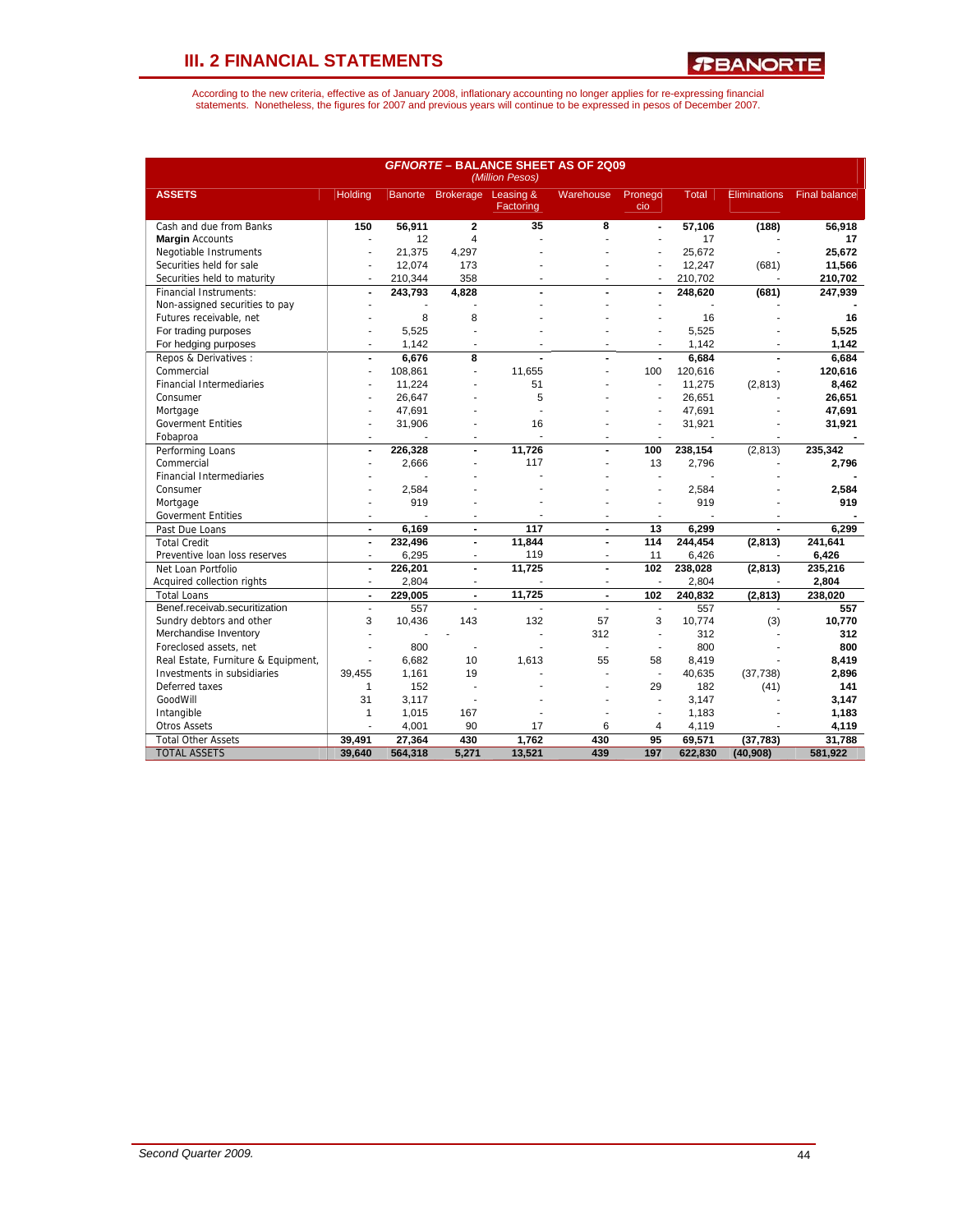*R***BANORTE** 

| <b>GFNORTE - BALANCE SHEET AS OF 2Q09</b><br>(Million Pesos) |                          |                |                  |                        |                  |                          |              |                     |                      |  |  |  |
|--------------------------------------------------------------|--------------------------|----------------|------------------|------------------------|------------------|--------------------------|--------------|---------------------|----------------------|--|--|--|
| <b>ASSETS</b>                                                | <b>Holding</b>           | <b>Banorte</b> | <b>Brokerage</b> | Leasing &<br>Factoring | <b>Warehouse</b> | Pronego<br>cio           | <b>Total</b> | <b>Eliminations</b> | <b>Final balance</b> |  |  |  |
| Cash and due from Banks                                      | 150                      | 56,911         | $\mathbf{2}$     | $\overline{35}$        | 8                | $\blacksquare$           | 57,106       | (188)               | 56,918               |  |  |  |
| <b>Margin</b> Accounts                                       | ä,                       | 12             | $\overline{4}$   |                        |                  |                          | 17           |                     | 17                   |  |  |  |
| Negotiable Instruments                                       | ä,                       | 21.375         | 4,297            |                        |                  |                          | 25.672       |                     | 25.672               |  |  |  |
| Securities held for sale                                     |                          | 12,074         | 173              |                        |                  |                          | 12,247       | (681)               | 11,566               |  |  |  |
| Securities held to maturity                                  |                          | 210,344        | 358              |                        |                  |                          | 210,702      |                     | 210,702              |  |  |  |
| <b>Financial Instruments:</b>                                | $\blacksquare$           | 243,793        | 4,828            | $\overline{a}$         | $\overline{a}$   | ÷,                       | 248,620      | (681)               | 247,939              |  |  |  |
| Non-assigned securities to pay                               |                          |                |                  |                        |                  |                          |              |                     |                      |  |  |  |
| Futures receivable, net                                      |                          | 8              | 8                |                        |                  |                          | 16           |                     | 16                   |  |  |  |
| For trading purposes                                         |                          | 5,525          | ٠                |                        |                  |                          | 5,525        |                     | 5,525                |  |  |  |
| For hedging purposes                                         | $\overline{a}$           | 1,142          | ٠                |                        |                  |                          | 1,142        |                     | 1,142                |  |  |  |
| Repos & Derivatives:                                         | $\blacksquare$           | 6.676          | 8                |                        |                  | $\overline{a}$           | 6.684        |                     | 6.684                |  |  |  |
| Commercial                                                   | ä,                       | 108,861        | ÷,               | 11,655                 |                  | 100                      | 120,616      |                     | 120,616              |  |  |  |
| <b>Financial Intermediaries</b>                              |                          | 11,224         |                  | 51                     |                  | $\overline{\phantom{a}}$ | 11,275       | (2, 813)            | 8,462                |  |  |  |
| Consumer                                                     |                          | 26.647         |                  | 5                      |                  |                          | 26,651       |                     | 26,651               |  |  |  |
| Mortgage                                                     |                          | 47,691         |                  |                        |                  |                          | 47,691       |                     | 47,691               |  |  |  |
| <b>Goverment Entities</b>                                    |                          | 31,906         |                  | 16                     |                  |                          | 31,921       |                     | 31,921               |  |  |  |
|                                                              |                          |                |                  | L.                     |                  |                          |              |                     |                      |  |  |  |
| Fobaproa                                                     |                          |                |                  | 11,726                 |                  |                          |              |                     |                      |  |  |  |
| Performing Loans                                             | $\blacksquare$           | 226,328        |                  | 117                    |                  | 100                      | 238,154      | (2, 813)            | 235,342              |  |  |  |
| Commercial                                                   |                          | 2,666          |                  |                        | ٠                | 13                       | 2,796        |                     | 2,796                |  |  |  |
| <b>Financial Intermediaries</b>                              |                          |                |                  |                        |                  |                          |              |                     |                      |  |  |  |
| Consumer                                                     |                          | 2,584          |                  |                        |                  |                          | 2,584        |                     | 2,584                |  |  |  |
| Mortgage                                                     |                          | 919            |                  |                        |                  |                          | 919          |                     | 919                  |  |  |  |
| <b>Goverment Entities</b>                                    | $\overline{\phantom{a}}$ |                |                  |                        | ٠                |                          |              |                     |                      |  |  |  |
| Past Due Loans                                               | $\blacksquare$           | 6,169          | $\blacksquare$   | 117                    | $\blacksquare$   | 13                       | 6,299        | $\blacksquare$      | 6,299                |  |  |  |
| <b>Total Credit</b>                                          | $\blacksquare$           | 232,496        | $\blacksquare$   | 11.844                 | $\overline{a}$   | 114                      | 244.454      | (2,813)             | 241.641              |  |  |  |
| Preventive loan loss reserves                                |                          | 6,295          |                  | 119                    |                  | 11                       | 6,426        |                     | 6,426                |  |  |  |
| Net Loan Portfolio                                           | $\blacksquare$           | 226,201        | $\blacksquare$   | 11,725                 | $\blacksquare$   | 102                      | 238,028      | (2,813)             | 235,216              |  |  |  |
| Acquired collection rights                                   | $\overline{\phantom{a}}$ | 2,804          | ٠                |                        | $\blacksquare$   | ÷.                       | 2,804        |                     | 2,804                |  |  |  |
| <b>Total Loans</b>                                           | $\blacksquare$           | 229.005        | $\overline{a}$   | 11,725                 | $\blacksquare$   | 102                      | 240,832      | (2, 813)            | 238,020              |  |  |  |
| Benef.receivab.securitization                                | $\overline{\phantom{a}}$ | 557            | $\blacksquare$   | ÷                      | ÷                | $\blacksquare$           | 557          | $\overline{a}$      | 557                  |  |  |  |
| Sundry debtors and other                                     | 3                        | 10,436         | 143              | 132                    | 57               | 3                        | 10,774       | (3)                 | 10,770               |  |  |  |
| Merchandise Inventory                                        | ä,                       |                |                  | $\overline{a}$         | 312              | J.                       | 312          |                     | 312                  |  |  |  |
| Foreclosed assets, net                                       |                          | 800            |                  |                        |                  | $\overline{a}$           | 800          |                     | 800                  |  |  |  |
| Real Estate, Furniture & Equipment,                          | ÷,                       | 6.682          | 10               | 1.613                  | 55               | 58                       | 8.419        |                     | 8.419                |  |  |  |
| Investments in subsidiaries                                  | 39,455                   | 1,161          | 19               |                        |                  | $\overline{a}$           | 40,635       | (37, 738)           | 2,896                |  |  |  |
| Deferred taxes                                               | $\mathbf{1}$             | 152            | ÷.               |                        |                  | 29                       | 182          | (41)                | 141                  |  |  |  |
| GoodWill                                                     | 31                       | 3.117          |                  |                        |                  |                          | 3.147        |                     | 3.147                |  |  |  |
| Intangible                                                   | 1                        | 1,015          | 167              |                        |                  | $\overline{\phantom{a}}$ | 1,183        |                     | 1,183                |  |  |  |
| <b>Otros Assets</b>                                          |                          | 4,001          | 90               | 17                     | 6                | 4                        | 4,119        |                     | 4,119                |  |  |  |
| <b>Total Other Assets</b>                                    | 39.491                   | 27,364         | 430              | 1.762                  | 430              | 95                       | 69,571       | (37, 783)           | 31,788               |  |  |  |
|                                                              |                          |                |                  |                        |                  |                          |              |                     |                      |  |  |  |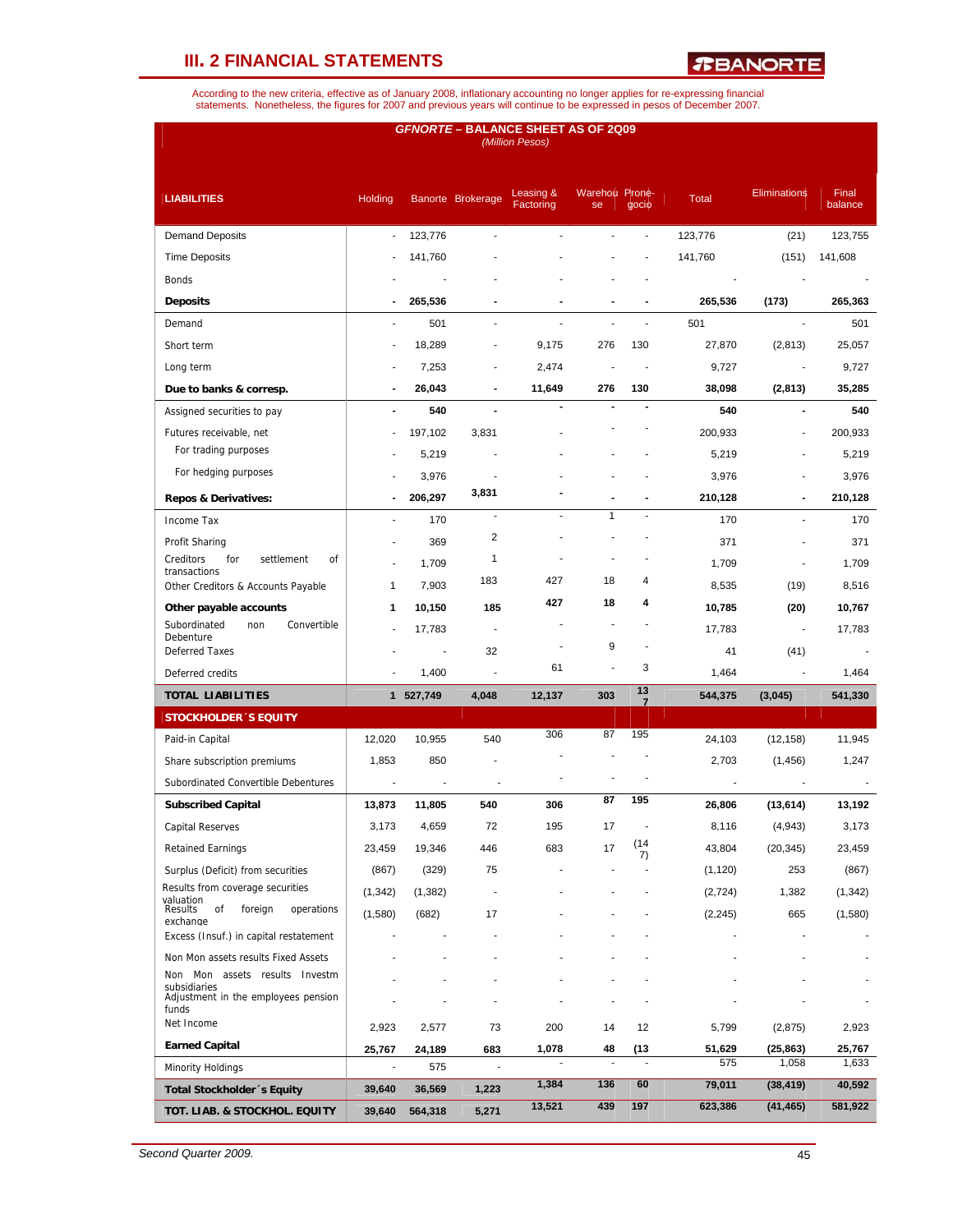*R***BANORTE** 

| <b>GFNORTE - BALANCE SHEET AS OF 2Q09</b><br>(Million Pesos) |                |           |                          |                        |                             |                      |              |                          |                  |  |  |  |
|--------------------------------------------------------------|----------------|-----------|--------------------------|------------------------|-----------------------------|----------------------|--------------|--------------------------|------------------|--|--|--|
| <b>LIABILITIES</b>                                           | <b>Holding</b> |           | Banorte Brokerage        | Leasing &<br>Factoring | <b>Warehou Prone-</b><br>se | gocio                | <b>Total</b> | <b>Eliminations</b>      | Final<br>balance |  |  |  |
| <b>Demand Deposits</b>                                       | ÷,             | 123,776   | J.                       | L,                     |                             |                      | 123,776      | (21)                     | 123,755          |  |  |  |
| <b>Time Deposits</b>                                         |                | 141,760   |                          |                        |                             |                      | 141,760      | (151)                    | 141,608          |  |  |  |
| <b>Bonds</b>                                                 |                |           |                          |                        |                             |                      |              |                          |                  |  |  |  |
| <b>Deposits</b>                                              |                | 265,536   |                          |                        |                             |                      | 265,536      | (173)                    | 265,363          |  |  |  |
| Demand                                                       | ÷,             | 501       | ÷                        |                        |                             | ä,                   | 501          | ÷,                       | 501              |  |  |  |
| Short term                                                   |                | 18,289    |                          | 9,175                  | 276                         | 130                  | 27,870       | (2, 813)                 | 25,057           |  |  |  |
| Long term                                                    |                | 7,253     |                          | 2,474                  |                             |                      | 9,727        | $\blacksquare$           | 9,727            |  |  |  |
| Due to banks & corresp.                                      |                | 26,043    | $\blacksquare$           | 11,649                 | 276                         | 130                  | 38,098       | (2,813)                  | 35,285           |  |  |  |
| Assigned securities to pay                                   | $\overline{a}$ | 540       |                          |                        |                             |                      | 540          | $\overline{a}$           | 540              |  |  |  |
| Futures receivable, net                                      |                | 197,102   | 3,831                    |                        |                             |                      | 200,933      | $\blacksquare$           | 200,933          |  |  |  |
| For trading purposes                                         |                | 5,219     |                          |                        |                             |                      | 5,219        |                          | 5,219            |  |  |  |
| For hedging purposes                                         |                | 3,976     |                          |                        |                             |                      | 3,976        |                          | 3,976            |  |  |  |
| <b>Repos &amp; Derivatives:</b>                              |                | 206,297   | 3,831                    |                        |                             |                      | 210,128      | $\blacksquare$           | 210,128          |  |  |  |
| Income Tax                                                   |                | 170       |                          |                        | $\mathbf{1}$                |                      | 170          |                          | 170              |  |  |  |
| Profit Sharing                                               |                | 369       | $\overline{\mathbf{c}}$  |                        |                             |                      | 371          |                          | 371              |  |  |  |
| Creditors<br>for<br>settlement<br>οf<br>transactions         | ä,             | 1,709     | 1                        |                        |                             |                      | 1,709        | $\blacksquare$           | 1,709            |  |  |  |
| Other Creditors & Accounts Payable                           | 1              | 7,903     | 183                      | 427                    | 18                          | 4                    | 8,535        | (19)                     | 8,516            |  |  |  |
| Other payable accounts                                       | 1              | 10,150    | 185                      | 427                    | 18                          | 4                    | 10,785       | (20)                     | 10,767           |  |  |  |
| Subordinated<br>Convertible<br>non<br>Debenture              |                | 17,783    | $\overline{\phantom{a}}$ |                        | ٠                           |                      | 17,783       | $\overline{\phantom{a}}$ | 17,783           |  |  |  |
| <b>Deferred Taxes</b>                                        |                |           | 32                       |                        | 9                           |                      | 41           | (41)                     |                  |  |  |  |
| Deferred credits                                             |                | 1,400     | J.                       | 61                     | Ĭ.                          | 3                    | 1,464        |                          | 1,464            |  |  |  |
| <b>TOTAL LIABILITIES</b>                                     |                | 1 527,749 | 4,048                    | 12,137                 | 303                         | 13<br>$\overline{7}$ | 544,375      | (3,045)                  | 541,330          |  |  |  |
| <b>STOCKHOLDER 'S EQUITY</b>                                 |                |           |                          |                        |                             |                      |              |                          |                  |  |  |  |
| Paid-in Capital                                              | 12,020         | 10,955    | 540                      | 306                    | 87                          | 195                  | 24,103       | (12, 158)                | 11,945           |  |  |  |
| Share subscription premiums                                  | 1,853          | 850       |                          |                        |                             |                      | 2,703        | (1, 456)                 | 1,247            |  |  |  |
| Subordinated Convertible Debentures                          |                |           |                          |                        |                             |                      |              |                          |                  |  |  |  |
| <b>Subscribed Capital</b>                                    | 13,873         | 11,805    | 540                      | 306                    | 87                          | 195                  | 26,806       | (13, 614)                | 13,192           |  |  |  |
| <b>Capital Reserves</b>                                      | 3,173          | 4,659     | 72                       | 195                    | 17                          |                      | 8,116        | (4, 943)                 | 3,173            |  |  |  |
| <b>Retained Earnings</b>                                     | 23,459         | 19,346    | 446                      | 683                    | 17                          | (14)<br>7)           | 43,804       | (20, 345)                | 23,459           |  |  |  |
| Surplus (Deficit) from securities                            | (867)          | (329)     | 75                       |                        |                             |                      | (1, 120)     | 253                      | (867)            |  |  |  |
| Results from coverage securities                             | (1, 342)       | (1, 382)  |                          |                        |                             |                      | (2,724)      | 1,382                    | (1, 342)         |  |  |  |
| valuation<br>Results<br>foreign<br>operations<br>of          | (1,580)        | (682)     | 17                       |                        |                             |                      | (2, 245)     | 665                      | (1,580)          |  |  |  |
| exchange<br>Excess (Insuf.) in capital restatement           |                |           |                          |                        |                             |                      |              |                          |                  |  |  |  |
| Non Mon assets results Fixed Assets                          |                |           |                          |                        |                             |                      |              |                          |                  |  |  |  |
| Non Mon assets results Investm                               |                |           |                          |                        |                             |                      |              |                          |                  |  |  |  |
| subsidiaries<br>Adjustment in the employees pension          |                |           |                          |                        |                             |                      |              |                          |                  |  |  |  |
| funds<br>Net Income                                          | 2,923          | 2,577     | 73                       | 200                    | 14                          | 12                   | 5,799        | (2, 875)                 | 2,923            |  |  |  |
| <b>Earned Capital</b>                                        | 25,767         | 24,189    | 683                      | 1,078                  | 48                          | (13                  | 51,629       | (25, 863)                | 25,767           |  |  |  |
| <b>Minority Holdings</b>                                     |                | 575       |                          |                        | ÷,                          | ÷,                   | 575          | 1,058                    | 1,633            |  |  |  |
| Total Stockholder 's Equity                                  | 39,640         | 36,569    | 1,223                    | 1,384                  | 136                         | 60                   | 79,011       | (38, 419)                | 40,592           |  |  |  |
| TOT. LIAB. & STOCKHOL. EQUITY                                | 39,640         | 564,318   | 5,271                    | 13,521                 | 439                         | 197                  | 623,386      | (41, 465)                | 581,922          |  |  |  |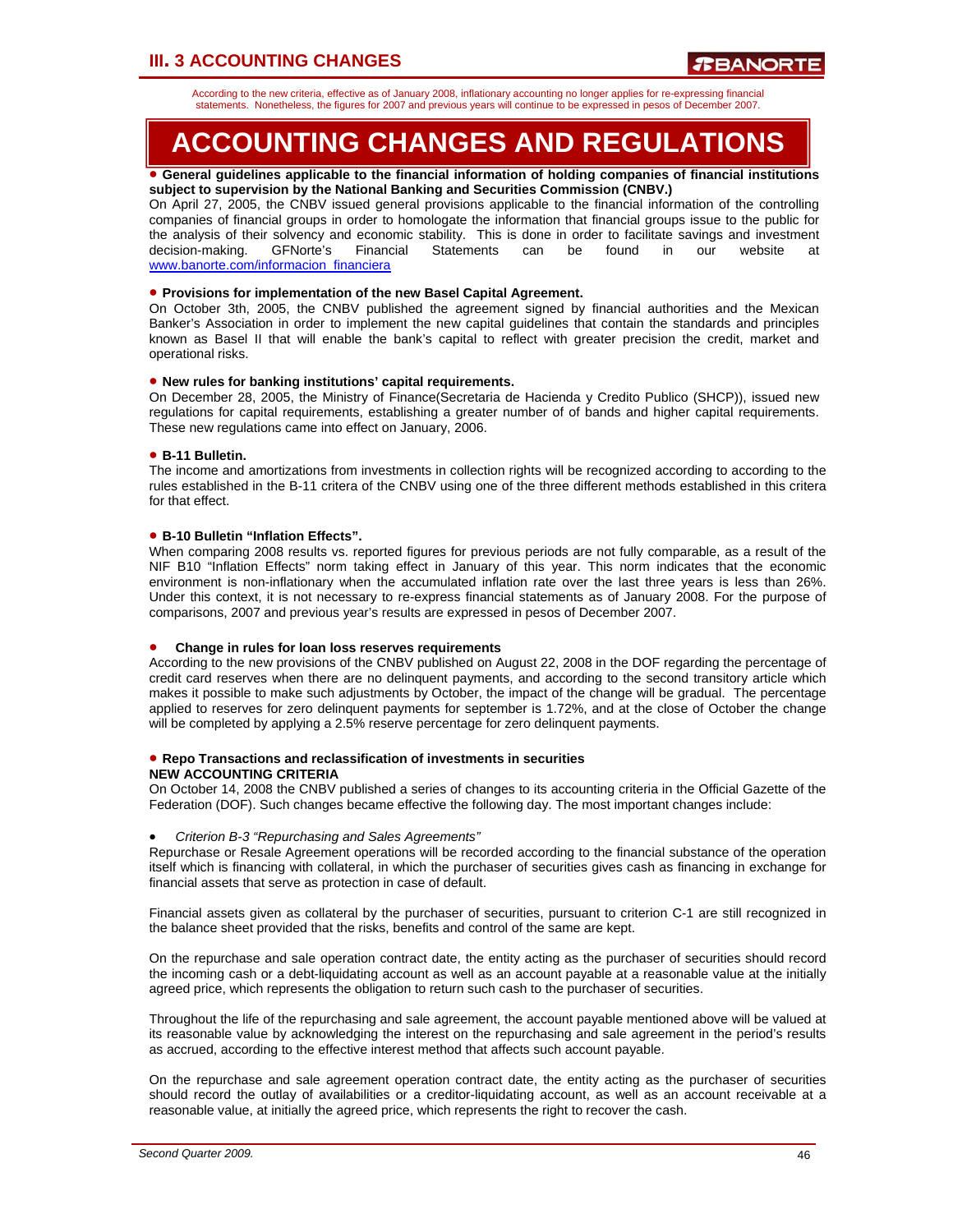According to the new criteria, effective as of January 2008, inflationary accounting no longer applies for re-expressing financial statements. Nonetheless, the figures for 2007 and previous years will continue to be expressed in pesos of December 2007.

# **ACCOUNTING CHANGES AND REGULATIONS**

#### • **General guidelines applicable to the financial information of holding companies of financial institutions subject to supervision by the National Banking and Securities Commission (CNBV.)**

On April 27, 2005, the CNBV issued general provisions applicable to the financial information of the controlling companies of financial groups in order to homologate the information that financial groups issue to the public for the analysis of their solvency and economic stability. This is done in order to facilitate savings and investment decision-making. GFNorte's Financial Statements can be found in our website at www.banorte.com/informacion\_financiera

### • **Provisions for implementation of the new Basel Capital Agreement.**

On October 3th, 2005, the CNBV published the agreement signed by financial authorities and the Mexican Banker's Association in order to implement the new capital guidelines that contain the standards and principles known as Basel II that will enable the bank's capital to reflect with greater precision the credit, market and operational risks.

### • **New rules for banking institutions' capital requirements.**

On December 28, 2005, the Ministry of Finance(Secretaria de Hacienda y Credito Publico (SHCP)), issued new regulations for capital requirements, establishing a greater number of of bands and higher capital requirements. These new regulations came into effect on January, 2006.

### • **B-11 Bulletin.**

The income and amortizations from investments in collection rights will be recognized according to according to the rules established in the B-11 critera of the CNBV using one of the three different methods established in this critera for that effect.

### • **B-10 Bulletin "Inflation Effects".**

When comparing 2008 results vs. reported figures for previous periods are not fully comparable, as a result of the NIF B10 "Inflation Effects" norm taking effect in January of this year. This norm indicates that the economic environment is non-inflationary when the accumulated inflation rate over the last three years is less than 26%. Under this context, it is not necessary to re-express financial statements as of January 2008. For the purpose of comparisons, 2007 and previous year's results are expressed in pesos of December 2007.

### • **Change in rules for loan loss reserves requirements**

According to the new provisions of the CNBV published on August 22, 2008 in the DOF regarding the percentage of credit card reserves when there are no delinquent payments, and according to the second transitory article which makes it possible to make such adjustments by October, the impact of the change will be gradual. The percentage applied to reserves for zero delinquent payments for september is 1.72%, and at the close of October the change will be completed by applying a 2.5% reserve percentage for zero delinquent payments.

#### • **Repo Transactions and reclassification of investments in securities NEW ACCOUNTING CRITERIA**

On October 14, 2008 the CNBV published a series of changes to its accounting criteria in the Official Gazette of the Federation (DOF). Such changes became effective the following day. The most important changes include:

### • *Criterion B-3 "Repurchasing and Sales Agreements"*

Repurchase or Resale Agreement operations will be recorded according to the financial substance of the operation itself which is financing with collateral, in which the purchaser of securities gives cash as financing in exchange for financial assets that serve as protection in case of default.

Financial assets given as collateral by the purchaser of securities, pursuant to criterion C-1 are still recognized in the balance sheet provided that the risks, benefits and control of the same are kept.

On the repurchase and sale operation contract date, the entity acting as the purchaser of securities should record the incoming cash or a debt-liquidating account as well as an account payable at a reasonable value at the initially agreed price, which represents the obligation to return such cash to the purchaser of securities.

Throughout the life of the repurchasing and sale agreement, the account payable mentioned above will be valued at its reasonable value by acknowledging the interest on the repurchasing and sale agreement in the period's results as accrued, according to the effective interest method that affects such account payable.

On the repurchase and sale agreement operation contract date, the entity acting as the purchaser of securities should record the outlay of availabilities or a creditor-liquidating account, as well as an account receivable at a reasonable value, at initially the agreed price, which represents the right to recover the cash.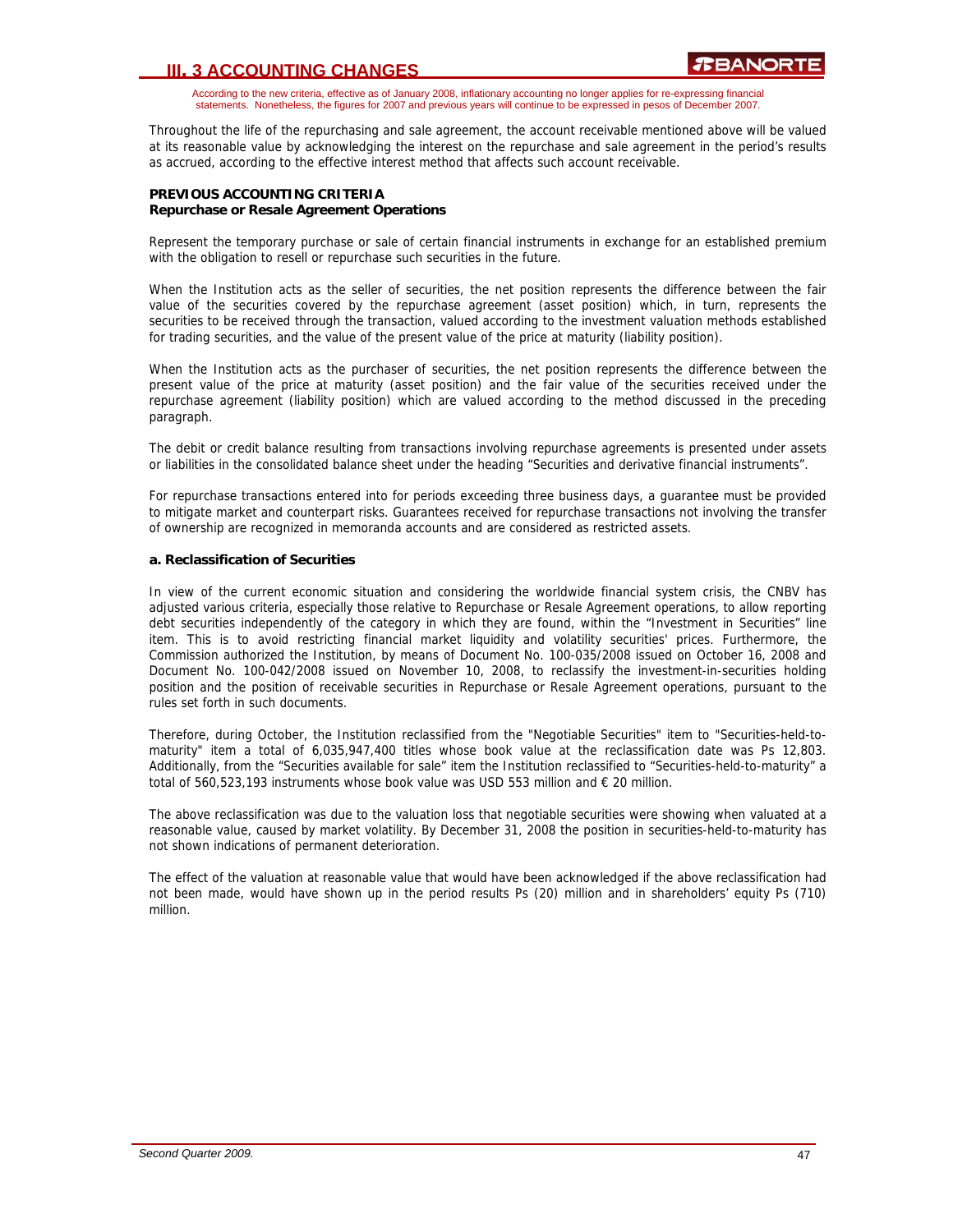According to the new criteria, effective as of January 2008, inflationary accounting no longer applies for re-expressing financial statements. Nonetheless, the figures for 2007 and previous years will continue to be expressed in pesos of December 2007.

Throughout the life of the repurchasing and sale agreement, the account receivable mentioned above will be valued at its reasonable value by acknowledging the interest on the repurchase and sale agreement in the period's results as accrued, according to the effective interest method that affects such account receivable.

### **PREVIOUS ACCOUNTING CRITERIA Repurchase or Resale Agreement Operations**

Represent the temporary purchase or sale of certain financial instruments in exchange for an established premium with the obligation to resell or repurchase such securities in the future.

When the Institution acts as the seller of securities, the net position represents the difference between the fair value of the securities covered by the repurchase agreement (asset position) which, in turn, represents the securities to be received through the transaction, valued according to the investment valuation methods established for trading securities, and the value of the present value of the price at maturity (liability position).

When the Institution acts as the purchaser of securities, the net position represents the difference between the present value of the price at maturity (asset position) and the fair value of the securities received under the repurchase agreement (liability position) which are valued according to the method discussed in the preceding paragraph.

The debit or credit balance resulting from transactions involving repurchase agreements is presented under assets or liabilities in the consolidated balance sheet under the heading "Securities and derivative financial instruments".

For repurchase transactions entered into for periods exceeding three business days, a guarantee must be provided to mitigate market and counterpart risks. Guarantees received for repurchase transactions not involving the transfer of ownership are recognized in memoranda accounts and are considered as restricted assets.

### **a. Reclassification of Securities**

In view of the current economic situation and considering the worldwide financial system crisis, the CNBV has adjusted various criteria, especially those relative to Repurchase or Resale Agreement operations, to allow reporting debt securities independently of the category in which they are found, within the "Investment in Securities" line item. This is to avoid restricting financial market liquidity and volatility securities' prices. Furthermore, the Commission authorized the Institution, by means of Document No. 100-035/2008 issued on October 16, 2008 and Document No. 100-042/2008 issued on November 10, 2008, to reclassify the investment-in-securities holding position and the position of receivable securities in Repurchase or Resale Agreement operations, pursuant to the rules set forth in such documents.

Therefore, during October, the Institution reclassified from the "Negotiable Securities" item to "Securities-held-tomaturity" item a total of 6,035,947,400 titles whose book value at the reclassification date was Ps 12,803. Additionally, from the "Securities available for sale" item the Institution reclassified to "Securities-held-to-maturity" a total of 560,523,193 instruments whose book value was USD 553 million and  $\epsilon$  20 million.

The above reclassification was due to the valuation loss that negotiable securities were showing when valuated at a reasonable value, caused by market volatility. By December 31, 2008 the position in securities-held-to-maturity has not shown indications of permanent deterioration.

The effect of the valuation at reasonable value that would have been acknowledged if the above reclassification had not been made, would have shown up in the period results Ps (20) million and in shareholders' equity Ps (710) million.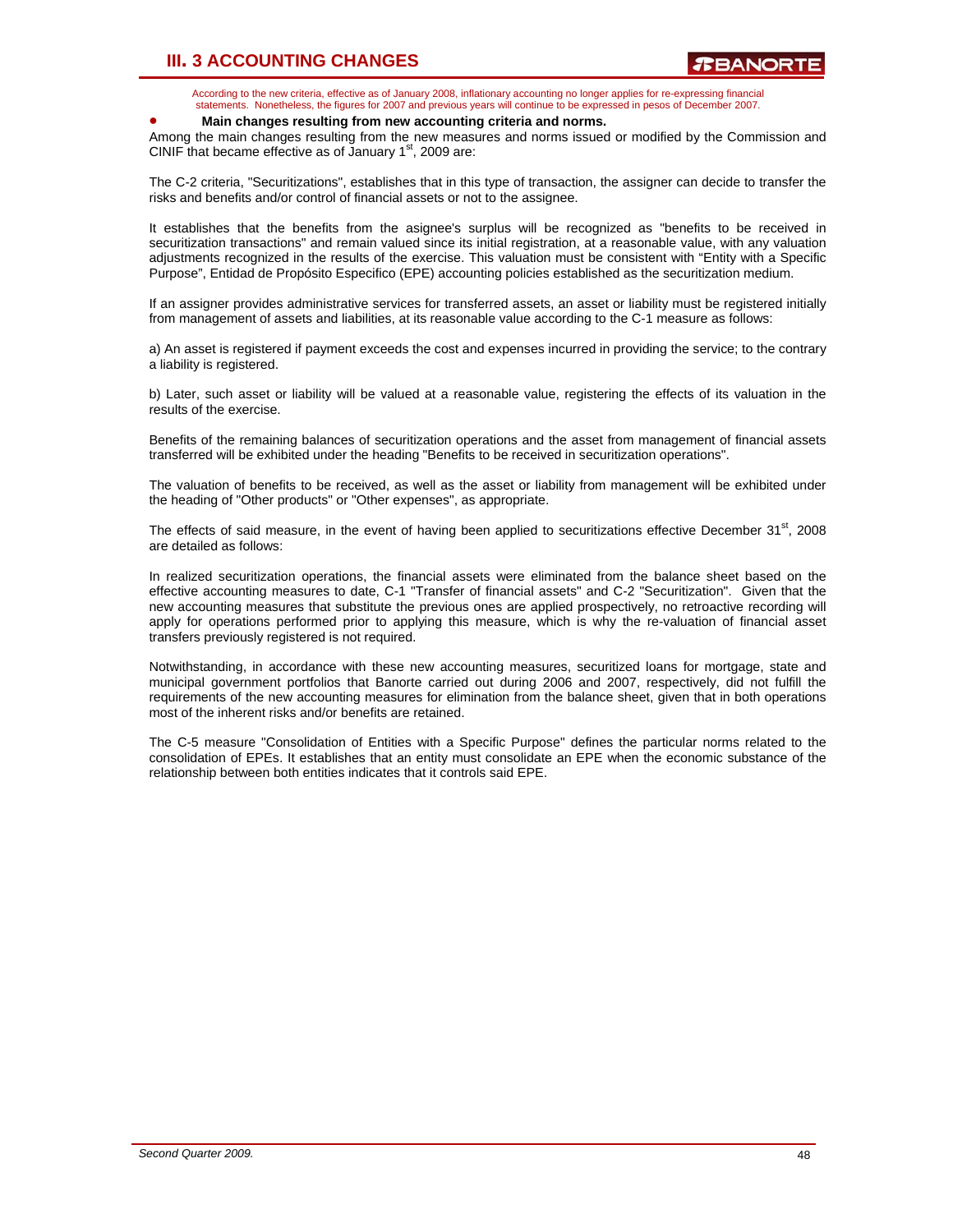According to the new criteria, effective as of January 2008, inflationary accounting no longer applies for re-expressing financial statements. Nonetheless, the figures for 2007 and previous years will continue to be expressed in pesos of December 2007.

### • **Main changes resulting from new accounting criteria and norms.**

Among the main changes resulting from the new measures and norms issued or modified by the Commission and CINIF that became effective as of January  $1<sup>st</sup>$ , 2009 are:

The C-2 criteria, "Securitizations", establishes that in this type of transaction, the assigner can decide to transfer the risks and benefits and/or control of financial assets or not to the assignee.

It establishes that the benefits from the asignee's surplus will be recognized as "benefits to be received in securitization transactions" and remain valued since its initial registration, at a reasonable value, with any valuation adjustments recognized in the results of the exercise. This valuation must be consistent with "Entity with a Specific Purpose", Entidad de Propósito Especifico (EPE) accounting policies established as the securitization medium.

If an assigner provides administrative services for transferred assets, an asset or liability must be registered initially from management of assets and liabilities, at its reasonable value according to the C-1 measure as follows:

a) An asset is registered if payment exceeds the cost and expenses incurred in providing the service; to the contrary a liability is registered.

b) Later, such asset or liability will be valued at a reasonable value, registering the effects of its valuation in the results of the exercise.

Benefits of the remaining balances of securitization operations and the asset from management of financial assets transferred will be exhibited under the heading "Benefits to be received in securitization operations".

The valuation of benefits to be received, as well as the asset or liability from management will be exhibited under the heading of "Other products" or "Other expenses", as appropriate.

The effects of said measure, in the event of having been applied to securitizations effective December 31st, 2008 are detailed as follows:

In realized securitization operations, the financial assets were eliminated from the balance sheet based on the effective accounting measures to date, C-1 "Transfer of financial assets" and C-2 "Securitization". Given that the new accounting measures that substitute the previous ones are applied prospectively, no retroactive recording will apply for operations performed prior to applying this measure, which is why the re-valuation of financial asset transfers previously registered is not required.

Notwithstanding, in accordance with these new accounting measures, securitized loans for mortgage, state and municipal government portfolios that Banorte carried out during 2006 and 2007, respectively, did not fulfill the requirements of the new accounting measures for elimination from the balance sheet, given that in both operations most of the inherent risks and/or benefits are retained.

The C-5 measure "Consolidation of Entities with a Specific Purpose" defines the particular norms related to the consolidation of EPEs. It establishes that an entity must consolidate an EPE when the economic substance of the relationship between both entities indicates that it controls said EPE.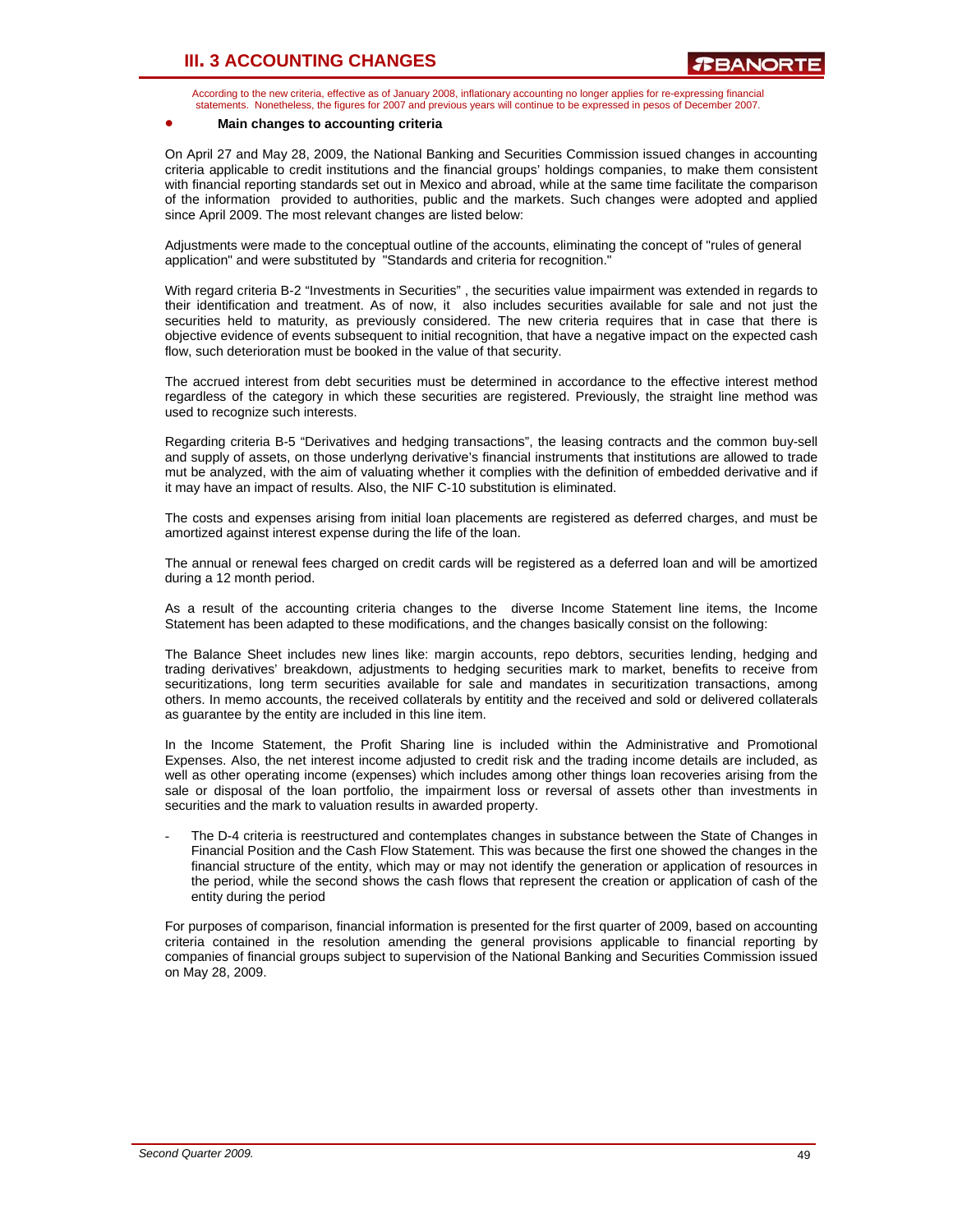According to the new criteria, effective as of January 2008, inflationary accounting no longer applies for re-expressing financial statements. Nonetheless, the figures for 2007 and previous years will continue to be expressed in pesos of December 2007.

### • **Main changes to accounting criteria**

On April 27 and May 28, 2009, the National Banking and Securities Commission issued changes in accounting criteria applicable to credit institutions and the financial groups' holdings companies, to make them consistent with financial reporting standards set out in Mexico and abroad, while at the same time facilitate the comparison of the information provided to authorities, public and the markets. Such changes were adopted and applied since April 2009. The most relevant changes are listed below:

Adjustments were made to the conceptual outline of the accounts, eliminating the concept of "rules of general application" and were substituted by "Standards and criteria for recognition."

With regard criteria B-2 "Investments in Securities" , the securities value impairment was extended in regards to their identification and treatment. As of now, it also includes securities available for sale and not just the securities held to maturity, as previously considered. The new criteria requires that in case that there is objective evidence of events subsequent to initial recognition, that have a negative impact on the expected cash flow, such deterioration must be booked in the value of that security.

The accrued interest from debt securities must be determined in accordance to the effective interest method regardless of the category in which these securities are registered. Previously, the straight line method was used to recognize such interests.

Regarding criteria B-5 "Derivatives and hedging transactions", the leasing contracts and the common buy-sell and supply of assets, on those underlyng derivative's financial instruments that institutions are allowed to trade mut be analyzed, with the aim of valuating whether it complies with the definition of embedded derivative and if it may have an impact of results. Also, the NIF C-10 substitution is eliminated.

The costs and expenses arising from initial loan placements are registered as deferred charges, and must be amortized against interest expense during the life of the loan.

The annual or renewal fees charged on credit cards will be registered as a deferred loan and will be amortized during a 12 month period.

As a result of the accounting criteria changes to the diverse Income Statement line items, the Income Statement has been adapted to these modifications, and the changes basically consist on the following:

The Balance Sheet includes new lines like: margin accounts, repo debtors, securities lending, hedging and trading derivatives' breakdown, adjustments to hedging securities mark to market, benefits to receive from securitizations, long term securities available for sale and mandates in securitization transactions, among others. In memo accounts, the received collaterals by entitity and the received and sold or delivered collaterals as guarantee by the entity are included in this line item.

In the Income Statement, the Profit Sharing line is included within the Administrative and Promotional Expenses. Also, the net interest income adjusted to credit risk and the trading income details are included, as well as other operating income (expenses) which includes among other things loan recoveries arising from the sale or disposal of the loan portfolio, the impairment loss or reversal of assets other than investments in securities and the mark to valuation results in awarded property.

The D-4 criteria is reestructured and contemplates changes in substance between the State of Changes in Financial Position and the Cash Flow Statement. This was because the first one showed the changes in the financial structure of the entity, which may or may not identify the generation or application of resources in the period, while the second shows the cash flows that represent the creation or application of cash of the entity during the period

For purposes of comparison, financial information is presented for the first quarter of 2009, based on accounting criteria contained in the resolution amending the general provisions applicable to financial reporting by companies of financial groups subject to supervision of the National Banking and Securities Commission issued on May 28, 2009.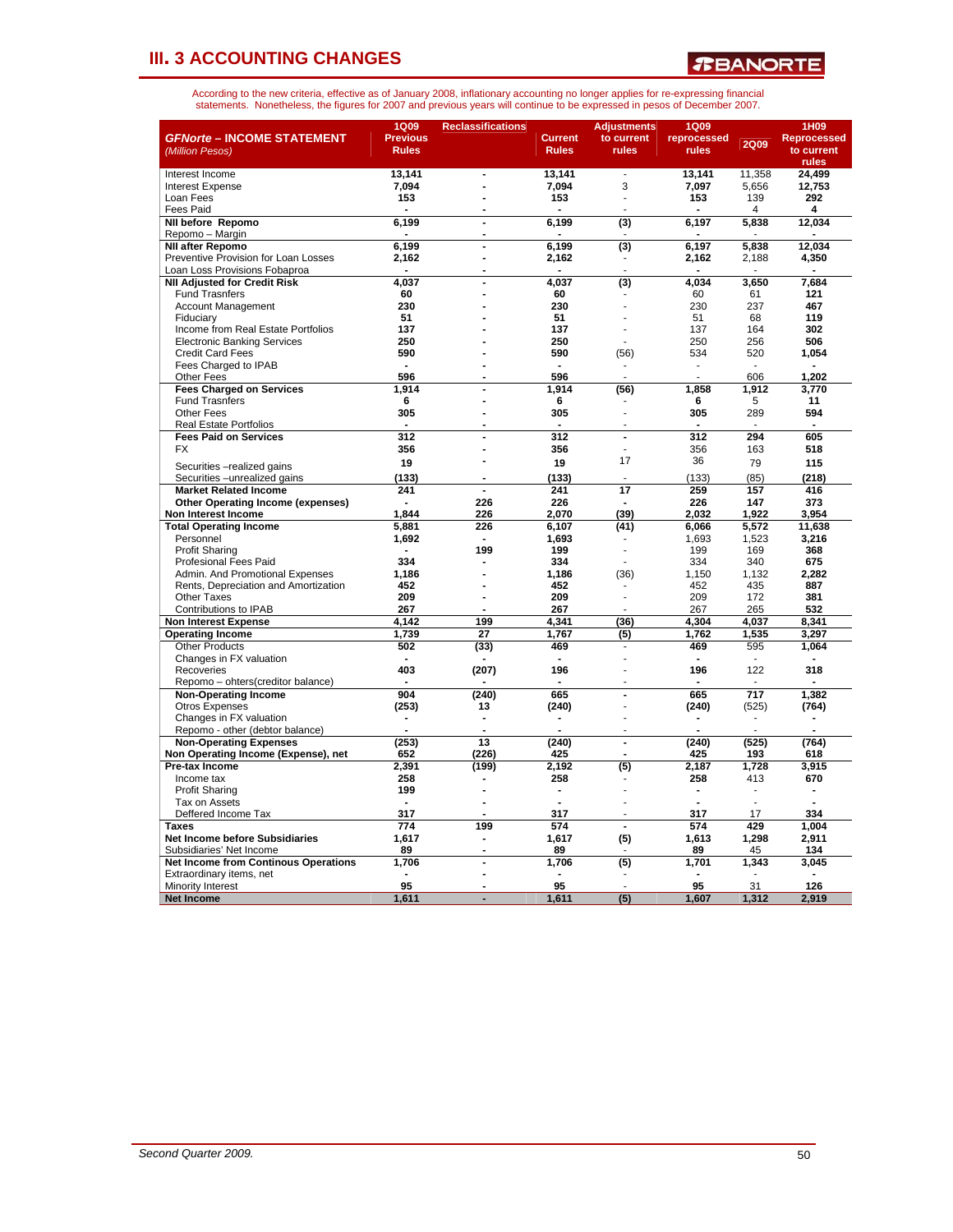*R***BANORTE** 

| <b>GFNorte - INCOME STATEMENT</b><br>(Million Pesos)  | <b>1Q09</b><br><b>Previous</b><br><b>Rules</b> | <b>Reclassifications</b>         | <b>Current</b><br><b>Rules</b> | <b>Adjustments</b><br>to current<br>rules | 1Q09<br>reprocessed<br>rules | <b>2Q09</b>              | 1H09<br><b>Reprocessed</b><br>to current<br>rules |
|-------------------------------------------------------|------------------------------------------------|----------------------------------|--------------------------------|-------------------------------------------|------------------------------|--------------------------|---------------------------------------------------|
| Interest Income                                       | 13,141                                         | $\overline{a}$                   | 13,141                         | ÷                                         | 13,141                       | 11,358                   | 24,499                                            |
| <b>Interest Expense</b>                               | 7,094                                          |                                  | 7,094                          | 3                                         | 7,097                        | 5,656                    | 12,753                                            |
| Loan Fees                                             | 153                                            | $\overline{a}$                   | 153                            | ÷.                                        | 153                          | 139                      | 292                                               |
| <b>Fees Paid</b>                                      |                                                |                                  |                                |                                           |                              | $\overline{\mathcal{A}}$ | 4                                                 |
| NII before Repomo                                     | 6.199                                          | $\overline{a}$                   | 6,199                          | $\overline{(3)}$                          | 6,197                        | 5,838                    | 12,034                                            |
| Repomo - Margin                                       |                                                |                                  |                                |                                           |                              |                          |                                                   |
| <b>NII after Repomo</b>                               | 6.199                                          | $\blacksquare$                   | 6,199                          | $\overline{3}$                            | 6.197                        | 5.838                    | 12.034                                            |
| Preventive Provision for Loan Losses                  | 2,162                                          | $\overline{a}$                   | 2,162                          |                                           | 2,162                        | 2,188                    | 4,350                                             |
| Loan Loss Provisions Fobaproa                         |                                                |                                  |                                | $\overline{a}$                            |                              |                          |                                                   |
| <b>NII Adjusted for Credit Risk</b>                   | 4.037                                          |                                  | 4.037                          | (3)                                       | 4.034                        | 3.650                    | 7,684                                             |
| <b>Fund Trasnfers</b>                                 | 60                                             |                                  | 60                             |                                           | 60                           | 61                       | 121                                               |
| <b>Account Management</b>                             | 230                                            |                                  | 230                            |                                           | 230                          | 237                      | 467                                               |
| Fiduciary                                             | 51                                             |                                  | 51                             |                                           | 51                           | 68                       | 119                                               |
| Income from Real Estate Portfolios                    | 137                                            |                                  | 137                            |                                           | 137                          | 164                      | 302                                               |
| <b>Electronic Banking Services</b>                    | 250                                            |                                  | 250                            |                                           | 250                          | 256                      | 506                                               |
| <b>Credit Card Fees</b>                               | 590                                            |                                  | 590                            | (56)                                      | 534                          | 520                      | 1,054                                             |
| Fees Charged to IPAB                                  |                                                |                                  |                                |                                           |                              |                          |                                                   |
| Other Fees                                            | 596                                            |                                  | 596                            |                                           |                              | 606                      | 1,202                                             |
| <b>Fees Charged on Services</b>                       | 1,914                                          |                                  | 1,914                          | (56)                                      | 1,858                        | 1,912                    | 3,770                                             |
| <b>Fund Trasnfers</b>                                 | 6                                              |                                  | 6                              |                                           | 6                            | 5                        | 11                                                |
| <b>Other Fees</b>                                     | 305                                            | $\blacksquare$                   | 305                            |                                           | 305                          | 289                      | 594                                               |
| <b>Real Estate Portfolios</b>                         | 312                                            |                                  | $\blacksquare$<br>312          |                                           | 312                          | 294                      | 605                                               |
| <b>Fees Paid on Services</b>                          |                                                | $\blacksquare$<br>$\overline{a}$ | 356                            | $\blacksquare$                            | 356                          |                          |                                                   |
| FX                                                    | 356                                            |                                  |                                | 17                                        | 36                           | 163                      | 518                                               |
| Securities -realized gains                            | 19                                             |                                  | 19                             |                                           |                              | 79                       | 115                                               |
| Securities - unrealized gains                         | (133)                                          | $\blacksquare$                   | (133)                          |                                           | (133)                        | (85)                     | (218)                                             |
| <b>Market Related Income</b>                          | 241                                            |                                  | 241                            | 17                                        | 259                          | 157                      | 416                                               |
| <b>Other Operating Income (expenses)</b>              |                                                | 226                              | 226                            |                                           | 226                          | 147                      | 373                                               |
| Non Interest Income                                   | 1,844                                          | 226                              | 2,070                          | (39)                                      | 2,032                        | 1,922                    | 3,954                                             |
| <b>Total Operating Income</b>                         | 5,881                                          | 226                              | 6,107                          | (41)                                      | 6,066                        | 5,572                    | 11,638                                            |
| Personnel                                             | 1,692                                          | $\blacksquare$                   | 1.693                          |                                           | 1.693                        | 1,523                    | 3.216                                             |
| <b>Profit Sharing</b>                                 |                                                | 199                              | 199                            |                                           | 199                          | 169                      | 368                                               |
| <b>Profesional Fees Paid</b>                          | 334                                            |                                  | 334                            |                                           | 334                          | 340                      | 675                                               |
| Admin, And Promotional Expenses                       | 1.186                                          |                                  | 1.186                          | (36)                                      | 1.150                        | 1.132                    | 2.282                                             |
| Rents, Depreciation and Amortization                  | 452                                            |                                  | 452                            |                                           | 452                          | 435                      | 887                                               |
| <b>Other Taxes</b>                                    | 209                                            | $\overline{a}$                   | 209                            | ÷.                                        | 209                          | 172                      | 381                                               |
| Contributions to IPAB                                 | 267                                            |                                  | 267                            |                                           | 267                          | 265                      | 532                                               |
| <b>Non Interest Expense</b>                           | 4,142                                          | 199                              | 4,341                          | (36)                                      | 4,304                        | 4,037                    | 8,341                                             |
| <b>Operating Income</b>                               | 1.739                                          | 27                               | 1.767                          | (5)                                       | 1,762                        | 1,535                    | 3,297                                             |
| <b>Other Products</b>                                 | 502                                            | (33)                             | 469                            | ٠                                         | 469                          | 595                      | 1,064                                             |
| Changes in FX valuation                               |                                                |                                  |                                |                                           |                              |                          |                                                   |
| Recoveries                                            | 403                                            | (207)                            | 196                            |                                           | 196                          | 122                      | 318                                               |
| Repomo - ohters(creditor balance)                     |                                                |                                  |                                |                                           |                              |                          |                                                   |
| <b>Non-Operating Income</b>                           | 904                                            | (240)                            | 665                            | ä,                                        | 665                          | $\overline{717}$         | 1,382                                             |
| <b>Otros Expenses</b>                                 | (253)                                          | 13                               | (240)                          | ä,                                        | (240)                        | (525)                    | (764)                                             |
| Changes in FX valuation                               | $\blacksquare$                                 |                                  |                                |                                           |                              |                          |                                                   |
| Repomo - other (debtor balance)                       | (253)                                          | 13                               | (240)                          | ä,                                        |                              |                          |                                                   |
| <b>Non-Operating Expenses</b>                         | 652                                            | (226)                            | 425                            |                                           | (240)<br>425                 | (525)<br>193             | (764)<br>618                                      |
| Non Operating Income (Expense), net<br>Pre-tax Income | 2.391                                          |                                  | 2.192                          |                                           | 2.187                        | 1.728                    | 3.915                                             |
| Income tax                                            | 258                                            | (199)                            | 258                            | (5)                                       | 258                          | 413                      | 670                                               |
| <b>Profit Sharing</b>                                 | 199                                            | L.                               | ÷,                             |                                           |                              |                          |                                                   |
| Tax on Assets                                         |                                                | L.                               |                                |                                           |                              |                          |                                                   |
| Deffered Income Tax                                   | 317                                            |                                  | 317                            |                                           | 317                          | 17                       | 334                                               |
| <b>Taxes</b>                                          | 774                                            | 199                              | 574                            | $\overline{a}$                            | 574                          | 429                      | 1,004                                             |
| Net Income before Subsidiaries                        | 1,617                                          |                                  | 1,617                          | (5)                                       | 1,613                        | 1,298                    | 2,911                                             |
| Subsidiaries' Net Income                              | 89                                             | $\overline{a}$                   | 89                             |                                           | 89                           | 45                       | 134                                               |
| <b>Net Income from Continous Operations</b>           | 1,706                                          | $\overline{a}$                   | 1,706                          | (5)                                       | 1,701                        | 1,343                    | 3,045                                             |
| Extraordinary items, net                              |                                                | $\overline{a}$                   |                                |                                           |                              |                          |                                                   |
| Minority Interest                                     | 95                                             |                                  | 95                             |                                           | 95                           | 31                       | 126                                               |
| <b>Net Income</b>                                     | 1,611                                          |                                  | 1.611                          | $\overline{(5)}$                          | 1.607                        | 1,312                    | 2.919                                             |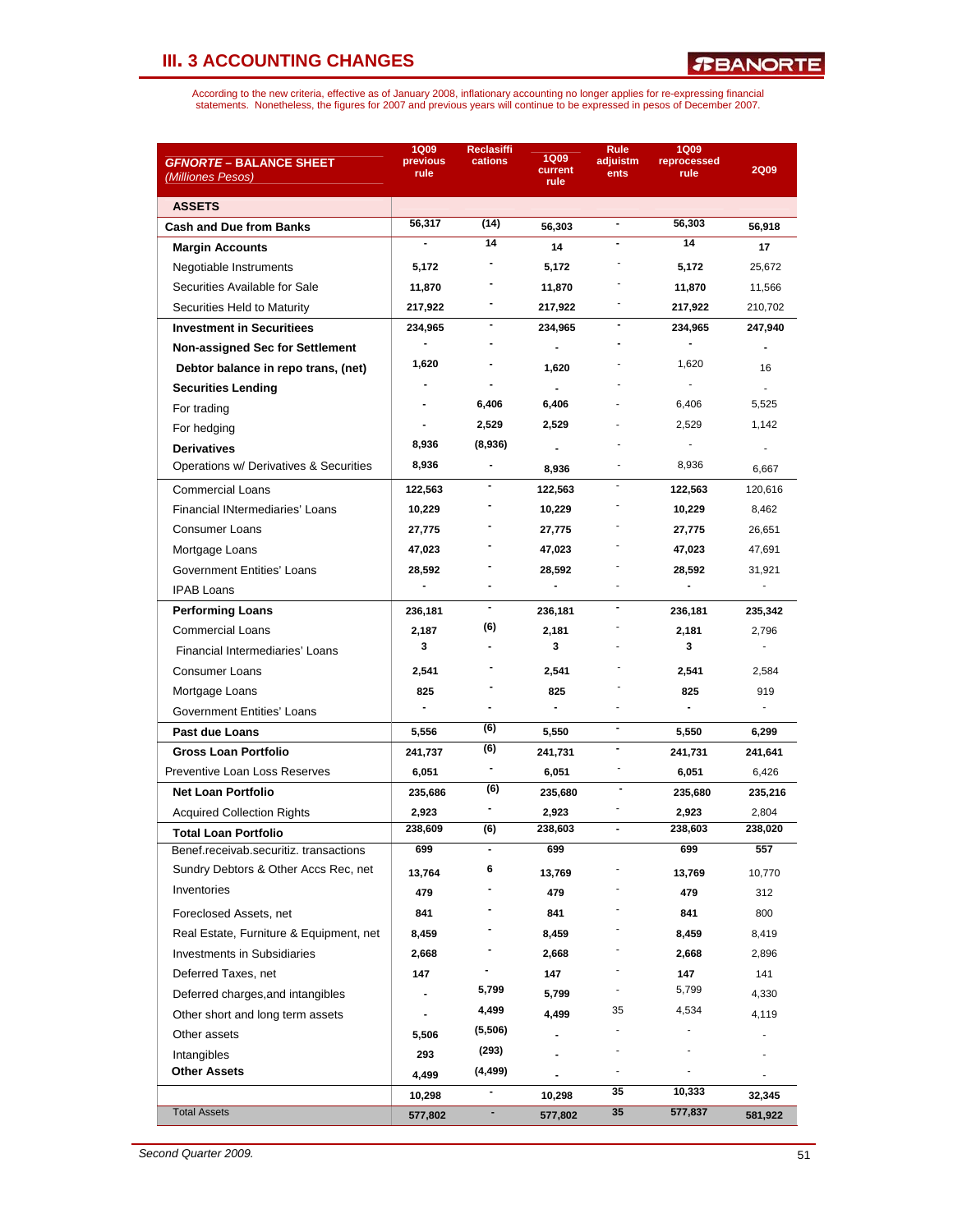| <i><b>GFNORTE – BALANCE SHEET</b></i>   | <b>1Q09</b><br>previous | Reclasiffi<br>cations    | 1Q09                         | Rule<br>adjuistm             | <b>1Q09</b><br>reprocessed |                |
|-----------------------------------------|-------------------------|--------------------------|------------------------------|------------------------------|----------------------------|----------------|
| (Milliones Pesos)                       | rule                    |                          | current<br>rule              | ents                         | rule                       | <b>2Q09</b>    |
| <b>ASSETS</b>                           |                         |                          |                              |                              |                            |                |
| <b>Cash and Due from Banks</b>          | 56,317                  | (14)                     | 56,303                       | $\blacksquare$               | 56,303                     | 56,918         |
| <b>Margin Accounts</b>                  |                         | 14                       | 14                           |                              | 14                         | 17             |
| Negotiable Instruments                  | 5,172                   |                          | 5,172                        |                              | 5,172                      | 25,672         |
| Securities Available for Sale           | 11,870                  |                          | 11,870                       |                              | 11,870                     | 11,566         |
| Securities Held to Maturity             | 217,922                 | -                        | 217,922                      |                              | 217,922                    | 210,702        |
| <b>Investment in Securitiees</b>        | 234,965                 | -                        | 234,965                      |                              | 234,965                    | 247,940        |
| Non-assigned Sec for Settlement         |                         |                          | $\blacksquare$               |                              |                            | $\blacksquare$ |
| Debtor balance in repo trans, (net)     | 1,620                   |                          | 1,620                        |                              | 1,620                      | 16             |
| <b>Securities Lending</b>               |                         | -                        | $\overline{a}$               |                              |                            | ÷.             |
| For trading                             |                         | 6,406                    | 6,406                        |                              | 6,406                      | 5,525          |
| For hedging                             |                         | 2,529                    | 2,529                        |                              | 2,529                      | 1,142          |
| <b>Derivatives</b>                      | 8,936                   | (8,936)                  |                              |                              |                            |                |
| Operations w/ Derivatives & Securities  | 8,936                   | $\blacksquare$           | 8,936                        |                              | 8,936                      | 6,667          |
| <b>Commercial Loans</b>                 | 122,563                 |                          | 122,563                      | $\blacksquare$               | 122,563                    | 120,616        |
| Financial INtermediaries' Loans         | 10,229                  |                          | 10,229                       |                              | 10,229                     | 8,462          |
| Consumer Loans                          | 27,775                  |                          | 27,775                       |                              | 27,775                     | 26,651         |
| Mortgage Loans                          | 47,023                  |                          | 47,023                       |                              | 47,023                     | 47,691         |
| Government Entities' Loans              | 28,592                  |                          | 28,592                       |                              | 28,592                     | 31,921         |
| <b>IPAB Loans</b>                       |                         |                          | $\blacksquare$               |                              |                            | L.             |
| <b>Performing Loans</b>                 | 236,181                 | $\blacksquare$           | 236,181                      | $\qquad \qquad \blacksquare$ | 236,181                    | 235,342        |
| <b>Commercial Loans</b>                 | 2,187                   | (6)                      | 2,181                        |                              | 2,181                      | 2,796          |
| Financial Intermediaries' Loans         | 3                       |                          | 3                            |                              | 3                          | L.             |
| Consumer Loans                          | 2,541                   |                          | 2,541                        |                              | 2,541                      | 2,584          |
| Mortgage Loans                          | 825                     |                          | 825                          |                              | 825                        | 919            |
| Government Entities' Loans              | $\blacksquare$          |                          | $\blacksquare$               |                              |                            |                |
| <b>Past due Loans</b>                   | 5,556                   | (6)                      | 5,550                        | $\blacksquare$               | 5,550                      | 6,299          |
| <b>Gross Loan Portfolio</b>             | 241,737                 | (6)                      | 241,731                      | $\blacksquare$               | 241,731                    | 241,641        |
| Preventive Loan Loss Reserves           | 6,051                   | $\overline{\phantom{a}}$ | 6,051                        |                              | 6,051                      | 6,426          |
| <b>Net Loan Portfolio</b>               | 235,686                 | (6)                      | 235,680                      |                              | 235,680                    | 235,216        |
| <b>Acquired Collection Rights</b>       | 2,923                   |                          | 2,923                        |                              | 2,923                      | 2,804          |
| Total Loan Portfolio                    | 238,609                 | (6)                      | 238,603                      | $\qquad \qquad \blacksquare$ | 238,603                    | 238,020        |
| Benef.receivab.securitiz. transactions  | 699                     |                          | 699                          |                              | 699                        | 557            |
| Sundry Debtors & Other Accs Rec, net    | 13,764                  | 6                        | 13,769                       |                              | 13,769                     | 10,770         |
| Inventories                             | 479                     |                          | 479                          |                              | 479                        | 312            |
| Foreclosed Assets, net                  | 841                     |                          | 841                          |                              | 841                        | 800            |
| Real Estate, Furniture & Equipment, net | 8,459                   |                          | 8,459                        |                              | 8,459                      | 8,419          |
| <b>Investments in Subsidiaries</b>      | 2,668                   |                          | 2,668                        |                              | 2,668                      | 2,896          |
| Deferred Taxes, net                     | 147                     |                          | 147                          |                              | 147                        | 141            |
| Deferred charges, and intangibles       |                         | 5,799                    | 5,799                        |                              | 5,799                      | 4,330          |
| Other short and long term assets        |                         | 4,499                    | 4,499                        | 35                           | 4,534                      | 4,119          |
| Other assets                            | 5,506                   | (5,506)                  | $\qquad \qquad \blacksquare$ |                              |                            |                |
| Intangibles                             | 293                     | (293)                    |                              |                              |                            |                |
| <b>Other Assets</b>                     | 4,499                   | (4,499)                  |                              |                              |                            |                |
|                                         | 10,298                  | $\overline{\phantom{a}}$ | 10,298                       | 35                           | 10,333                     | 32,345         |
| <b>Total Assets</b>                     | 577,802                 | ۰                        | 577,802                      | 35                           | 577,837                    | 581,922        |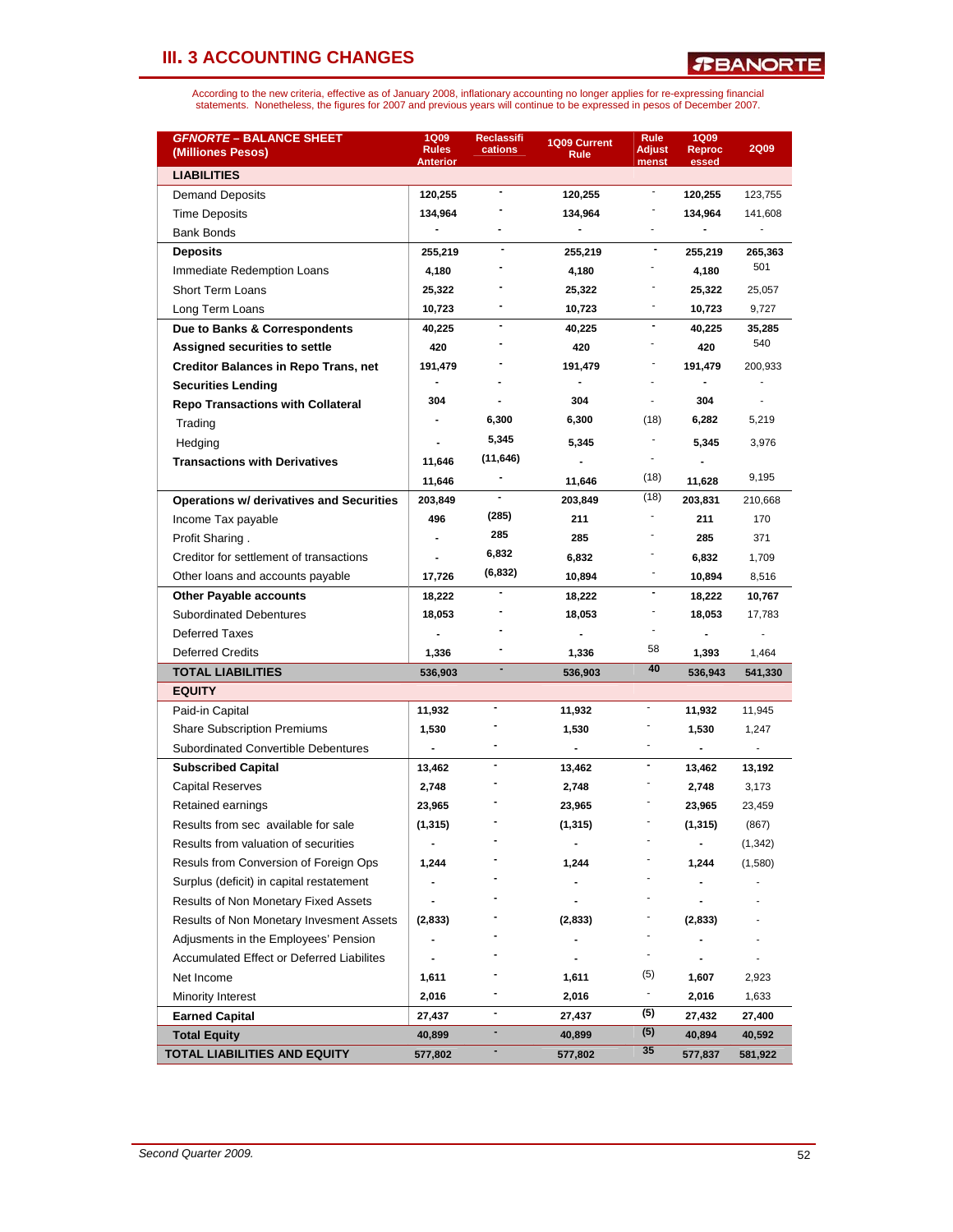| <b>GFNORTE - BALANCE SHEET</b><br>(Milliones Pesos) | <b>1Q09</b><br><b>Rules</b><br>Anterior | Reclassifi<br>cations    | 1Q09 Current<br>Rule | Rule<br><b>Adjust</b><br>menst | <b>1Q09</b><br>Reproc<br>essed | <b>2Q09</b> |
|-----------------------------------------------------|-----------------------------------------|--------------------------|----------------------|--------------------------------|--------------------------------|-------------|
| <b>LIABILITIES</b>                                  |                                         |                          |                      |                                |                                |             |
| <b>Demand Deposits</b>                              | 120,255                                 | $\overline{\phantom{a}}$ | 120,255              | $\overline{\phantom{a}}$       | 120,255                        | 123,755     |
| <b>Time Deposits</b>                                | 134,964                                 |                          | 134,964              |                                | 134,964                        | 141,608     |
| <b>Bank Bonds</b>                                   |                                         |                          |                      |                                |                                |             |
| <b>Deposits</b>                                     | 255,219                                 |                          | 255,219              |                                | 255,219                        | 265,363     |
| Immediate Redemption Loans                          | 4,180                                   |                          | 4,180                |                                | 4,180                          | 501         |
| Short Term Loans                                    | 25,322                                  |                          | 25,322               |                                | 25,322                         | 25,057      |
| Long Term Loans                                     | 10,723                                  |                          | 10,723               |                                | 10,723                         | 9,727       |
| Due to Banks & Correspondents                       | 40,225                                  | $\blacksquare$           | 40,225               | $\overline{\phantom{a}}$       | 40,225                         | 35,285      |
| Assigned securities to settle                       | 420                                     |                          | 420                  |                                | 420                            | 540         |
| <b>Creditor Balances in Repo Trans, net</b>         | 191,479                                 |                          | 191,479              |                                | 191,479                        | 200,933     |
| <b>Securities Lending</b>                           | $\blacksquare$                          |                          | $\blacksquare$       |                                | $\blacksquare$                 |             |
| <b>Repo Transactions with Collateral</b>            | 304                                     |                          | 304                  | $\blacksquare$                 | 304                            | $\sim$      |
| Trading                                             |                                         | 6,300                    | 6,300                | (18)                           | 6,282                          | 5,219       |
| Hedging                                             |                                         | 5,345                    | 5,345                |                                | 5,345                          | 3,976       |
| <b>Transactions with Derivatives</b>                | 11,646                                  | (11, 646)                |                      |                                |                                |             |
|                                                     | 11,646                                  |                          | 11,646               | (18)                           | 11,628                         | 9,195       |
| <b>Operations w/ derivatives and Securities</b>     | 203,849                                 |                          | 203,849              | (18)                           | 203,831                        | 210,668     |
| Income Tax payable                                  | 496                                     | (285)                    | 211                  |                                | 211                            | 170         |
| Profit Sharing.                                     |                                         | 285                      | 285                  |                                | 285                            | 371         |
| Creditor for settlement of transactions             |                                         | 6,832                    | 6,832                |                                | 6,832                          | 1,709       |
| Other loans and accounts payable                    | 17,726                                  | (6, 832)                 | 10,894               | $\overline{\phantom{a}}$       | 10,894                         | 8,516       |
| <b>Other Payable accounts</b>                       | 18,222                                  |                          | 18,222               | $\overline{\phantom{a}}$       | 18,222                         | 10,767      |
| <b>Subordinated Debentures</b>                      | 18,053                                  |                          | 18,053               |                                | 18,053                         | 17,783      |
| <b>Deferred Taxes</b>                               |                                         |                          |                      |                                |                                |             |
| <b>Deferred Credits</b>                             | 1,336                                   |                          | 1,336                | 58                             | 1,393                          | 1,464       |
| <b>TOTAL LIABILITIES</b>                            | 536,903                                 |                          | 536,903              | 40                             | 536,943                        | 541,330     |
| <b>EQUITY</b>                                       |                                         |                          |                      |                                |                                |             |
| Paid-in Capital                                     | 11,932                                  |                          | 11,932               | $\overline{\phantom{a}}$       | 11,932                         | 11,945      |
| <b>Share Subscription Premiums</b>                  | 1,530                                   |                          | 1,530                |                                | 1,530                          | 1,247       |
| <b>Subordinated Convertible Debentures</b>          | $\overline{\phantom{a}}$                |                          | $\blacksquare$       |                                |                                |             |
| <b>Subscribed Capital</b>                           | 13,462                                  | $\overline{\phantom{a}}$ | 13,462               |                                | 13,462                         | 13,192      |
| Capital Reserves                                    | 2,748                                   |                          | 2,748                |                                | 2,748                          | 3,173       |
| Retained earnings                                   | 23,965                                  |                          | 23,965               |                                | 23,965                         | 23,459      |
| Results from sec available for sale                 | (1, 315)                                |                          | (1, 315)             |                                | (1, 315)                       | (867)       |
| Results from valuation of securities                |                                         |                          |                      |                                |                                | (1, 342)    |
| Resuls from Conversion of Foreign Ops               | 1,244                                   |                          | 1,244                |                                | 1,244                          | (1,580)     |
| Surplus (deficit) in capital restatement            |                                         |                          |                      |                                |                                |             |
| Results of Non Monetary Fixed Assets                |                                         |                          |                      |                                |                                |             |
| Results of Non Monetary Invesment Assets            | (2,833)                                 |                          | (2,833)              |                                | (2,833)                        |             |
| Adjusments in the Employees' Pension                |                                         |                          |                      |                                |                                |             |
| <b>Accumulated Effect or Deferred Liabilites</b>    |                                         |                          |                      | $\overline{\phantom{a}}$       |                                |             |
| Net Income                                          | 1,611                                   |                          | 1,611                | (5)                            | 1,607                          | 2,923       |
| Minority Interest                                   | 2,016                                   |                          | 2,016                | ۰.                             | 2,016                          | 1,633       |
| <b>Earned Capital</b>                               | 27,437                                  | $\blacksquare$           | 27,437               | (5)                            | 27,432                         | 27,400      |
| <b>Total Equity</b>                                 | 40,899                                  | $\blacksquare$           | 40,899               | (5)                            | 40,894                         | 40,592      |
| TOTAL LIABILITIES AND EQUITY                        | 577,802                                 |                          | 577,802              | 35                             | 577,837                        | 581,922     |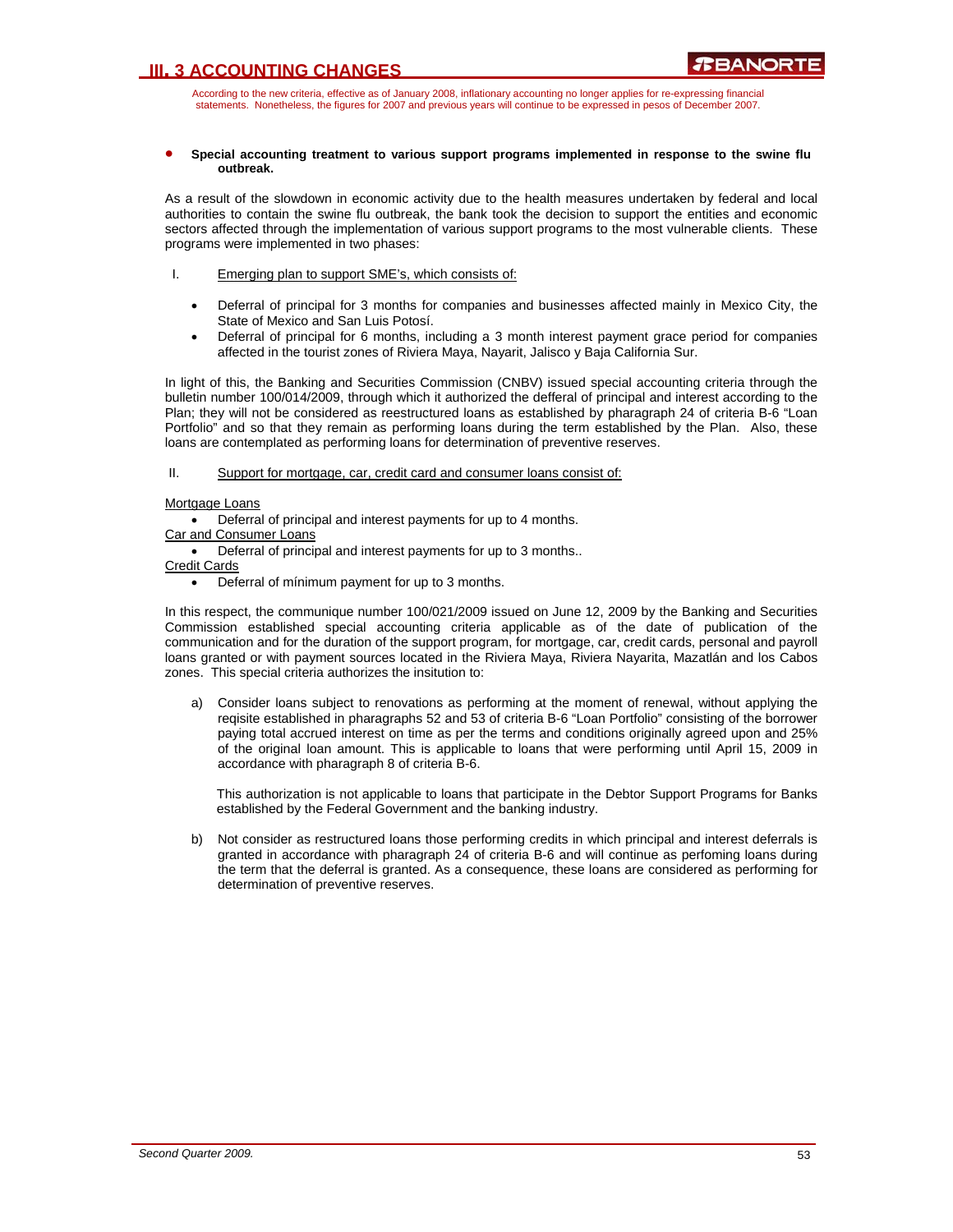According to the new criteria, effective as of January 2008, inflationary accounting no longer applies for re-expressing financial statements. Nonetheless, the figures for 2007 and previous years will continue to be expressed in pesos of December 2007.

#### • **Special accounting treatment to various support programs implemented in response to the swine flu outbreak.**

As a result of the slowdown in economic activity due to the health measures undertaken by federal and local authorities to contain the swine flu outbreak, the bank took the decision to support the entities and economic sectors affected through the implementation of various support programs to the most vulnerable clients. These programs were implemented in two phases:

- I. Emerging plan to support SME's, which consists of:
	- Deferral of principal for 3 months for companies and businesses affected mainly in Mexico City, the State of Mexico and San Luis Potosí.
	- Deferral of principal for 6 months, including a 3 month interest payment grace period for companies affected in the tourist zones of Riviera Maya, Nayarit, Jalisco y Baja California Sur.

In light of this, the Banking and Securities Commission (CNBV) issued special accounting criteria through the bulletin number 100/014/2009, through which it authorized the defferal of principal and interest according to the Plan; they will not be considered as reestructured loans as established by pharagraph 24 of criteria B-6 "Loan Portfolio" and so that they remain as performing loans during the term established by the Plan. Also, these loans are contemplated as performing loans for determination of preventive reserves.

### II. Support for mortgage, car, credit card and consumer loans consist of:

### Mortgage Loans

• Deferral of principal and interest payments for up to 4 months.

Car and Consumer Loans

• Deferral of principal and interest payments for up to 3 months..

Credit Cards

• Deferral of mínimum payment for up to 3 months.

In this respect, the communique number 100/021/2009 issued on June 12, 2009 by the Banking and Securities Commission established special accounting criteria applicable as of the date of publication of the communication and for the duration of the support program, for mortgage, car, credit cards, personal and payroll loans granted or with payment sources located in the Riviera Maya, Riviera Nayarita, Mazatlán and los Cabos zones. This special criteria authorizes the insitution to:

a) Consider loans subject to renovations as performing at the moment of renewal, without applying the reqisite established in pharagraphs 52 and 53 of criteria B-6 "Loan Portfolio" consisting of the borrower paying total accrued interest on time as per the terms and conditions originally agreed upon and 25% of the original loan amount. This is applicable to loans that were performing until April 15, 2009 in accordance with pharagraph 8 of criteria B-6.

This authorization is not applicable to loans that participate in the Debtor Support Programs for Banks established by the Federal Government and the banking industry.

b) Not consider as restructured loans those performing credits in which principal and interest deferrals is granted in accordance with pharagraph 24 of criteria B-6 and will continue as perfoming loans during the term that the deferral is granted. As a consequence, these loans are considered as performing for determination of preventive reserves.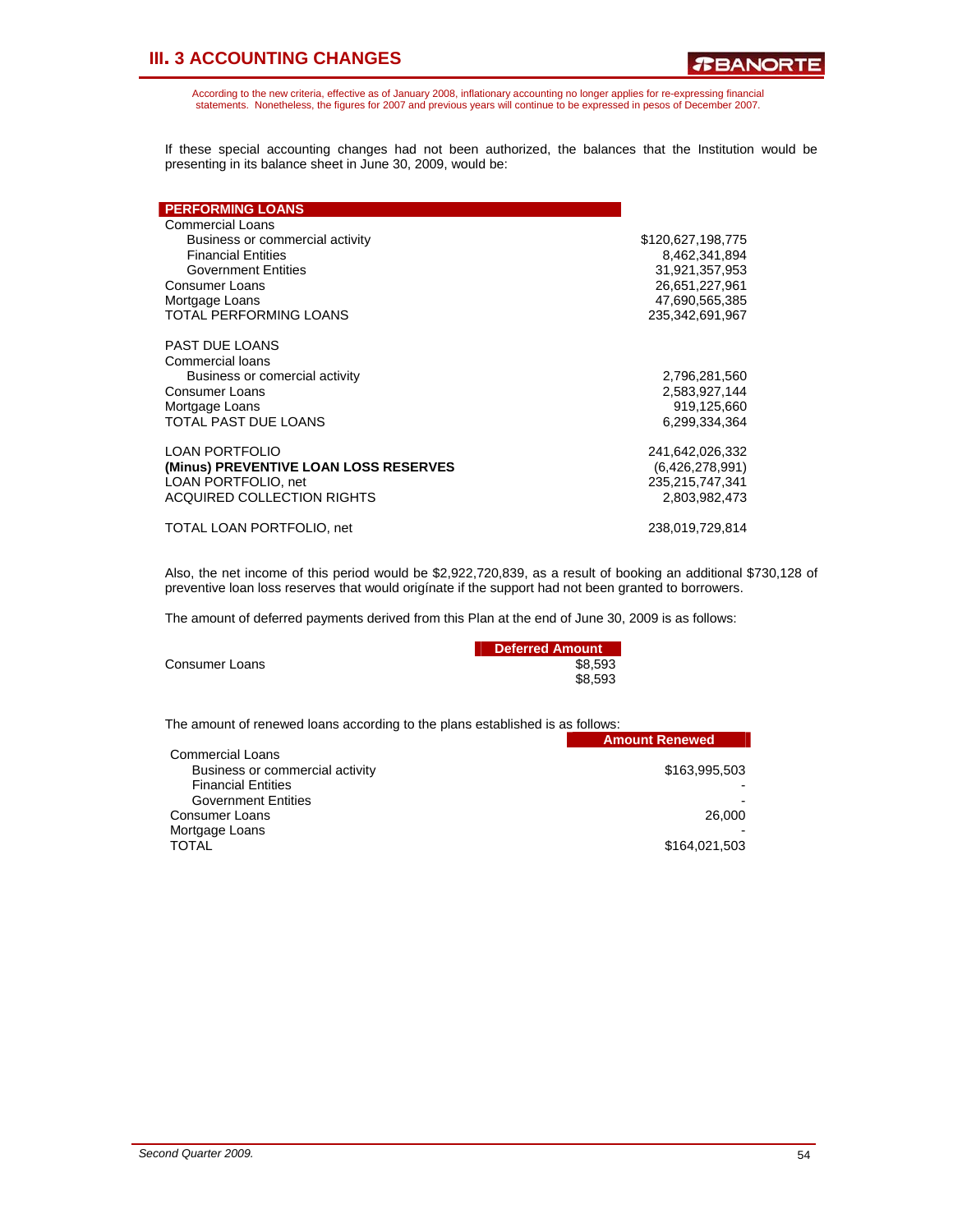According to the new criteria, effective as of January 2008, inflationary accounting no longer applies for re-expressing financial statements. Nonetheless, the figures for 2007 and previous years will continue to be expressed in pesos of December 2007.

If these special accounting changes had not been authorized, the balances that the Institution would be presenting in its balance sheet in June 30, 2009, would be:

| <b>PERFORMING LOANS</b>               |                   |
|---------------------------------------|-------------------|
| Commercial Loans                      |                   |
| Business or commercial activity       | \$120,627,198,775 |
| <b>Financial Entities</b>             | 8,462,341,894     |
| <b>Government Entities</b>            | 31,921,357,953    |
| <b>Consumer Loans</b>                 | 26,651,227,961    |
| Mortgage Loans                        | 47,690,565,385    |
| <b>TOTAL PERFORMING LOANS</b>         | 235,342,691,967   |
| PAST DUE LOANS                        |                   |
| <b>Commercial loans</b>               |                   |
| Business or comercial activity        | 2,796,281,560     |
| Consumer Loans                        | 2,583,927,144     |
| Mortgage Loans                        | 919,125,660       |
| TOTAL PAST DUE LOANS                  | 6.299,334,364     |
| <b>LOAN PORTFOLIO</b>                 | 241,642,026,332   |
| (Minus) PREVENTIVE LOAN LOSS RESERVES | (6,426,278,991)   |
| LOAN PORTFOLIO, net                   | 235,215,747,341   |
| <b>ACQUIRED COLLECTION RIGHTS</b>     | 2.803.982.473     |
| TOTAL LOAN PORTFOLIO, net             | 238,019,729,814   |

Also, the net income of this period would be \$2,922,720,839, as a result of booking an additional \$730,128 of preventive loan loss reserves that would origínate if the support had not been granted to borrowers.

The amount of deferred payments derived from this Plan at the end of June 30, 2009 is as follows:

|                | Deferred Amount |
|----------------|-----------------|
| Consumer Loans | \$8.593         |
|                | \$8.593         |

The amount of renewed loans according to the plans established is as follows:

|                                 | <b>Amount Renewed</b> |
|---------------------------------|-----------------------|
| <b>Commercial Loans</b>         |                       |
| Business or commercial activity | \$163,995,503         |
| <b>Financial Entities</b>       |                       |
| <b>Government Entities</b>      |                       |
| Consumer Loans                  | 26,000                |
| Mortgage Loans                  |                       |
| <b>TOTAL</b>                    | \$164,021,503         |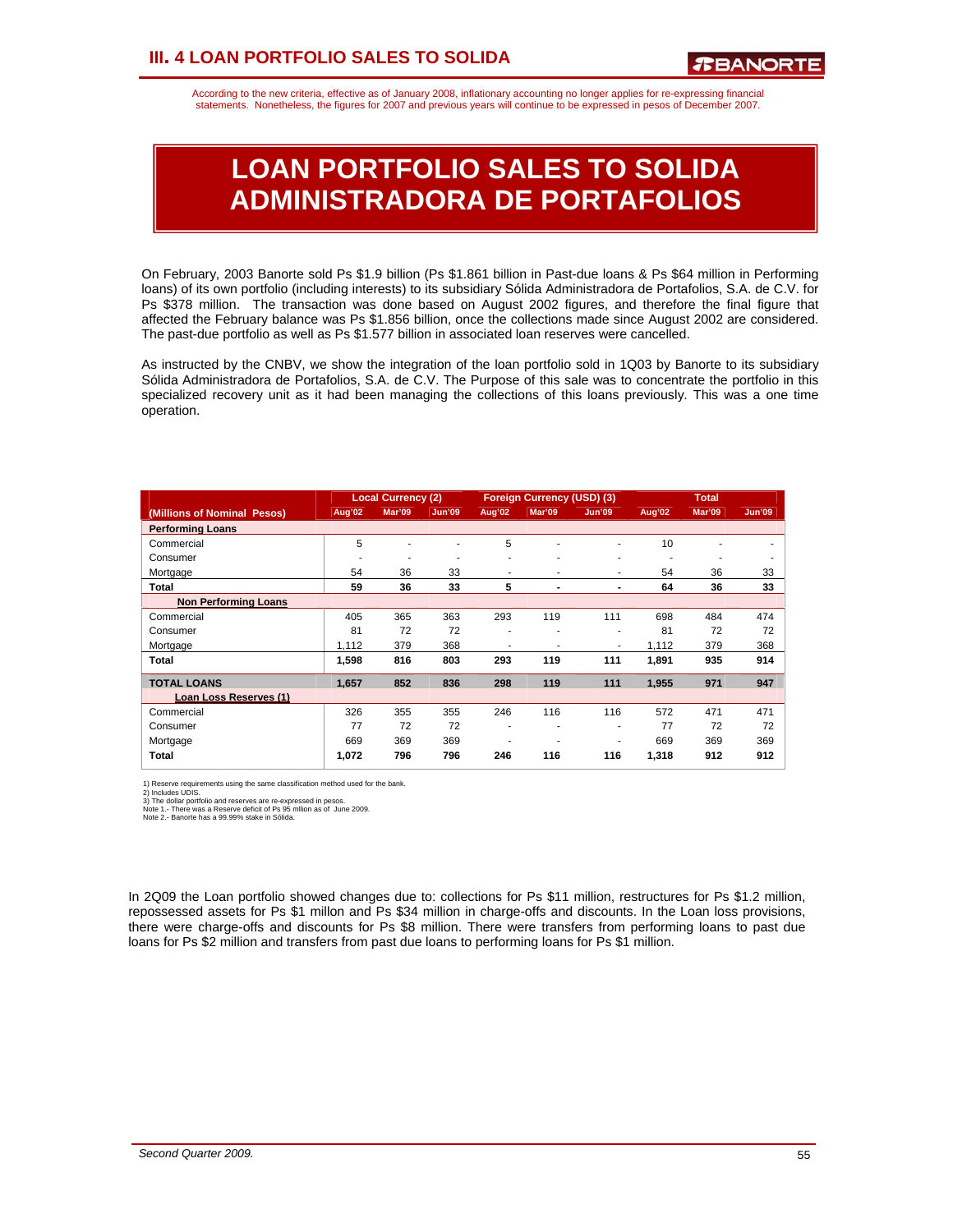# **III. 4 LOAN PORTFOLIO SALES TO SOLIDA**

According to the new criteria, effective as of January 2008, inflationary accounting no longer applies for re-expressing financial statements. Nonetheless, the figures for 2007 and previous years will continue to be expressed in pesos of December 2007.

# **LOAN PORTFOLIO SALES TO SOLIDA ADMINISTRADORA DE PORTAFOLIOS**

On February, 2003 Banorte sold Ps \$1.9 billion (Ps \$1.861 billion in Past-due loans & Ps \$64 million in Performing loans) of its own portfolio (including interests) to its subsidiary Sólida Administradora de Portafolios, S.A. de C.V. for Ps \$378 million. The transaction was done based on August 2002 figures, and therefore the final figure that affected the February balance was Ps \$1.856 billion, once the collections made since August 2002 are considered. The past-due portfolio as well as Ps \$1.577 billion in associated loan reserves were cancelled.

As instructed by the CNBV, we show the integration of the loan portfolio sold in 1Q03 by Banorte to its subsidiary Sólida Administradora de Portafolios, S.A. de C.V. The Purpose of this sale was to concentrate the portfolio in this specialized recovery unit as it had been managing the collections of this loans previously. This was a one time operation.

|                             |        | <b>Local Currency (2)</b><br>Foreign Currency (USD) (3) |               | <b>Total</b> |        |               |        |        |               |
|-----------------------------|--------|---------------------------------------------------------|---------------|--------------|--------|---------------|--------|--------|---------------|
| (Millions of Nominal Pesos) | Aug'02 | Mar'09                                                  | <b>Jun'09</b> | Aug'02       | Mar'09 | <b>Jun'09</b> | Aug'02 | Mar'09 | <b>Jun'09</b> |
| <b>Performing Loans</b>     |        |                                                         |               |              |        |               |        |        |               |
| Commercial                  | 5      |                                                         |               | 5            | ٠      | ٠             | 10     |        |               |
| Consumer                    | ٠      | ۰                                                       | ۰             | ۰            | ٠      | ٠             | ٠      | ۰      |               |
| Mortgage                    | 54     | 36                                                      | 33            | ۰            | ٠      | ۰             | 54     | 36     | 33            |
| Total                       | 59     | 36                                                      | 33            | 5            | ۰      | ۰             | 64     | 36     | 33            |
| <b>Non Performing Loans</b> |        |                                                         |               |              |        |               |        |        |               |
| Commercial                  | 405    | 365                                                     | 363           | 293          | 119    | 111           | 698    | 484    | 474           |
| Consumer                    | 81     | 72                                                      | 72            | ۰            |        | ٠             | 81     | 72     | 72            |
| Mortgage                    | 1.112  | 379                                                     | 368           | ۰            | ٠      | ۰             | 1,112  | 379    | 368           |
| Total                       | 1,598  | 816                                                     | 803           | 293          | 119    | 111           | 1,891  | 935    | 914           |
| <b>TOTAL LOANS</b>          | 1,657  | 852                                                     | 836           | 298          | 119    | 111           | 1,955  | 971    | 947           |
| Loan Loss Reserves (1)      |        |                                                         |               |              |        |               |        |        |               |
| Commercial                  | 326    | 355                                                     | 355           | 246          | 116    | 116           | 572    | 471    | 471           |
| Consumer                    | 77     | 72                                                      | 72            | ۰            | ٠      | ۰             | 77     | 72     | 72            |
| Mortgage                    | 669    | 369                                                     | 369           |              |        | ۰             | 669    | 369    | 369           |
| Total                       | 1,072  | 796                                                     | 796           | 246          | 116    | 116           | 1,318  | 912    | 912           |

1) Reserve requirements using the same classification method used for the bank.

2) Includes UDIS.<br>3) The dollar portfolio and reserves are re-expressed in pesos.<br>Note 1.- There was a Reserve deficit of Ps 95 mllion as of June 2009.<br>Note 2.- Banorte has a 99.99% stake in Sólida.

In 2Q09 the Loan portfolio showed changes due to: collections for Ps \$11 million, restructures for Ps \$1.2 million, repossessed assets for Ps \$1 millon and Ps \$34 million in charge-offs and discounts. In the Loan loss provisions, there were charge-offs and discounts for Ps \$8 million. There were transfers from performing loans to past due loans for Ps \$2 million and transfers from past due loans to performing loans for Ps \$1 million.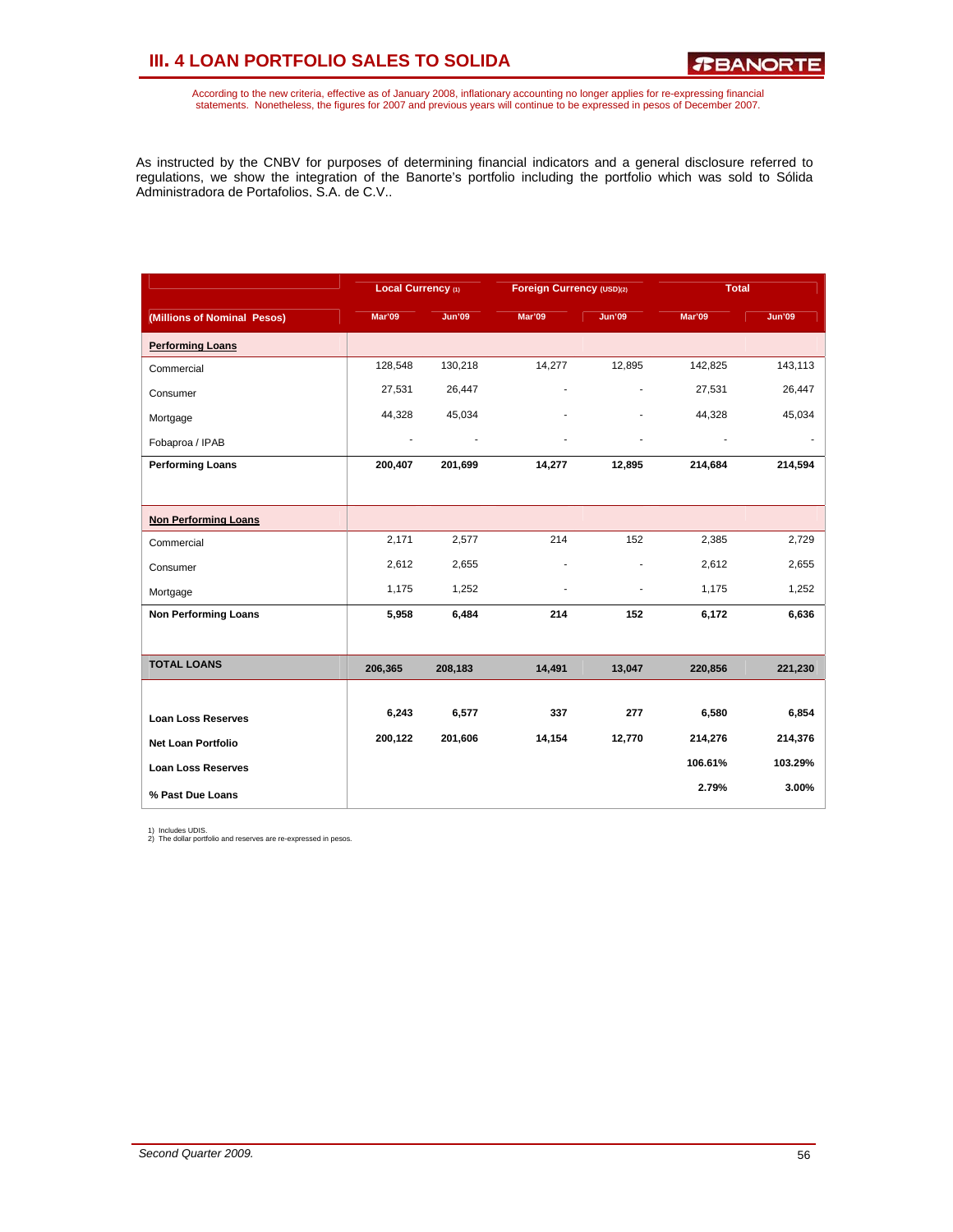# **III. 4 LOAN PORTFOLIO SALES TO SOLIDA**

According to the new criteria, effective as of January 2008, inflationary accounting no longer applies for re-expressing financial<br>statements. Nonetheless, the figures for 2007 and previous years will continue to be expres

As instructed by the CNBV for purposes of determining financial indicators and a general disclosure referred to regulations, we show the integration of the Banorte's portfolio including the portfolio which was sold to Sólida Administradora de Portafolios, S.A. de C.V..

|                             | Local Currency (1) |               | Foreign Currency (USD)(2) |                | <b>Total</b>             |               |
|-----------------------------|--------------------|---------------|---------------------------|----------------|--------------------------|---------------|
| (Millions of Nominal Pesos) | <b>Mar'09</b>      | <b>Jun'09</b> | <b>Mar'09</b>             | <b>Jun'09</b>  | Mar'09                   | <b>Jun'09</b> |
| <b>Performing Loans</b>     |                    |               |                           |                |                          |               |
| Commercial                  | 128,548            | 130,218       | 14,277                    | 12,895         | 142,825                  | 143,113       |
| Consumer                    | 27,531             | 26,447        | ä,                        | $\overline{a}$ | 27,531                   | 26,447        |
| Mortgage                    | 44,328             | 45,034        |                           |                | 44,328                   | 45,034        |
| Fobaproa / IPAB             | ÷                  |               |                           | ٠              | $\overline{\phantom{a}}$ |               |
| <b>Performing Loans</b>     | 200,407            | 201,699       | 14,277                    | 12,895         | 214,684                  | 214,594       |
|                             |                    |               |                           |                |                          |               |
| <b>Non Performing Loans</b> |                    |               |                           |                |                          |               |
| Commercial                  | 2,171              | 2,577         | 214                       | 152            | 2,385                    | 2,729         |
| Consumer                    | 2,612              | 2,655         |                           |                | 2,612                    | 2,655         |
| Mortgage                    | 1,175              | 1,252         | $\overline{a}$            | ٠              | 1,175                    | 1,252         |
| <b>Non Performing Loans</b> | 5,958              | 6,484         | 214                       | 152            | 6,172                    | 6,636         |
|                             |                    |               |                           |                |                          |               |
| <b>TOTAL LOANS</b>          | 206,365            | 208,183       | 14,491                    | 13,047         | 220,856                  | 221,230       |
|                             |                    |               |                           |                |                          |               |
| <b>Loan Loss Reserves</b>   | 6,243              | 6,577         | 337                       | 277            | 6,580                    | 6,854         |
| <b>Net Loan Portfolio</b>   | 200,122            | 201,606       | 14,154                    | 12,770         | 214,276                  | 214,376       |
| <b>Loan Loss Reserves</b>   |                    |               |                           |                | 106.61%                  | 103.29%       |
| % Past Due Loans            |                    |               |                           |                | 2.79%                    | 3.00%         |

1) Includes UDIS. 2) The dollar portfolio and reserves are re-expressed in pesos.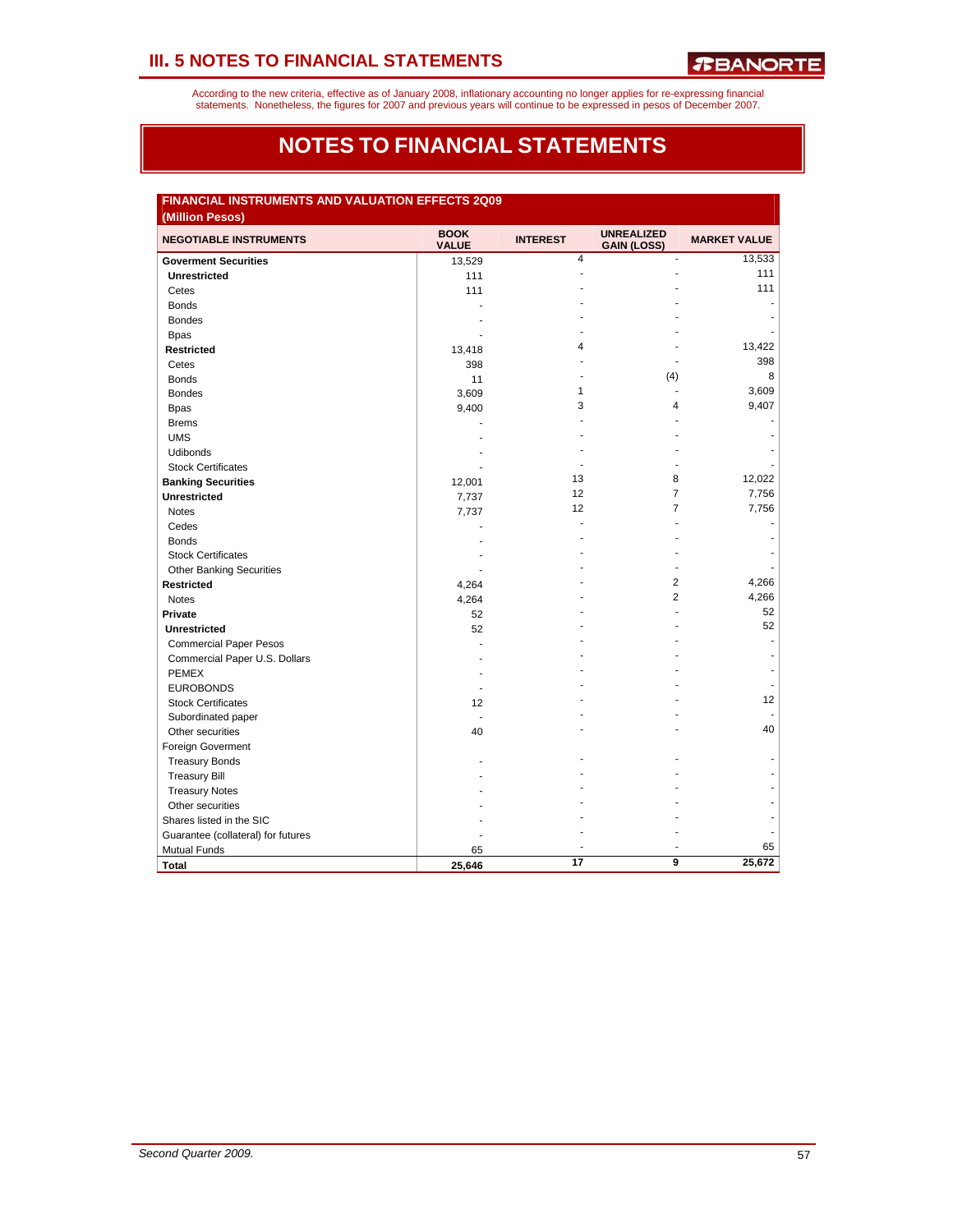According to the new criteria, effective as of January 2008, inflationary accounting no longer applies for re-expressing financial<br>statements. Nonetheless, the figures for 2007 and previous years will continue to be expres

# **NOTES TO FINANCIAL STATEMENTS**

| FINANCIAL INSTRUMENTS AND VALUATION EFFECTS 2Q09<br>(Million Pesos) |                             |                 |                                         |                     |  |  |  |
|---------------------------------------------------------------------|-----------------------------|-----------------|-----------------------------------------|---------------------|--|--|--|
| <b>NEGOTIABLE INSTRUMENTS</b>                                       | <b>BOOK</b><br><b>VALUE</b> | <b>INTEREST</b> | <b>UNREALIZED</b><br><b>GAIN (LOSS)</b> | <b>MARKET VALUE</b> |  |  |  |
| <b>Goverment Securities</b>                                         | 13,529                      | $\overline{4}$  | ÷.                                      | 13,533              |  |  |  |
| <b>Unrestricted</b>                                                 | 111                         |                 |                                         | 111                 |  |  |  |
| Cetes                                                               | 111                         |                 |                                         | 111                 |  |  |  |
| <b>Bonds</b>                                                        |                             |                 |                                         |                     |  |  |  |
| <b>Bondes</b>                                                       |                             |                 |                                         |                     |  |  |  |
| <b>Bpas</b>                                                         |                             |                 |                                         |                     |  |  |  |
| <b>Restricted</b>                                                   | 13,418                      | 4               |                                         | 13,422              |  |  |  |
| Cetes                                                               | 398                         |                 |                                         | 398                 |  |  |  |
| <b>Bonds</b>                                                        | 11                          |                 | (4)                                     | 8                   |  |  |  |
| <b>Bondes</b>                                                       | 3,609                       | 1               | ÷.                                      | 3,609               |  |  |  |
| <b>Bpas</b>                                                         | 9,400                       | 3               | 4                                       | 9,407               |  |  |  |
| <b>Brems</b>                                                        |                             |                 |                                         |                     |  |  |  |
| <b>UMS</b>                                                          |                             |                 |                                         |                     |  |  |  |
| <b>Udibonds</b>                                                     |                             |                 |                                         |                     |  |  |  |
| <b>Stock Certificates</b>                                           |                             |                 |                                         |                     |  |  |  |
| <b>Banking Securities</b>                                           | 12,001                      | 13              | 8                                       | 12,022              |  |  |  |
| <b>Unrestricted</b>                                                 | 7,737                       | 12              | $\overline{7}$                          | 7,756               |  |  |  |
| <b>Notes</b>                                                        | 7,737                       | 12              | $\overline{7}$                          | 7,756               |  |  |  |
| Cedes                                                               |                             |                 |                                         |                     |  |  |  |
| <b>Bonds</b>                                                        |                             |                 |                                         |                     |  |  |  |
| <b>Stock Certificates</b>                                           |                             |                 |                                         |                     |  |  |  |
| <b>Other Banking Securities</b>                                     |                             |                 |                                         |                     |  |  |  |
| <b>Restricted</b>                                                   | 4,264                       |                 | $\overline{2}$                          | 4,266               |  |  |  |
| <b>Notes</b>                                                        | 4,264                       |                 | $\overline{2}$                          | 4,266               |  |  |  |
| Private                                                             | 52                          |                 |                                         | 52                  |  |  |  |
| <b>Unrestricted</b>                                                 | 52                          |                 |                                         | 52                  |  |  |  |
| <b>Commercial Paper Pesos</b>                                       |                             |                 |                                         | ÷                   |  |  |  |
| Commercial Paper U.S. Dollars                                       |                             |                 |                                         |                     |  |  |  |
| <b>PEMEX</b>                                                        |                             |                 |                                         |                     |  |  |  |
| <b>EUROBONDS</b>                                                    |                             |                 |                                         |                     |  |  |  |
| <b>Stock Certificates</b>                                           | 12                          |                 |                                         | 12                  |  |  |  |
| Subordinated paper                                                  |                             |                 |                                         |                     |  |  |  |
| Other securities                                                    | 40                          |                 |                                         | 40                  |  |  |  |
| Foreign Goverment                                                   |                             |                 |                                         |                     |  |  |  |
| <b>Treasury Bonds</b>                                               |                             |                 |                                         |                     |  |  |  |
| <b>Treasury Bill</b>                                                |                             |                 |                                         |                     |  |  |  |
| <b>Treasury Notes</b>                                               |                             |                 |                                         |                     |  |  |  |
| Other securities                                                    |                             |                 |                                         |                     |  |  |  |
| Shares listed in the SIC                                            |                             |                 |                                         |                     |  |  |  |
| Guarantee (collateral) for futures                                  |                             |                 |                                         |                     |  |  |  |
| <b>Mutual Funds</b>                                                 | 65                          |                 |                                         | 65                  |  |  |  |
| <b>Total</b>                                                        | 25,646                      | 17              | 9                                       | 25,672              |  |  |  |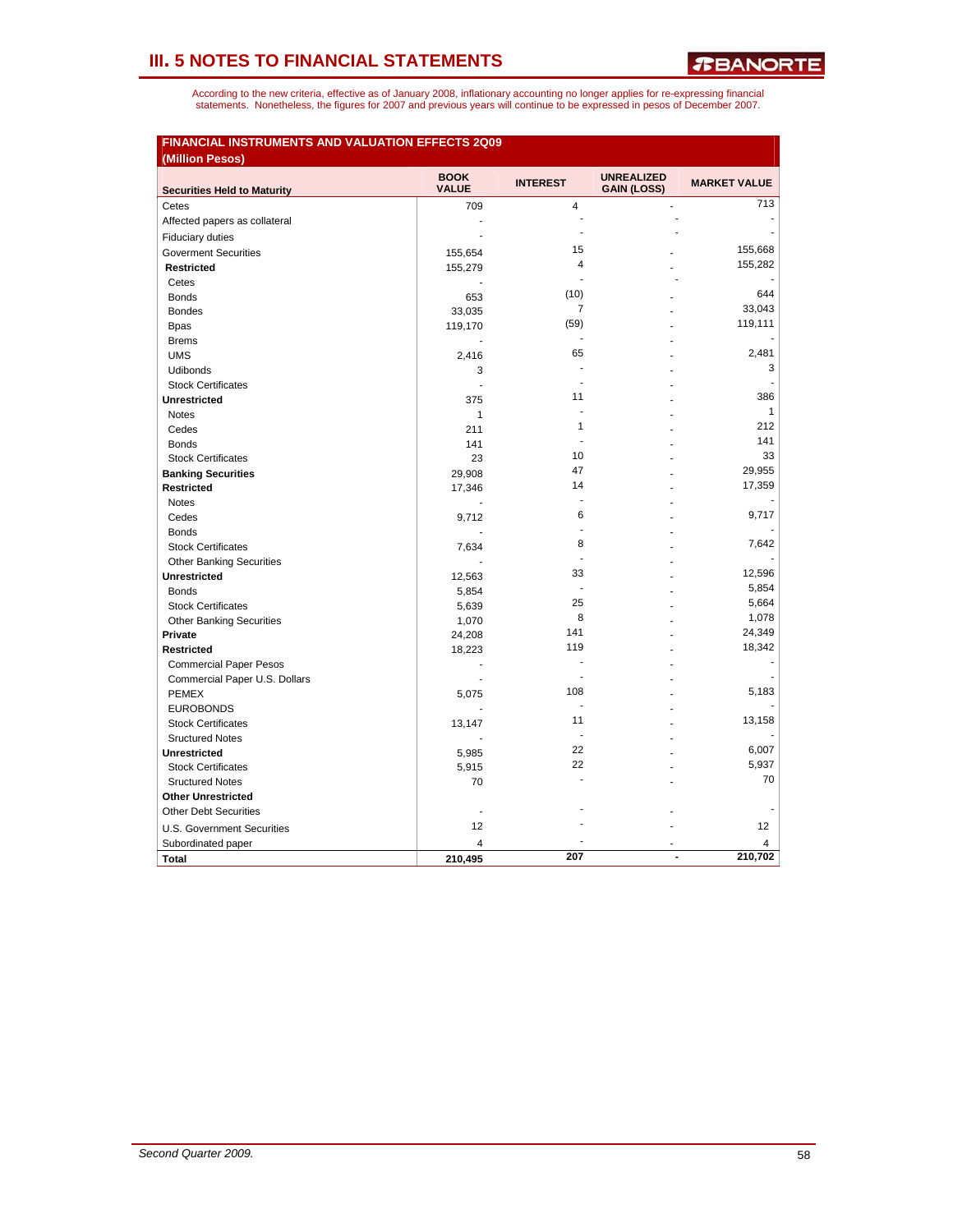| <b>FINANCIAL INSTRUMENTS AND VALUATION EFFECTS 2Q09</b><br>(Million Pesos) |                             |                 |                                         |                     |
|----------------------------------------------------------------------------|-----------------------------|-----------------|-----------------------------------------|---------------------|
| <b>Securities Held to Maturity</b>                                         | <b>BOOK</b><br><b>VALUE</b> | <b>INTEREST</b> | <b>UNREALIZED</b><br><b>GAIN (LOSS)</b> | <b>MARKET VALUE</b> |
| Cetes                                                                      | 709                         | 4               |                                         | 713                 |
| Affected papers as collateral                                              | ÷,                          | $\overline{a}$  |                                         |                     |
| <b>Fiduciary duties</b>                                                    | ÷.                          | $\overline{a}$  |                                         |                     |
| <b>Goverment Securities</b>                                                | 155,654                     | 15              |                                         | 155,668             |
| <b>Restricted</b>                                                          | 155,279                     | 4               |                                         | 155,282             |
| Cetes                                                                      |                             | ÷.              |                                         |                     |
| <b>Bonds</b>                                                               | 653                         | (10)            |                                         | 644                 |
| <b>Bondes</b>                                                              | 33,035                      | $\overline{7}$  |                                         | 33,043              |
| <b>Bpas</b>                                                                | 119,170                     | (59)            |                                         | 119,111             |
| <b>Brems</b>                                                               |                             | ä,              |                                         |                     |
| <b>UMS</b>                                                                 | 2,416                       | 65              |                                         | 2.481               |
| Udibonds                                                                   | 3                           |                 |                                         | 3                   |
| <b>Stock Certificates</b>                                                  | ÷                           | ÷.              |                                         | ÷.                  |
| <b>Unrestricted</b>                                                        | 375                         | 11              |                                         | 386                 |
| <b>Notes</b>                                                               | $\mathbf{1}$                |                 |                                         | $\mathbf{1}$        |
| Cedes                                                                      | 211                         | 1               |                                         | 212                 |
| <b>Bonds</b>                                                               | 141                         | $\overline{a}$  |                                         | 141                 |
| <b>Stock Certificates</b>                                                  | 23                          | 10              |                                         | 33                  |
| <b>Banking Securities</b>                                                  | 29,908                      | 47              |                                         | 29,955              |
| <b>Restricted</b>                                                          | 17,346                      | 14              |                                         | 17,359              |
| <b>Notes</b>                                                               |                             |                 |                                         |                     |
| Cedes                                                                      | 9,712                       | 6               |                                         | 9.717               |
| <b>Bonds</b>                                                               |                             | ä,              |                                         |                     |
| <b>Stock Certificates</b>                                                  | 7,634                       | 8               |                                         | 7.642               |
| <b>Other Banking Securities</b>                                            |                             |                 |                                         |                     |
| <b>Unrestricted</b>                                                        | 12,563                      | 33              |                                         | 12,596              |
| <b>Bonds</b>                                                               | 5,854                       | $\blacksquare$  |                                         | 5,854               |
| <b>Stock Certificates</b>                                                  | 5,639                       | 25              |                                         | 5,664               |
| <b>Other Banking Securities</b>                                            | 1,070                       | 8               |                                         | 1,078               |
| Private                                                                    | 24,208                      | 141             |                                         | 24,349              |
| <b>Restricted</b>                                                          | 18,223                      | 119             |                                         | 18,342              |
| <b>Commercial Paper Pesos</b>                                              | $\overline{a}$              |                 |                                         | ٠                   |
| Commercial Paper U.S. Dollars                                              |                             | 108             |                                         | 5,183               |
| <b>PEMEX</b>                                                               | 5,075                       | $\blacksquare$  |                                         |                     |
| <b>EUROBONDS</b>                                                           |                             | 11              |                                         | 13,158              |
| <b>Stock Certificates</b>                                                  | 13,147                      | $\blacksquare$  |                                         |                     |
| <b>Sructured Notes</b>                                                     |                             | 22              |                                         | 6,007               |
| <b>Unrestricted</b>                                                        | 5,985                       | 22              |                                         | 5,937               |
| <b>Stock Certificates</b>                                                  | 5,915                       |                 |                                         | 70                  |
| <b>Sructured Notes</b>                                                     | 70                          |                 |                                         |                     |
| <b>Other Unrestricted</b>                                                  |                             |                 |                                         |                     |
| <b>Other Debt Securities</b>                                               |                             |                 |                                         |                     |
| U.S. Government Securities                                                 | 12                          |                 |                                         | 12 <sup>°</sup>     |
| Subordinated paper                                                         | $\overline{4}$              |                 |                                         | 4                   |
| <b>Total</b>                                                               | 210.495                     | 207             | ۰                                       | 210,702             |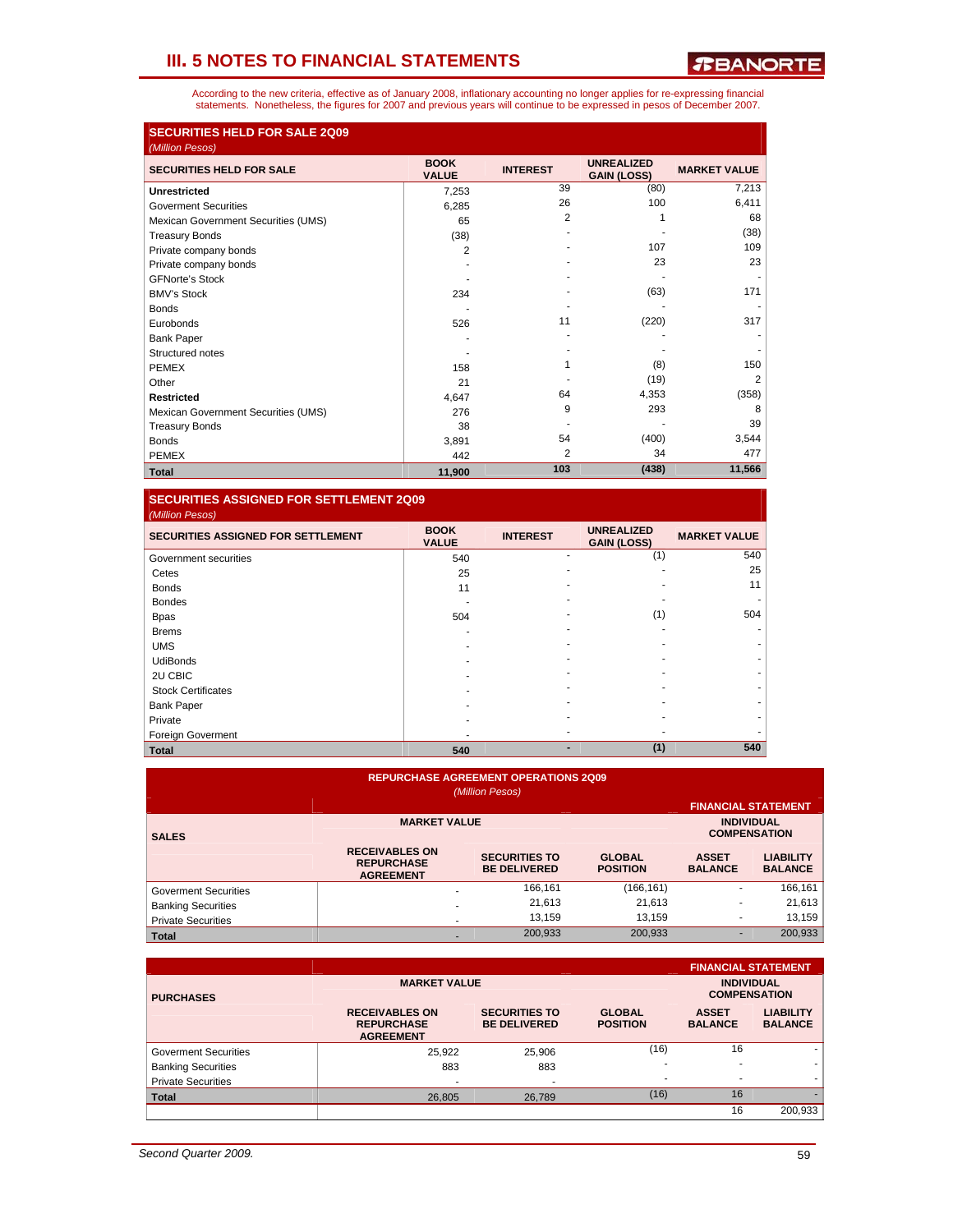*T***BANORTE** 

According to the new criteria, effective as of January 2008, inflationary accounting no longer applies for re-expressing financial<br>statements. Nonetheless, the figures for 2007 and previous years will continue to be expres

| <b>SECURITIES HELD FOR SALE 2Q09</b> |                             |                 |                                         |                     |
|--------------------------------------|-----------------------------|-----------------|-----------------------------------------|---------------------|
| (Million Pesos)                      |                             |                 |                                         |                     |
| <b>SECURITIES HELD FOR SALE</b>      | <b>BOOK</b><br><b>VALUE</b> | <b>INTEREST</b> | <b>UNREALIZED</b><br><b>GAIN (LOSS)</b> | <b>MARKET VALUE</b> |
| <b>Unrestricted</b>                  | 7,253                       | 39              | (80)                                    | 7,213               |
| <b>Goverment Securities</b>          | 6,285                       | 26              | 100                                     | 6,411               |
| Mexican Government Securities (UMS)  | 65                          | 2               |                                         | 68                  |
| <b>Treasury Bonds</b>                | (38)                        |                 |                                         | (38)                |
| Private company bonds                | 2                           |                 | 107                                     | 109                 |
| Private company bonds                |                             |                 | 23                                      | 23                  |
| <b>GFNorte's Stock</b>               |                             |                 |                                         |                     |
| <b>BMV's Stock</b>                   | 234                         |                 | (63)                                    | 171                 |
| <b>Bonds</b>                         |                             |                 |                                         |                     |
| Eurobonds                            | 526                         | 11              | (220)                                   | 317                 |
| <b>Bank Paper</b>                    |                             |                 |                                         |                     |
| Structured notes                     |                             |                 |                                         |                     |
| <b>PEMEX</b>                         | 158                         |                 | (8)                                     | 150                 |
| Other                                | 21                          |                 | (19)                                    | $\overline{2}$      |
| <b>Restricted</b>                    | 4,647                       | 64              | 4,353                                   | (358)               |
| Mexican Government Securities (UMS)  | 276                         | 9               | 293                                     | 8                   |
| <b>Treasury Bonds</b>                | 38                          |                 |                                         | 39                  |
| <b>Bonds</b>                         | 3,891                       | 54              | (400)                                   | 3,544               |
| <b>PEMEX</b>                         | 442                         | 2               | 34                                      | 477                 |
| <b>Total</b>                         | 11,900                      | 103             | (438)                                   | 11,566              |

#### **SECURITIES ASSIGNED FOR SETTLEMENT 2Q09**  *(Million Pesos)*

| <b>SECURITIES ASSIGNED FOR SETTLEMENT</b> | <b>BOOK</b><br><b>VALUE</b> | <b>INTEREST</b> | <b>UNREALIZED</b><br><b>GAIN (LOSS)</b> | <b>MARKET VALUE</b> |
|-------------------------------------------|-----------------------------|-----------------|-----------------------------------------|---------------------|
| Government securities                     | 540                         | ۰               | (1)                                     | 540                 |
| Cetes                                     | 25                          |                 |                                         | 25                  |
| <b>Bonds</b>                              | 11                          |                 |                                         | 11                  |
| <b>Bondes</b>                             |                             |                 |                                         |                     |
| <b>Bpas</b>                               | 504                         |                 | (1)                                     | 504                 |
| <b>Brems</b>                              |                             |                 |                                         |                     |
| <b>UMS</b>                                |                             |                 |                                         |                     |
| <b>UdiBonds</b>                           |                             |                 |                                         |                     |
| 2U CBIC                                   |                             |                 |                                         |                     |
| <b>Stock Certificates</b>                 |                             |                 |                                         |                     |
| <b>Bank Paper</b>                         |                             |                 |                                         |                     |
| Private                                   |                             |                 |                                         |                     |
| Foreign Goverment                         |                             |                 |                                         |                     |
| <b>Total</b>                              | 540                         |                 | (1)                                     | 540                 |

| <b>REPURCHASE AGREEMENT OPERATIONS 2Q09</b><br>(Million Pesos)<br><b>FINANCIAL STATEMENT</b> |                                                                |                                             |                                  |                                |                                    |  |  |  |
|----------------------------------------------------------------------------------------------|----------------------------------------------------------------|---------------------------------------------|----------------------------------|--------------------------------|------------------------------------|--|--|--|
| <b>SALES</b>                                                                                 | <b>MARKET VALUE</b>                                            |                                             | <b>INDIVIDUAL</b>                | <b>COMPENSATION</b>            |                                    |  |  |  |
|                                                                                              | <b>RECEIVABLES ON</b><br><b>REPURCHASE</b><br><b>AGREEMENT</b> | <b>SECURITIES TO</b><br><b>BE DELIVERED</b> | <b>GLOBAL</b><br><b>POSITION</b> | <b>ASSET</b><br><b>BALANCE</b> | <b>LIABILITY</b><br><b>BALANCE</b> |  |  |  |
| <b>Goverment Securities</b>                                                                  |                                                                | 166,161                                     | (166, 161)                       | ۰                              | 166,161                            |  |  |  |
| <b>Banking Securities</b>                                                                    | ۰                                                              | 21,613                                      | 21,613                           |                                | 21,613                             |  |  |  |
| <b>Private Securities</b>                                                                    | ۰                                                              | 13.159                                      | 13.159                           |                                | 13,159                             |  |  |  |
| <b>Total</b>                                                                                 |                                                                | 200,933                                     | 200,933                          | ۰                              | 200,933                            |  |  |  |

|                             |                                                                |                                             |                                  |                                | <b>FINANCIAL STATEMENT</b>               |
|-----------------------------|----------------------------------------------------------------|---------------------------------------------|----------------------------------|--------------------------------|------------------------------------------|
| <b>PURCHASES</b>            | <b>MARKET VALUE</b>                                            |                                             |                                  |                                | <b>INDIVIDUAL</b><br><b>COMPENSATION</b> |
|                             | <b>RECEIVABLES ON</b><br><b>REPURCHASE</b><br><b>AGREEMENT</b> | <b>SECURITIES TO</b><br><b>BE DELIVERED</b> | <b>GLOBAL</b><br><b>POSITION</b> | <b>ASSET</b><br><b>BALANCE</b> | <b>LIABILITY</b><br><b>BALANCE</b>       |
| <b>Goverment Securities</b> | 25,922                                                         | 25.906                                      | (16)                             | 16                             | ۰                                        |
| <b>Banking Securities</b>   | 883                                                            | 883                                         | $\overline{\phantom{a}}$         |                                |                                          |
| <b>Private Securities</b>   | ۰                                                              |                                             | $\overline{\phantom{a}}$         |                                |                                          |
| <b>Total</b>                | 26,805                                                         | 26,789                                      | (16)                             | 16                             |                                          |
|                             |                                                                |                                             |                                  | 16                             | 200.933                                  |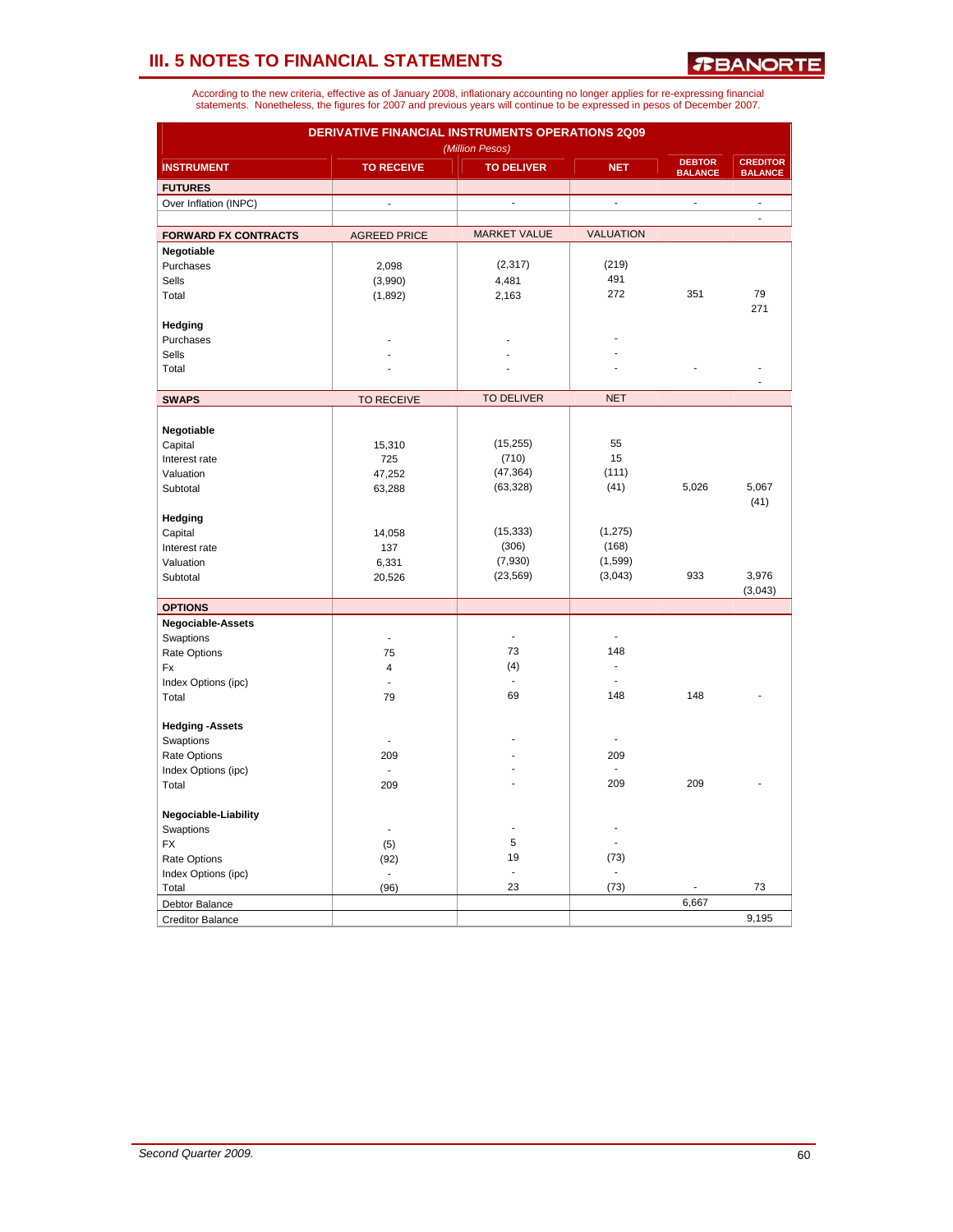*R***BANORTE** 

|                             | DERIVATIVE FINANCIAL INSTRUMENTS OPERATIONS 2Q09<br>(Million Pesos) |                      |                                      |                                 |                                   |  |  |  |
|-----------------------------|---------------------------------------------------------------------|----------------------|--------------------------------------|---------------------------------|-----------------------------------|--|--|--|
| <b>INSTRUMENT</b>           | <b>TO RECEIVE</b>                                                   | <b>TO DELIVER</b>    | <b>NET</b>                           | <b>DEBTOR</b><br><b>BALANCE</b> | <b>CREDITOR</b><br><b>BALANCE</b> |  |  |  |
| <b>FUTURES</b>              |                                                                     |                      |                                      |                                 |                                   |  |  |  |
| Over Inflation (INPC)       | $\overline{a}$                                                      | ÷,                   | L.                                   | $\overline{\phantom{a}}$        | $\overline{\phantom{a}}$          |  |  |  |
|                             |                                                                     |                      |                                      |                                 | $\blacksquare$                    |  |  |  |
| <b>FORWARD FX CONTRACTS</b> | <b>AGREED PRICE</b>                                                 | <b>MARKET VALUE</b>  | <b>VALUATION</b>                     |                                 |                                   |  |  |  |
| Negotiable                  |                                                                     |                      |                                      |                                 |                                   |  |  |  |
| Purchases                   | 2,098                                                               | (2, 317)             | (219)                                |                                 |                                   |  |  |  |
| Sells                       | (3,990)                                                             | 4,481                | 491                                  |                                 |                                   |  |  |  |
| Total                       | (1,892)                                                             | 2,163                | 272                                  | 351                             | 79                                |  |  |  |
|                             |                                                                     |                      |                                      |                                 | 271                               |  |  |  |
| Hedging                     |                                                                     |                      |                                      |                                 |                                   |  |  |  |
| Purchases                   |                                                                     |                      |                                      |                                 |                                   |  |  |  |
| Sells                       |                                                                     |                      |                                      |                                 |                                   |  |  |  |
| Total                       |                                                                     |                      |                                      |                                 |                                   |  |  |  |
|                             |                                                                     |                      |                                      |                                 |                                   |  |  |  |
| <b>SWAPS</b>                | <b>TO RECEIVE</b>                                                   | <b>TO DELIVER</b>    | <b>NET</b>                           |                                 |                                   |  |  |  |
|                             |                                                                     |                      |                                      |                                 |                                   |  |  |  |
| Negotiable                  |                                                                     |                      |                                      |                                 |                                   |  |  |  |
| Capital                     | 15,310                                                              | (15, 255)            | 55                                   |                                 |                                   |  |  |  |
| Interest rate               | 725                                                                 | (710)                | 15                                   |                                 |                                   |  |  |  |
| Valuation                   | 47,252                                                              | (47, 364)            | (111)                                |                                 |                                   |  |  |  |
| Subtotal                    | 63,288                                                              | (63, 328)            | (41)                                 | 5,026                           | 5,067                             |  |  |  |
|                             |                                                                     |                      |                                      |                                 | (41)                              |  |  |  |
| Hedging                     |                                                                     |                      |                                      |                                 |                                   |  |  |  |
| Capital                     | 14,058                                                              | (15, 333)            | (1, 275)                             |                                 |                                   |  |  |  |
| Interest rate               | 137                                                                 | (306)                | (168)                                |                                 |                                   |  |  |  |
| Valuation                   | 6,331                                                               | (7,930)              | (1, 599)                             |                                 |                                   |  |  |  |
| Subtotal                    | 20,526                                                              | (23, 569)            | (3,043)                              | 933                             | 3,976                             |  |  |  |
|                             |                                                                     |                      |                                      |                                 | (3,043)                           |  |  |  |
| <b>OPTIONS</b>              |                                                                     |                      |                                      |                                 |                                   |  |  |  |
| Negociable-Assets           |                                                                     |                      |                                      |                                 |                                   |  |  |  |
| Swaptions                   | J.                                                                  | ÷,                   |                                      |                                 |                                   |  |  |  |
| Rate Options                | 75                                                                  | 73                   | 148                                  |                                 |                                   |  |  |  |
| Fx                          | 4                                                                   | (4)                  |                                      |                                 |                                   |  |  |  |
| Index Options (ipc)         |                                                                     | ÷,                   |                                      |                                 |                                   |  |  |  |
| Total                       | 79                                                                  | 69                   | 148                                  | 148                             |                                   |  |  |  |
|                             |                                                                     |                      |                                      |                                 |                                   |  |  |  |
| <b>Hedging - Assets</b>     |                                                                     |                      |                                      |                                 |                                   |  |  |  |
| Swaptions                   |                                                                     |                      | ä,                                   |                                 |                                   |  |  |  |
| Rate Options                | 209                                                                 |                      | 209                                  |                                 |                                   |  |  |  |
| Index Options (ipc)         | $\overline{\phantom{a}}$                                            |                      | ä,                                   |                                 |                                   |  |  |  |
| Total                       | 209                                                                 |                      | 209                                  | 209                             |                                   |  |  |  |
|                             |                                                                     |                      |                                      |                                 |                                   |  |  |  |
| Negociable-Liability        | L,                                                                  |                      |                                      |                                 |                                   |  |  |  |
| Swaptions                   |                                                                     | 5                    |                                      |                                 |                                   |  |  |  |
| <b>FX</b>                   | (5)                                                                 |                      |                                      |                                 |                                   |  |  |  |
| Rate Options                | (92)                                                                | 19                   | (73)                                 |                                 |                                   |  |  |  |
| Index Options (ipc)         | $\blacksquare$                                                      | $\blacksquare$<br>23 | $\qquad \qquad \blacksquare$<br>(73) |                                 | 73                                |  |  |  |
| Total                       | (96)                                                                |                      |                                      |                                 |                                   |  |  |  |
| Debtor Balance              |                                                                     |                      |                                      | 6,667                           |                                   |  |  |  |
| <b>Creditor Balance</b>     |                                                                     |                      |                                      |                                 | 9,195                             |  |  |  |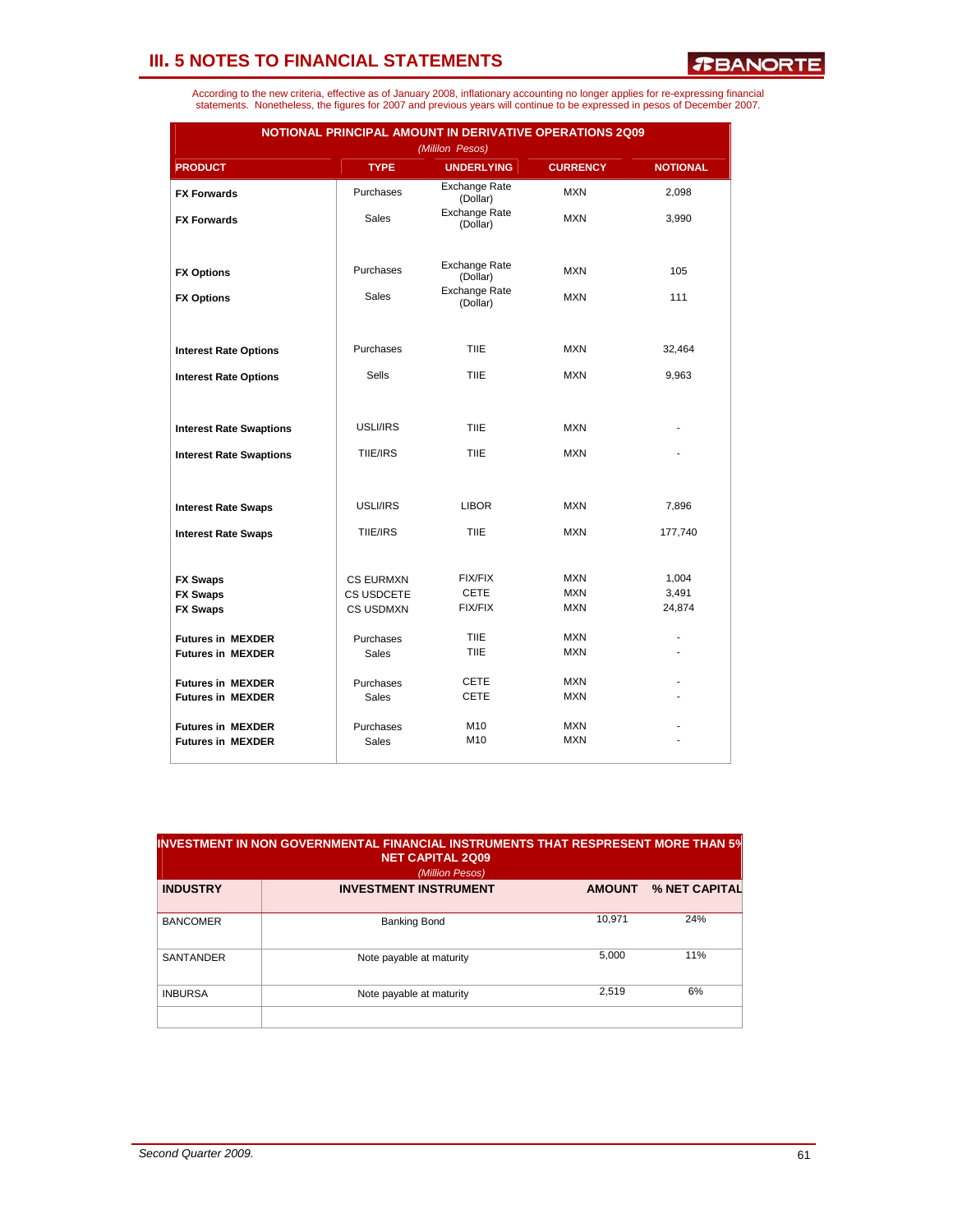*T***BANORTE** 

| According to the new criteria, effective as of January 2008, inflationary accounting no longer applies for re-expressing financial |  |
|------------------------------------------------------------------------------------------------------------------------------------|--|
| statements. Nonetheless, the figures for 2007 and previous years will continue to be expressed in pesos of December 2007.          |  |

| NOTIONAL PRINCIPAL AMOUNT IN DERIVATIVE OPERATIONS 2Q09 |                                |                                      |                          |                 |  |  |  |
|---------------------------------------------------------|--------------------------------|--------------------------------------|--------------------------|-----------------|--|--|--|
| <b>PRODUCT</b>                                          | <b>TYPE</b>                    | (Mililon Pesos)<br><b>UNDERLYING</b> | <b>CURRENCY</b>          | <b>NOTIONAL</b> |  |  |  |
| <b>FX Forwards</b>                                      | Purchases                      | <b>Exchange Rate</b><br>(Dollar)     | <b>MXN</b>               | 2,098           |  |  |  |
| <b>FX Forwards</b>                                      | <b>Sales</b>                   | <b>Exchange Rate</b><br>(Dollar)     | <b>MXN</b>               | 3,990           |  |  |  |
|                                                         |                                |                                      |                          |                 |  |  |  |
| <b>FX Options</b>                                       | Purchases                      | <b>Exchange Rate</b><br>(Dollar)     | <b>MXN</b>               | 105             |  |  |  |
| <b>FX Options</b>                                       | Sales                          | <b>Exchange Rate</b><br>(Dollar)     | <b>MXN</b>               | 111             |  |  |  |
|                                                         |                                |                                      |                          |                 |  |  |  |
| <b>Interest Rate Options</b>                            | Purchases                      | <b>TIIE</b>                          | <b>MXN</b>               | 32,464          |  |  |  |
| <b>Interest Rate Options</b>                            | <b>Sells</b>                   | <b>TIIE</b>                          | <b>MXN</b>               | 9,963           |  |  |  |
|                                                         |                                |                                      |                          |                 |  |  |  |
| <b>Interest Rate Swaptions</b>                          | USLI/IRS                       | <b>TIIE</b>                          | <b>MXN</b>               |                 |  |  |  |
| <b>Interest Rate Swaptions</b>                          | TIIE/IRS                       | <b>TIIE</b>                          | <b>MXN</b>               |                 |  |  |  |
|                                                         |                                |                                      |                          |                 |  |  |  |
| <b>Interest Rate Swaps</b>                              | USLI/IRS                       | <b>LIBOR</b>                         | <b>MXN</b>               | 7,896           |  |  |  |
| <b>Interest Rate Swaps</b>                              | TIIE/IRS                       | <b>TIIE</b>                          | <b>MXN</b>               | 177,740         |  |  |  |
|                                                         |                                |                                      |                          |                 |  |  |  |
| <b>FX Swaps</b>                                         | <b>CS EURMXN</b>               | <b>FIX/FIX</b><br><b>CETE</b>        | <b>MXN</b><br><b>MXN</b> | 1,004           |  |  |  |
| <b>FX Swaps</b><br><b>FX Swaps</b>                      | CS USDCETE<br><b>CS USDMXN</b> | <b>FIX/FIX</b>                       | <b>MXN</b>               | 3,491<br>24,874 |  |  |  |
|                                                         |                                |                                      |                          |                 |  |  |  |
| <b>Futures in MEXDER</b>                                | Purchases                      | <b>TIIE</b>                          | <b>MXN</b>               |                 |  |  |  |
| <b>Futures in MEXDER</b>                                | <b>Sales</b>                   | <b>TIIE</b>                          | <b>MXN</b>               |                 |  |  |  |
| <b>Futures in MEXDER</b>                                | Purchases                      | <b>CETE</b>                          | <b>MXN</b>               |                 |  |  |  |
| <b>Futures in MEXDER</b>                                | <b>Sales</b>                   | <b>CETE</b>                          | <b>MXN</b>               |                 |  |  |  |
| <b>Futures in MEXDER</b>                                | Purchases                      | M10                                  | <b>MXN</b>               |                 |  |  |  |
| <b>Futures in MEXDER</b>                                | Sales                          | M <sub>10</sub>                      | <b>MXN</b>               |                 |  |  |  |

| $\,$ INVESTMENT IN NON GOVERNMENTAL FINANCIAL INSTRUMENTS THAT RESPRESENT MORE THAN 5 $\%$<br><b>NET CAPITAL 2Q09</b><br>(Million Pesos) |                              |               |               |  |  |  |
|------------------------------------------------------------------------------------------------------------------------------------------|------------------------------|---------------|---------------|--|--|--|
| <b>INDUSTRY</b>                                                                                                                          | <b>INVESTMENT INSTRUMENT</b> | <b>AMOUNT</b> | % NET CAPITAL |  |  |  |
| <b>BANCOMER</b>                                                                                                                          | <b>Banking Bond</b>          | 10.971        | 24%           |  |  |  |
| <b>SANTANDER</b>                                                                                                                         | Note payable at maturity     | 5.000         | 11%           |  |  |  |
| <b>INBURSA</b>                                                                                                                           | Note payable at maturity     | 2.519         | 6%            |  |  |  |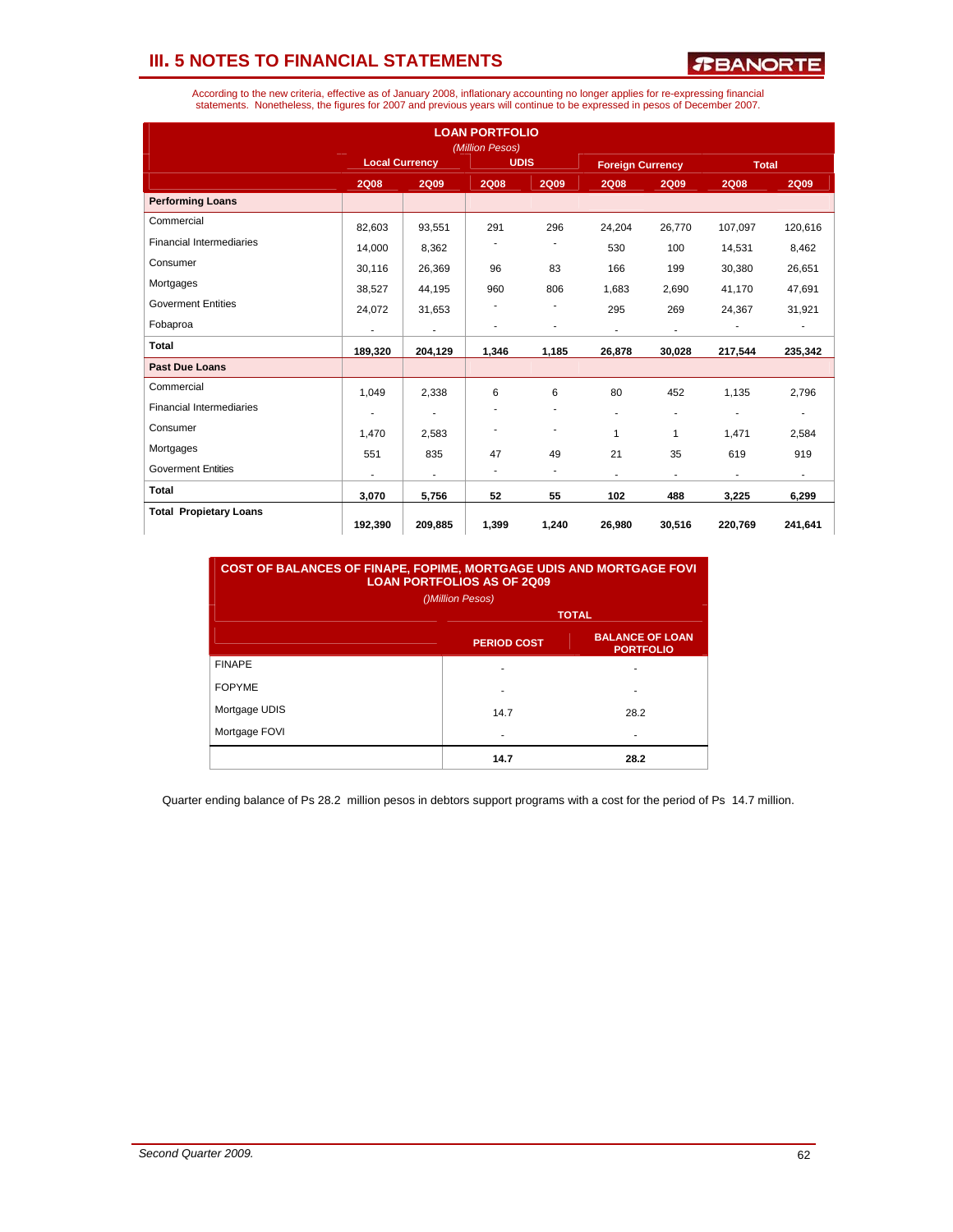*R***BANORTE** 

According to the new criteria, effective as of January 2008, inflationary accounting no longer applies for re-expressing financial<br>statements. Nonetheless, the figures for 2007 and previous years will continue to be expres

| <b>LOAN PORTFOLIO</b><br>(Million Pesos) |                          |                          |             |                          |                          |                          |                          |                          |
|------------------------------------------|--------------------------|--------------------------|-------------|--------------------------|--------------------------|--------------------------|--------------------------|--------------------------|
|                                          |                          | <b>Local Currency</b>    |             | <b>UDIS</b>              |                          | <b>Foreign Currency</b>  | <b>Total</b>             |                          |
|                                          | <b>2Q08</b>              | <b>2Q09</b>              | <b>2Q08</b> | <b>2Q09</b>              | <b>2Q08</b>              | <b>2Q09</b>              | <b>2Q08</b>              | <b>2Q09</b>              |
| <b>Performing Loans</b>                  |                          |                          |             |                          |                          |                          |                          |                          |
| Commercial                               | 82,603                   | 93,551                   | 291         | 296                      | 24,204                   | 26,770                   | 107,097                  | 120,616                  |
| <b>Financial Intermediaries</b>          | 14,000                   | 8,362                    |             | ۰                        | 530                      | 100                      | 14,531                   | 8,462                    |
| Consumer                                 | 30,116                   | 26,369                   | 96          | 83                       | 166                      | 199                      | 30,380                   | 26,651                   |
| Mortgages                                | 38,527                   | 44,195                   | 960         | 806                      | 1,683                    | 2,690                    | 41.170                   | 47,691                   |
| <b>Goverment Entities</b>                | 24,072                   | 31,653                   |             |                          | 295                      | 269                      | 24,367                   | 31,921                   |
| Fobaproa                                 |                          | $\overline{\phantom{a}}$ |             | ٠                        | $\overline{\phantom{a}}$ | $\overline{\phantom{a}}$ |                          |                          |
| Total                                    | 189,320                  | 204,129                  | 1,346       | 1,185                    | 26,878                   | 30,028                   | 217,544                  | 235,342                  |
| <b>Past Due Loans</b>                    |                          |                          |             |                          |                          |                          |                          |                          |
| Commercial                               | 1,049                    | 2,338                    | 6           | 6                        | 80                       | 452                      | 1,135                    | 2,796                    |
| <b>Financial Intermediaries</b>          | ٠                        | $\overline{\phantom{a}}$ |             | $\overline{\phantom{a}}$ | ٠                        | $\overline{\phantom{a}}$ | ٠                        | $\overline{\phantom{a}}$ |
| Consumer                                 | 1.470                    | 2,583                    |             | -                        | 1                        | 1                        | 1,471                    | 2,584                    |
| Mortgages                                | 551                      | 835                      | 47          | 49                       | 21                       | 35                       | 619                      | 919                      |
| <b>Goverment Entities</b>                | $\overline{\phantom{a}}$ | $\blacksquare$           | ٠           | ٠                        | $\blacksquare$           | $\overline{\phantom{a}}$ | $\overline{\phantom{a}}$ | $\blacksquare$           |
| <b>Total</b>                             | 3,070                    | 5,756                    | 52          | 55                       | 102                      | 488                      | 3,225                    | 6,299                    |
| <b>Total Propietary Loans</b>            | 192,390                  | 209,885                  | 1,399       | 1,240                    | 26,980                   | 30,516                   | 220,769                  | 241,641                  |

**COST OF BALANCES OF FINAPE, FOPIME, MORTGAGE UDIS AND MORTGAGE FOVI LOAN PORTFOLIOS AS OF 2Q09** 

| LUANTUNITULIUU AU UI LUUJ<br>()Million Pesos) |                    |                                            |  |  |  |  |
|-----------------------------------------------|--------------------|--------------------------------------------|--|--|--|--|
|                                               |                    | <b>TOTAL</b>                               |  |  |  |  |
|                                               | <b>PERIOD COST</b> | <b>BALANCE OF LOAN</b><br><b>PORTFOLIO</b> |  |  |  |  |
| <b>FINAPE</b>                                 | ٠                  | ۰                                          |  |  |  |  |
| <b>FOPYME</b>                                 | ٠                  | ۰                                          |  |  |  |  |
| Mortgage UDIS                                 | 14.7               | 28.2                                       |  |  |  |  |
| Mortgage FOVI                                 | ۰                  | ۰                                          |  |  |  |  |
|                                               | 14.7               | 28.2                                       |  |  |  |  |

Quarter ending balance of Ps 28.2 million pesos in debtors support programs with a cost for the period of Ps 14.7 million.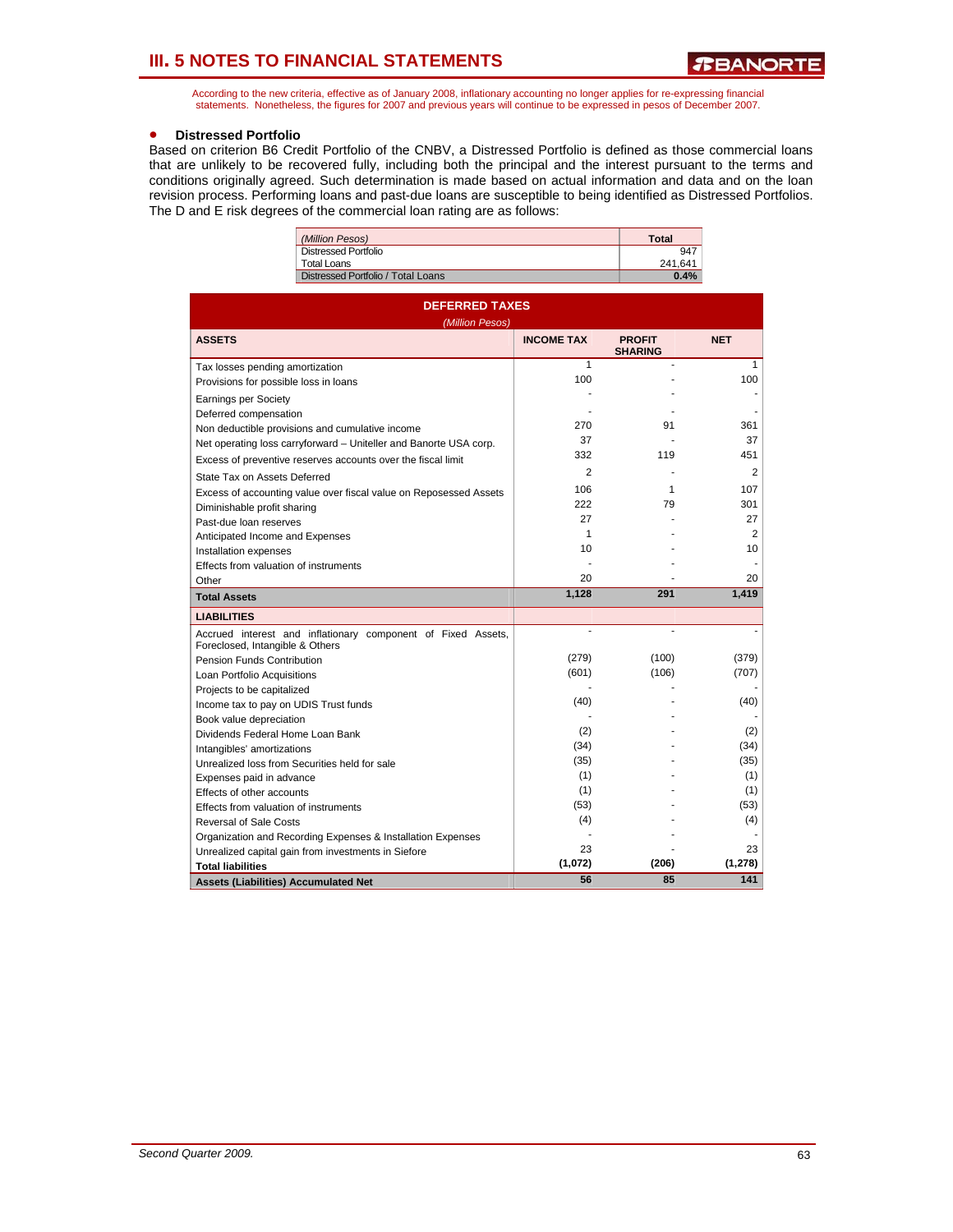According to the new criteria, effective as of January 2008, inflationary accounting no longer applies for re-expressing financial statements. Nonetheless, the figures for 2007 and previous years will continue to be expressed in pesos of December 2007.

### • **Distressed Portfolio**

Based on criterion B6 Credit Portfolio of the CNBV, a Distressed Portfolio is defined as those commercial loans that are unlikely to be recovered fully, including both the principal and the interest pursuant to the terms and conditions originally agreed. Such determination is made based on actual information and data and on the loan revision process. Performing loans and past-due loans are susceptible to being identified as Distressed Portfolios. The D and E risk degrees of the commercial loan rating are as follows:

| (Million Pesos)                    | Total   |
|------------------------------------|---------|
| Distressed Portfolio               | 947     |
| Total Loans                        | 241.641 |
| Distressed Portfolio / Total Loans | 0.4%    |
|                                    |         |

| <b>DEFERRED TAXES</b><br>(Million Pesos)                                                        |                   |                                 |                 |  |  |  |  |
|-------------------------------------------------------------------------------------------------|-------------------|---------------------------------|-----------------|--|--|--|--|
| <b>ASSETS</b>                                                                                   | <b>INCOME TAX</b> | <b>PROFIT</b><br><b>SHARING</b> | <b>NET</b>      |  |  |  |  |
| Tax losses pending amortization                                                                 | 1                 |                                 | 1               |  |  |  |  |
| Provisions for possible loss in loans                                                           | 100               |                                 | 100             |  |  |  |  |
| <b>Earnings per Society</b>                                                                     |                   |                                 |                 |  |  |  |  |
| Deferred compensation                                                                           |                   |                                 |                 |  |  |  |  |
| Non deductible provisions and cumulative income                                                 | 270               | 91                              | 361             |  |  |  |  |
| Net operating loss carryforward - Uniteller and Banorte USA corp.                               | 37                |                                 | 37              |  |  |  |  |
| Excess of preventive reserves accounts over the fiscal limit                                    | 332               | 119                             | 451             |  |  |  |  |
| State Tax on Assets Deferred                                                                    | $\overline{2}$    |                                 | $\overline{2}$  |  |  |  |  |
| Excess of accounting value over fiscal value on Reposessed Assets                               | 106               | 1                               | 107             |  |  |  |  |
| Diminishable profit sharing                                                                     | 222               | 79                              | 301             |  |  |  |  |
| Past-due loan reserves                                                                          | 27                |                                 | 27              |  |  |  |  |
| Anticipated Income and Expenses                                                                 | 1                 |                                 | 2               |  |  |  |  |
| Installation expenses                                                                           | 10                |                                 | 10 <sup>1</sup> |  |  |  |  |
| Effects from valuation of instruments                                                           |                   |                                 |                 |  |  |  |  |
| Other                                                                                           | 20                |                                 | 20              |  |  |  |  |
| <b>Total Assets</b>                                                                             | 1,128             | 291                             | 1,419           |  |  |  |  |
| <b>LIABILITIES</b>                                                                              |                   |                                 |                 |  |  |  |  |
| Accrued interest and inflationary component of Fixed Assets,<br>Foreclosed, Intangible & Others | ä,                |                                 |                 |  |  |  |  |
| Pension Funds Contribution                                                                      | (279)             | (100)                           | (379)           |  |  |  |  |
| Loan Portfolio Acquisitions                                                                     | (601)             | (106)                           | (707)           |  |  |  |  |
| Projects to be capitalized                                                                      |                   |                                 |                 |  |  |  |  |
| Income tax to pay on UDIS Trust funds                                                           | (40)              |                                 | (40)            |  |  |  |  |
| Book value depreciation                                                                         |                   |                                 |                 |  |  |  |  |
| Dividends Federal Home Loan Bank                                                                | (2)               |                                 | (2)             |  |  |  |  |
| Intangibles' amortizations                                                                      | (34)              |                                 | (34)            |  |  |  |  |
| Unrealized loss from Securities held for sale                                                   | (35)              |                                 | (35)            |  |  |  |  |
| Expenses paid in advance                                                                        | (1)               |                                 | (1)             |  |  |  |  |
| Effects of other accounts                                                                       | (1)               |                                 | (1)             |  |  |  |  |
| Effects from valuation of instruments                                                           | (53)              |                                 | (53)            |  |  |  |  |
| <b>Reversal of Sale Costs</b>                                                                   | (4)               |                                 | (4)             |  |  |  |  |
| Organization and Recording Expenses & Installation Expenses                                     |                   |                                 |                 |  |  |  |  |
| Unrealized capital gain from investments in Siefore                                             | 23                |                                 | 23              |  |  |  |  |
| <b>Total liabilities</b>                                                                        | (1,072)           | (206)                           | (1, 278)        |  |  |  |  |
| <b>Assets (Liabilities) Accumulated Net</b>                                                     | 56                | 85                              | 141             |  |  |  |  |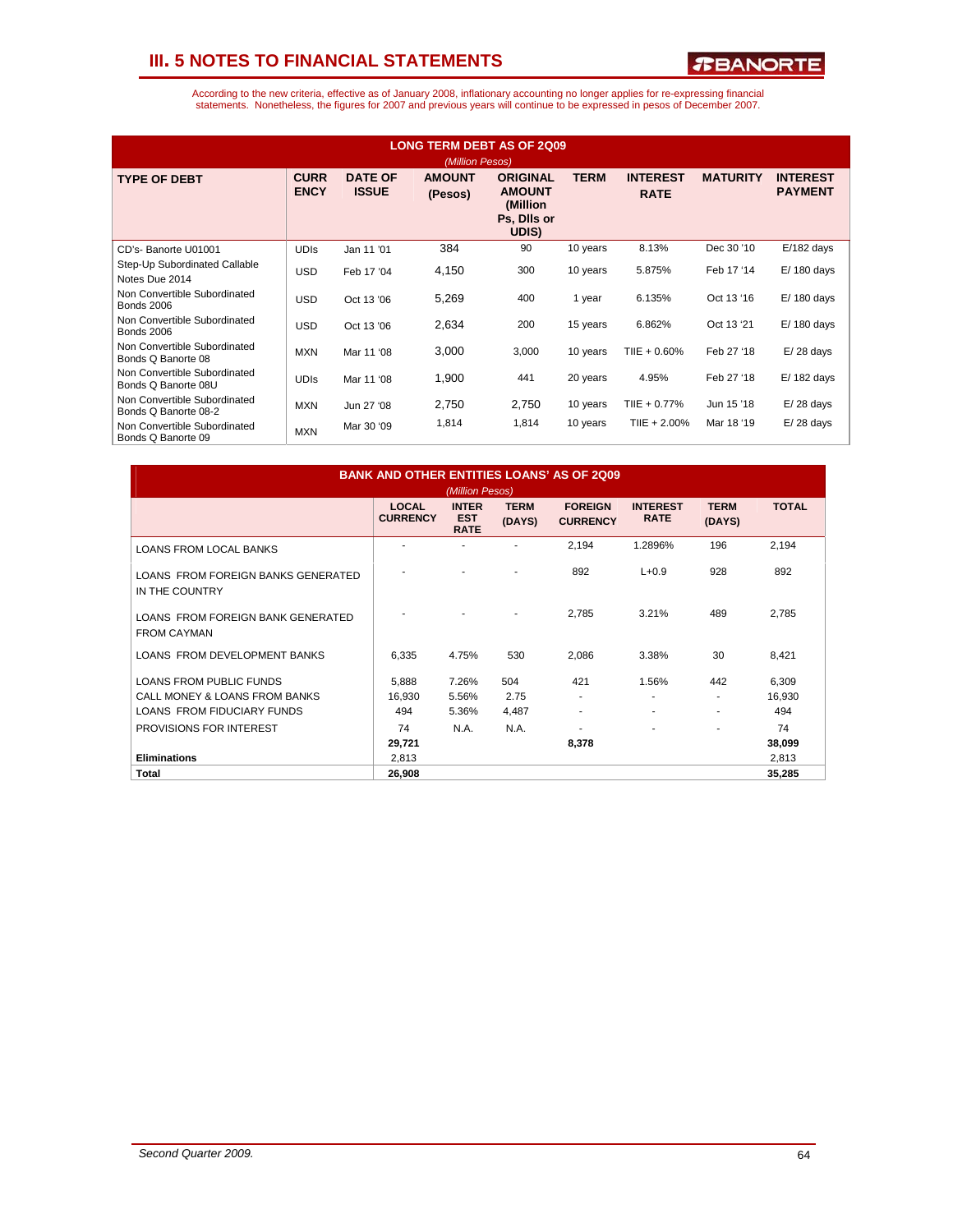

| <b>LONG TERM DEBT AS OF 2Q09</b><br>(Million Pesos)  |                            |                                |                          |                                                                      |             |                                |                 |                                   |  |
|------------------------------------------------------|----------------------------|--------------------------------|--------------------------|----------------------------------------------------------------------|-------------|--------------------------------|-----------------|-----------------------------------|--|
| <b>TYPE OF DEBT</b>                                  | <b>CURR</b><br><b>ENCY</b> | <b>DATE OF</b><br><b>ISSUE</b> | <b>AMOUNT</b><br>(Pesos) | <b>ORIGINAL</b><br><b>AMOUNT</b><br>(Million<br>Ps, Dils or<br>UDIS) | <b>TERM</b> | <b>INTEREST</b><br><b>RATE</b> | <b>MATURITY</b> | <b>INTEREST</b><br><b>PAYMENT</b> |  |
| CD's-Banorte U01001                                  | <b>UDIS</b>                | Jan 11 '01                     | 384                      | 90                                                                   | 10 years    | 8.13%                          | Dec 30 '10      | $E/182$ days                      |  |
| Step-Up Subordinated Callable<br>Notes Due 2014      | <b>USD</b>                 | Feb 17 '04                     | 4,150                    | 300                                                                  | 10 years    | 5.875%                         | Feb 17 '14      | $E/180$ days                      |  |
| Non Convertible Subordinated<br><b>Bonds 2006</b>    | <b>USD</b>                 | Oct 13 '06                     | 5,269                    | 400                                                                  | 1 year      | 6.135%                         | Oct 13 '16      | $E/180$ days                      |  |
| Non Convertible Subordinated<br><b>Bonds 2006</b>    | <b>USD</b>                 | Oct 13 '06                     | 2,634                    | 200                                                                  | 15 years    | 6.862%                         | Oct 13 '21      | $E/180$ days                      |  |
| Non Convertible Subordinated<br>Bonds Q Banorte 08   | <b>MXN</b>                 | Mar 11 '08                     | 3,000                    | 3,000                                                                | 10 years    | $T IIE + 0.60\%$               | Feb 27 '18      | $E/28$ days                       |  |
| Non Convertible Subordinated<br>Bonds Q Banorte 08U  | <b>UDIS</b>                | Mar 11 '08                     | 1,900                    | 441                                                                  | 20 years    | 4.95%                          | Feb 27 '18      | $E/182$ days                      |  |
| Non Convertible Subordinated<br>Bonds Q Banorte 08-2 | <b>MXN</b>                 | Jun 27 '08                     | 2,750                    | 2,750                                                                | 10 years    | TIIE + 0.77%                   | Jun 15 '18      | $E/28$ days                       |  |
| Non Convertible Subordinated<br>Bonds Q Banorte 09   | <b>MXN</b>                 | Mar 30 '09                     | 1,814                    | 1,814                                                                | 10 years    | $T IIE + 2.00\%$               | Mar 18 '19      | $E/28$ days                       |  |

| <b>BANK AND OTHER ENTITIES LOANS' AS OF 2009</b><br>(Million Pesos) |                                 |                                           |                              |                                   |                                |                       |               |
|---------------------------------------------------------------------|---------------------------------|-------------------------------------------|------------------------------|-----------------------------------|--------------------------------|-----------------------|---------------|
|                                                                     | <b>LOCAL</b><br><b>CURRENCY</b> | <b>INTER</b><br><b>EST</b><br><b>RATE</b> | <b>TERM</b><br>(DAYS)        | <b>FORFIGN</b><br><b>CURRENCY</b> | <b>INTEREST</b><br><b>RATE</b> | <b>TERM</b><br>(DAYS) | <b>TOTAL</b>  |
| <b>LOANS FROM LOCAL BANKS</b>                                       |                                 |                                           |                              | 2,194                             | 1.2896%                        | 196                   | 2,194         |
| LOANS FROM FOREIGN BANKS GENERATED<br>IN THE COUNTRY                |                                 |                                           |                              | 892                               | $L + 0.9$                      | 928                   | 892           |
| LOANS FROM FOREIGN BANK GENERATED<br><b>FROM CAYMAN</b>             |                                 |                                           | $\qquad \qquad \blacksquare$ | 2,785                             | 3.21%                          | 489                   | 2,785         |
| LOANS FROM DEVELOPMENT BANKS                                        | 6,335                           | 4.75%                                     | 530                          | 2,086                             | 3.38%                          | 30                    | 8,421         |
| <b>LOANS FROM PUBLIC FUNDS</b>                                      | 5,888                           | 7.26%                                     | 504                          | 421                               | 1.56%                          | 442                   | 6,309         |
| CALL MONEY & LOANS FROM BANKS<br>LOANS FROM FIDUCIARY FUNDS         | 16,930<br>494                   | 5.56%<br>5.36%                            | 2.75<br>4,487                | ٠<br>۰                            | ٠<br>٠                         | ٠<br>۰                | 16,930<br>494 |
| PROVISIONS FOR INTEREST                                             | 74<br>29,721                    | N.A.                                      | N.A.                         | 8,378                             | ٠                              | ٠                     | 74<br>38,099  |
| <b>Eliminations</b>                                                 | 2,813                           |                                           |                              |                                   |                                |                       | 2,813         |
| Total                                                               | 26,908                          |                                           |                              |                                   |                                |                       | 35,285        |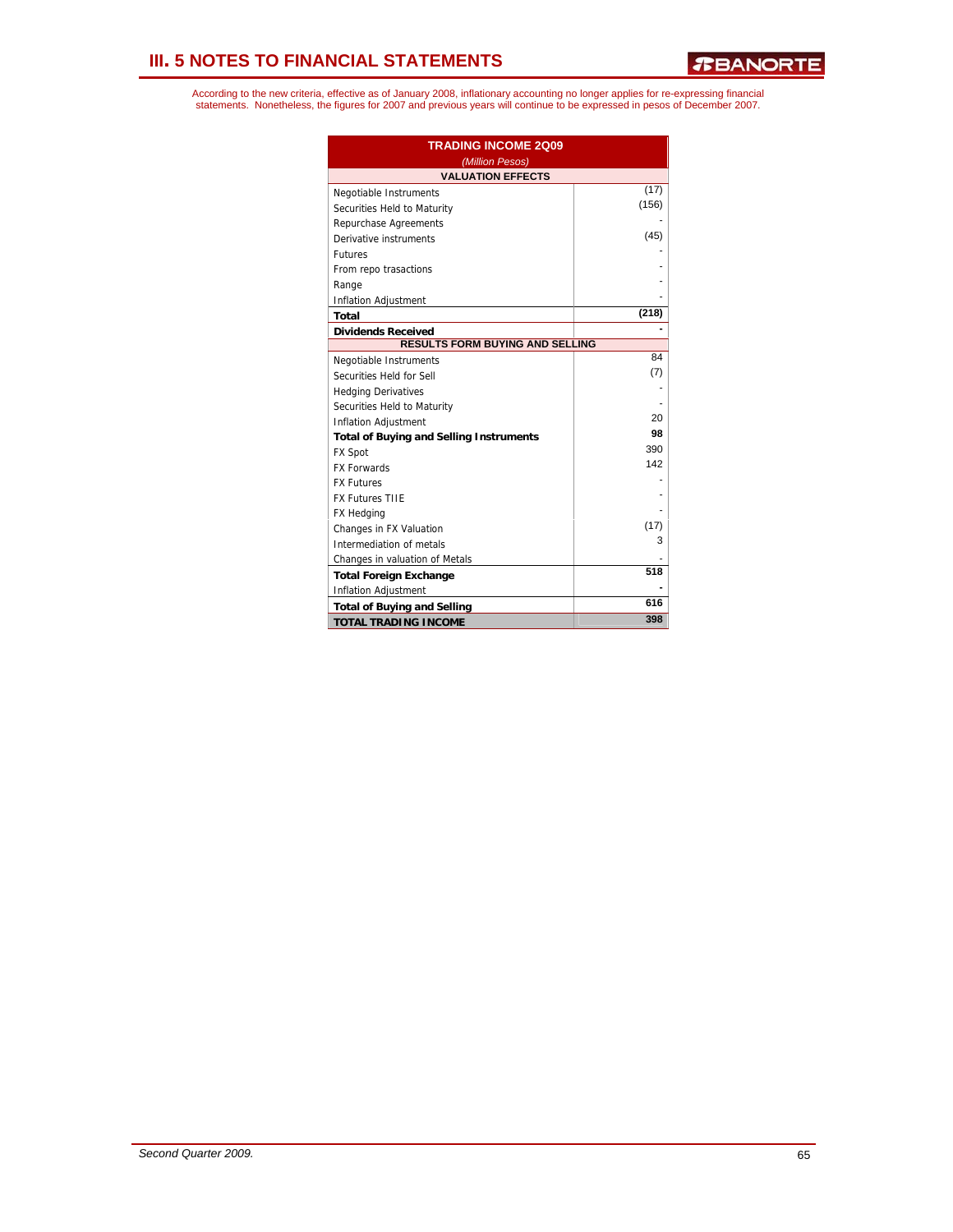| <b>TRADING INCOME 2009</b>                     |       |  |  |
|------------------------------------------------|-------|--|--|
| (Million Pesos)                                |       |  |  |
| <b>VALUATION EFFECTS</b>                       |       |  |  |
| Negotiable Instruments                         | (17)  |  |  |
| Securities Held to Maturity                    | (156) |  |  |
| Repurchase Agreements                          |       |  |  |
| Derivative instruments                         | (45)  |  |  |
| <b>Futures</b>                                 |       |  |  |
| From repo trasactions                          |       |  |  |
| Range                                          |       |  |  |
| <b>Inflation Adjustment</b>                    |       |  |  |
| Total                                          | (218) |  |  |
| <b>Dividends Received</b>                      |       |  |  |
| <b>RESULTS FORM BUYING AND SELLING</b>         |       |  |  |
| Negotiable Instruments                         | 84    |  |  |
| Securities Held for Sell                       | (7)   |  |  |
| <b>Hedging Derivatives</b>                     |       |  |  |
| Securities Held to Maturity                    |       |  |  |
| Inflation Adjustment                           | 20    |  |  |
| <b>Total of Buying and Selling Instruments</b> | 98    |  |  |
| <b>FX Spot</b>                                 | 390   |  |  |
| <b>FX Forwards</b>                             | 142   |  |  |
| <b>FX Futures</b>                              |       |  |  |
| <b>FX Futures TIIE</b>                         |       |  |  |
| FX Hedging                                     |       |  |  |
| Changes in FX Valuation                        | (17)  |  |  |
| Intermediation of metals                       | 3     |  |  |
| Changes in valuation of Metals                 |       |  |  |
| <b>Total Foreign Exchange</b>                  | 518   |  |  |
| <b>Inflation Adjustment</b>                    |       |  |  |
| <b>Total of Buying and Selling</b>             | 616   |  |  |
| <b>TOTAL TRADING INCOME</b>                    | 398   |  |  |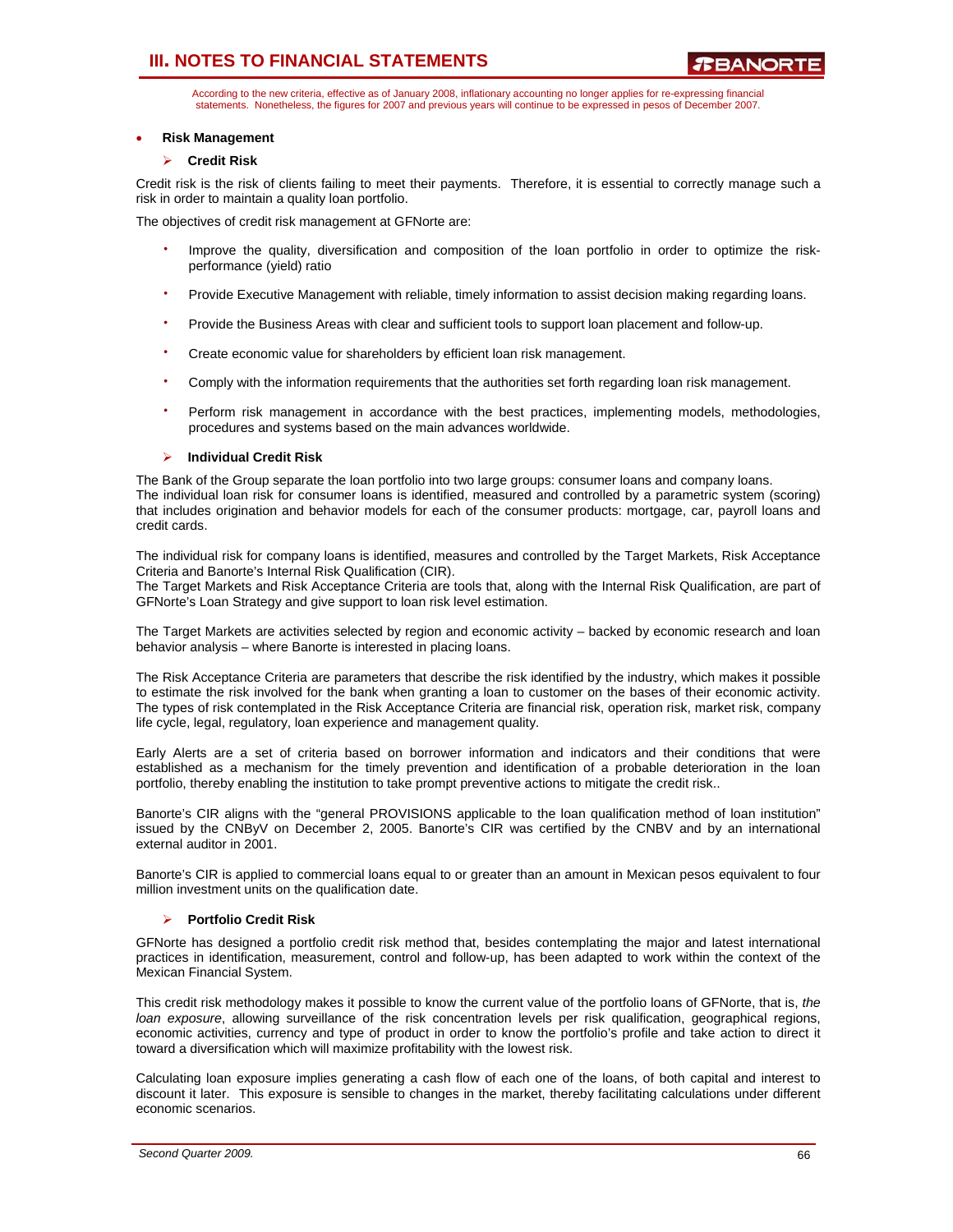According to the new criteria, effective as of January 2008, inflationary accounting no longer applies for re-expressing financial statements. Nonetheless, the figures for 2007 and previous years will continue to be expressed in pesos of December 2007.

### • **Risk Management**

### ¾ **Credit Risk**

Credit risk is the risk of clients failing to meet their payments. Therefore, it is essential to correctly manage such a risk in order to maintain a quality loan portfolio.

The objectives of credit risk management at GFNorte are:

- Improve the quality, diversification and composition of the loan portfolio in order to optimize the riskperformance (yield) ratio
- Provide Executive Management with reliable, timely information to assist decision making regarding loans.
- Provide the Business Areas with clear and sufficient tools to support loan placement and follow-up.
- Create economic value for shareholders by efficient loan risk management.
- Comply with the information requirements that the authorities set forth regarding loan risk management.
- Perform risk management in accordance with the best practices, implementing models, methodologies, procedures and systems based on the main advances worldwide.

### ¾ **Individual Credit Risk**

The Bank of the Group separate the loan portfolio into two large groups: consumer loans and company loans. The individual loan risk for consumer loans is identified, measured and controlled by a parametric system (scoring) that includes origination and behavior models for each of the consumer products: mortgage, car, payroll loans and credit cards.

The individual risk for company loans is identified, measures and controlled by the Target Markets, Risk Acceptance Criteria and Banorte's Internal Risk Qualification (CIR).

The Target Markets and Risk Acceptance Criteria are tools that, along with the Internal Risk Qualification, are part of GFNorte's Loan Strategy and give support to loan risk level estimation.

The Target Markets are activities selected by region and economic activity – backed by economic research and loan behavior analysis – where Banorte is interested in placing loans.

The Risk Acceptance Criteria are parameters that describe the risk identified by the industry, which makes it possible to estimate the risk involved for the bank when granting a loan to customer on the bases of their economic activity. The types of risk contemplated in the Risk Acceptance Criteria are financial risk, operation risk, market risk, company life cycle, legal, regulatory, loan experience and management quality.

Early Alerts are a set of criteria based on borrower information and indicators and their conditions that were established as a mechanism for the timely prevention and identification of a probable deterioration in the loan portfolio, thereby enabling the institution to take prompt preventive actions to mitigate the credit risk..

Banorte's CIR aligns with the "general PROVISIONS applicable to the loan qualification method of loan institution" issued by the CNByV on December 2, 2005. Banorte's CIR was certified by the CNBV and by an international external auditor in 2001.

Banorte's CIR is applied to commercial loans equal to or greater than an amount in Mexican pesos equivalent to four million investment units on the qualification date.

### ¾ **Portfolio Credit Risk**

GFNorte has designed a portfolio credit risk method that, besides contemplating the major and latest international practices in identification, measurement, control and follow-up, has been adapted to work within the context of the Mexican Financial System.

This credit risk methodology makes it possible to know the current value of the portfolio loans of GFNorte, that is, *the loan exposure*, allowing surveillance of the risk concentration levels per risk qualification, geographical regions, economic activities, currency and type of product in order to know the portfolio's profile and take action to direct it toward a diversification which will maximize profitability with the lowest risk.

Calculating loan exposure implies generating a cash flow of each one of the loans, of both capital and interest to discount it later. This exposure is sensible to changes in the market, thereby facilitating calculations under different economic scenarios.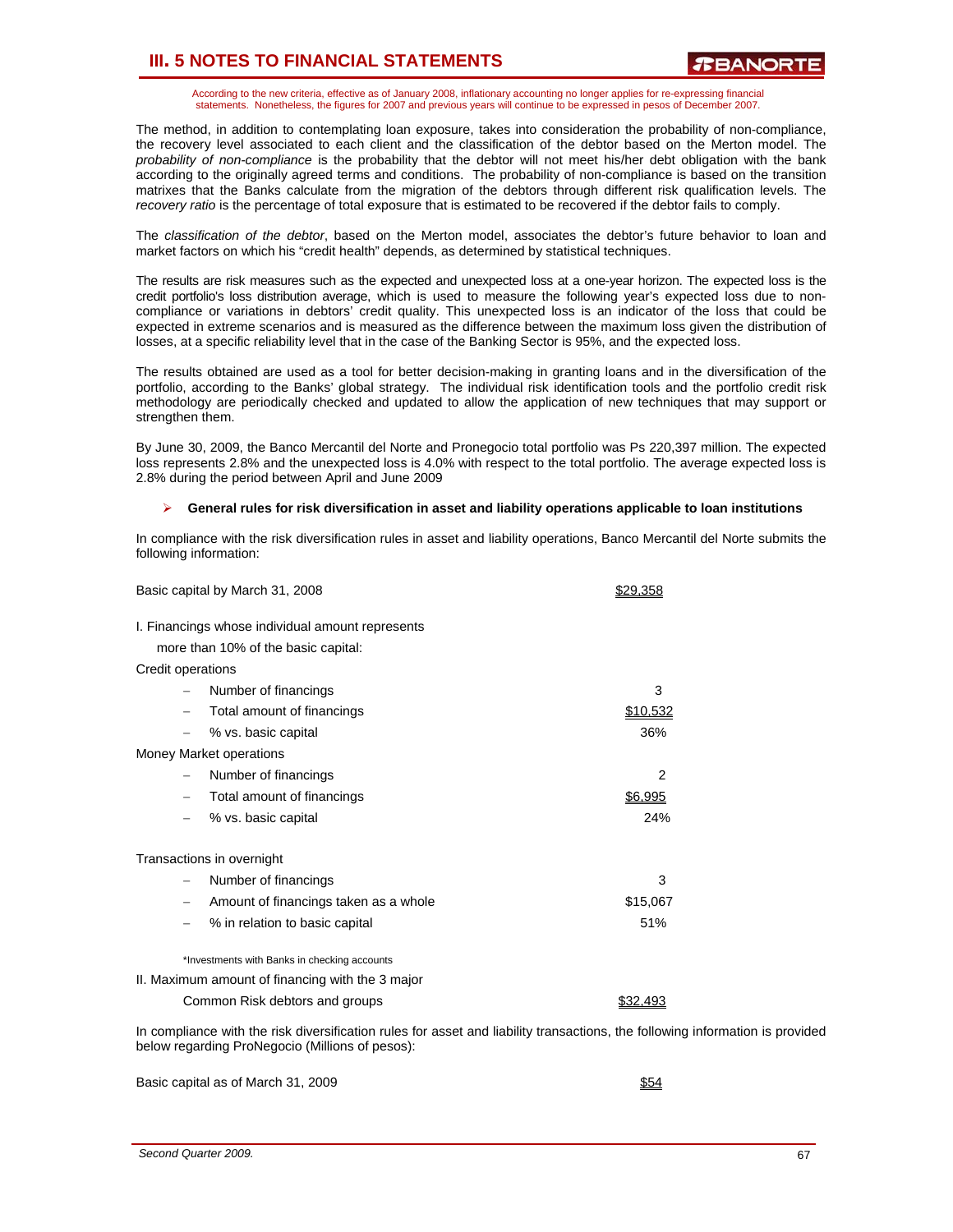According to the new criteria, effective as of January 2008, inflationary accounting no longer applies for re-expressing financial statements. Nonetheless, the figures for 2007 and previous years will continue to be expressed in pesos of December 2007.

The method, in addition to contemplating loan exposure, takes into consideration the probability of non-compliance, the recovery level associated to each client and the classification of the debtor based on the Merton model. The *probability of non-compliance* is the probability that the debtor will not meet his/her debt obligation with the bank according to the originally agreed terms and conditions. The probability of non-compliance is based on the transition matrixes that the Banks calculate from the migration of the debtors through different risk qualification levels. The *recovery ratio* is the percentage of total exposure that is estimated to be recovered if the debtor fails to comply.

The *classification of the debtor*, based on the Merton model, associates the debtor's future behavior to loan and market factors on which his "credit health" depends, as determined by statistical techniques.

The results are risk measures such as the expected and unexpected loss at a one-year horizon. The expected loss is the credit portfolio's loss distribution average, which is used to measure the following year's expected loss due to noncompliance or variations in debtors' credit quality. This unexpected loss is an indicator of the loss that could be expected in extreme scenarios and is measured as the difference between the maximum loss given the distribution of losses, at a specific reliability level that in the case of the Banking Sector is 95%, and the expected loss.

The results obtained are used as a tool for better decision-making in granting loans and in the diversification of the portfolio, according to the Banks' global strategy. The individual risk identification tools and the portfolio credit risk methodology are periodically checked and updated to allow the application of new techniques that may support or strengthen them.

By June 30, 2009, the Banco Mercantil del Norte and Pronegocio total portfolio was Ps 220,397 million. The expected loss represents 2.8% and the unexpected loss is 4.0% with respect to the total portfolio. The average expected loss is 2.8% during the period between April and June 2009

### ¾ **General rules for risk diversification in asset and liability operations applicable to loan institutions**

In compliance with the risk diversification rules in asset and liability operations, Banco Mercantil del Norte submits the following information:

| Basic capital by March 31, 2008                                                                                              | \$29,358 |
|------------------------------------------------------------------------------------------------------------------------------|----------|
| I. Financings whose individual amount represents                                                                             |          |
| more than 10% of the basic capital:                                                                                          |          |
| Credit operations                                                                                                            |          |
| Number of financings                                                                                                         | 3        |
| Total amount of financings                                                                                                   | \$10,532 |
| % vs. basic capital                                                                                                          | 36%      |
| Money Market operations                                                                                                      |          |
| Number of financings                                                                                                         | 2        |
| Total amount of financings                                                                                                   | \$6,995  |
| % vs. basic capital                                                                                                          | 24%      |
| Transactions in overnight                                                                                                    |          |
| Number of financings                                                                                                         | 3        |
| Amount of financings taken as a whole                                                                                        | \$15,067 |
| % in relation to basic capital                                                                                               | 51%      |
| *Investments with Banks in checking accounts                                                                                 |          |
| II. Maximum amount of financing with the 3 major                                                                             |          |
| Common Risk debtors and groups                                                                                               | \$32,493 |
| In compliance with the risk diversification rules for asset and liability transactions, the following information is provide |          |

tor asset and liability transactions, the following information is provided below regarding ProNegocio (Millions of pesos):

Basic capital as of March 31, 2009 **\$54**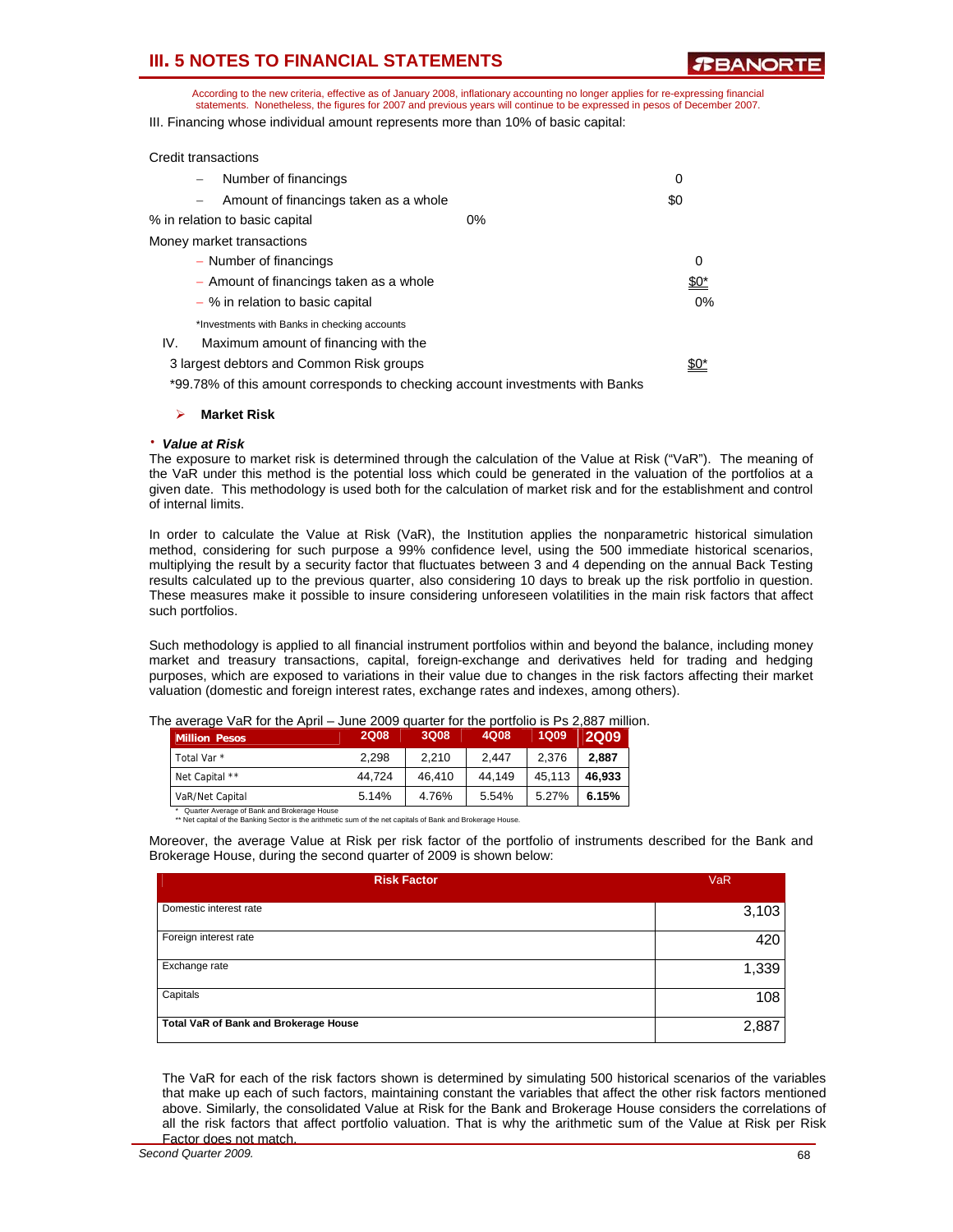**TBANORT** 

According to the new criteria, effective as of January 2008, inflationary accounting no longer applies for re-expressing financial statements. Nonetheless, the figures for 2007 and previous years will continue to be expressed in pesos of December 2007.

III. Financing whose individual amount represents more than 10% of basic capital:

| <b>Credit transactions</b> |                                              |    |             |
|----------------------------|----------------------------------------------|----|-------------|
|                            | Number of financings                         |    | 0           |
| $\qquad \qquad -$          | Amount of financings taken as a whole        |    | \$0         |
|                            | % in relation to basic capital               | 0% |             |
|                            | Money market transactions                    |    |             |
|                            | - Number of financings                       |    | 0           |
|                            | - Amount of financings taken as a whole      |    | <u>\$0*</u> |
|                            | $-$ % in relation to basic capital           |    | $0\%$       |
|                            | *Investments with Banks in checking accounts |    |             |
| IV.                        | Maximum amount of financing with the         |    |             |
|                            | 3 largest debtors and Common Risk groups     |    |             |
|                            |                                              |    |             |

\*99.78% of this amount corresponds to checking account investments with Banks

#### ¾ **Market Risk**

### ⋅ *Value at Risk*

The exposure to market risk is determined through the calculation of the Value at Risk ("VaR"). The meaning of the VaR under this method is the potential loss which could be generated in the valuation of the portfolios at a given date. This methodology is used both for the calculation of market risk and for the establishment and control of internal limits.

In order to calculate the Value at Risk (VaR), the Institution applies the nonparametric historical simulation method, considering for such purpose a 99% confidence level, using the 500 immediate historical scenarios, multiplying the result by a security factor that fluctuates between 3 and 4 depending on the annual Back Testing results calculated up to the previous quarter, also considering 10 days to break up the risk portfolio in question. These measures make it possible to insure considering unforeseen volatilities in the main risk factors that affect such portfolios.

Such methodology is applied to all financial instrument portfolios within and beyond the balance, including money market and treasury transactions, capital, foreign-exchange and derivatives held for trading and hedging purposes, which are exposed to variations in their value due to changes in the risk factors affecting their market valuation (domestic and foreign interest rates, exchange rates and indexes, among others).

| <b>Million Pesos</b>   | <b>2Q08</b> | 3Q08   | 4Q08   | <b>1Q09</b> | <b>2Q09</b> |
|------------------------|-------------|--------|--------|-------------|-------------|
| Total Var <sup>*</sup> | 2.298       | 2.210  | 2.447  | 2.376       | 2.887       |
| Net Capital **         | 44.724      | 46.410 | 44.149 | 45.113      | 46.933      |
| VaR/Net Capital        | 5.14%       | 4.76%  | 5.54%  | 5.27%       | 6.15%       |

The average VaR for the April – June 2009 quarter for the portfolio is Ps 2,887 million.

\* Quarter Average of Bank and Brokerage House \*\* Net capital of the Banking Sector is the arithmetic sum of the net capitals of Bank and Brokerage House.

Moreover, the average Value at Risk per risk factor of the portfolio of instruments described for the Bank and Brokerage House, during the second quarter of 2009 is shown below:

| <b>Risk Factor</b>                    | <b>VaR</b> |
|---------------------------------------|------------|
| Domestic interest rate                | 3,103      |
| Foreign interest rate                 | 420        |
| Exchange rate                         | 1,339      |
| Capitals                              | 108        |
| Total VaR of Bank and Brokerage House | 2,887      |

The VaR for each of the risk factors shown is determined by simulating 500 historical scenarios of the variables that make up each of such factors, maintaining constant the variables that affect the other risk factors mentioned above. Similarly, the consolidated Value at Risk for the Bank and Brokerage House considers the correlations of all the risk factors that affect portfolio valuation. That is why the arithmetic sum of the Value at Risk per Risk Factor does not match.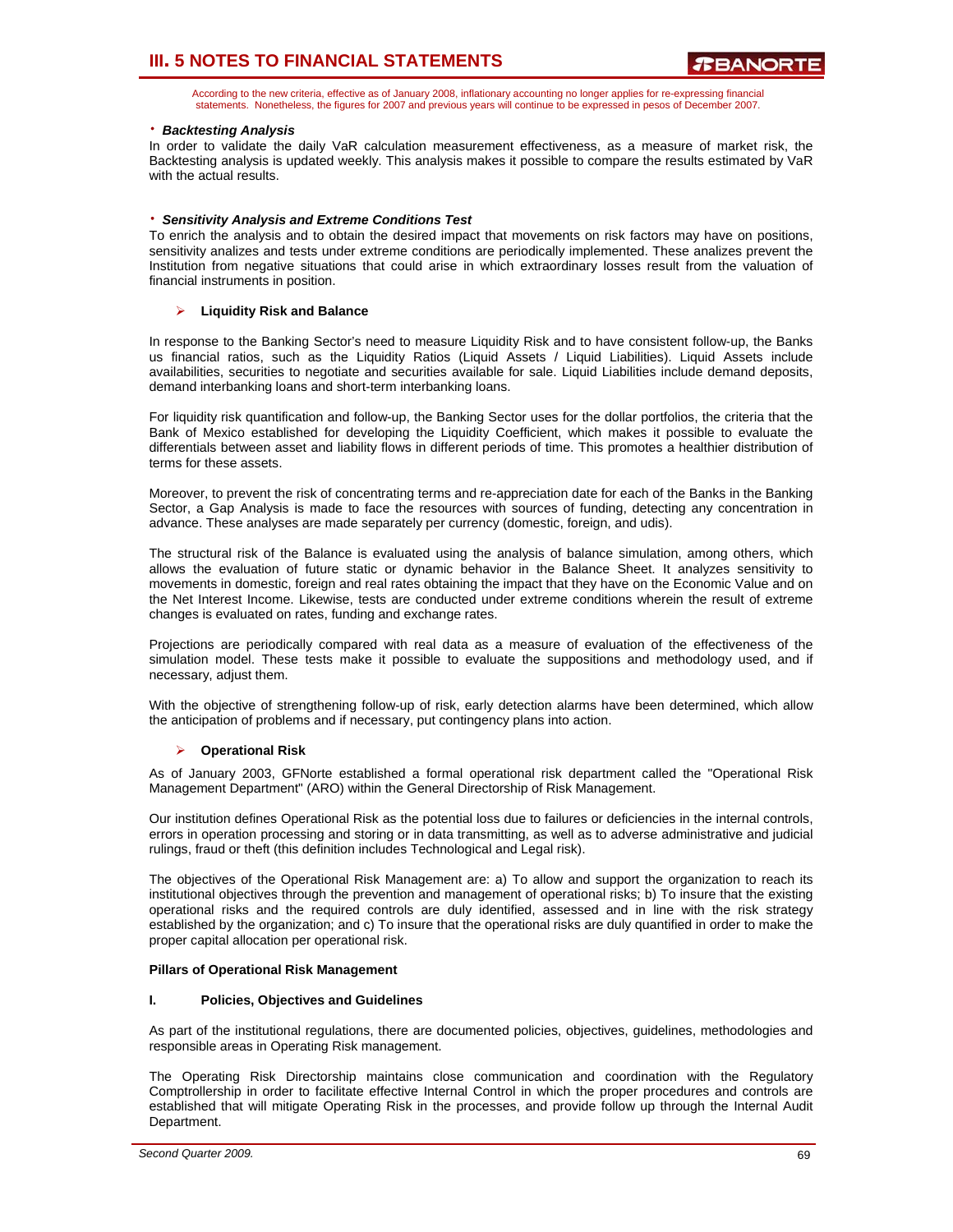According to the new criteria, effective as of January 2008, inflationary accounting no longer applies for re-expressing financial statements. Nonetheless, the figures for 2007 and previous years will continue to be expressed in pesos of December 2007.

## ⋅ *Backtesting Analysis*

In order to validate the daily VaR calculation measurement effectiveness, as a measure of market risk, the Backtesting analysis is updated weekly. This analysis makes it possible to compare the results estimated by VaR with the actual results.

### ⋅ *Sensitivity Analysis and Extreme Conditions Test*

To enrich the analysis and to obtain the desired impact that movements on risk factors may have on positions, sensitivity analizes and tests under extreme conditions are periodically implemented. These analizes prevent the Institution from negative situations that could arise in which extraordinary losses result from the valuation of financial instruments in position.

### ¾ **Liquidity Risk and Balance**

In response to the Banking Sector's need to measure Liquidity Risk and to have consistent follow-up, the Banks us financial ratios, such as the Liquidity Ratios (Liquid Assets / Liquid Liabilities). Liquid Assets include availabilities, securities to negotiate and securities available for sale. Liquid Liabilities include demand deposits, demand interbanking loans and short-term interbanking loans.

For liquidity risk quantification and follow-up, the Banking Sector uses for the dollar portfolios, the criteria that the Bank of Mexico established for developing the Liquidity Coefficient, which makes it possible to evaluate the differentials between asset and liability flows in different periods of time. This promotes a healthier distribution of terms for these assets.

Moreover, to prevent the risk of concentrating terms and re-appreciation date for each of the Banks in the Banking Sector, a Gap Analysis is made to face the resources with sources of funding, detecting any concentration in advance. These analyses are made separately per currency (domestic, foreign, and udis).

The structural risk of the Balance is evaluated using the analysis of balance simulation, among others, which allows the evaluation of future static or dynamic behavior in the Balance Sheet. It analyzes sensitivity to movements in domestic, foreign and real rates obtaining the impact that they have on the Economic Value and on the Net Interest Income. Likewise, tests are conducted under extreme conditions wherein the result of extreme changes is evaluated on rates, funding and exchange rates.

Projections are periodically compared with real data as a measure of evaluation of the effectiveness of the simulation model. These tests make it possible to evaluate the suppositions and methodology used, and if necessary, adjust them.

With the objective of strengthening follow-up of risk, early detection alarms have been determined, which allow the anticipation of problems and if necessary, put contingency plans into action.

## ¾ **Operational Risk**

As of January 2003, GFNorte established a formal operational risk department called the "Operational Risk Management Department" (ARO) within the General Directorship of Risk Management.

Our institution defines Operational Risk as the potential loss due to failures or deficiencies in the internal controls, errors in operation processing and storing or in data transmitting, as well as to adverse administrative and judicial rulings, fraud or theft (this definition includes Technological and Legal risk).

The objectives of the Operational Risk Management are: a) To allow and support the organization to reach its institutional objectives through the prevention and management of operational risks; b) To insure that the existing operational risks and the required controls are duly identified, assessed and in line with the risk strategy established by the organization; and c) To insure that the operational risks are duly quantified in order to make the proper capital allocation per operational risk.

### **Pillars of Operational Risk Management**

### **I. Policies, Objectives and Guidelines**

As part of the institutional regulations, there are documented policies, objectives, guidelines, methodologies and responsible areas in Operating Risk management.

The Operating Risk Directorship maintains close communication and coordination with the Regulatory Comptrollership in order to facilitate effective Internal Control in which the proper procedures and controls are established that will mitigate Operating Risk in the processes, and provide follow up through the Internal Audit Department.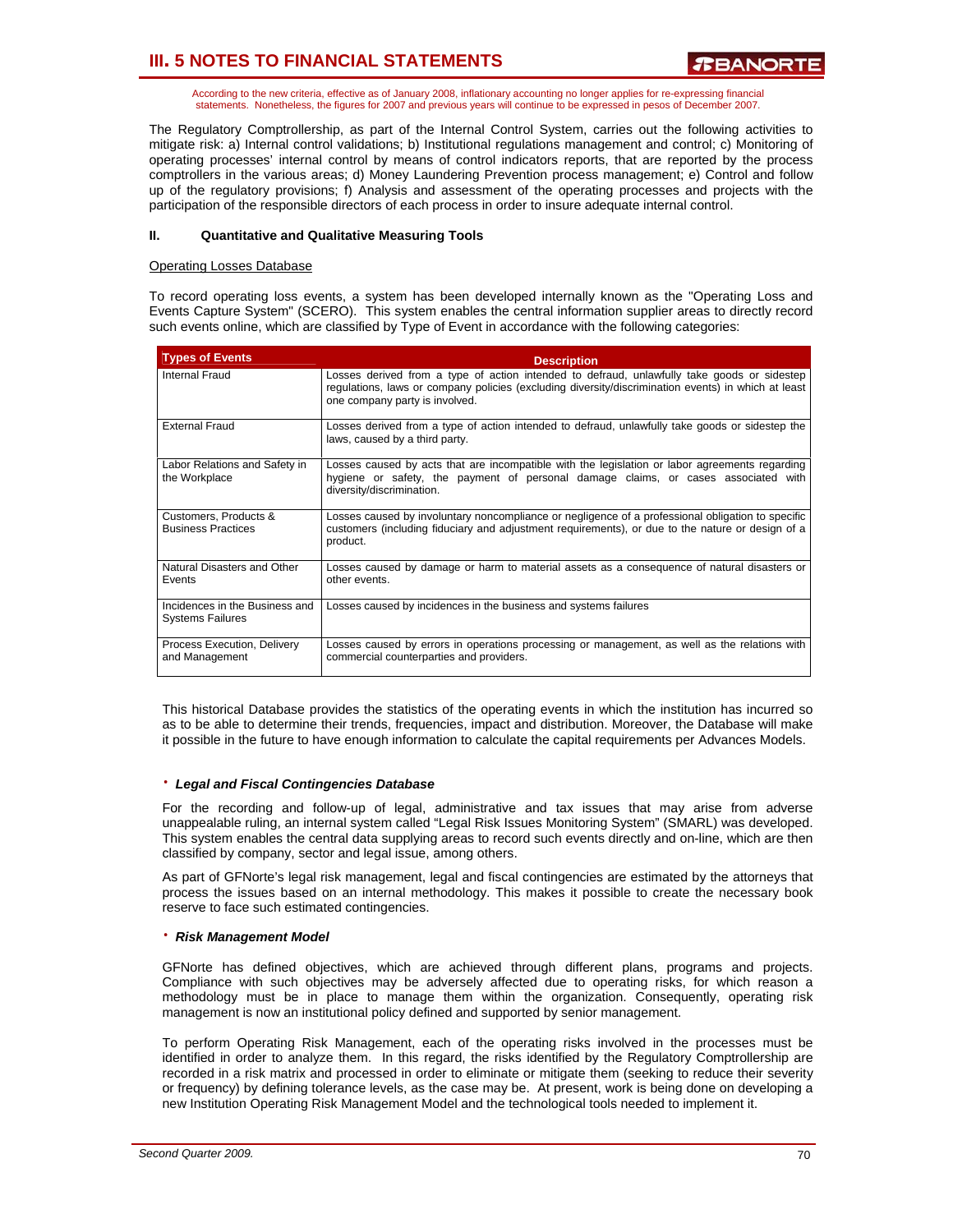According to the new criteria, effective as of January 2008, inflationary accounting no longer applies for re-expressing financial statements. Nonetheless, the figures for 2007 and previous years will continue to be expressed in pesos of December 2007.

The Regulatory Comptrollership, as part of the Internal Control System, carries out the following activities to mitigate risk: a) Internal control validations; b) Institutional regulations management and control; c) Monitoring of operating processes' internal control by means of control indicators reports, that are reported by the process comptrollers in the various areas; d) Money Laundering Prevention process management; e) Control and follow up of the regulatory provisions; f) Analysis and assessment of the operating processes and projects with the participation of the responsible directors of each process in order to insure adequate internal control.

## **II. Quantitative and Qualitative Measuring Tools**

### **Operating Losses Database**

To record operating loss events, a system has been developed internally known as the "Operating Loss and Events Capture System" (SCERO). This system enables the central information supplier areas to directly record such events online, which are classified by Type of Event in accordance with the following categories:

| <b>Types of Events</b>                                    | <b>Description</b>                                                                                                                                                                                                                   |
|-----------------------------------------------------------|--------------------------------------------------------------------------------------------------------------------------------------------------------------------------------------------------------------------------------------|
| Internal Fraud                                            | Losses derived from a type of action intended to defraud, unlawfully take goods or sidestep<br>regulations, laws or company policies (excluding diversity/discrimination events) in which at least<br>one company party is involved. |
| <b>External Fraud</b>                                     | Losses derived from a type of action intended to defraud, unlawfully take goods or sidestep the<br>laws, caused by a third party.                                                                                                    |
| Labor Relations and Safety in<br>the Workplace            | Losses caused by acts that are incompatible with the legislation or labor agreements regarding<br>hygiene or safety, the payment of personal damage claims, or cases associated with<br>diversity/discrimination.                    |
| Customers, Products &<br><b>Business Practices</b>        | Losses caused by involuntary noncompliance or negligence of a professional obligation to specific<br>customers (including fiduciary and adjustment requirements), or due to the nature or design of a<br>product.                    |
| Natural Disasters and Other<br>Events                     | Losses caused by damage or harm to material assets as a consequence of natural disasters or<br>other events.                                                                                                                         |
| Incidences in the Business and<br><b>Systems Failures</b> | Losses caused by incidences in the business and systems failures                                                                                                                                                                     |
| Process Execution, Delivery<br>and Management             | Losses caused by errors in operations processing or management, as well as the relations with<br>commercial counterparties and providers.                                                                                            |

This historical Database provides the statistics of the operating events in which the institution has incurred so as to be able to determine their trends, frequencies, impact and distribution. Moreover, the Database will make it possible in the future to have enough information to calculate the capital requirements per Advances Models.

### ⋅ *Legal and Fiscal Contingencies Database*

For the recording and follow-up of legal, administrative and tax issues that may arise from adverse unappealable ruling, an internal system called "Legal Risk Issues Monitoring System" (SMARL) was developed. This system enables the central data supplying areas to record such events directly and on-line, which are then classified by company, sector and legal issue, among others.

As part of GFNorte's legal risk management, legal and fiscal contingencies are estimated by the attorneys that process the issues based on an internal methodology. This makes it possible to create the necessary book reserve to face such estimated contingencies.

### ⋅ *Risk Management Model*

GFNorte has defined objectives, which are achieved through different plans, programs and projects. Compliance with such objectives may be adversely affected due to operating risks, for which reason a methodology must be in place to manage them within the organization. Consequently, operating risk management is now an institutional policy defined and supported by senior management.

To perform Operating Risk Management, each of the operating risks involved in the processes must be identified in order to analyze them. In this regard, the risks identified by the Regulatory Comptrollership are recorded in a risk matrix and processed in order to eliminate or mitigate them (seeking to reduce their severity or frequency) by defining tolerance levels, as the case may be. At present, work is being done on developing a new Institution Operating Risk Management Model and the technological tools needed to implement it.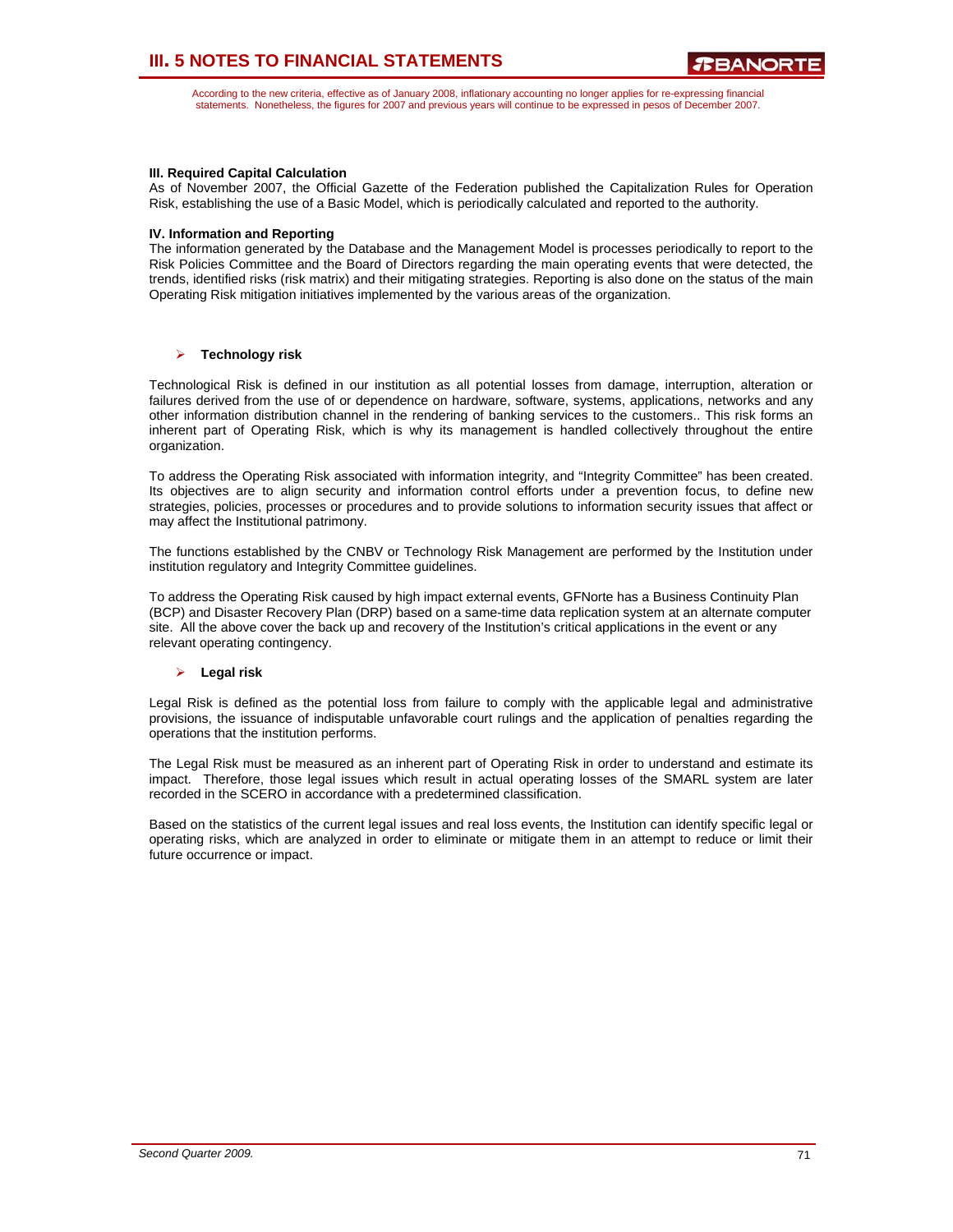According to the new criteria, effective as of January 2008, inflationary accounting no longer applies for re-expressing financial statements. Nonetheless, the figures for 2007 and previous years will continue to be expressed in pesos of December 2007.

### **III. Required Capital Calculation**

As of November 2007, the Official Gazette of the Federation published the Capitalization Rules for Operation Risk, establishing the use of a Basic Model, which is periodically calculated and reported to the authority.

### **IV. Information and Reporting**

The information generated by the Database and the Management Model is processes periodically to report to the Risk Policies Committee and the Board of Directors regarding the main operating events that were detected, the trends, identified risks (risk matrix) and their mitigating strategies. Reporting is also done on the status of the main Operating Risk mitigation initiatives implemented by the various areas of the organization.

## ¾ **Technology risk**

Technological Risk is defined in our institution as all potential losses from damage, interruption, alteration or failures derived from the use of or dependence on hardware, software, systems, applications, networks and any other information distribution channel in the rendering of banking services to the customers.. This risk forms an inherent part of Operating Risk, which is why its management is handled collectively throughout the entire organization.

To address the Operating Risk associated with information integrity, and "Integrity Committee" has been created. Its objectives are to align security and information control efforts under a prevention focus, to define new strategies, policies, processes or procedures and to provide solutions to information security issues that affect or may affect the Institutional patrimony.

The functions established by the CNBV or Technology Risk Management are performed by the Institution under institution regulatory and Integrity Committee guidelines.

To address the Operating Risk caused by high impact external events, GFNorte has a Business Continuity Plan (BCP) and Disaster Recovery Plan (DRP) based on a same-time data replication system at an alternate computer site. All the above cover the back up and recovery of the Institution's critical applications in the event or any relevant operating contingency.

## ¾ **Legal risk**

Legal Risk is defined as the potential loss from failure to comply with the applicable legal and administrative provisions, the issuance of indisputable unfavorable court rulings and the application of penalties regarding the operations that the institution performs.

The Legal Risk must be measured as an inherent part of Operating Risk in order to understand and estimate its impact. Therefore, those legal issues which result in actual operating losses of the SMARL system are later recorded in the SCERO in accordance with a predetermined classification.

Based on the statistics of the current legal issues and real loss events, the Institution can identify specific legal or operating risks, which are analyzed in order to eliminate or mitigate them in an attempt to reduce or limit their future occurrence or impact.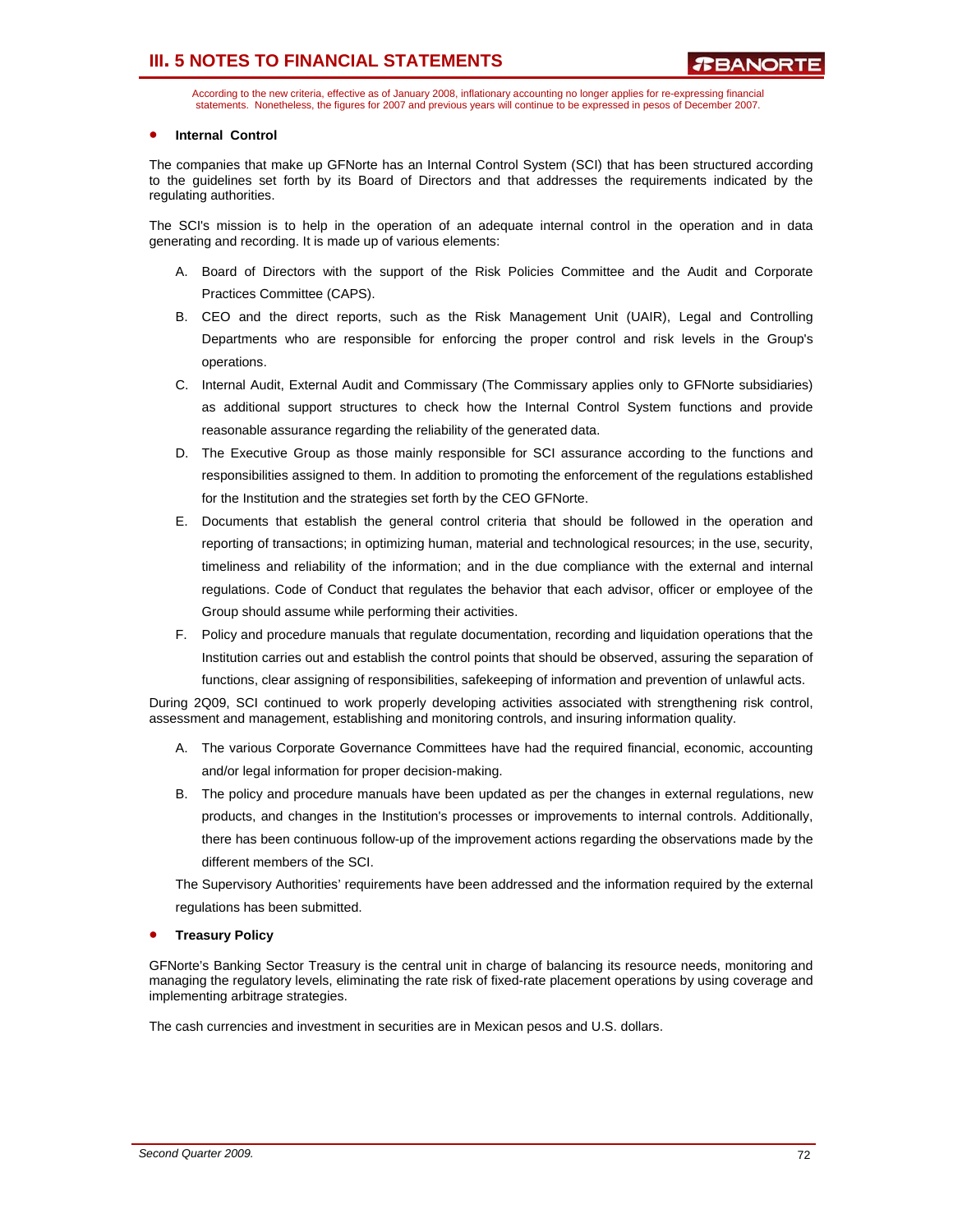According to the new criteria, effective as of January 2008, inflationary accounting no longer applies for re-expressing financial statements. Nonetheless, the figures for 2007 and previous years will continue to be expressed in pesos of December 2007.

### • **Internal Control**

The companies that make up GFNorte has an Internal Control System (SCI) that has been structured according to the guidelines set forth by its Board of Directors and that addresses the requirements indicated by the regulating authorities.

The SCI's mission is to help in the operation of an adequate internal control in the operation and in data generating and recording. It is made up of various elements:

- A. Board of Directors with the support of the Risk Policies Committee and the Audit and Corporate Practices Committee (CAPS).
- B. CEO and the direct reports, such as the Risk Management Unit (UAIR), Legal and Controlling Departments who are responsible for enforcing the proper control and risk levels in the Group's operations.
- C. Internal Audit, External Audit and Commissary (The Commissary applies only to GFNorte subsidiaries) as additional support structures to check how the Internal Control System functions and provide reasonable assurance regarding the reliability of the generated data.
- D. The Executive Group as those mainly responsible for SCI assurance according to the functions and responsibilities assigned to them. In addition to promoting the enforcement of the regulations established for the Institution and the strategies set forth by the CEO GFNorte.
- E. Documents that establish the general control criteria that should be followed in the operation and reporting of transactions; in optimizing human, material and technological resources; in the use, security, timeliness and reliability of the information; and in the due compliance with the external and internal regulations. Code of Conduct that regulates the behavior that each advisor, officer or employee of the Group should assume while performing their activities.
- F. Policy and procedure manuals that regulate documentation, recording and liquidation operations that the Institution carries out and establish the control points that should be observed, assuring the separation of functions, clear assigning of responsibilities, safekeeping of information and prevention of unlawful acts.

During 2Q09, SCI continued to work properly developing activities associated with strengthening risk control, assessment and management, establishing and monitoring controls, and insuring information quality.

- A. The various Corporate Governance Committees have had the required financial, economic, accounting and/or legal information for proper decision-making.
- B. The policy and procedure manuals have been updated as per the changes in external regulations, new products, and changes in the Institution's processes or improvements to internal controls. Additionally, there has been continuous follow-up of the improvement actions regarding the observations made by the different members of the SCI.

The Supervisory Authorities' requirements have been addressed and the information required by the external regulations has been submitted.

### • **Treasury Policy**

GFNorte's Banking Sector Treasury is the central unit in charge of balancing its resource needs, monitoring and managing the regulatory levels, eliminating the rate risk of fixed-rate placement operations by using coverage and implementing arbitrage strategies.

The cash currencies and investment in securities are in Mexican pesos and U.S. dollars.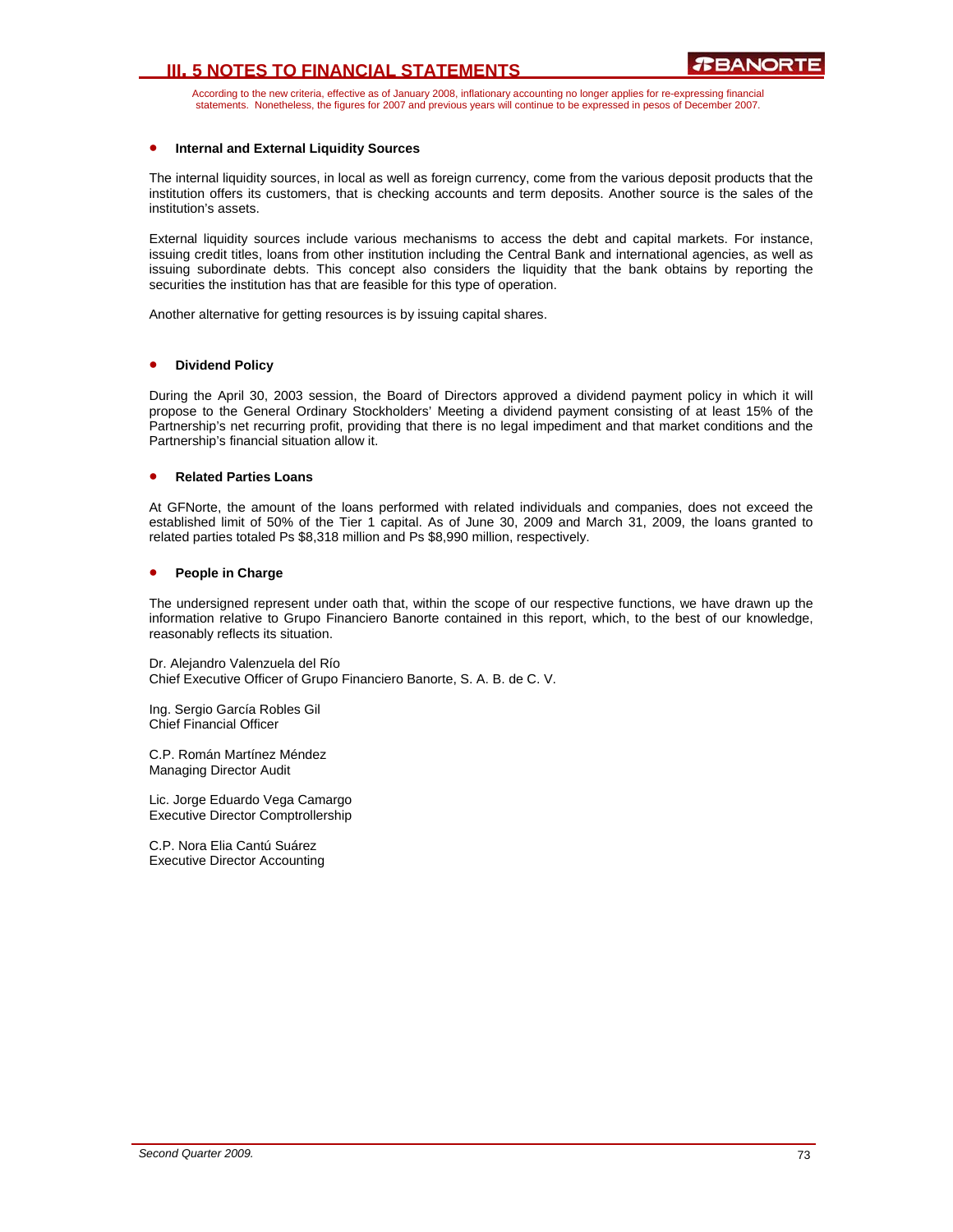# **III. 5 NOTES TO FINANCIAL STATEMENTS**

According to the new criteria, effective as of January 2008, inflationary accounting no longer applies for re-expressing financial statements. Nonetheless, the figures for 2007 and previous years will continue to be expressed in pesos of December 2007.

#### • **Internal and External Liquidity Sources**

The internal liquidity sources, in local as well as foreign currency, come from the various deposit products that the institution offers its customers, that is checking accounts and term deposits. Another source is the sales of the institution's assets.

External liquidity sources include various mechanisms to access the debt and capital markets. For instance, issuing credit titles, loans from other institution including the Central Bank and international agencies, as well as issuing subordinate debts. This concept also considers the liquidity that the bank obtains by reporting the securities the institution has that are feasible for this type of operation.

Another alternative for getting resources is by issuing capital shares.

#### • **Dividend Policy**

During the April 30, 2003 session, the Board of Directors approved a dividend payment policy in which it will propose to the General Ordinary Stockholders' Meeting a dividend payment consisting of at least 15% of the Partnership's net recurring profit, providing that there is no legal impediment and that market conditions and the Partnership's financial situation allow it.

#### • **Related Parties Loans**

At GFNorte, the amount of the loans performed with related individuals and companies, does not exceed the established limit of 50% of the Tier 1 capital. As of June 30, 2009 and March 31, 2009, the loans granted to related parties totaled Ps \$8,318 million and Ps \$8,990 million, respectively.

### • **People in Charge**

The undersigned represent under oath that, within the scope of our respective functions, we have drawn up the information relative to Grupo Financiero Banorte contained in this report, which, to the best of our knowledge, reasonably reflects its situation.

Dr. Alejandro Valenzuela del Río Chief Executive Officer of Grupo Financiero Banorte, S. A. B. de C. V.

Ing. Sergio García Robles Gil Chief Financial Officer

C.P. Román Martínez Méndez Managing Director Audit

Lic. Jorge Eduardo Vega Camargo Executive Director Comptrollership

C.P. Nora Elia Cantú Suárez Executive Director Accounting